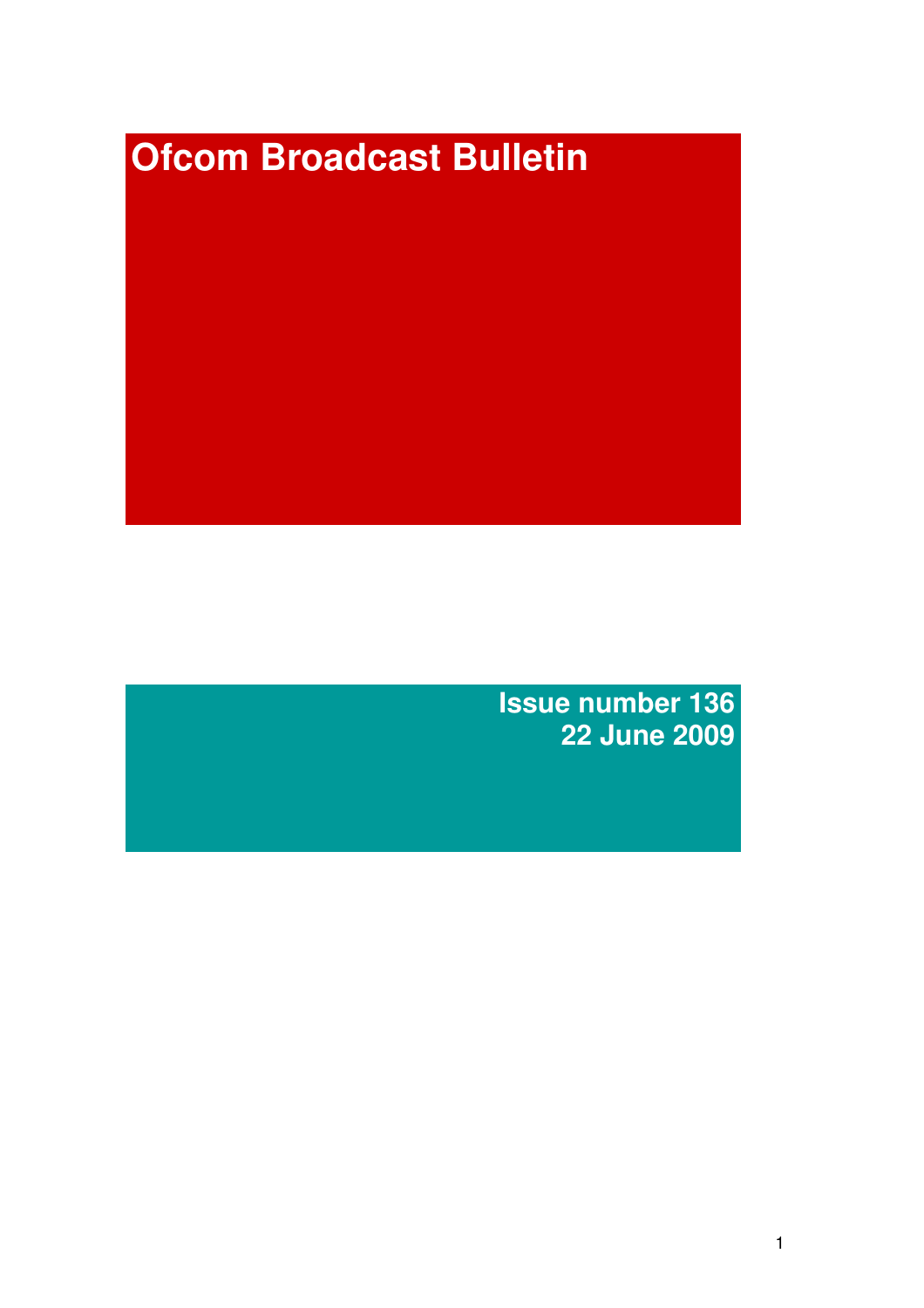# **Ofcom Broadcast Bulletin**

**Issue number 136 22 June 2009**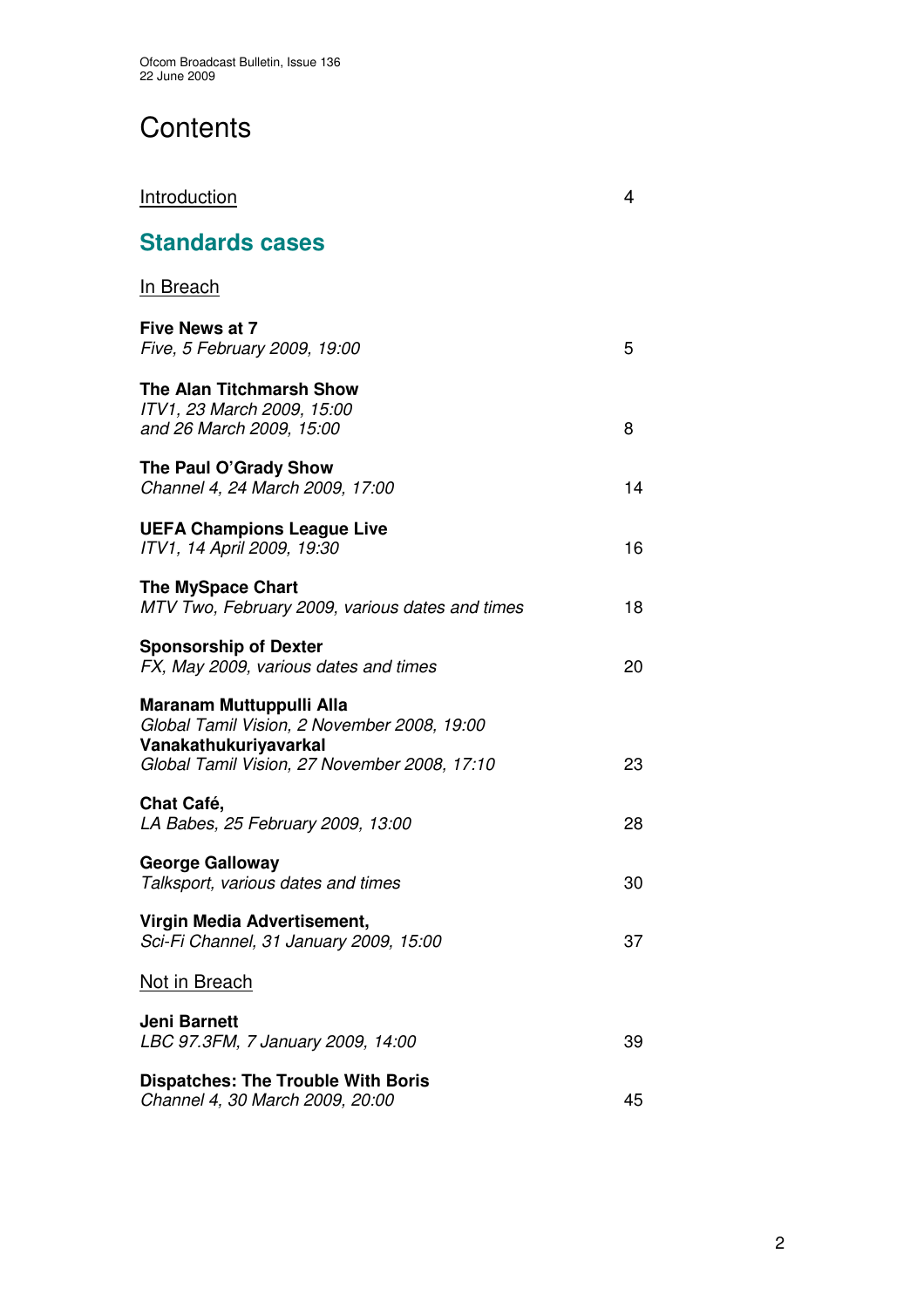# **Contents**

| <u>Introduction</u>                                                                                                                              | 4  |
|--------------------------------------------------------------------------------------------------------------------------------------------------|----|
| <b>Standards cases</b>                                                                                                                           |    |
| <u>In Breach</u>                                                                                                                                 |    |
| <b>Five News at 7</b><br>Five, 5 February 2009, 19:00                                                                                            | 5  |
| <b>The Alan Titchmarsh Show</b><br>ITV1, 23 March 2009, 15:00<br>and 26 March 2009, 15:00                                                        | 8  |
| The Paul O'Grady Show<br>Channel 4, 24 March 2009, 17:00                                                                                         | 14 |
| <b>UEFA Champions League Live</b><br>ITV1, 14 April 2009, 19:30                                                                                  | 16 |
| <b>The MySpace Chart</b><br>MTV Two, February 2009, various dates and times                                                                      | 18 |
| <b>Sponsorship of Dexter</b><br>FX, May 2009, various dates and times                                                                            | 20 |
| Maranam Muttuppulli Alla<br>Global Tamil Vision, 2 November 2008, 19:00<br>Vanakathukuriyavarkal<br>Global Tamil Vision, 27 November 2008, 17:10 | 23 |
| Chat Café,<br>LA Babes, 25 February 2009, 13:00                                                                                                  | 28 |
| George Galloway<br>Talksport, various dates and times                                                                                            | 30 |
| Virgin Media Advertisement,<br>Sci-Fi Channel, 31 January 2009, 15:00                                                                            | 37 |
| Not in Breach                                                                                                                                    |    |
| Jeni Barnett<br>LBC 97.3FM, 7 January 2009, 14:00                                                                                                | 39 |
| <b>Dispatches: The Trouble With Boris</b><br>Channel 4, 30 March 2009, 20:00                                                                     | 45 |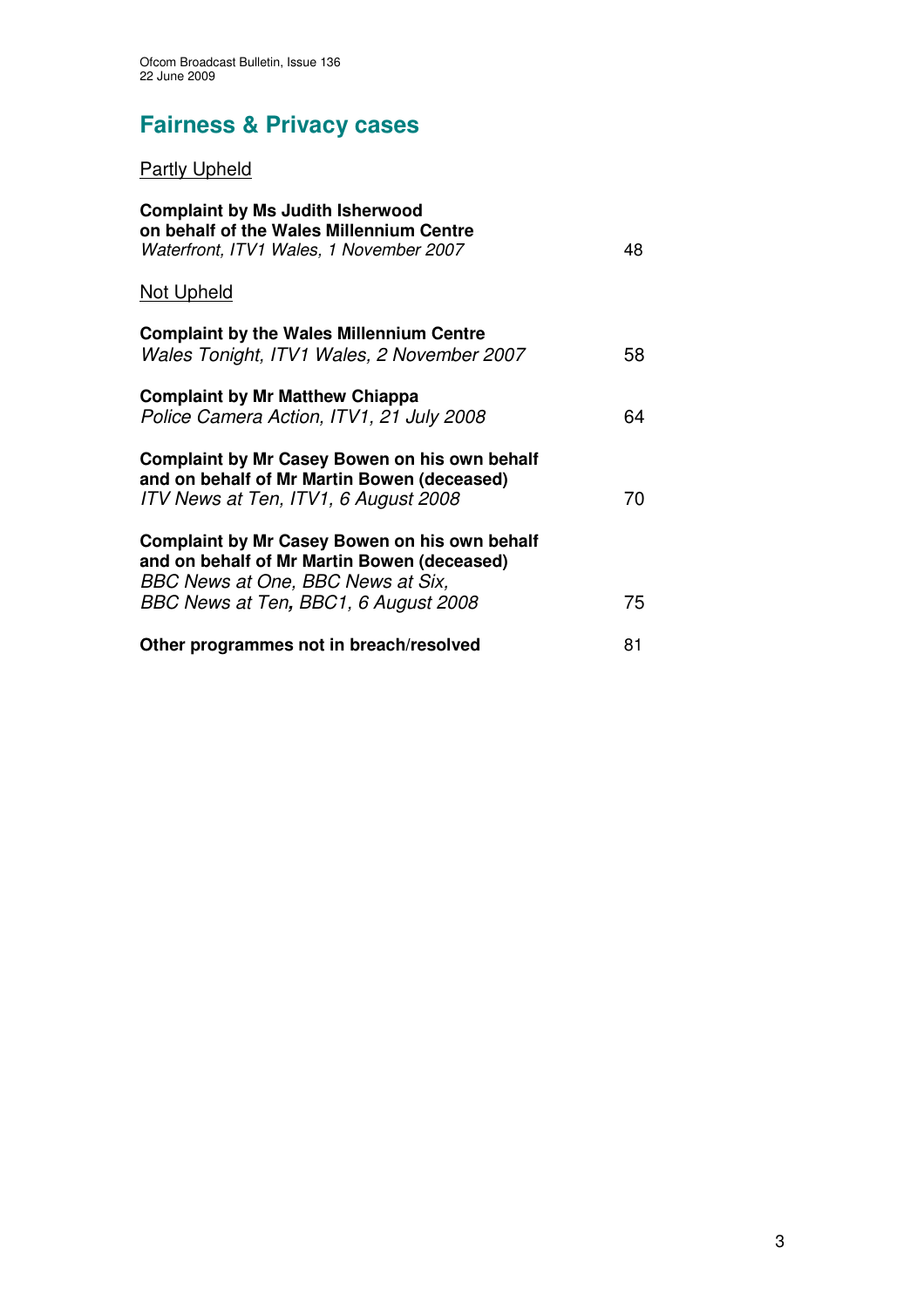# **Fairness & Privacy cases**

Partly Upheld

| <b>Complaint by Ms Judith Isherwood</b><br>on behalf of the Wales Millennium Centre<br>Waterfront, ITV1 Wales, 1 November 2007       | 48 |
|--------------------------------------------------------------------------------------------------------------------------------------|----|
| Not Upheld                                                                                                                           |    |
| <b>Complaint by the Wales Millennium Centre</b><br>Wales Tonight, ITV1 Wales, 2 November 2007                                        | 58 |
| <b>Complaint by Mr Matthew Chiappa</b><br>Police Camera Action, ITV1, 21 July 2008                                                   | 64 |
| Complaint by Mr Casey Bowen on his own behalf<br>and on behalf of Mr Martin Bowen (deceased)<br>ITV News at Ten, ITV1, 6 August 2008 | 70 |
| Complaint by Mr Casey Bowen on his own behalf<br>and on behalf of Mr Martin Bowen (deceased)                                         |    |
| BBC News at One, BBC News at Six,<br>BBC News at Ten, BBC1, 6 August 2008                                                            | 75 |
| Other programmes not in breach/resolved                                                                                              | 81 |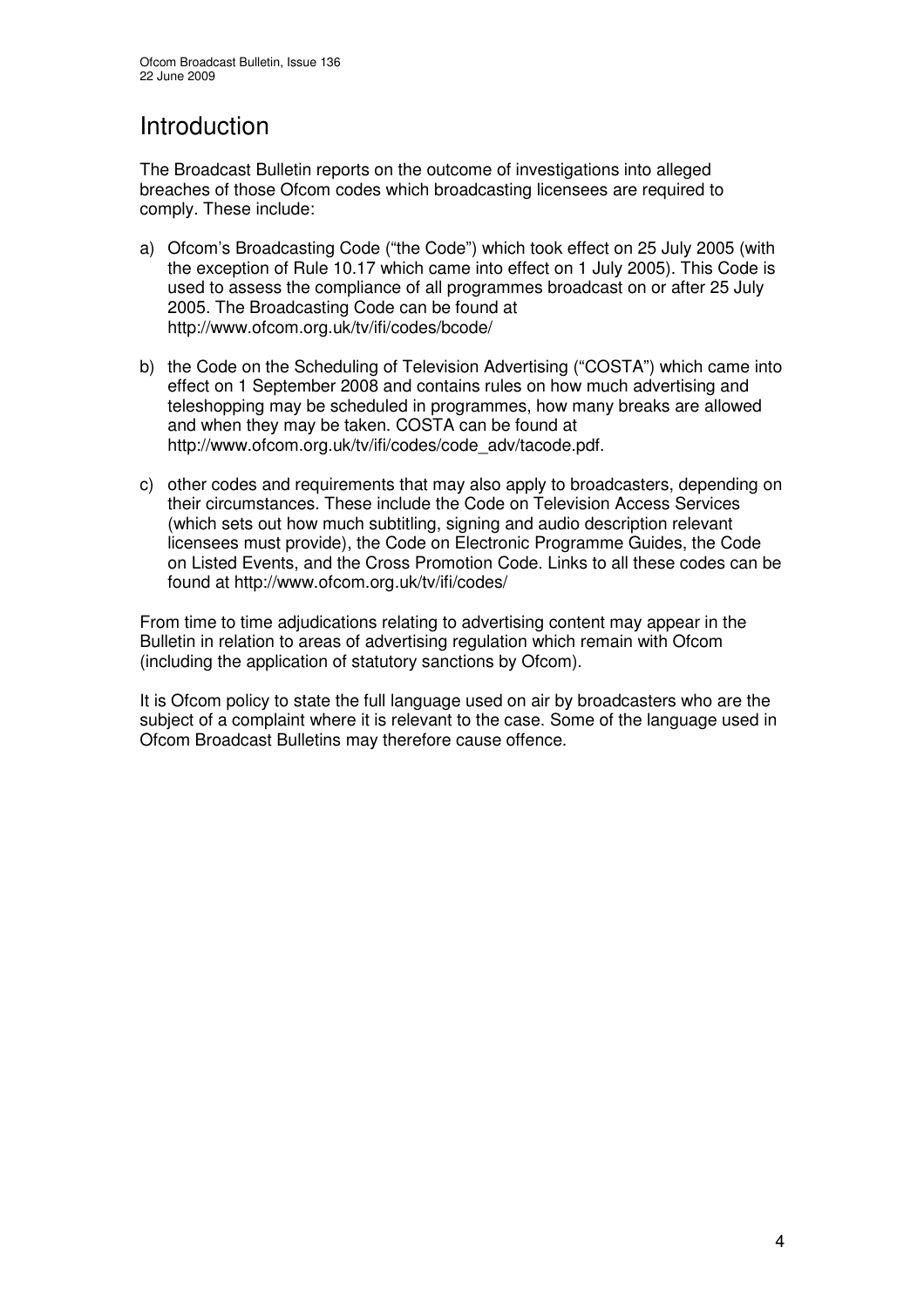## Introduction

The Broadcast Bulletin reports on the outcome of investigations into alleged breaches of those Ofcom codes which broadcasting licensees are required to comply. These include:

- a) Ofcom's Broadcasting Code ("the Code") which took effect on 25 July 2005 (with the exception of Rule 10.17 which came into effect on 1 July 2005). This Code is used to assess the compliance of all programmes broadcast on or after 25 July 2005. The Broadcasting Code can be found at http://www.ofcom.org.uk/tv/ifi/codes/bcode/
- b) the Code on the Scheduling of Television Advertising ("COSTA") which came into effect on 1 September 2008 and contains rules on how much advertising and teleshopping may be scheduled in programmes, how many breaks are allowed and when they may be taken. COSTA can be found at http://www.ofcom.org.uk/tv/ifi/codes/code\_adv/tacode.pdf.
- c) other codes and requirements that may also apply to broadcasters, depending on their circumstances. These include the Code on Television Access Services (which sets out how much subtitling, signing and audio description relevant licensees must provide), the Code on Electronic Programme Guides, the Code on Listed Events, and the Cross Promotion Code. Links to all these codes can be found at http://www.ofcom.org.uk/tv/ifi/codes/

From time to time adjudications relating to advertising content may appear in the Bulletin in relation to areas of advertising regulation which remain with Ofcom (including the application of statutory sanctions by Ofcom).

It is Ofcom policy to state the full language used on air by broadcasters who are the subject of a complaint where it is relevant to the case. Some of the language used in Ofcom Broadcast Bulletins may therefore cause offence.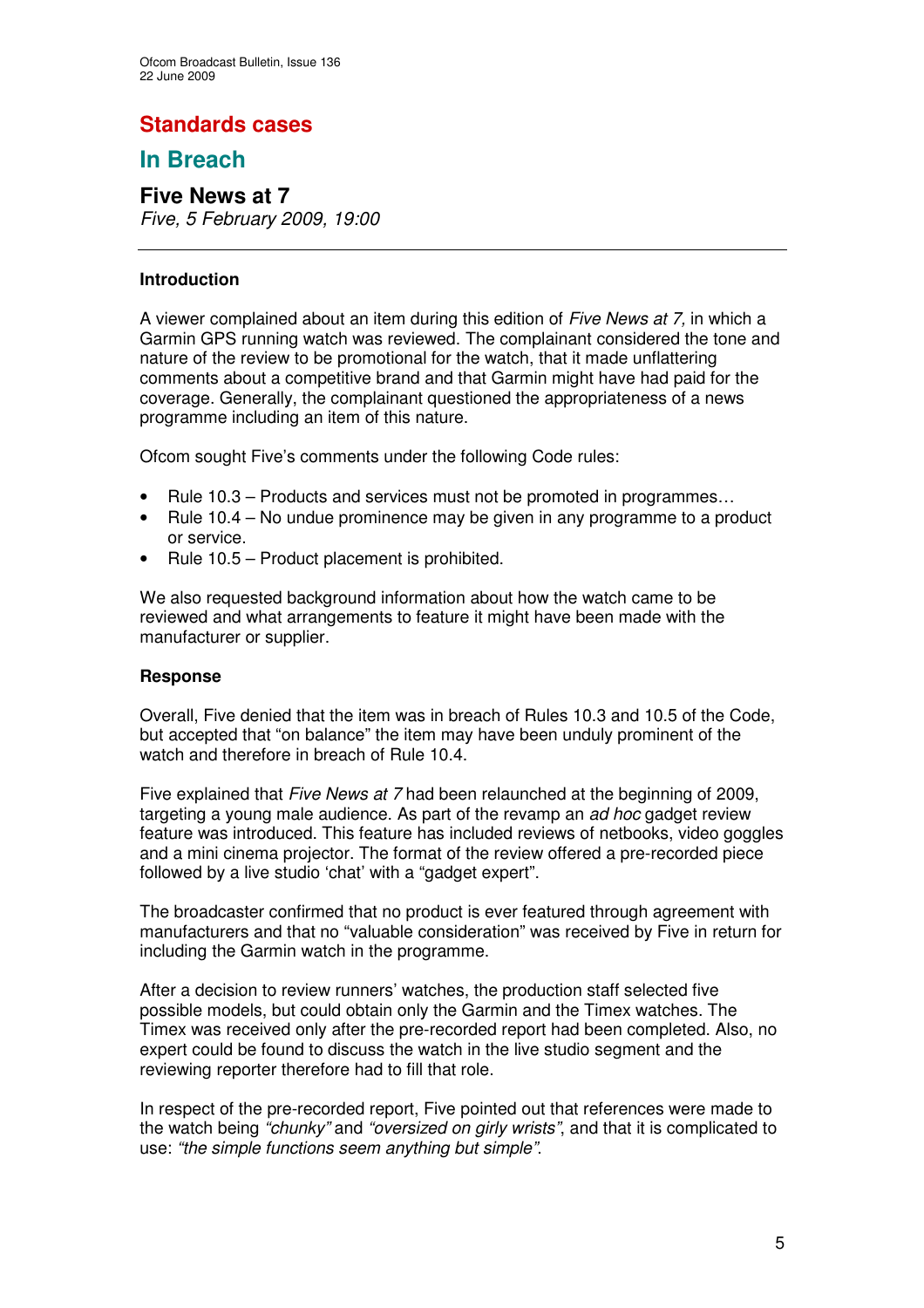## **Standards cases**

## **In Breach**

**Five News at 7** *Five, 5 February 2009, 19:00*

#### **Introduction**

A viewer complained about an item during this edition of *Five News at 7,* in which a Garmin GPS running watch was reviewed. The complainant considered the tone and nature of the review to be promotional for the watch, that it made unflattering comments about a competitive brand and that Garmin might have had paid for the coverage. Generally, the complainant questioned the appropriateness of a news programme including an item of this nature.

Ofcom sought Five's comments under the following Code rules:

- Rule 10.3 Products and services must not be promoted in programmes…
- Rule 10.4 No undue prominence may be given in any programme to a product or service.
- Rule 10.5 Product placement is prohibited.

We also requested background information about how the watch came to be reviewed and what arrangements to feature it might have been made with the manufacturer or supplier.

#### **Response**

Overall, Five denied that the item was in breach of Rules 10.3 and 10.5 of the Code, but accepted that "on balance" the item may have been unduly prominent of the watch and therefore in breach of Rule 10.4.

Five explained that *Five News at 7* had been relaunched at the beginning of 2009, targeting a young male audience. As part of the revamp an *ad hoc* gadget review feature was introduced. This feature has included reviews of netbooks, video goggles and a mini cinema projector. The format of the review offered a pre-recorded piece followed by a live studio 'chat' with a "gadget expert".

The broadcaster confirmed that no product is ever featured through agreement with manufacturers and that no "valuable consideration" was received by Five in return for including the Garmin watch in the programme.

After a decision to review runners' watches, the production staff selected five possible models, but could obtain only the Garmin and the Timex watches. The Timex was received only after the pre-recorded report had been completed. Also, no expert could be found to discuss the watch in the live studio segment and the reviewing reporter therefore had to fill that role.

In respect of the pre-recorded report, Five pointed out that references were made to the watch being *"chunky"* and *"oversized on girly wrists"*, and that it is complicated to use: *"the simple functions seem anything but simple"*.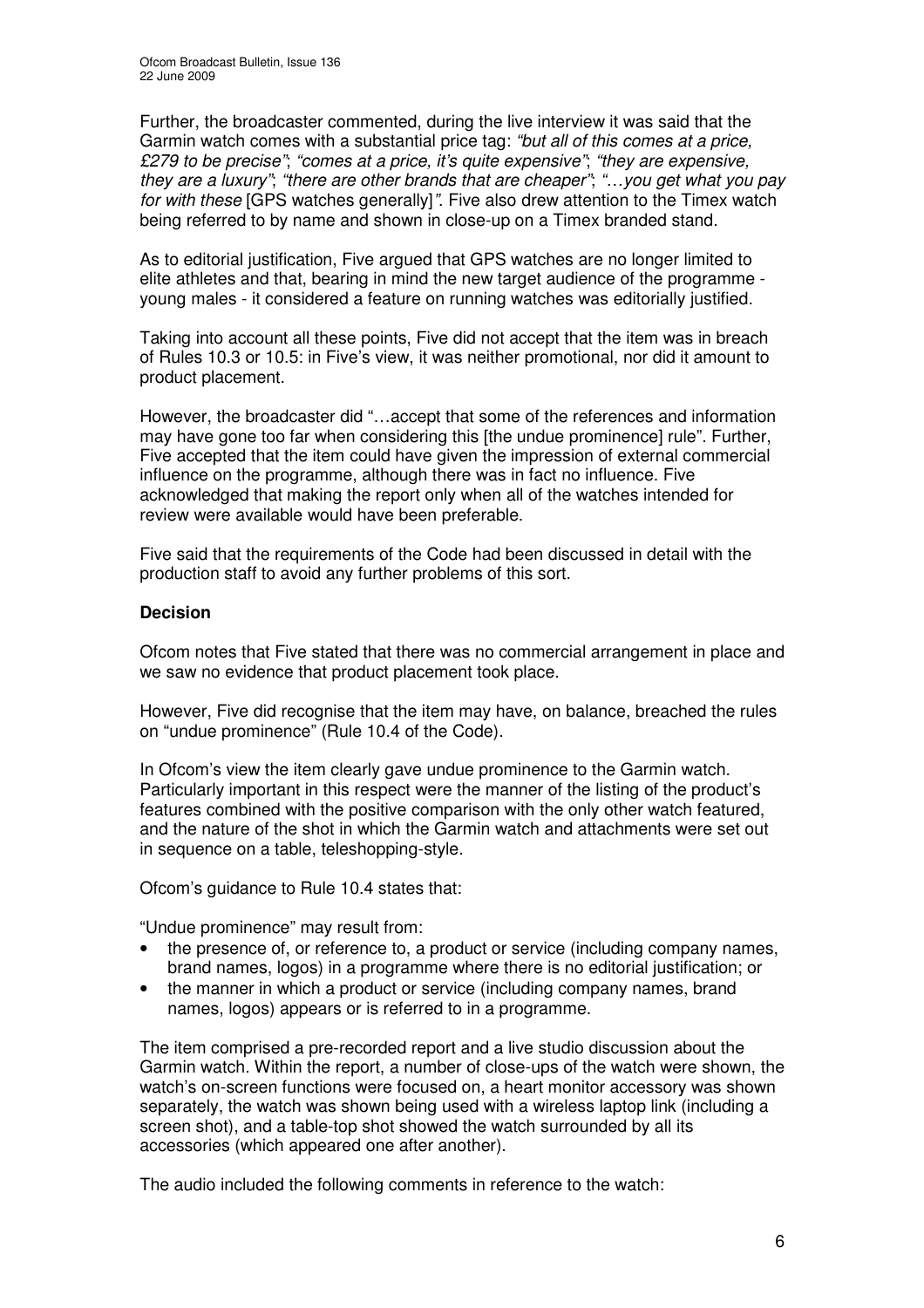Further, the broadcaster commented, during the live interview it was said that the Garmin watch comes with a substantial price tag: *"but all of this comes at a price, £279 to be precise"*; *"comes at a price, it's quite expensive"*; *"they are expensive, they are a luxury"*; *"there are other brands that are cheaper"*; *"…you get what you pay for with these* [GPS watches generally]*"*. Five also drew attention to the Timex watch being referred to by name and shown in close-up on a Timex branded stand.

As to editorial justification, Five argued that GPS watches are no longer limited to elite athletes and that, bearing in mind the new target audience of the programme young males - it considered a feature on running watches was editorially justified.

Taking into account all these points, Five did not accept that the item was in breach of Rules 10.3 or 10.5: in Five's view, it was neither promotional, nor did it amount to product placement.

However, the broadcaster did "…accept that some of the references and information may have gone too far when considering this [the undue prominence] rule". Further, Five accepted that the item could have given the impression of external commercial influence on the programme, although there was in fact no influence. Five acknowledged that making the report only when all of the watches intended for review were available would have been preferable.

Five said that the requirements of the Code had been discussed in detail with the production staff to avoid any further problems of this sort.

#### **Decision**

Ofcom notes that Five stated that there was no commercial arrangement in place and we saw no evidence that product placement took place.

However, Five did recognise that the item may have, on balance, breached the rules on "undue prominence" (Rule 10.4 of the Code).

In Ofcom's view the item clearly gave undue prominence to the Garmin watch. Particularly important in this respect were the manner of the listing of the product's features combined with the positive comparison with the only other watch featured, and the nature of the shot in which the Garmin watch and attachments were set out in sequence on a table, teleshopping-style.

Ofcom's guidance to Rule 10.4 states that:

"Undue prominence" may result from:

- the presence of, or reference to, a product or service (including company names, brand names, logos) in a programme where there is no editorial justification; or
- the manner in which a product or service (including company names, brand names, logos) appears or is referred to in a programme.

The item comprised a pre-recorded report and a live studio discussion about the Garmin watch. Within the report, a number of close-ups of the watch were shown, the watch's on-screen functions were focused on, a heart monitor accessory was shown separately, the watch was shown being used with a wireless laptop link (including a screen shot), and a table-top shot showed the watch surrounded by all its accessories (which appeared one after another).

The audio included the following comments in reference to the watch: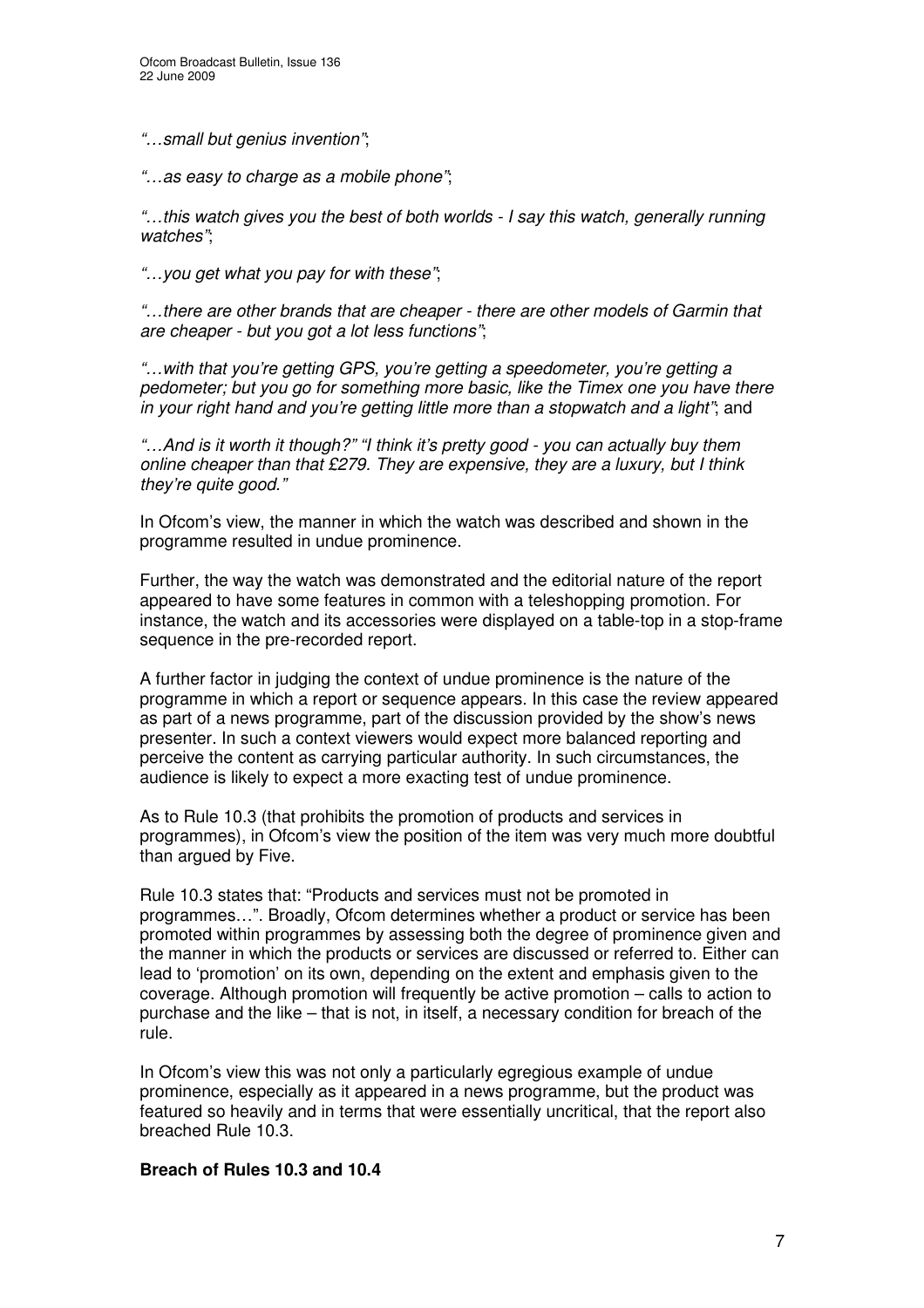*"…small but genius invention"*;

*"…as easy to charge as a mobile phone"*;

*"…this watch gives you the best of both worlds - I say this watch, generally running watches"*;

*"…you get what you pay for with these"*;

*"…there are other brands that are cheaper - there are other models of Garmin that are cheaper - but you got a lot less functions"*;

*"…with that you're getting GPS, you're getting a speedometer, you're getting a pedometer; but you go for something more basic, like the Timex one you have there in your right hand and you're getting little more than a stopwatch and a light"*; and

*"…And is it worth it though?" "I think it's pretty good - you can actually buy them online cheaper than that £279. They are expensive, they are a luxury, but I think they're quite good."*

In Ofcom's view, the manner in which the watch was described and shown in the programme resulted in undue prominence.

Further, the way the watch was demonstrated and the editorial nature of the report appeared to have some features in common with a teleshopping promotion. For instance, the watch and its accessories were displayed on a table-top in a stop-frame sequence in the pre-recorded report.

A further factor in judging the context of undue prominence is the nature of the programme in which a report or sequence appears. In this case the review appeared as part of a news programme, part of the discussion provided by the show's news presenter. In such a context viewers would expect more balanced reporting and perceive the content as carrying particular authority. In such circumstances, the audience is likely to expect a more exacting test of undue prominence.

As to Rule 10.3 (that prohibits the promotion of products and services in programmes), in Ofcom's view the position of the item was very much more doubtful than argued by Five.

Rule 10.3 states that: "Products and services must not be promoted in programmes…". Broadly, Ofcom determines whether a product or service has been promoted within programmes by assessing both the degree of prominence given and the manner in which the products or services are discussed or referred to. Either can lead to 'promotion' on its own, depending on the extent and emphasis given to the coverage. Although promotion will frequently be active promotion – calls to action to purchase and the like – that is not, in itself, a necessary condition for breach of the rule.

In Ofcom's view this was not only a particularly egregious example of undue prominence, especially as it appeared in a news programme, but the product was featured so heavily and in terms that were essentially uncritical, that the report also breached Rule 10.3.

#### **Breach of Rules 10.3 and 10.4**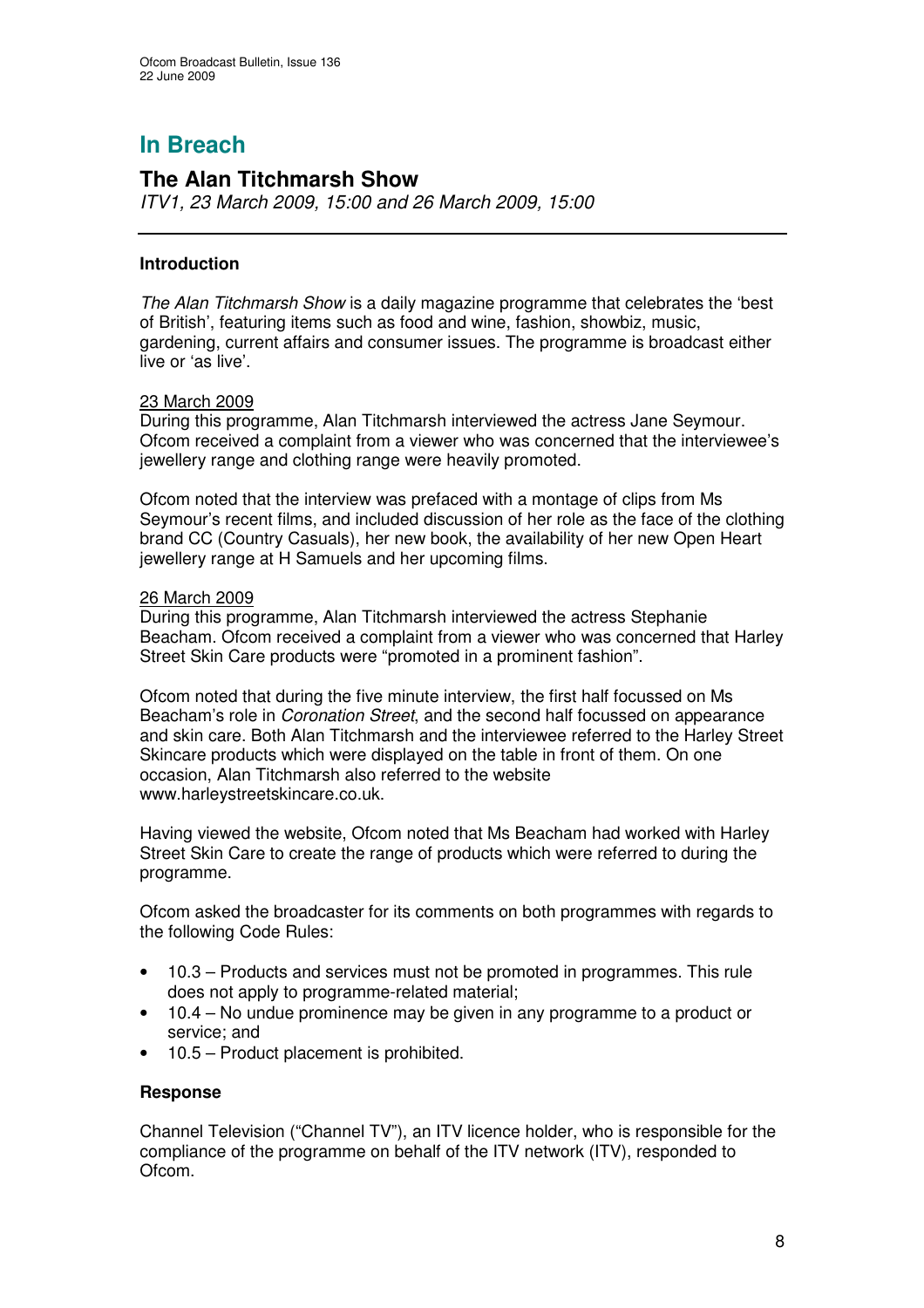## **The Alan Titchmarsh Show**

*ITV1, 23 March 2009, 15:00 and 26 March 2009, 15:00*

#### **Introduction**

*The Alan Titchmarsh Show* is a daily magazine programme that celebrates the 'best of British', featuring items such as food and wine, fashion, showbiz, music, gardening, current affairs and consumer issues. The programme is broadcast either live or 'as live'.

#### 23 March 2009

During this programme, Alan Titchmarsh interviewed the actress Jane Seymour. Ofcom received a complaint from a viewer who was concerned that the interviewee's jewellery range and clothing range were heavily promoted.

Ofcom noted that the interview was prefaced with a montage of clips from Ms Seymour's recent films, and included discussion of her role as the face of the clothing brand CC (Country Casuals), her new book, the availability of her new Open Heart jewellery range at H Samuels and her upcoming films.

#### 26 March 2009

During this programme, Alan Titchmarsh interviewed the actress Stephanie Beacham. Ofcom received a complaint from a viewer who was concerned that Harley Street Skin Care products were "promoted in a prominent fashion".

Ofcom noted that during the five minute interview, the first half focussed on Ms Beacham's role in *Coronation Street*, and the second half focussed on appearance and skin care. Both Alan Titchmarsh and the interviewee referred to the Harley Street Skincare products which were displayed on the table in front of them. On one occasion, Alan Titchmarsh also referred to the website www.harleystreetskincare.co.uk.

Having viewed the website, Ofcom noted that Ms Beacham had worked with Harley Street Skin Care to create the range of products which were referred to during the programme.

Ofcom asked the broadcaster for its comments on both programmes with regards to the following Code Rules:

- 10.3 Products and services must not be promoted in programmes. This rule does not apply to programme-related material;
- 10.4 No undue prominence may be given in any programme to a product or service; and
- 10.5 Product placement is prohibited.

#### **Response**

Channel Television ("Channel TV"), an ITV licence holder, who is responsible for the compliance of the programme on behalf of the ITV network (ITV), responded to Ofcom.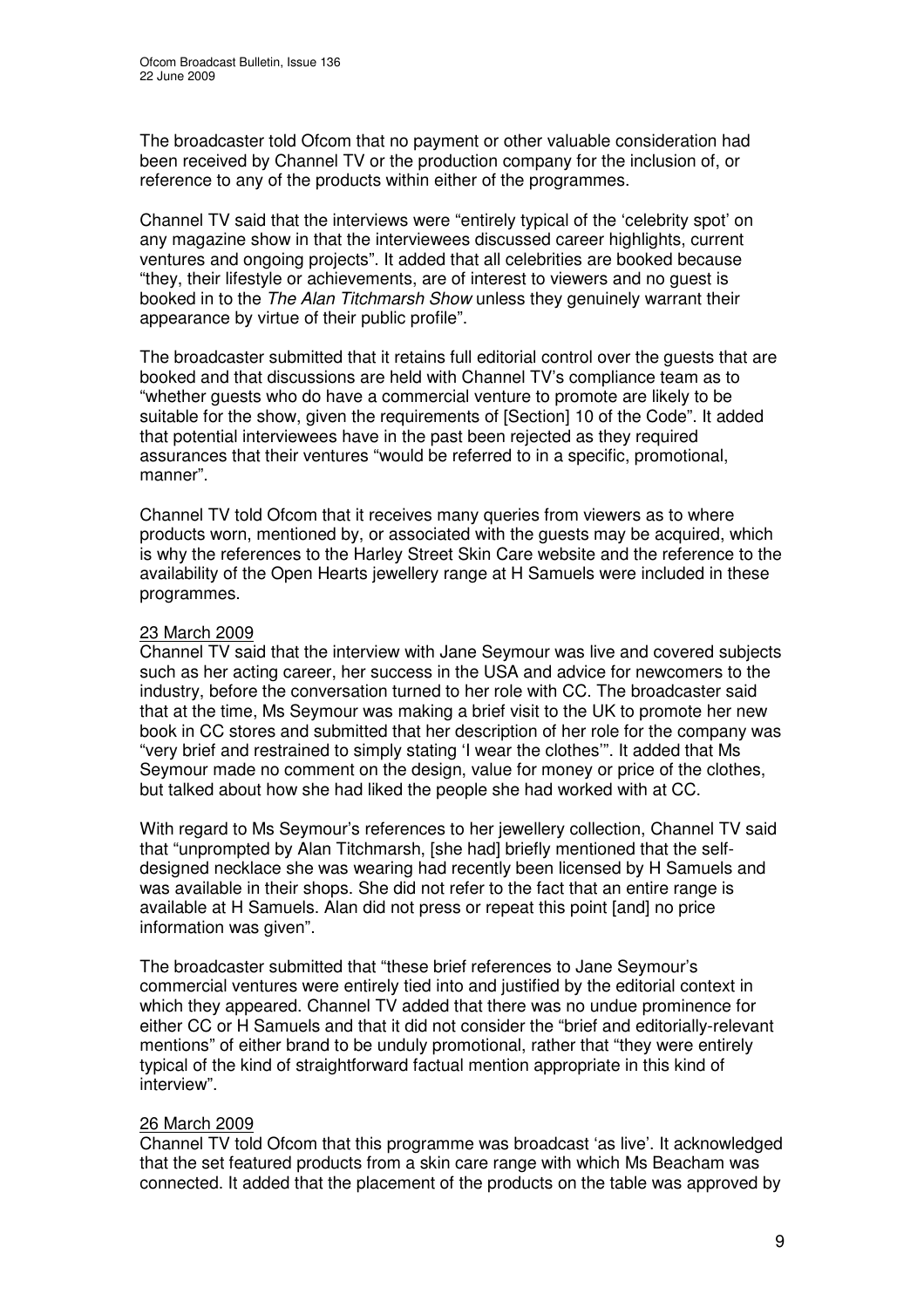The broadcaster told Ofcom that no payment or other valuable consideration had been received by Channel TV or the production company for the inclusion of, or reference to any of the products within either of the programmes.

Channel TV said that the interviews were "entirely typical of the 'celebrity spot' on any magazine show in that the interviewees discussed career highlights, current ventures and ongoing projects". It added that all celebrities are booked because "they, their lifestyle or achievements, are of interest to viewers and no guest is booked in to the *The Alan Titchmarsh Show* unless they genuinely warrant their appearance by virtue of their public profile".

The broadcaster submitted that it retains full editorial control over the guests that are booked and that discussions are held with Channel TV's compliance team as to "whether guests who do have a commercial venture to promote are likely to be suitable for the show, given the requirements of [Section] 10 of the Code". It added that potential interviewees have in the past been rejected as they required assurances that their ventures "would be referred to in a specific, promotional, manner".

Channel TV told Ofcom that it receives many queries from viewers as to where products worn, mentioned by, or associated with the guests may be acquired, which is why the references to the Harley Street Skin Care website and the reference to the availability of the Open Hearts jewellery range at H Samuels were included in these programmes.

#### 23 March 2009

Channel TV said that the interview with Jane Seymour was live and covered subjects such as her acting career, her success in the USA and advice for newcomers to the industry, before the conversation turned to her role with CC. The broadcaster said that at the time, Ms Seymour was making a brief visit to the UK to promote her new book in CC stores and submitted that her description of her role for the company was "very brief and restrained to simply stating 'I wear the clothes'". It added that Ms Seymour made no comment on the design, value for money or price of the clothes, but talked about how she had liked the people she had worked with at CC.

With regard to Ms Seymour's references to her jewellery collection, Channel TV said that "unprompted by Alan Titchmarsh, [she had] briefly mentioned that the selfdesigned necklace she was wearing had recently been licensed by H Samuels and was available in their shops. She did not refer to the fact that an entire range is available at H Samuels. Alan did not press or repeat this point [and] no price information was given".

The broadcaster submitted that "these brief references to Jane Seymour's commercial ventures were entirely tied into and justified by the editorial context in which they appeared. Channel TV added that there was no undue prominence for either CC or H Samuels and that it did not consider the "brief and editorially-relevant mentions" of either brand to be unduly promotional, rather that "they were entirely typical of the kind of straightforward factual mention appropriate in this kind of interview".

#### 26 March 2009

Channel TV told Ofcom that this programme was broadcast 'as live'. It acknowledged that the set featured products from a skin care range with which Ms Beacham was connected. It added that the placement of the products on the table was approved by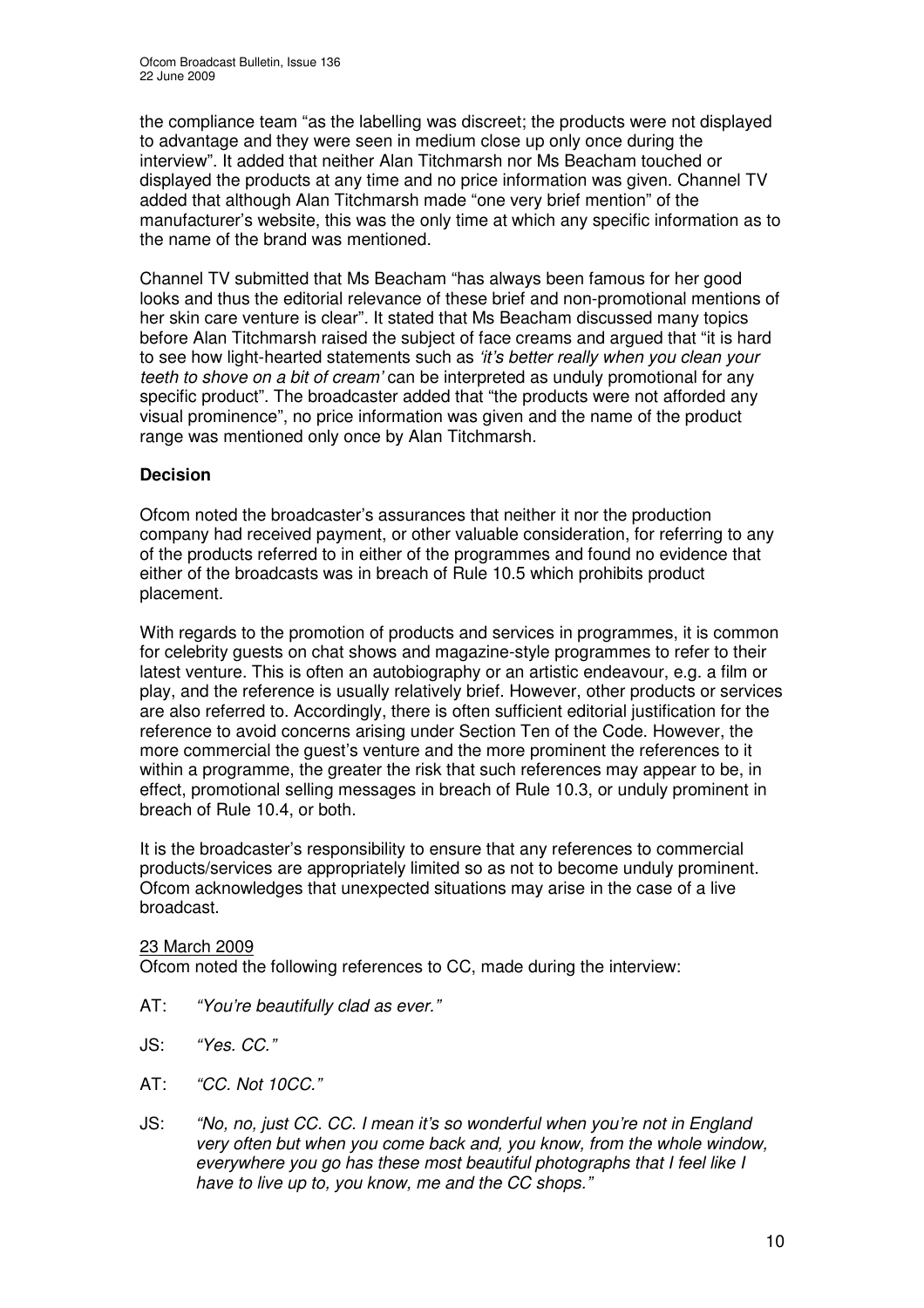the compliance team "as the labelling was discreet; the products were not displayed to advantage and they were seen in medium close up only once during the interview". It added that neither Alan Titchmarsh nor Ms Beacham touched or displayed the products at any time and no price information was given. Channel TV added that although Alan Titchmarsh made "one very brief mention" of the manufacturer's website, this was the only time at which any specific information as to the name of the brand was mentioned.

Channel TV submitted that Ms Beacham "has always been famous for her good looks and thus the editorial relevance of these brief and non-promotional mentions of her skin care venture is clear". It stated that Ms Beacham discussed many topics before Alan Titchmarsh raised the subject of face creams and argued that "it is hard to see how light-hearted statements such as *'it's better really when you clean your teeth to shove on a bit of cream'* can be interpreted as unduly promotional for any specific product". The broadcaster added that "the products were not afforded any visual prominence", no price information was given and the name of the product range was mentioned only once by Alan Titchmarsh.

#### **Decision**

Ofcom noted the broadcaster's assurances that neither it nor the production company had received payment, or other valuable consideration, for referring to any of the products referred to in either of the programmes and found no evidence that either of the broadcasts was in breach of Rule 10.5 which prohibits product placement.

With regards to the promotion of products and services in programmes, it is common for celebrity guests on chat shows and magazine-style programmes to refer to their latest venture. This is often an autobiography or an artistic endeavour, e.g. a film or play, and the reference is usually relatively brief. However, other products or services are also referred to. Accordingly, there is often sufficient editorial justification for the reference to avoid concerns arising under Section Ten of the Code. However, the more commercial the guest's venture and the more prominent the references to it within a programme, the greater the risk that such references may appear to be, in effect, promotional selling messages in breach of Rule 10.3, or unduly prominent in breach of Rule 10.4, or both.

It is the broadcaster's responsibility to ensure that any references to commercial products/services are appropriately limited so as not to become unduly prominent. Ofcom acknowledges that unexpected situations may arise in the case of a live broadcast.

#### 23 March 2009

Ofcom noted the following references to CC, made during the interview:

- AT: *"You're beautifully clad as ever."*
- JS: *"Yes. CC."*
- AT: *"CC. Not 10CC."*
- JS: *"No, no, just CC. CC. I mean it's so wonderful when you're not in England very often but when you come back and, you know, from the whole window, everywhere you go has these most beautiful photographs that I feel like I have to live up to, you know, me and the CC shops."*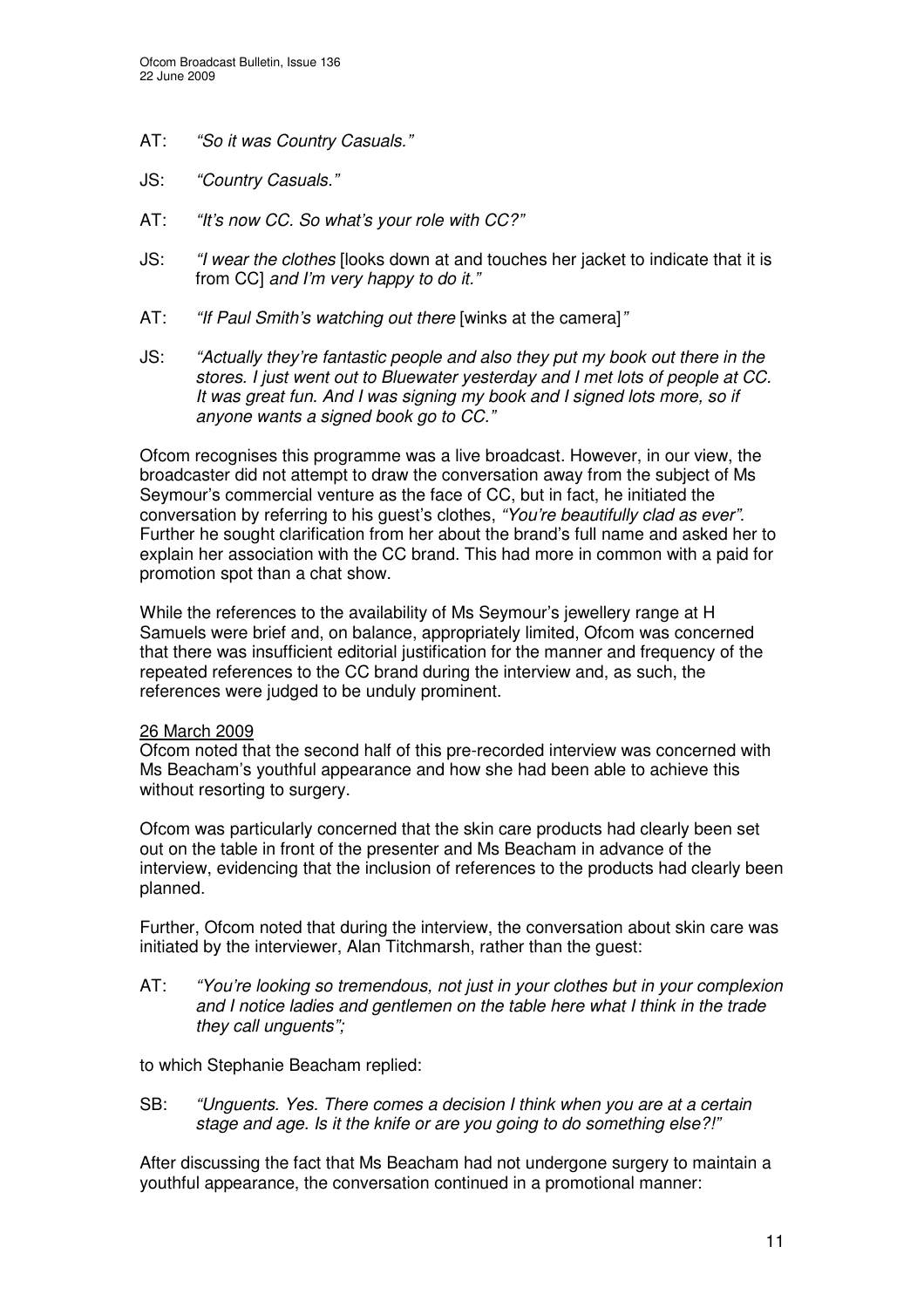- AT: *"So it was Country Casuals."*
- JS: *"Country Casuals."*
- AT: *"It's now CC. So what's your role with CC?"*
- JS: *"I wear the clothes* [looks down at and touches her jacket to indicate that it is from CC] *and I'm very happy to do it."*
- AT: *"If Paul Smith's watching out there* [winks at the camera]*"*
- JS: *"Actually they're fantastic people and also they put my book out there in the stores. I just went out to Bluewater yesterday and I met lots of people at CC. It was great fun. And I was signing my book and I signed lots more, so if anyone wants a signed book go to CC."*

Ofcom recognises this programme was a live broadcast. However, in our view, the broadcaster did not attempt to draw the conversation away from the subject of Ms Seymour's commercial venture as the face of CC, but in fact, he initiated the conversation by referring to his guest's clothes, *"You're beautifully clad as ever".* Further he sought clarification from her about the brand's full name and asked her to explain her association with the CC brand. This had more in common with a paid for promotion spot than a chat show.

While the references to the availability of Ms Seymour's jewellery range at H Samuels were brief and, on balance, appropriately limited, Ofcom was concerned that there was insufficient editorial justification for the manner and frequency of the repeated references to the CC brand during the interview and, as such, the references were judged to be unduly prominent.

#### 26 March 2009

Ofcom noted that the second half of this pre-recorded interview was concerned with Ms Beacham's youthful appearance and how she had been able to achieve this without resorting to surgery.

Ofcom was particularly concerned that the skin care products had clearly been set out on the table in front of the presenter and Ms Beacham in advance of the interview, evidencing that the inclusion of references to the products had clearly been planned.

Further, Ofcom noted that during the interview, the conversation about skin care was initiated by the interviewer, Alan Titchmarsh, rather than the guest:

AT: *"You're looking so tremendous, not just in your clothes but in your complexion and I notice ladies and gentlemen on the table here what I think in the trade they call unguents";*

to which Stephanie Beacham replied:

SB: *"Unguents. Yes. There comes a decision I think when you are at a certain stage and age. Is it the knife or are you going to do something else?!"*

After discussing the fact that Ms Beacham had not undergone surgery to maintain a youthful appearance, the conversation continued in a promotional manner: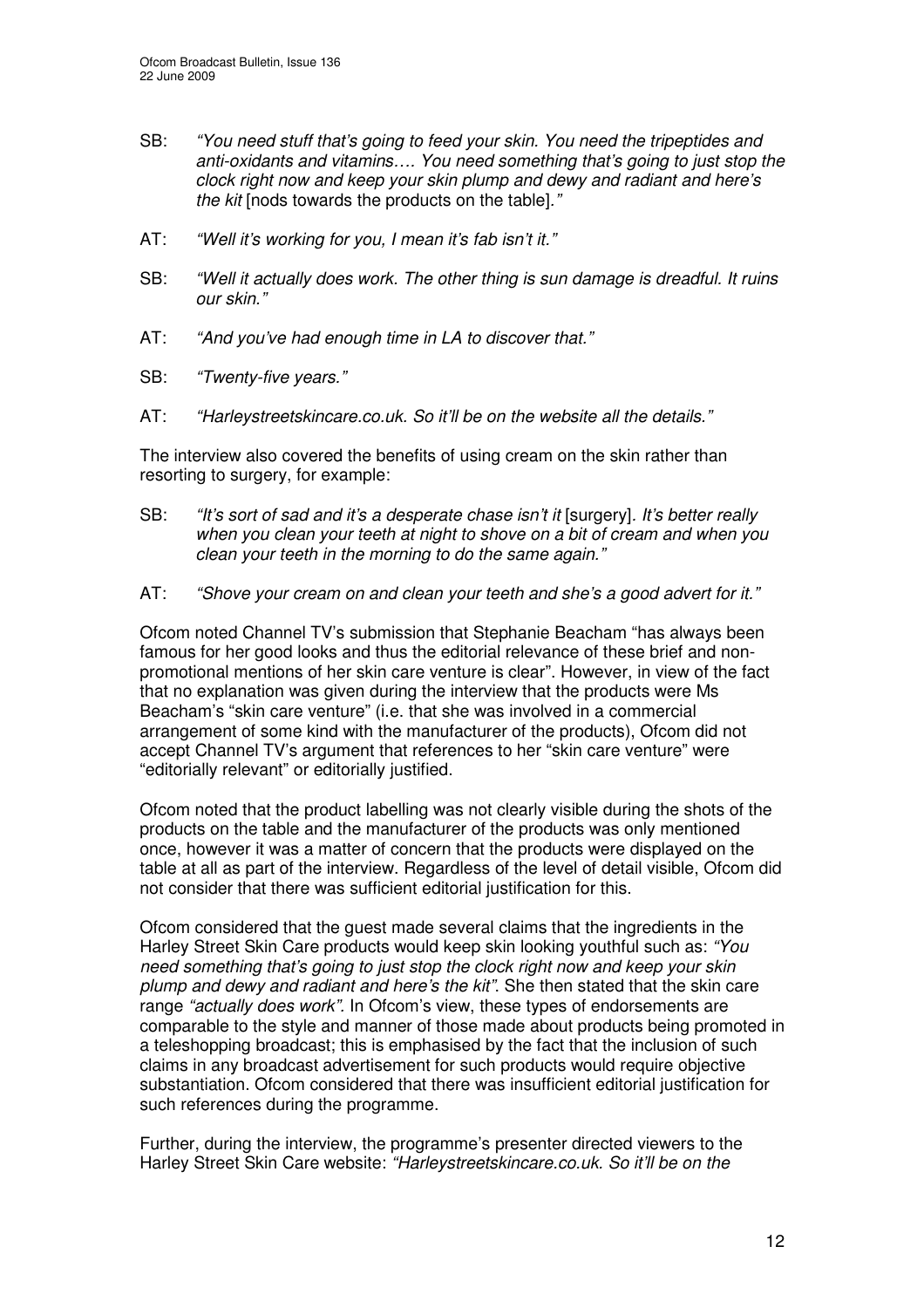- SB: *"You need stuff that's going to feed your skin. You need the tripeptides and anti-oxidants and vitamins…. You need something that's going to just stop the clock right now and keep your skin plump and dewy and radiant and here's the kit* [nods towards the products on the table]*."*
- AT: *"Well it's working for you, I mean it's fab isn't it."*
- SB: *"Well it actually does work. The other thing is sun damage is dreadful. It ruins our skin."*
- AT: *"And you've had enough time in LA to discover that."*
- SB: *"Twenty-five years."*
- AT: *"Harleystreetskincare.co.uk. So it'll be on the website all the details."*

The interview also covered the benefits of using cream on the skin rather than resorting to surgery, for example:

- SB: *"It's sort of sad and it's a desperate chase isn't it* [surgery]*. It's better really when you clean your teeth at night to shove on a bit of cream and when you clean your teeth in the morning to do the same again."*
- AT: *"Shove your cream on and clean your teeth and she's a good advert for it."*

Ofcom noted Channel TV's submission that Stephanie Beacham "has always been famous for her good looks and thus the editorial relevance of these brief and nonpromotional mentions of her skin care venture is clear". However, in view of the fact that no explanation was given during the interview that the products were Ms Beacham's "skin care venture" (i.e. that she was involved in a commercial arrangement of some kind with the manufacturer of the products), Ofcom did not accept Channel TV's argument that references to her "skin care venture" were "editorially relevant" or editorially justified.

Ofcom noted that the product labelling was not clearly visible during the shots of the products on the table and the manufacturer of the products was only mentioned once, however it was a matter of concern that the products were displayed on the table at all as part of the interview. Regardless of the level of detail visible, Ofcom did not consider that there was sufficient editorial justification for this.

Ofcom considered that the guest made several claims that the ingredients in the Harley Street Skin Care products would keep skin looking youthful such as: *"You need something that's going to just stop the clock right now and keep your skin plump and dewy and radiant and here's the kit"*. She then stated that the skin care range *"actually does work".* In Ofcom's view, these types of endorsements are comparable to the style and manner of those made about products being promoted in a teleshopping broadcast; this is emphasised by the fact that the inclusion of such claims in any broadcast advertisement for such products would require objective substantiation. Ofcom considered that there was insufficient editorial justification for such references during the programme.

Further, during the interview, the programme's presenter directed viewers to the Harley Street Skin Care website: *"Harleystreetskincare.co.uk. So it'll be on the*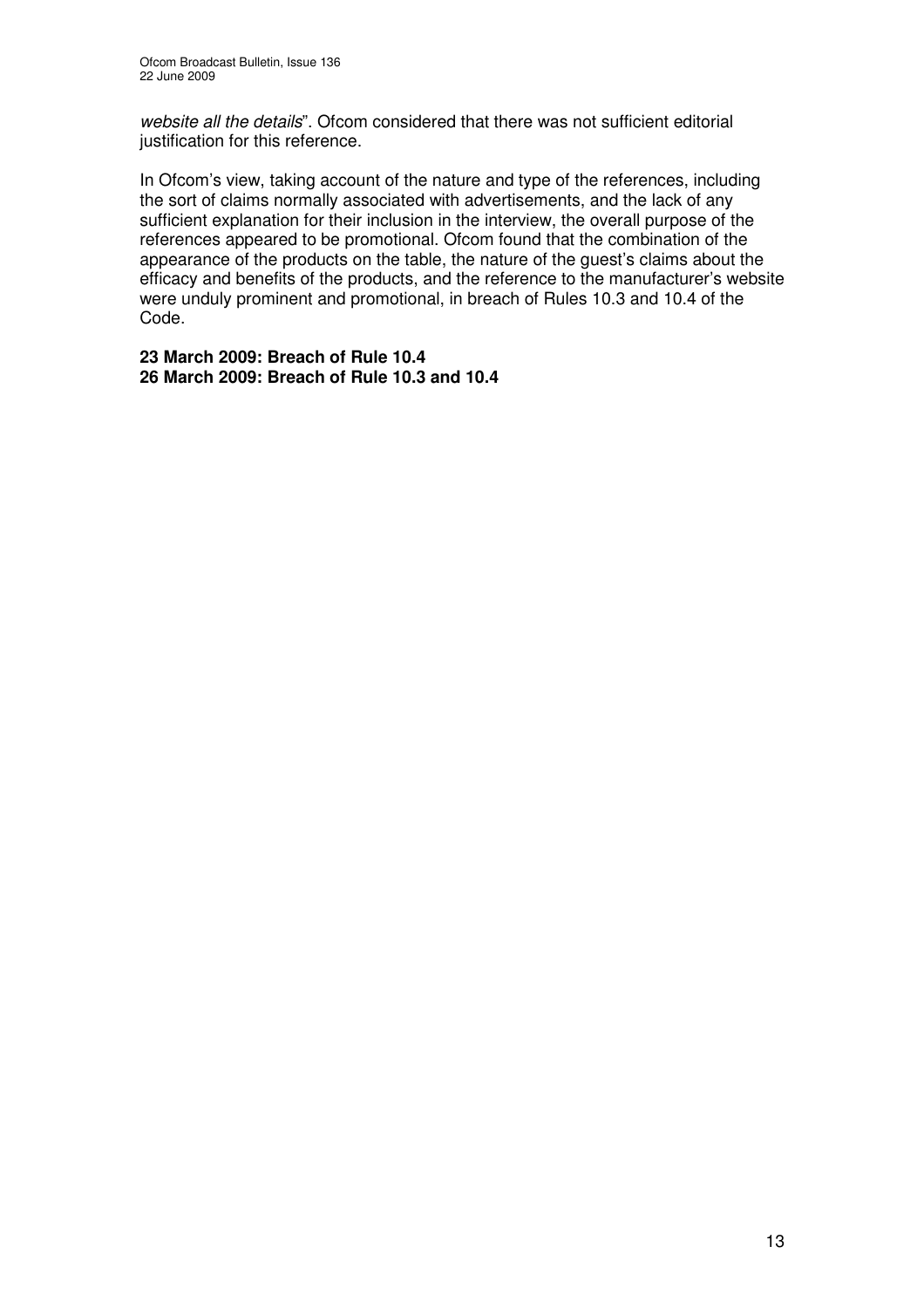*website all the details*". Ofcom considered that there was not sufficient editorial justification for this reference.

In Ofcom's view, taking account of the nature and type of the references, including the sort of claims normally associated with advertisements, and the lack of any sufficient explanation for their inclusion in the interview, the overall purpose of the references appeared to be promotional. Ofcom found that the combination of the appearance of the products on the table, the nature of the guest's claims about the efficacy and benefits of the products, and the reference to the manufacturer's website were unduly prominent and promotional, in breach of Rules 10.3 and 10.4 of the Code.

**23 March 2009: Breach of Rule 10.4 26 March 2009: Breach of Rule 10.3 and 10.4**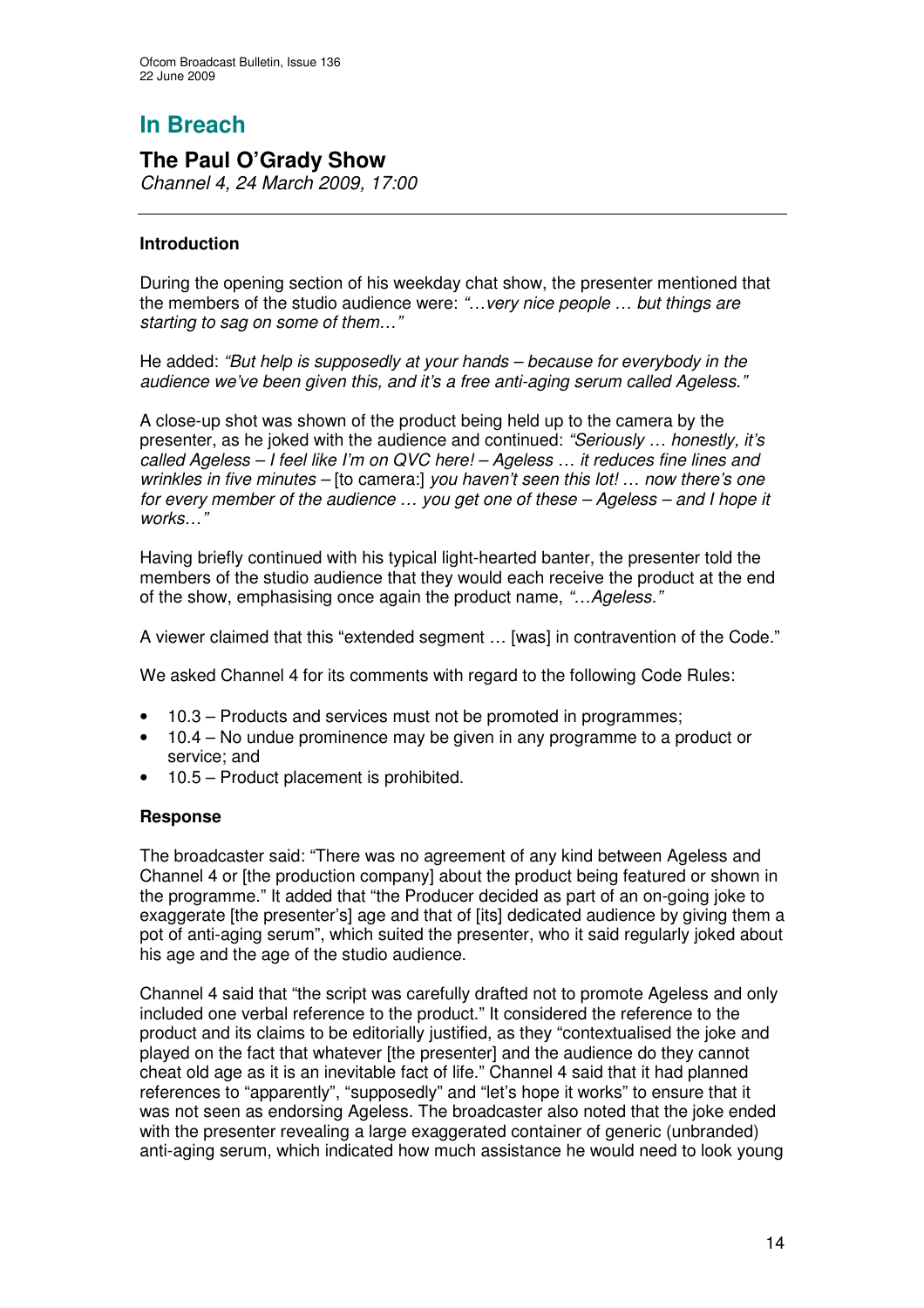## **The Paul O'Grady Show**

*Channel 4, 24 March 2009, 17:00*

#### **Introduction**

During the opening section of his weekday chat show, the presenter mentioned that the members of the studio audience were: *"…very nice people … but things are starting to sag on some of them…"*

He added: *"But help is supposedly at your hands – because for everybody in the audience we've been given this, and it's a free anti-aging serum called Ageless."*

A close-up shot was shown of the product being held up to the camera by the presenter, as he joked with the audience and continued: *"Seriously … honestly, it's called Ageless – I feel like I'm on QVC here! – Ageless … it reduces fine lines and wrinkles in five minutes –* [to camera:] *you haven't seen this lot! … now there's one for every member of the audience … you get one of these – Ageless – and I hope it works…"*

Having briefly continued with his typical light-hearted banter, the presenter told the members of the studio audience that they would each receive the product at the end of the show, emphasising once again the product name, *"…Ageless."*

A viewer claimed that this "extended segment … [was] in contravention of the Code."

We asked Channel 4 for its comments with regard to the following Code Rules:

- 10.3 Products and services must not be promoted in programmes;
- 10.4 No undue prominence may be given in any programme to a product or service; and
- 10.5 Product placement is prohibited.

#### **Response**

The broadcaster said: "There was no agreement of any kind between Ageless and Channel 4 or [the production company] about the product being featured or shown in the programme." It added that "the Producer decided as part of an on-going joke to exaggerate [the presenter's] age and that of [its] dedicated audience by giving them a pot of anti-aging serum", which suited the presenter, who it said regularly joked about his age and the age of the studio audience.

Channel 4 said that "the script was carefully drafted not to promote Ageless and only included one verbal reference to the product." It considered the reference to the product and its claims to be editorially justified, as they "contextualised the joke and played on the fact that whatever [the presenter] and the audience do they cannot cheat old age as it is an inevitable fact of life." Channel 4 said that it had planned references to "apparently", "supposedly" and "let's hope it works" to ensure that it was not seen as endorsing Ageless. The broadcaster also noted that the joke ended with the presenter revealing a large exaggerated container of generic (unbranded) anti-aging serum, which indicated how much assistance he would need to look young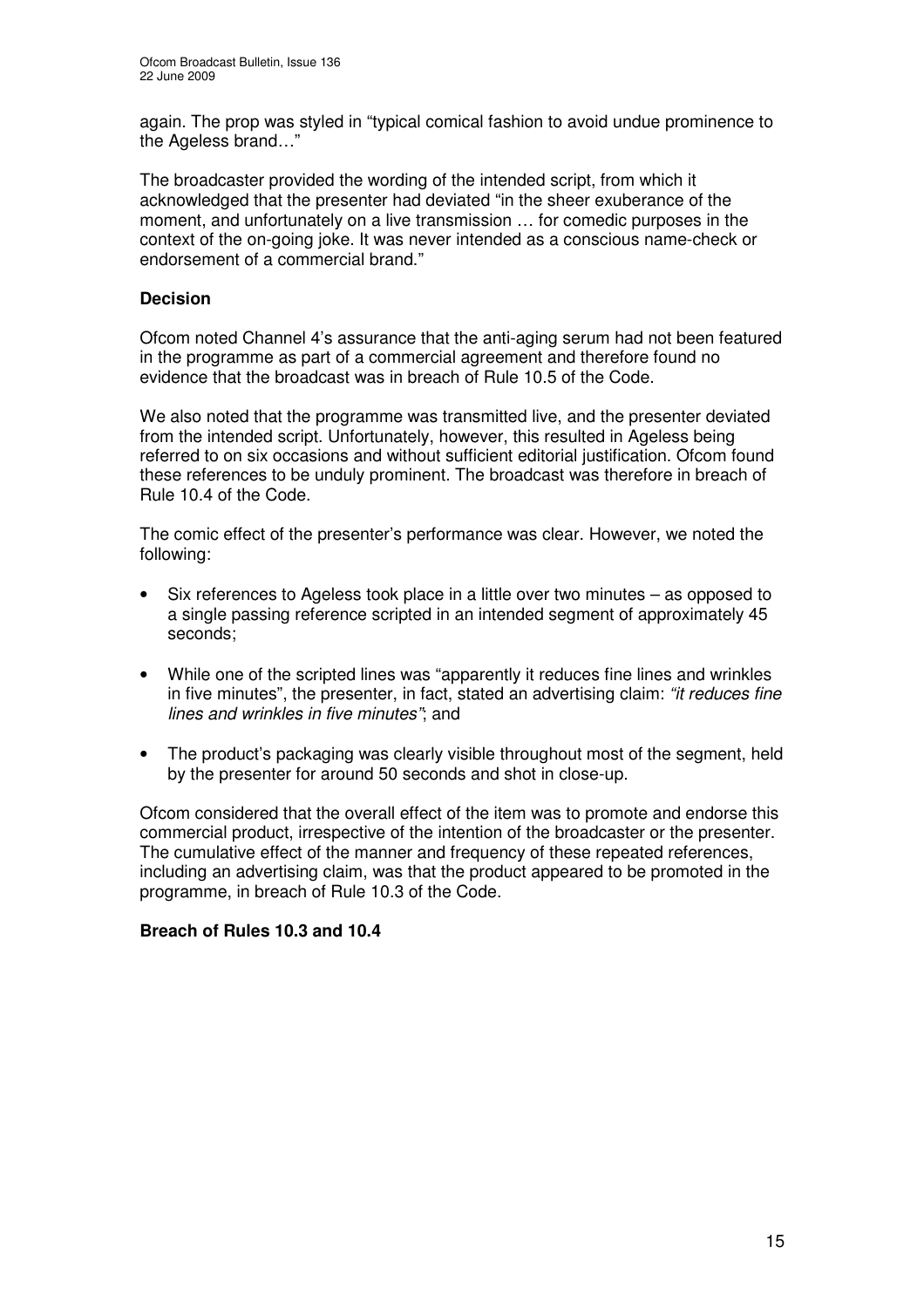again. The prop was styled in "typical comical fashion to avoid undue prominence to the Ageless brand…"

The broadcaster provided the wording of the intended script, from which it acknowledged that the presenter had deviated "in the sheer exuberance of the moment, and unfortunately on a live transmission … for comedic purposes in the context of the on-going joke. It was never intended as a conscious name-check or endorsement of a commercial brand."

#### **Decision**

Ofcom noted Channel 4's assurance that the anti-aging serum had not been featured in the programme as part of a commercial agreement and therefore found no evidence that the broadcast was in breach of Rule 10.5 of the Code.

We also noted that the programme was transmitted live, and the presenter deviated from the intended script. Unfortunately, however, this resulted in Ageless being referred to on six occasions and without sufficient editorial justification. Ofcom found these references to be unduly prominent. The broadcast was therefore in breach of Rule 10.4 of the Code.

The comic effect of the presenter's performance was clear. However, we noted the following:

- Six references to Ageless took place in a little over two minutes as opposed to a single passing reference scripted in an intended segment of approximately 45 seconds;
- While one of the scripted lines was "apparently it reduces fine lines and wrinkles in five minutes", the presenter, in fact, stated an advertising claim: *"it reduces fine lines and wrinkles in five minutes"*; and
- The product's packaging was clearly visible throughout most of the segment, held by the presenter for around 50 seconds and shot in close-up.

Ofcom considered that the overall effect of the item was to promote and endorse this commercial product, irrespective of the intention of the broadcaster or the presenter. The cumulative effect of the manner and frequency of these repeated references, including an advertising claim, was that the product appeared to be promoted in the programme, in breach of Rule 10.3 of the Code.

#### **Breach of Rules 10.3 and 10.4**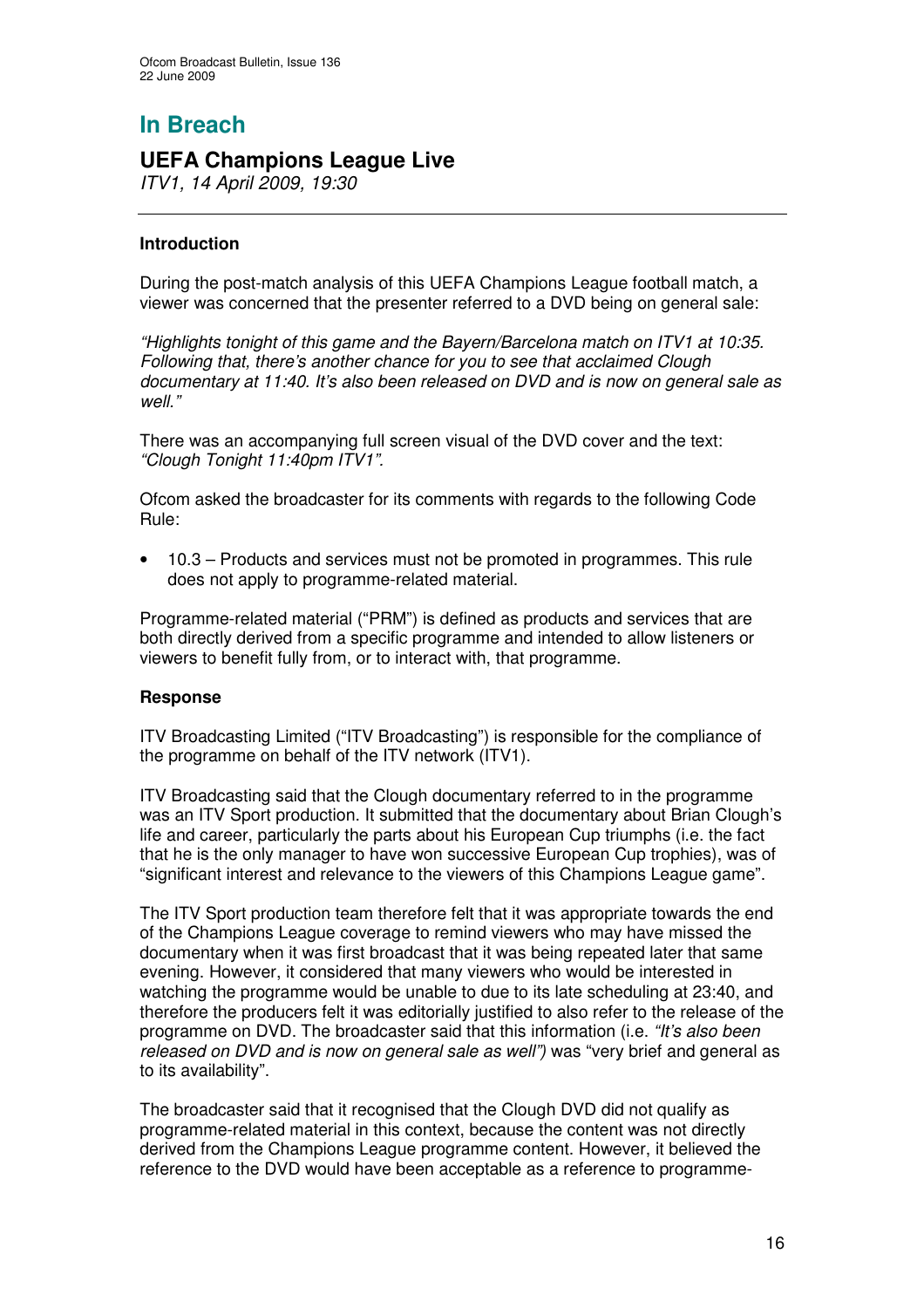## **UEFA Champions League Live**

*ITV1, 14 April 2009, 19:30*

#### **Introduction**

During the post-match analysis of this UEFA Champions League football match, a viewer was concerned that the presenter referred to a DVD being on general sale:

*"Highlights tonight of this game and the Bayern/Barcelona match on ITV1 at 10:35. Following that, there's another chance for you to see that acclaimed Clough documentary at 11:40. It's also been released on DVD and is now on general sale as well."*

There was an accompanying full screen visual of the DVD cover and the text: *"Clough Tonight 11:40pm ITV1".*

Ofcom asked the broadcaster for its comments with regards to the following Code Rule:

• 10.3 – Products and services must not be promoted in programmes. This rule does not apply to programme-related material.

Programme-related material ("PRM") is defined as products and services that are both directly derived from a specific programme and intended to allow listeners or viewers to benefit fully from, or to interact with, that programme.

#### **Response**

ITV Broadcasting Limited ("ITV Broadcasting") is responsible for the compliance of the programme on behalf of the ITV network (ITV1).

ITV Broadcasting said that the Clough documentary referred to in the programme was an ITV Sport production. It submitted that the documentary about Brian Clough's life and career, particularly the parts about his European Cup triumphs (i.e. the fact that he is the only manager to have won successive European Cup trophies), was of "significant interest and relevance to the viewers of this Champions League game".

The ITV Sport production team therefore felt that it was appropriate towards the end of the Champions League coverage to remind viewers who may have missed the documentary when it was first broadcast that it was being repeated later that same evening. However, it considered that many viewers who would be interested in watching the programme would be unable to due to its late scheduling at 23:40, and therefore the producers felt it was editorially justified to also refer to the release of the programme on DVD. The broadcaster said that this information (i.e. *"It's also been released on DVD and is now on general sale as well")* was "very brief and general as to its availability".

The broadcaster said that it recognised that the Clough DVD did not qualify as programme-related material in this context, because the content was not directly derived from the Champions League programme content. However, it believed the reference to the DVD would have been acceptable as a reference to programme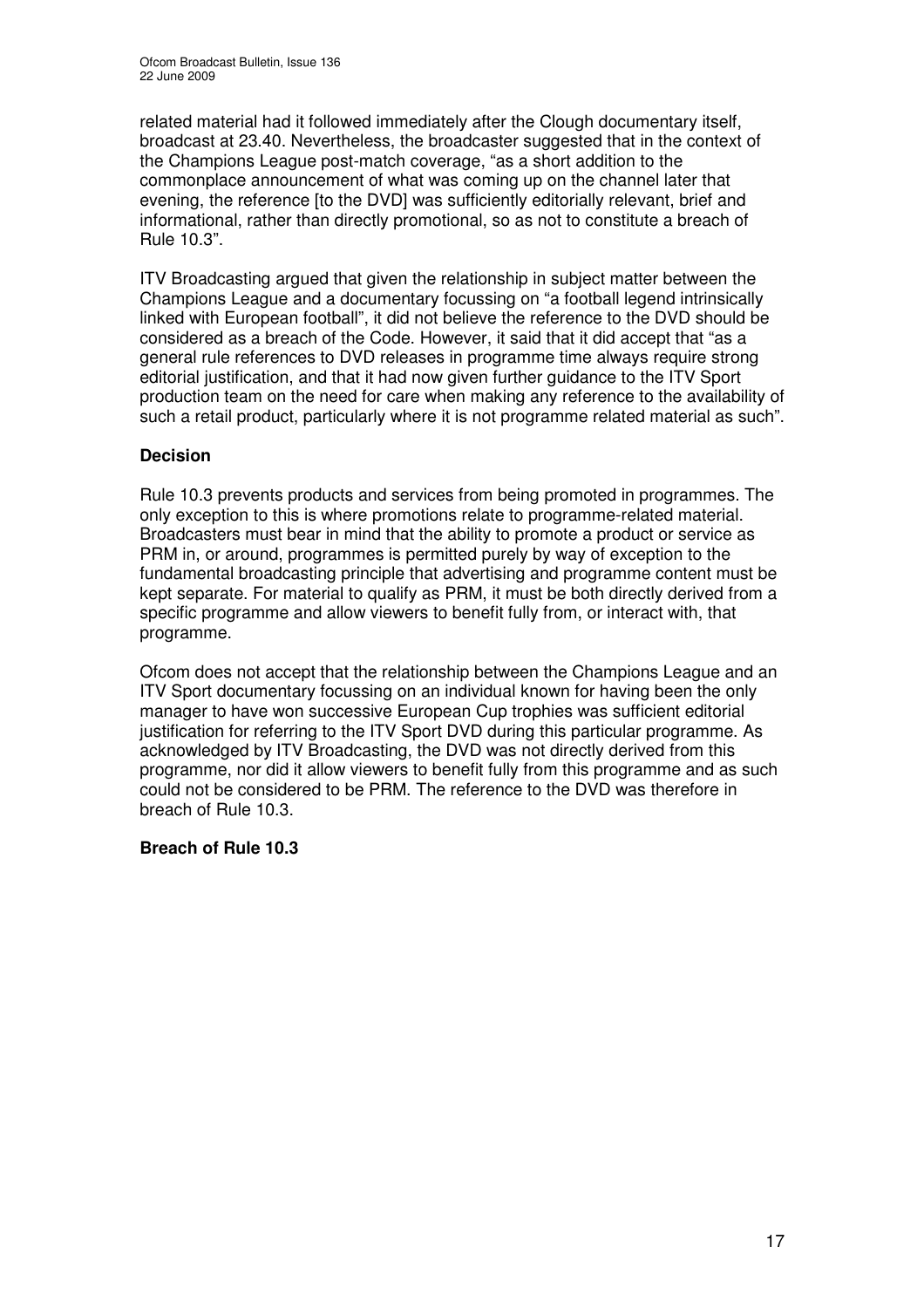related material had it followed immediately after the Clough documentary itself, broadcast at 23.40. Nevertheless, the broadcaster suggested that in the context of the Champions League post-match coverage, "as a short addition to the commonplace announcement of what was coming up on the channel later that evening, the reference [to the DVD] was sufficiently editorially relevant, brief and informational, rather than directly promotional, so as not to constitute a breach of Rule 10.3".

ITV Broadcasting argued that given the relationship in subject matter between the Champions League and a documentary focussing on "a football legend intrinsically linked with European football", it did not believe the reference to the DVD should be considered as a breach of the Code. However, it said that it did accept that "as a general rule references to DVD releases in programme time always require strong editorial justification, and that it had now given further guidance to the ITV Sport production team on the need for care when making any reference to the availability of such a retail product, particularly where it is not programme related material as such".

#### **Decision**

Rule 10.3 prevents products and services from being promoted in programmes. The only exception to this is where promotions relate to programme-related material. Broadcasters must bear in mind that the ability to promote a product or service as PRM in, or around, programmes is permitted purely by way of exception to the fundamental broadcasting principle that advertising and programme content must be kept separate. For material to qualify as PRM, it must be both directly derived from a specific programme and allow viewers to benefit fully from, or interact with, that programme.

Ofcom does not accept that the relationship between the Champions League and an ITV Sport documentary focussing on an individual known for having been the only manager to have won successive European Cup trophies was sufficient editorial justification for referring to the ITV Sport DVD during this particular programme. As acknowledged by ITV Broadcasting, the DVD was not directly derived from this programme, nor did it allow viewers to benefit fully from this programme and as such could not be considered to be PRM. The reference to the DVD was therefore in breach of Rule 10.3.

#### **Breach of Rule 10.3**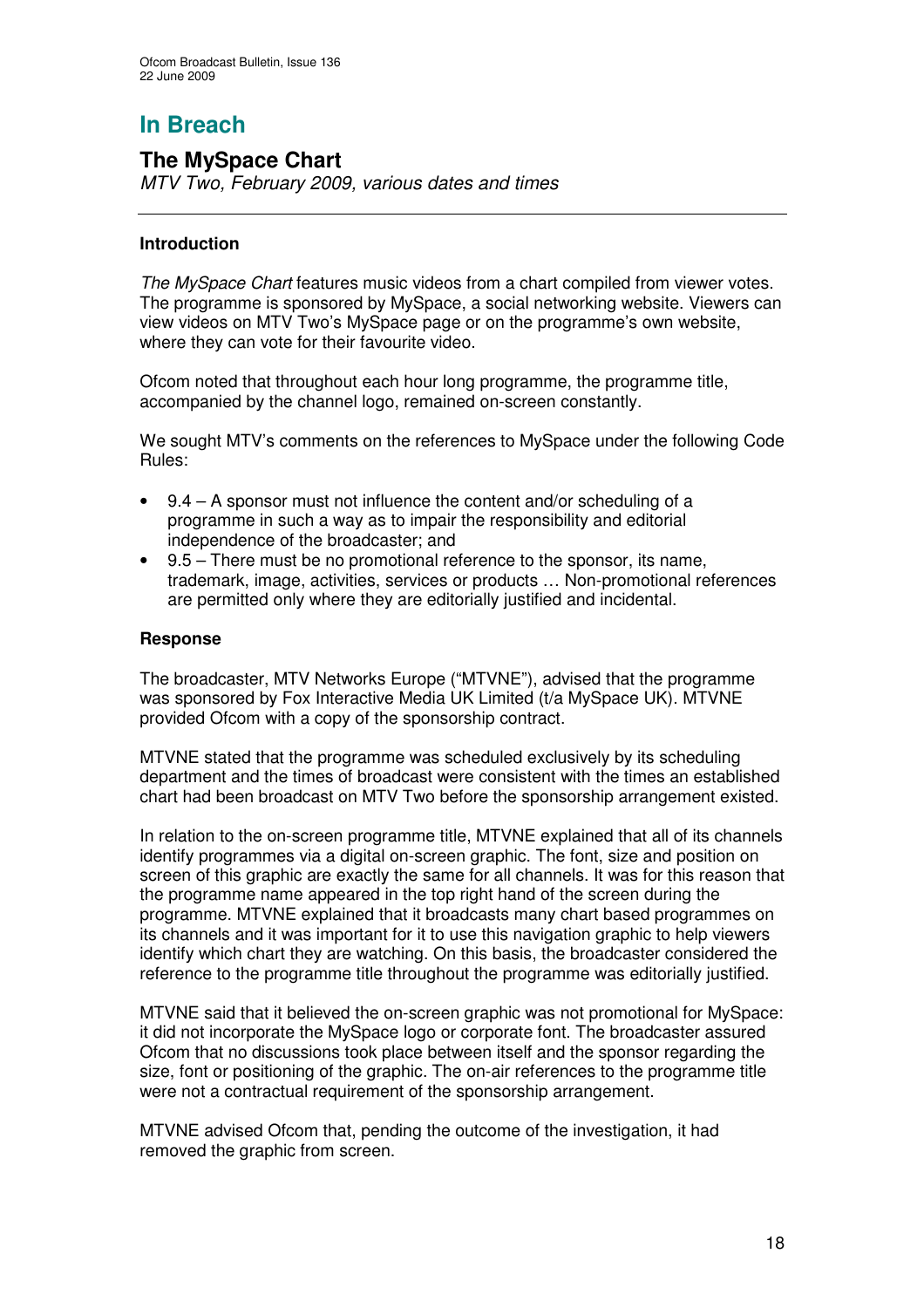## **The MySpace Chart**

*MTV Two, February 2009, various dates and times*

#### **Introduction**

*The MySpace Chart* features music videos from a chart compiled from viewer votes. The programme is sponsored by MySpace, a social networking website. Viewers can view videos on MTV Two's MySpace page or on the programme's own website, where they can vote for their favourite video.

Ofcom noted that throughout each hour long programme, the programme title, accompanied by the channel logo, remained on-screen constantly.

We sought MTV's comments on the references to MySpace under the following Code Rules:

- 9.4 A sponsor must not influence the content and/or scheduling of a programme in such a way as to impair the responsibility and editorial independence of the broadcaster; and
- 9.5 There must be no promotional reference to the sponsor, its name, trademark, image, activities, services or products … Non-promotional references are permitted only where they are editorially justified and incidental.

#### **Response**

The broadcaster, MTV Networks Europe ("MTVNE"), advised that the programme was sponsored by Fox Interactive Media UK Limited (t/a MySpace UK). MTVNE provided Ofcom with a copy of the sponsorship contract.

MTVNE stated that the programme was scheduled exclusively by its scheduling department and the times of broadcast were consistent with the times an established chart had been broadcast on MTV Two before the sponsorship arrangement existed.

In relation to the on-screen programme title, MTVNE explained that all of its channels identify programmes via a digital on-screen graphic. The font, size and position on screen of this graphic are exactly the same for all channels. It was for this reason that the programme name appeared in the top right hand of the screen during the programme. MTVNE explained that it broadcasts many chart based programmes on its channels and it was important for it to use this navigation graphic to help viewers identify which chart they are watching. On this basis, the broadcaster considered the reference to the programme title throughout the programme was editorially justified.

MTVNE said that it believed the on-screen graphic was not promotional for MySpace: it did not incorporate the MySpace logo or corporate font. The broadcaster assured Ofcom that no discussions took place between itself and the sponsor regarding the size, font or positioning of the graphic. The on-air references to the programme title were not a contractual requirement of the sponsorship arrangement.

MTVNE advised Ofcom that, pending the outcome of the investigation, it had removed the graphic from screen.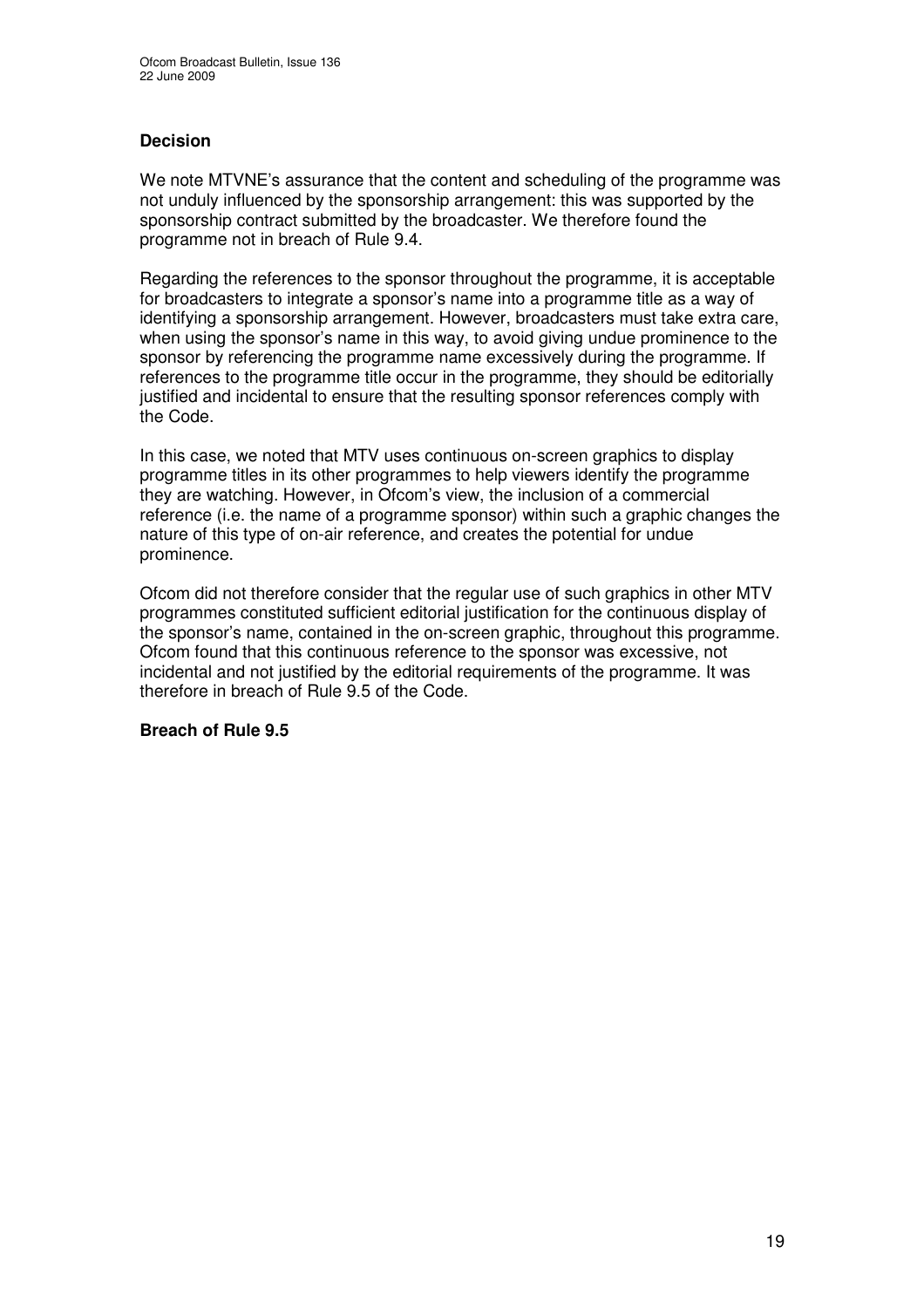#### **Decision**

We note MTVNE's assurance that the content and scheduling of the programme was not unduly influenced by the sponsorship arrangement: this was supported by the sponsorship contract submitted by the broadcaster. We therefore found the programme not in breach of Rule 9.4.

Regarding the references to the sponsor throughout the programme, it is acceptable for broadcasters to integrate a sponsor's name into a programme title as a way of identifying a sponsorship arrangement. However, broadcasters must take extra care, when using the sponsor's name in this way, to avoid giving undue prominence to the sponsor by referencing the programme name excessively during the programme. If references to the programme title occur in the programme, they should be editorially justified and incidental to ensure that the resulting sponsor references comply with the Code.

In this case, we noted that MTV uses continuous on-screen graphics to display programme titles in its other programmes to help viewers identify the programme they are watching. However, in Ofcom's view, the inclusion of a commercial reference (i.e. the name of a programme sponsor) within such a graphic changes the nature of this type of on-air reference, and creates the potential for undue prominence.

Ofcom did not therefore consider that the regular use of such graphics in other MTV programmes constituted sufficient editorial justification for the continuous display of the sponsor's name, contained in the on-screen graphic, throughout this programme. Ofcom found that this continuous reference to the sponsor was excessive, not incidental and not justified by the editorial requirements of the programme. It was therefore in breach of Rule 9.5 of the Code.

#### **Breach of Rule 9.5**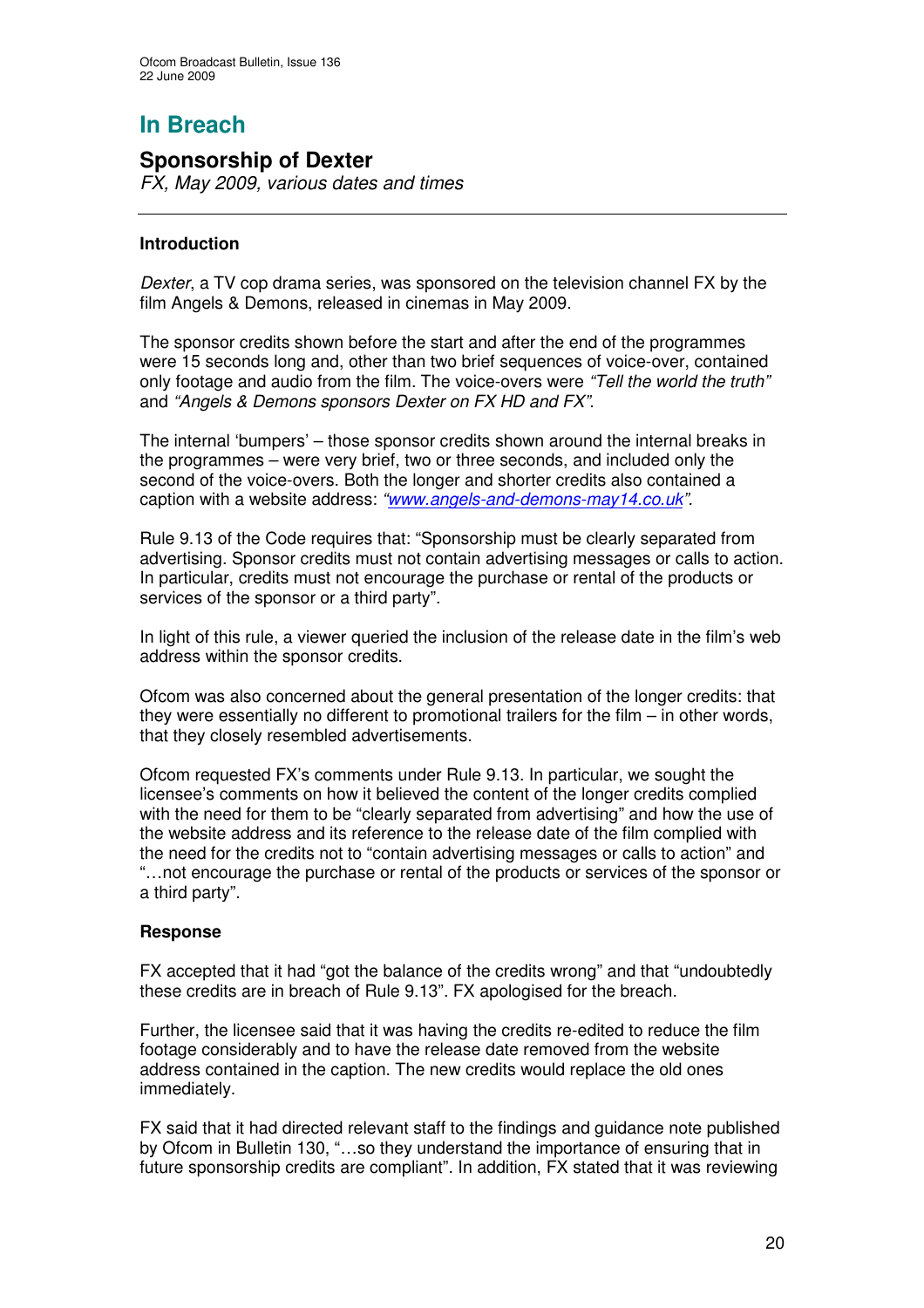## **Sponsorship of Dexter**

*FX, May 2009, various dates and times*

#### **Introduction**

*Dexter*, a TV cop drama series, was sponsored on the television channel FX by the film Angels & Demons, released in cinemas in May 2009.

The sponsor credits shown before the start and after the end of the programmes were 15 seconds long and, other than two brief sequences of voice-over, contained only footage and audio from the film. The voice-overs were *"Tell the world the truth"* and *"Angels & Demons sponsors Dexter on FX HD and FX"*.

The internal 'bumpers' – those sponsor credits shown around the internal breaks in the programmes – were very brief, two or three seconds, and included only the second of the voice-overs. Both the longer and shorter credits also contained a caption with a website address: *"www.angels-and-demons-may14.co.uk".*

Rule 9.13 of the Code requires that: "Sponsorship must be clearly separated from advertising. Sponsor credits must not contain advertising messages or calls to action. In particular, credits must not encourage the purchase or rental of the products or services of the sponsor or a third party".

In light of this rule, a viewer queried the inclusion of the release date in the film's web address within the sponsor credits.

Ofcom was also concerned about the general presentation of the longer credits: that they were essentially no different to promotional trailers for the film – in other words, that they closely resembled advertisements.

Ofcom requested FX's comments under Rule 9.13. In particular, we sought the licensee's comments on how it believed the content of the longer credits complied with the need for them to be "clearly separated from advertising" and how the use of the website address and its reference to the release date of the film complied with the need for the credits not to "contain advertising messages or calls to action" and "…not encourage the purchase or rental of the products or services of the sponsor or a third party".

#### **Response**

FX accepted that it had "got the balance of the credits wrong" and that "undoubtedly these credits are in breach of Rule 9.13". FX apologised for the breach.

Further, the licensee said that it was having the credits re-edited to reduce the film footage considerably and to have the release date removed from the website address contained in the caption. The new credits would replace the old ones immediately.

FX said that it had directed relevant staff to the findings and guidance note published by Ofcom in Bulletin 130, "…so they understand the importance of ensuring that in future sponsorship credits are compliant". In addition, FX stated that it was reviewing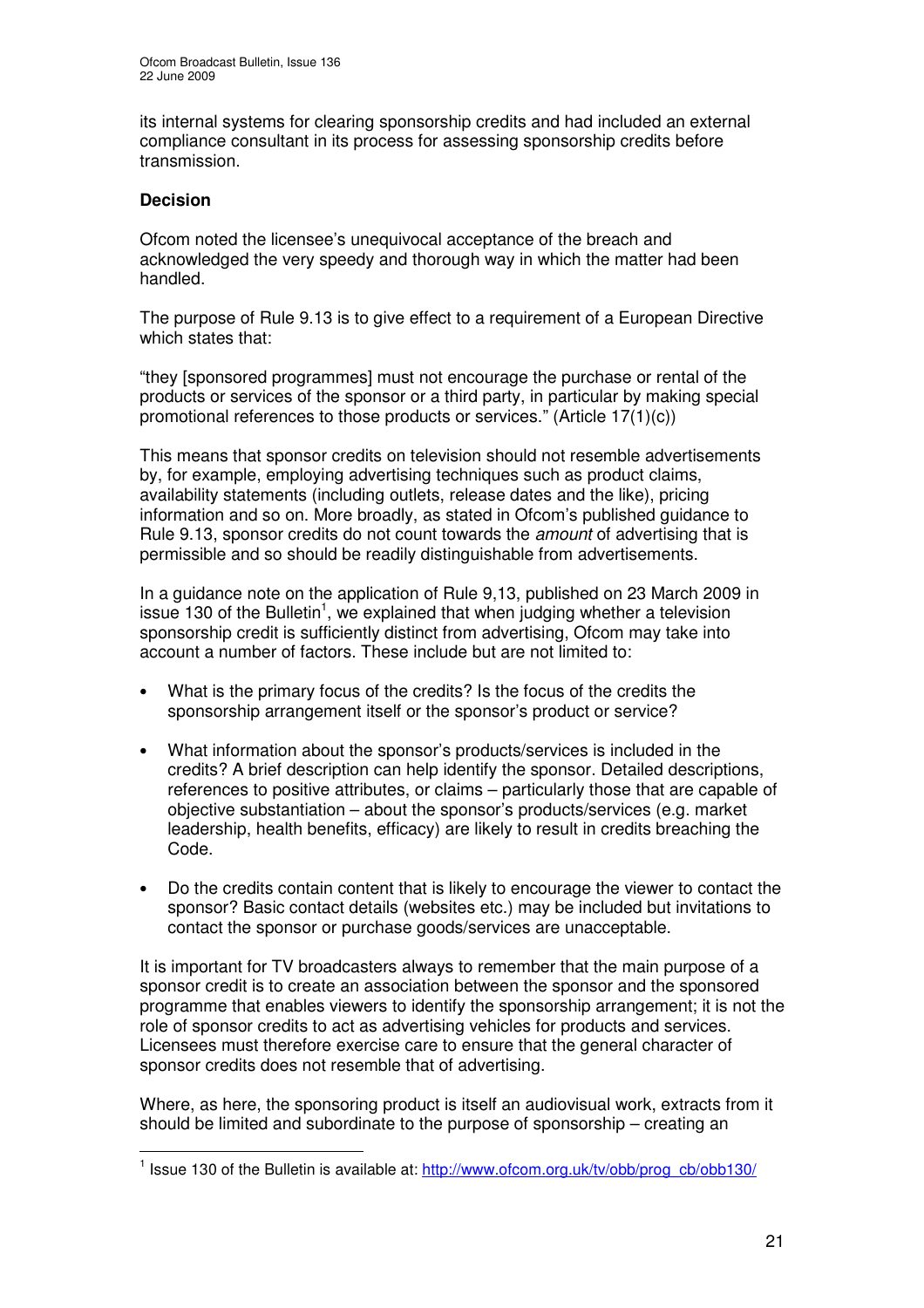its internal systems for clearing sponsorship credits and had included an external compliance consultant in its process for assessing sponsorship credits before transmission.

#### **Decision**

Ofcom noted the licensee's unequivocal acceptance of the breach and acknowledged the very speedy and thorough way in which the matter had been handled.

The purpose of Rule 9.13 is to give effect to a requirement of a European Directive which states that:

"they [sponsored programmes] must not encourage the purchase or rental of the products or services of the sponsor or a third party, in particular by making special promotional references to those products or services." (Article 17(1)(c))

This means that sponsor credits on television should not resemble advertisements by, for example, employing advertising techniques such as product claims, availability statements (including outlets, release dates and the like), pricing information and so on. More broadly, as stated in Ofcom's published guidance to Rule 9.13, sponsor credits do not count towards the *amount* of advertising that is permissible and so should be readily distinguishable from advertisements.

In a guidance note on the application of Rule 9,13, published on 23 March 2009 in issue 130 of the Bulletin<sup>1</sup>, we explained that when judging whether a television sponsorship credit is sufficiently distinct from advertising, Ofcom may take into account a number of factors. These include but are not limited to:

- What is the primary focus of the credits? Is the focus of the credits the sponsorship arrangement itself or the sponsor's product or service?
- What information about the sponsor's products/services is included in the credits? A brief description can help identify the sponsor. Detailed descriptions, references to positive attributes, or claims – particularly those that are capable of objective substantiation – about the sponsor's products/services (e.g. market leadership, health benefits, efficacy) are likely to result in credits breaching the Code.
- Do the credits contain content that is likely to encourage the viewer to contact the sponsor? Basic contact details (websites etc.) may be included but invitations to contact the sponsor or purchase goods/services are unacceptable.

It is important for TV broadcasters always to remember that the main purpose of a sponsor credit is to create an association between the sponsor and the sponsored programme that enables viewers to identify the sponsorship arrangement; it is not the role of sponsor credits to act as advertising vehicles for products and services. Licensees must therefore exercise care to ensure that the general character of sponsor credits does not resemble that of advertising.

Where, as here, the sponsoring product is itself an audiovisual work, extracts from it should be limited and subordinate to the purpose of sponsorship – creating an

<sup>&</sup>lt;sup>1</sup> Issue 130 of the Bulletin is available at: http://www.ofcom.org.uk/tv/obb/prog\_cb/obb130/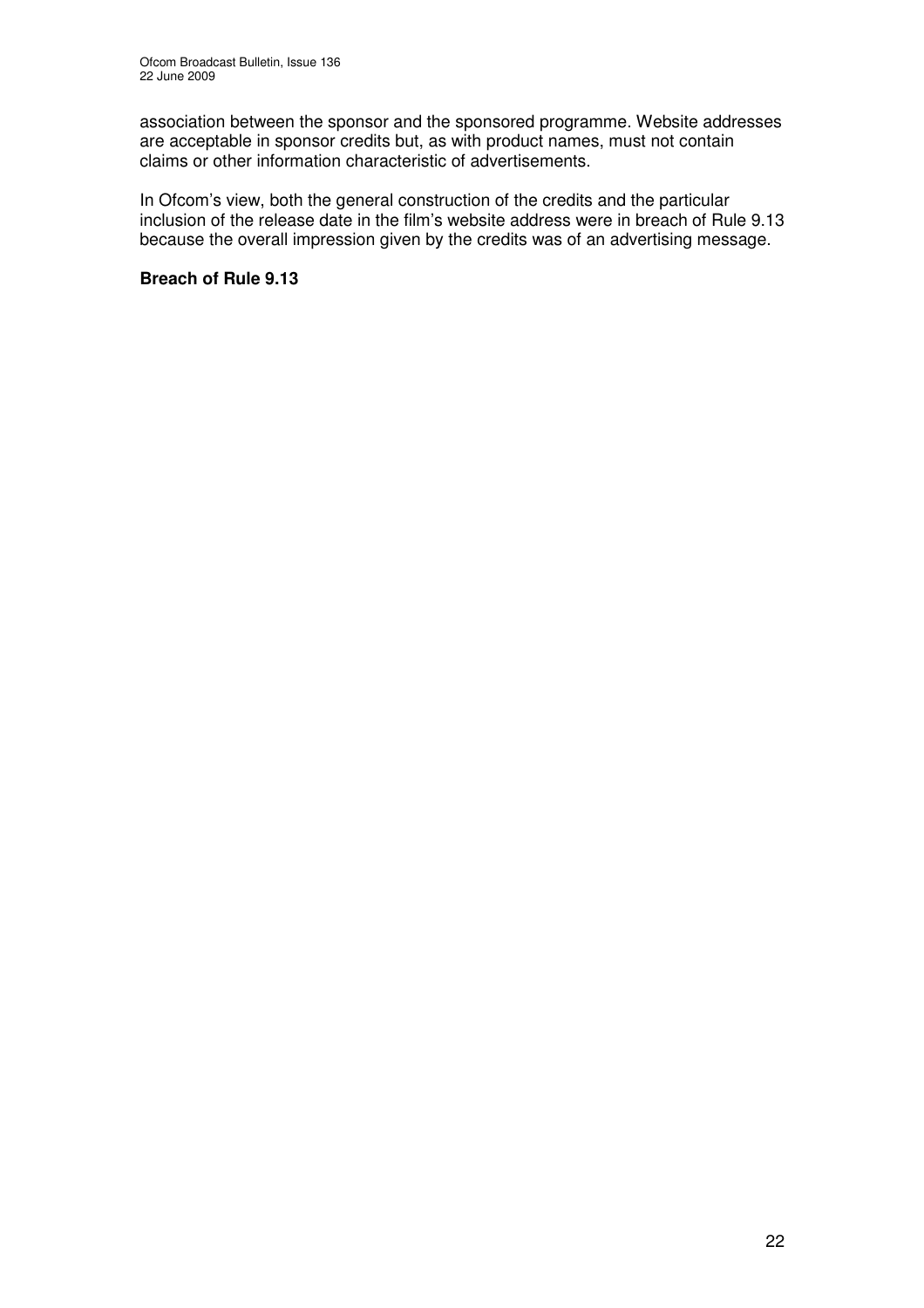association between the sponsor and the sponsored programme. Website addresses are acceptable in sponsor credits but, as with product names, must not contain claims or other information characteristic of advertisements.

In Ofcom's view, both the general construction of the credits and the particular inclusion of the release date in the film's website address were in breach of Rule 9.13 because the overall impression given by the credits was of an advertising message.

#### **Breach of Rule 9.13**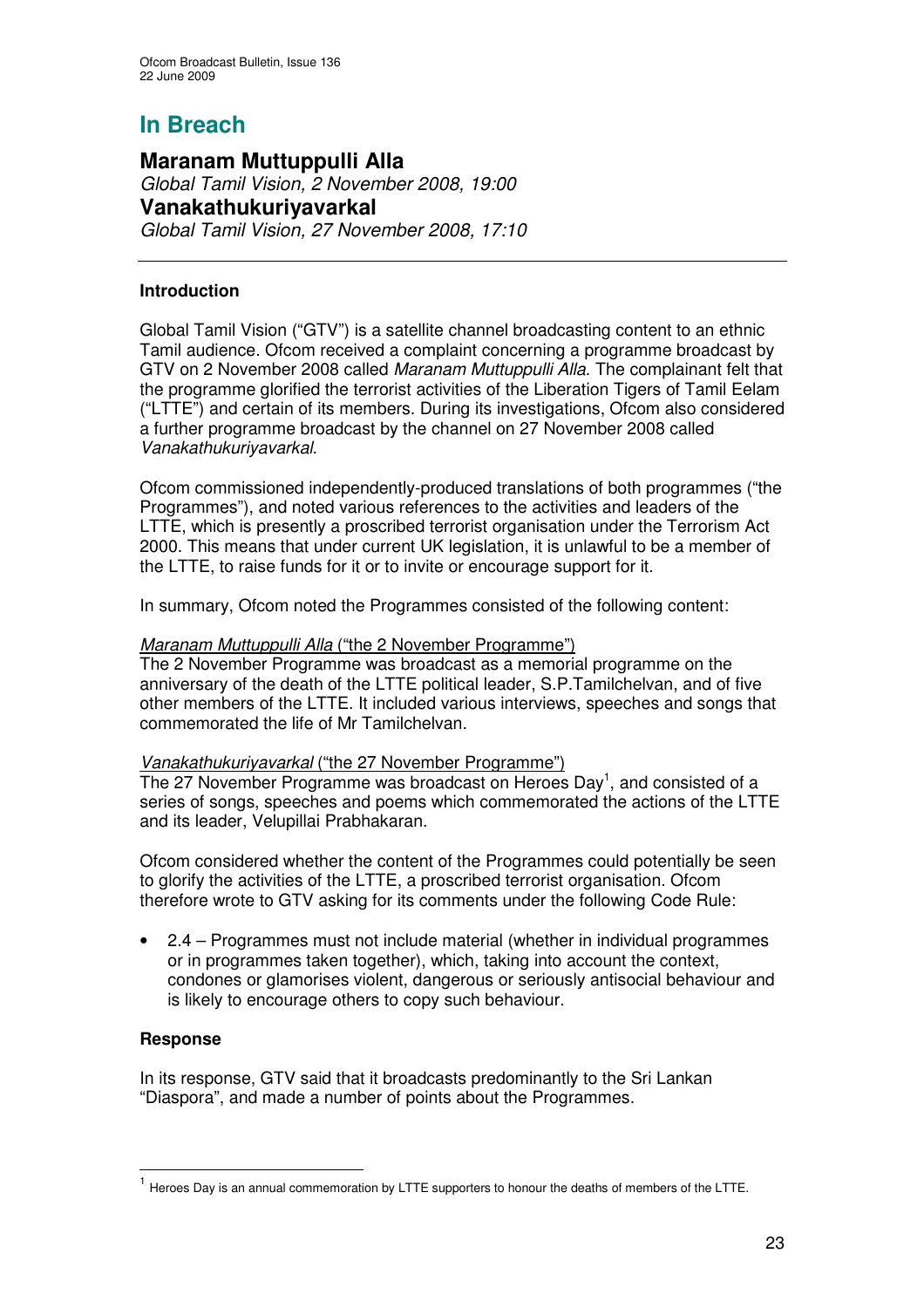**Maranam Muttuppulli Alla** *Global Tamil Vision, 2 November 2008, 19:00* **Vanakathukuriyavarkal** *Global Tamil Vision, 27 November 2008, 17:10*

#### **Introduction**

Global Tamil Vision ("GTV") is a satellite channel broadcasting content to an ethnic Tamil audience. Ofcom received a complaint concerning a programme broadcast by GTV on 2 November 2008 called *Maranam Muttuppulli Alla*. The complainant felt that the programme glorified the terrorist activities of the Liberation Tigers of Tamil Eelam ("LTTE") and certain of its members. During its investigations, Ofcom also considered a further programme broadcast by the channel on 27 November 2008 called *Vanakathukuriyavarkal*.

Ofcom commissioned independently-produced translations of both programmes ("the Programmes"), and noted various references to the activities and leaders of the LTTE, which is presently a proscribed terrorist organisation under the Terrorism Act 2000. This means that under current UK legislation, it is unlawful to be a member of the LTTE, to raise funds for it or to invite or encourage support for it.

In summary, Ofcom noted the Programmes consisted of the following content:

#### *Maranam Muttuppulli Alla* ("the 2 November Programme")

The 2 November Programme was broadcast as a memorial programme on the anniversary of the death of the LTTE political leader, S.P.Tamilchelvan, and of five other members of the LTTE. It included various interviews, speeches and songs that commemorated the life of Mr Tamilchelvan.

#### *Vanakathukuriyavarkal* ("the 27 November Programme")

The 27 November Programme was broadcast on Heroes Day<sup>1</sup>, and consisted of a series of songs, speeches and poems which commemorated the actions of the LTTE and its leader, Velupillai Prabhakaran.

Ofcom considered whether the content of the Programmes could potentially be seen to glorify the activities of the LTTE, a proscribed terrorist organisation. Ofcom therefore wrote to GTV asking for its comments under the following Code Rule:

• 2.4 – Programmes must not include material (whether in individual programmes or in programmes taken together), which, taking into account the context, condones or glamorises violent, dangerous or seriously antisocial behaviour and is likely to encourage others to copy such behaviour.

#### **Response**

In its response, GTV said that it broadcasts predominantly to the Sri Lankan "Diaspora", and made a number of points about the Programmes.

<sup>&</sup>lt;sup>1</sup> Heroes Day is an annual commemoration by LTTE supporters to honour the deaths of members of the LTTE.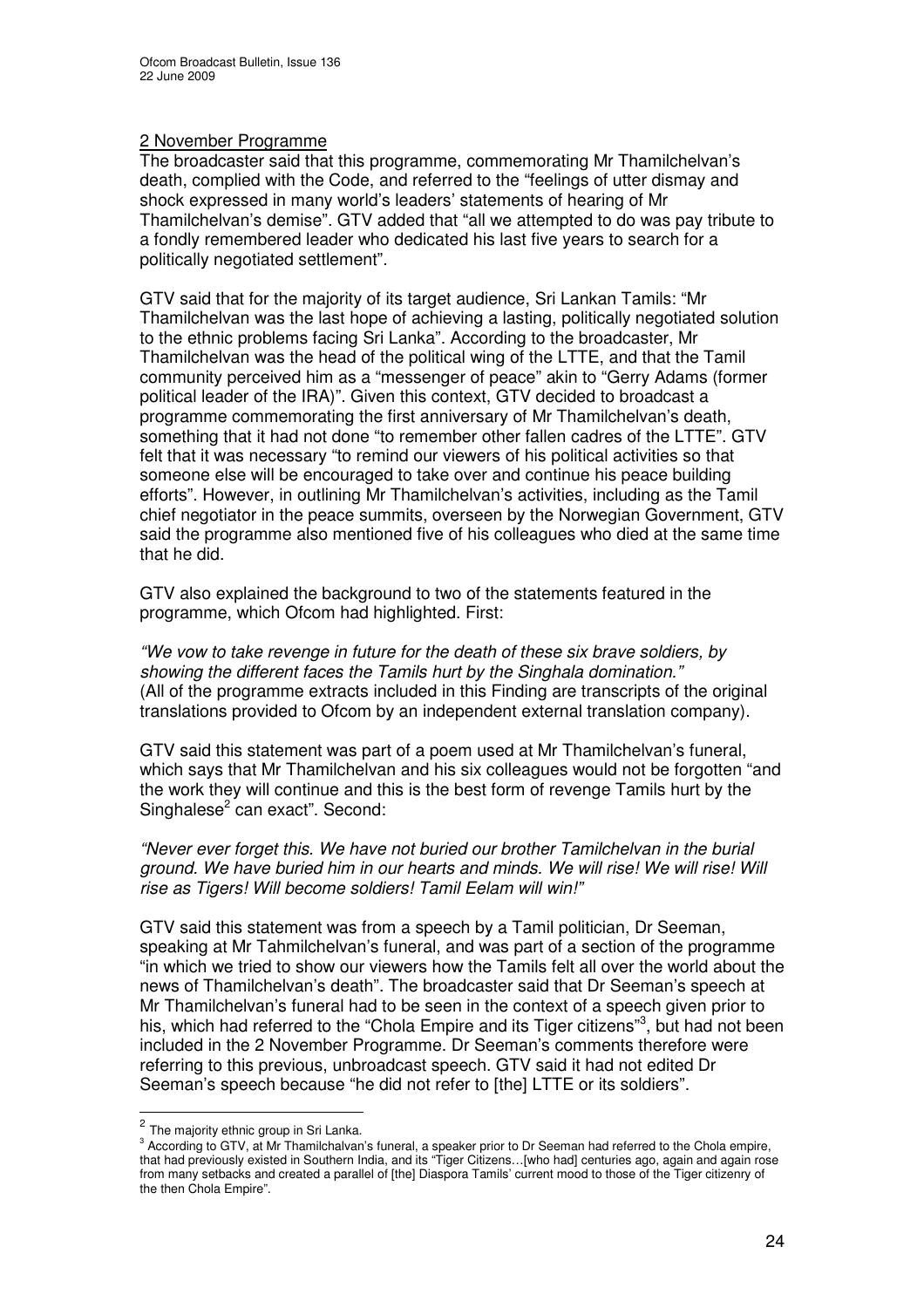#### 2 November Programme

The broadcaster said that this programme, commemorating Mr Thamilchelvan's death, complied with the Code, and referred to the "feelings of utter dismay and shock expressed in many world's leaders' statements of hearing of Mr Thamilchelvan's demise". GTV added that "all we attempted to do was pay tribute to a fondly remembered leader who dedicated his last five years to search for a politically negotiated settlement".

GTV said that for the majority of its target audience, Sri Lankan Tamils: "Mr Thamilchelvan was the last hope of achieving a lasting, politically negotiated solution to the ethnic problems facing Sri Lanka". According to the broadcaster, Mr Thamilchelvan was the head of the political wing of the LTTE, and that the Tamil community perceived him as a "messenger of peace" akin to "Gerry Adams (former political leader of the IRA)". Given this context, GTV decided to broadcast a programme commemorating the first anniversary of Mr Thamilchelvan's death, something that it had not done "to remember other fallen cadres of the LTTE". GTV felt that it was necessary "to remind our viewers of his political activities so that someone else will be encouraged to take over and continue his peace building efforts". However, in outlining Mr Thamilchelvan's activities, including as the Tamil chief negotiator in the peace summits, overseen by the Norwegian Government, GTV said the programme also mentioned five of his colleagues who died at the same time that he did.

GTV also explained the background to two of the statements featured in the programme, which Ofcom had highlighted. First:

*"We vow to take revenge in future for the death of these six brave soldiers, by showing the different faces the Tamils hurt by the Singhala domination."* (All of the programme extracts included in this Finding are transcripts of the original translations provided to Ofcom by an independent external translation company).

GTV said this statement was part of a poem used at Mr Thamilchelvan's funeral, which says that Mr Thamilchelvan and his six colleagues would not be forgotten "and the work they will continue and this is the best form of revenge Tamils hurt by the Singhalese<sup>2</sup> can exact". Second:

*"Never ever forget this. We have not buried our brother Tamilchelvan in the burial ground. We have buried him in our hearts and minds. We will rise! We will rise! Will rise as Tigers! Will become soldiers! Tamil Eelam will win!"*

GTV said this statement was from a speech by a Tamil politician, Dr Seeman, speaking at Mr Tahmilchelvan's funeral, and was part of a section of the programme "in which we tried to show our viewers how the Tamils felt all over the world about the news of Thamilchelvan's death". The broadcaster said that Dr Seeman's speech at Mr Thamilchelvan's funeral had to be seen in the context of a speech given prior to his, which had referred to the "Chola Empire and its Tiger citizens"<sup>3</sup>, but had not been included in the 2 November Programme. Dr Seeman's comments therefore were referring to this previous, unbroadcast speech. GTV said it had not edited Dr Seeman's speech because "he did not refer to [the] LTTE or its soldiers".

<sup>&</sup>lt;sup>2</sup> The majority ethnic group in Sri Lanka.

<sup>&</sup>lt;sup>3</sup> According to GTV, at Mr Thamilchalvan's funeral, a speaker prior to Dr Seeman had referred to the Chola empire, that had previously existed in Southern India, and its "Tiger Citizens…[who had] centuries ago, again and again rose from many setbacks and created a parallel of [the] Diaspora Tamils' current mood to those of the Tiger citizenry of the then Chola Empire".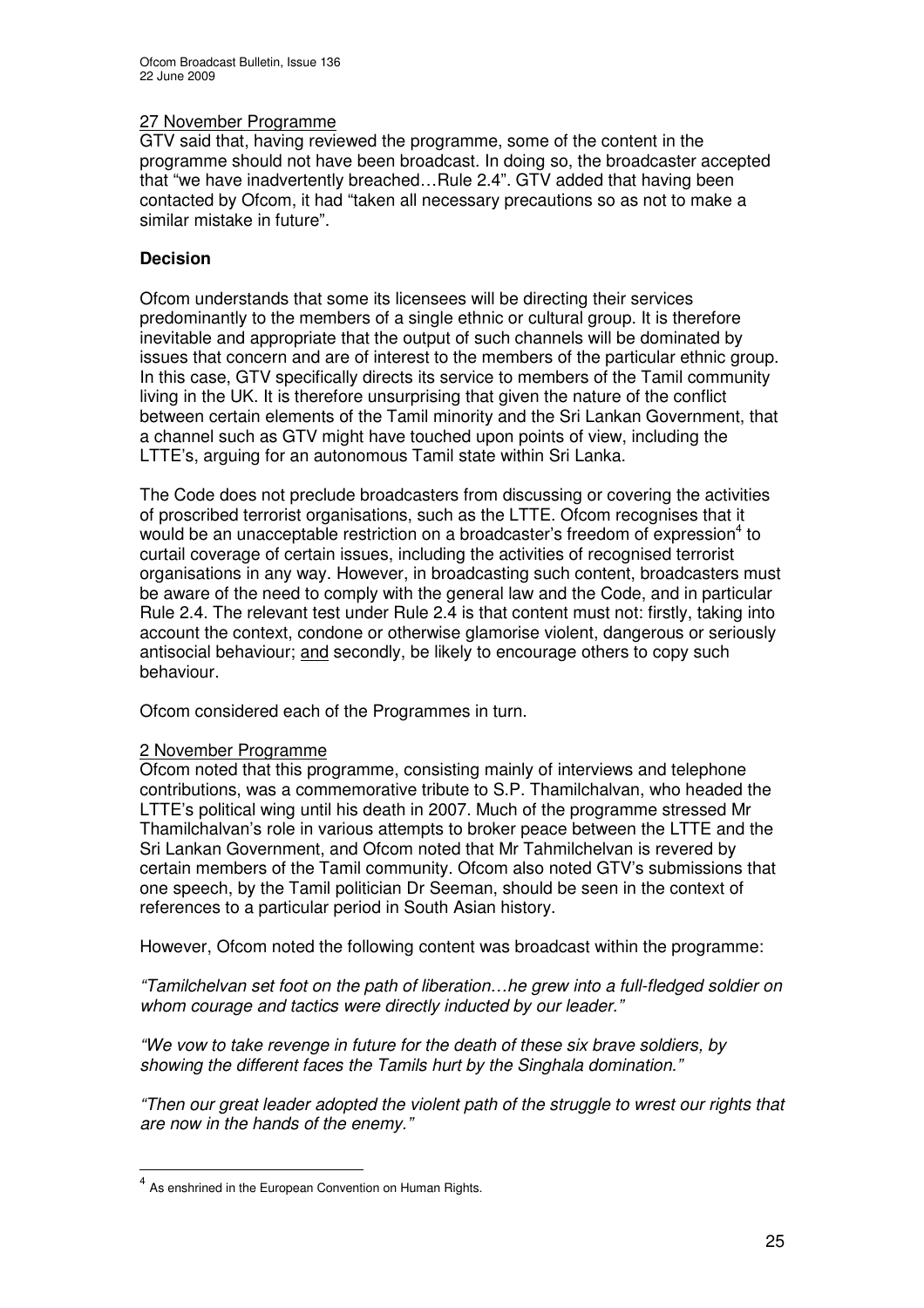#### 27 November Programme

GTV said that, having reviewed the programme, some of the content in the programme should not have been broadcast. In doing so, the broadcaster accepted that "we have inadvertently breached…Rule 2.4". GTV added that having been contacted by Ofcom, it had "taken all necessary precautions so as not to make a similar mistake in future".

#### **Decision**

Ofcom understands that some its licensees will be directing their services predominantly to the members of a single ethnic or cultural group. It is therefore inevitable and appropriate that the output of such channels will be dominated by issues that concern and are of interest to the members of the particular ethnic group. In this case, GTV specifically directs its service to members of the Tamil community living in the UK. It is therefore unsurprising that given the nature of the conflict between certain elements of the Tamil minority and the Sri Lankan Government, that a channel such as GTV might have touched upon points of view, including the LTTE's, arguing for an autonomous Tamil state within Sri Lanka.

The Code does not preclude broadcasters from discussing or covering the activities of proscribed terrorist organisations, such as the LTTE. Ofcom recognises that it would be an unacceptable restriction on a broadcaster's freedom of expression<sup>4</sup> to curtail coverage of certain issues, including the activities of recognised terrorist organisations in any way. However, in broadcasting such content, broadcasters must be aware of the need to comply with the general law and the Code, and in particular Rule 2.4. The relevant test under Rule 2.4 is that content must not: firstly, taking into account the context, condone or otherwise glamorise violent, dangerous or seriously antisocial behaviour; and secondly, be likely to encourage others to copy such behaviour.

Ofcom considered each of the Programmes in turn.

#### 2 November Programme

Ofcom noted that this programme, consisting mainly of interviews and telephone contributions, was a commemorative tribute to S.P. Thamilchalvan, who headed the LTTE's political wing until his death in 2007. Much of the programme stressed Mr Thamilchalvan's role in various attempts to broker peace between the LTTE and the Sri Lankan Government, and Ofcom noted that Mr Tahmilchelvan is revered by certain members of the Tamil community. Ofcom also noted GTV's submissions that one speech, by the Tamil politician Dr Seeman, should be seen in the context of references to a particular period in South Asian history.

However, Ofcom noted the following content was broadcast within the programme:

*"Tamilchelvan set foot on the path of liberation…he grew into a full-fledged soldier on whom courage and tactics were directly inducted by our leader."*

*"We vow to take revenge in future for the death of these six brave soldiers, by showing the different faces the Tamils hurt by the Singhala domination."*

*"Then our great leader adopted the violent path of the struggle to wrest our rights that are now in the hands of the enemy."*

<sup>&</sup>lt;sup>4</sup> As enshrined in the European Convention on Human Rights.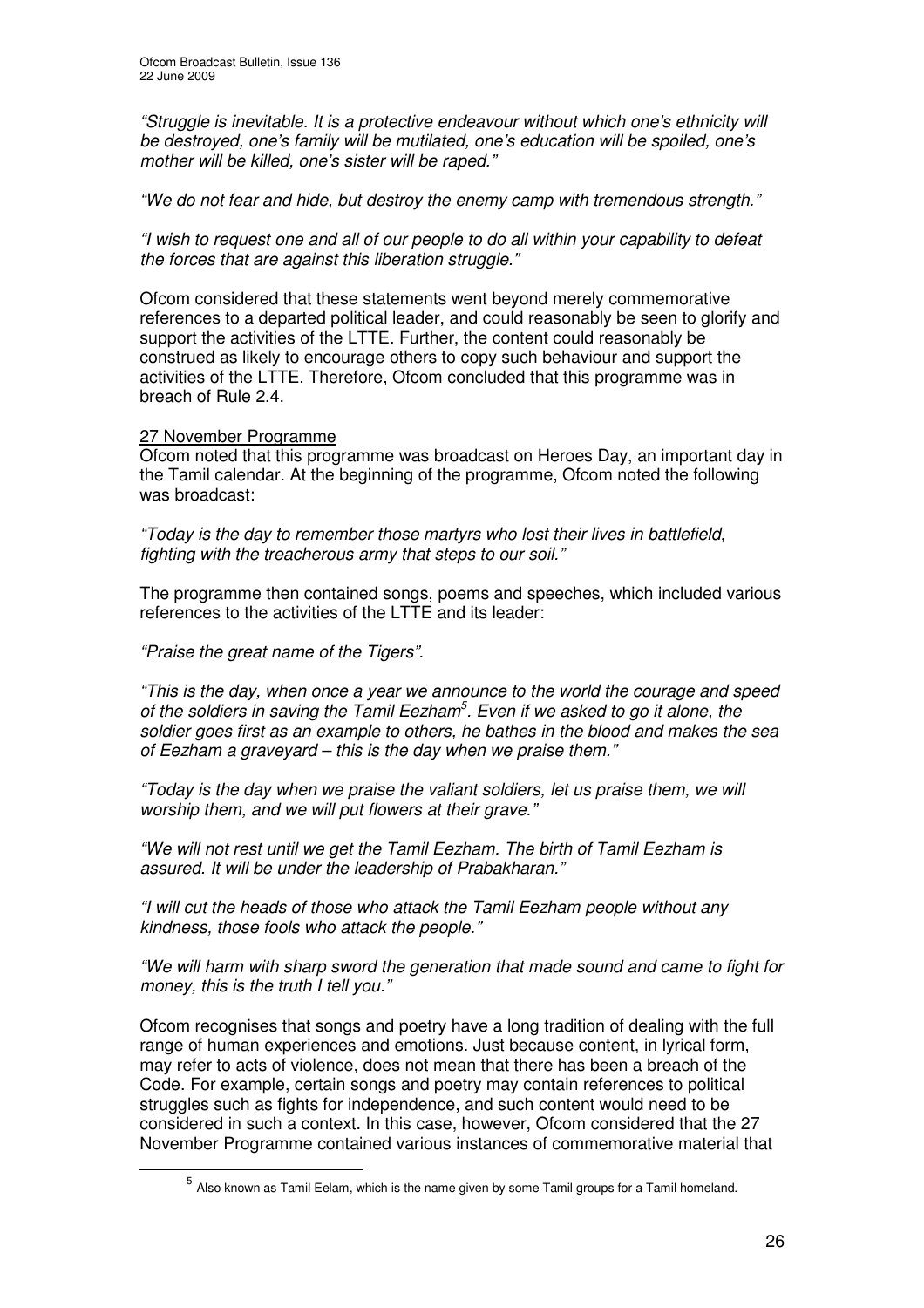*"Struggle is inevitable. It is a protective endeavour without which one's ethnicity will be destroyed, one's family will be mutilated, one's education will be spoiled, one's mother will be killed, one's sister will be raped."*

*"We do not fear and hide, but destroy the enemy camp with tremendous strength."*

*"I wish to request one and all of our people to do all within your capability to defeat the forces that are against this liberation struggle."*

Ofcom considered that these statements went beyond merely commemorative references to a departed political leader, and could reasonably be seen to glorify and support the activities of the LTTE. Further, the content could reasonably be construed as likely to encourage others to copy such behaviour and support the activities of the LTTE. Therefore, Ofcom concluded that this programme was in breach of Rule 2.4.

#### 27 November Programme

Ofcom noted that this programme was broadcast on Heroes Day, an important day in the Tamil calendar. At the beginning of the programme, Ofcom noted the following was broadcast:

*"Today is the day to remember those martyrs who lost their lives in battlefield, fighting with the treacherous army that steps to our soil."*

The programme then contained songs, poems and speeches, which included various references to the activities of the LTTE and its leader:

*"Praise the great name of the Tigers".*

*"This is the day, when once a year we announce to the world the courage and speed of the soldiers in saving the Tamil Eezham 5 . Even if we asked to go it alone, the soldier goes first as an example to others, he bathes in the blood and makes the sea of Eezham a graveyard – this is the day when we praise them."*

*"Today is the day when we praise the valiant soldiers, let us praise them, we will worship them, and we will put flowers at their grave."*

*"We will not rest until we get the Tamil Eezham. The birth of Tamil Eezham is assured. It will be under the leadership of Prabakharan."*

*"I will cut the heads of those who attack the Tamil Eezham people without any kindness, those fools who attack the people."*

*"We will harm with sharp sword the generation that made sound and came to fight for money, this is the truth I tell you."*

Ofcom recognises that songs and poetry have a long tradition of dealing with the full range of human experiences and emotions. Just because content, in lyrical form, may refer to acts of violence, does not mean that there has been a breach of the Code. For example, certain songs and poetry may contain references to political struggles such as fights for independence, and such content would need to be considered in such a context. In this case, however, Ofcom considered that the 27 November Programme contained various instances of commemorative material that

 $^5\,$  Also known as Tamil Eelam, which is the name given by some Tamil groups for a Tamil homeland.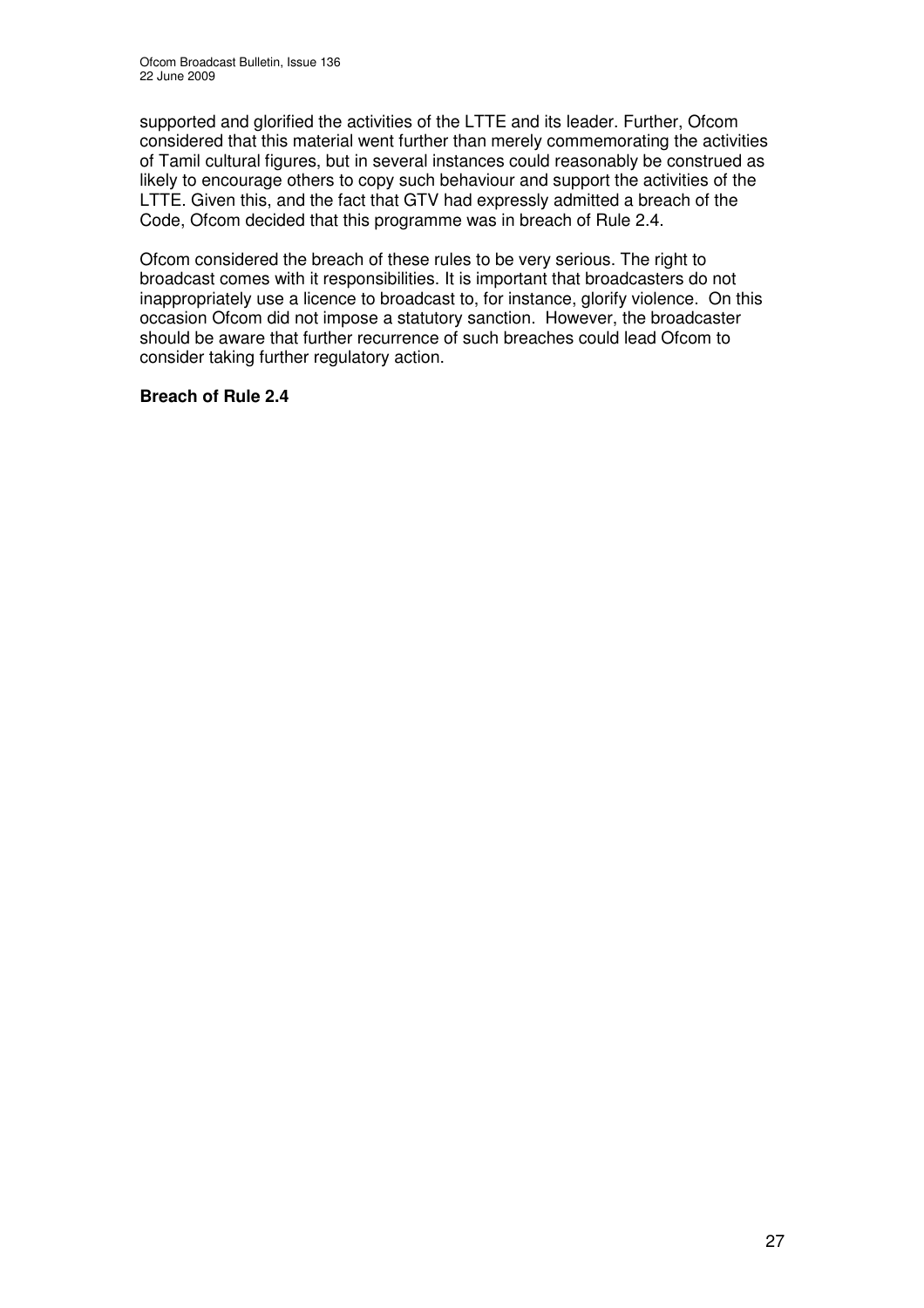supported and glorified the activities of the LTTE and its leader. Further, Ofcom considered that this material went further than merely commemorating the activities of Tamil cultural figures, but in several instances could reasonably be construed as likely to encourage others to copy such behaviour and support the activities of the LTTE. Given this, and the fact that GTV had expressly admitted a breach of the Code, Ofcom decided that this programme was in breach of Rule 2.4.

Ofcom considered the breach of these rules to be very serious. The right to broadcast comes with it responsibilities. It is important that broadcasters do not inappropriately use a licence to broadcast to, for instance, glorify violence. On this occasion Ofcom did not impose a statutory sanction. However, the broadcaster should be aware that further recurrence of such breaches could lead Ofcom to consider taking further regulatory action.

#### **Breach of Rule 2.4**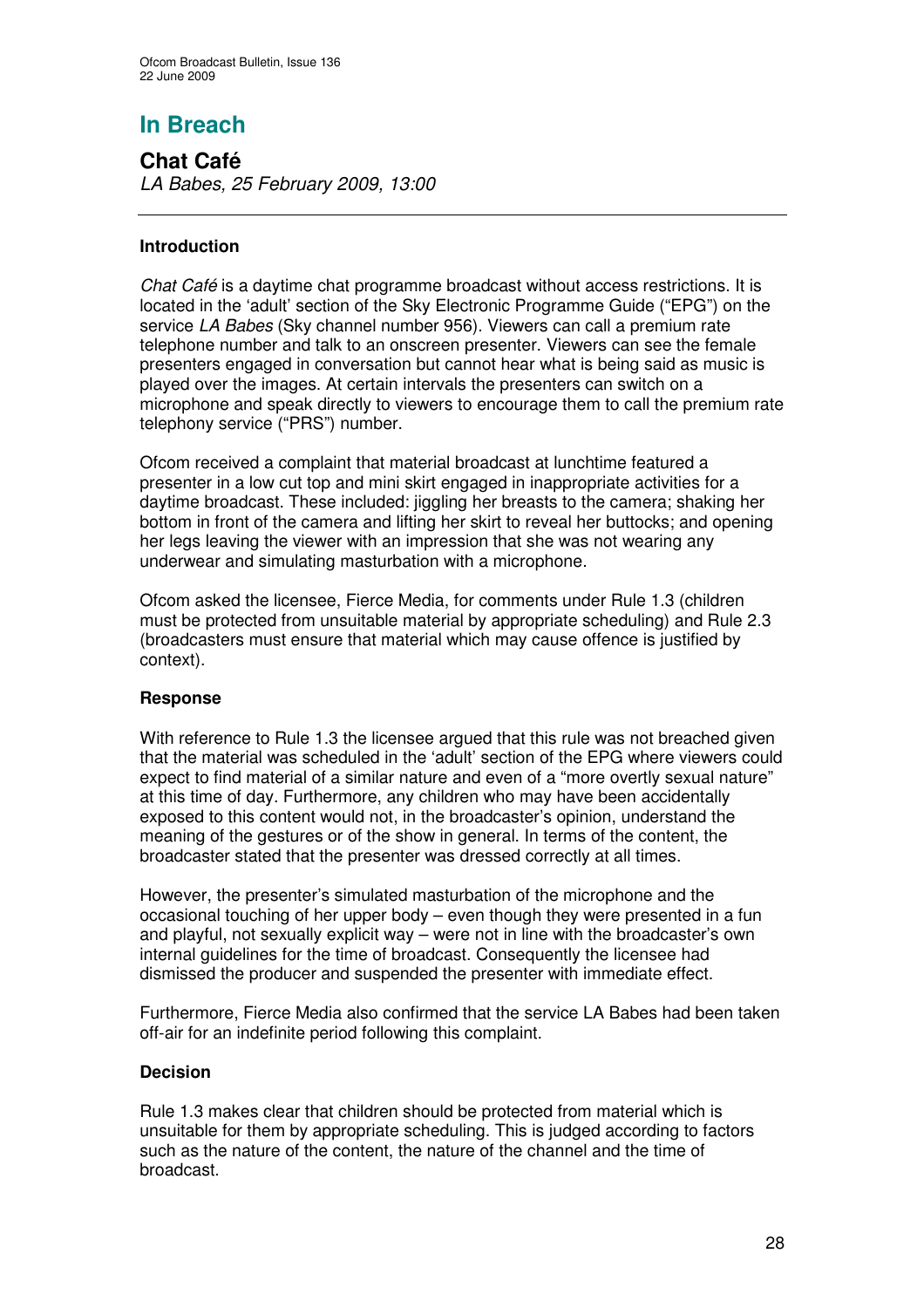**Chat Café** *LA Babes, 25 February 2009, 13:00*

#### **Introduction**

*Chat Café* is a daytime chat programme broadcast without access restrictions. It is located in the 'adult' section of the Sky Electronic Programme Guide ("EPG") on the service *LA Babes* (Sky channel number 956). Viewers can call a premium rate telephone number and talk to an onscreen presenter. Viewers can see the female presenters engaged in conversation but cannot hear what is being said as music is played over the images. At certain intervals the presenters can switch on a microphone and speak directly to viewers to encourage them to call the premium rate telephony service ("PRS") number.

Ofcom received a complaint that material broadcast at lunchtime featured a presenter in a low cut top and mini skirt engaged in inappropriate activities for a daytime broadcast. These included: jiggling her breasts to the camera; shaking her bottom in front of the camera and lifting her skirt to reveal her buttocks; and opening her legs leaving the viewer with an impression that she was not wearing any underwear and simulating masturbation with a microphone.

Ofcom asked the licensee, Fierce Media, for comments under Rule 1.3 (children must be protected from unsuitable material by appropriate scheduling) and Rule 2.3 (broadcasters must ensure that material which may cause offence is justified by context).

#### **Response**

With reference to Rule 1.3 the licensee argued that this rule was not breached given that the material was scheduled in the 'adult' section of the EPG where viewers could expect to find material of a similar nature and even of a "more overtly sexual nature" at this time of day. Furthermore, any children who may have been accidentally exposed to this content would not, in the broadcaster's opinion, understand the meaning of the gestures or of the show in general. In terms of the content, the broadcaster stated that the presenter was dressed correctly at all times.

However, the presenter's simulated masturbation of the microphone and the occasional touching of her upper body – even though they were presented in a fun and playful, not sexually explicit way – were not in line with the broadcaster's own internal guidelines for the time of broadcast. Consequently the licensee had dismissed the producer and suspended the presenter with immediate effect.

Furthermore, Fierce Media also confirmed that the service LA Babes had been taken off-air for an indefinite period following this complaint.

#### **Decision**

Rule 1.3 makes clear that children should be protected from material which is unsuitable for them by appropriate scheduling. This is judged according to factors such as the nature of the content, the nature of the channel and the time of broadcast.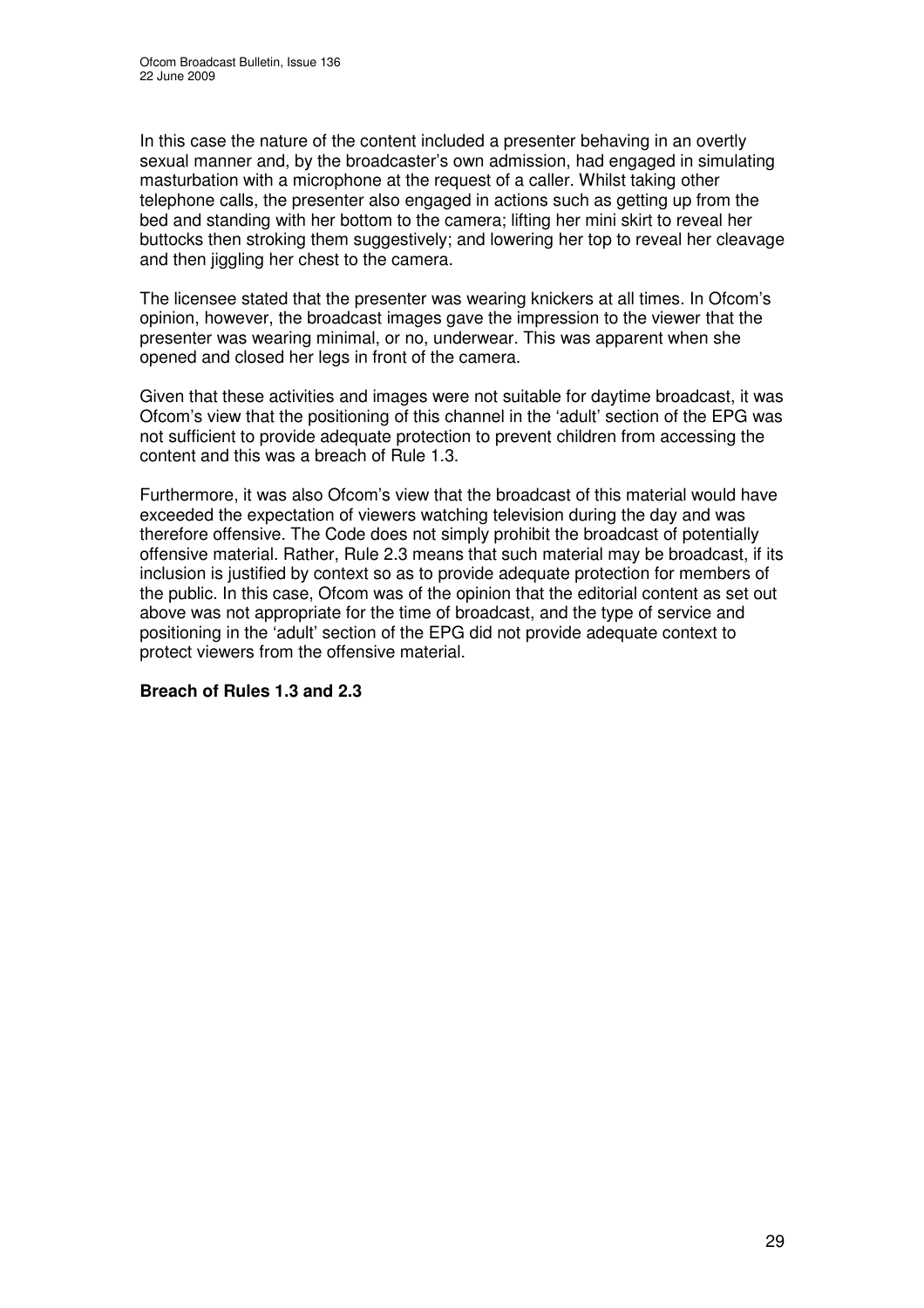In this case the nature of the content included a presenter behaving in an overtly sexual manner and, by the broadcaster's own admission, had engaged in simulating masturbation with a microphone at the request of a caller. Whilst taking other telephone calls, the presenter also engaged in actions such as getting up from the bed and standing with her bottom to the camera; lifting her mini skirt to reveal her buttocks then stroking them suggestively; and lowering her top to reveal her cleavage and then jiggling her chest to the camera.

The licensee stated that the presenter was wearing knickers at all times. In Ofcom's opinion, however, the broadcast images gave the impression to the viewer that the presenter was wearing minimal, or no, underwear. This was apparent when she opened and closed her legs in front of the camera.

Given that these activities and images were not suitable for daytime broadcast, it was Ofcom's view that the positioning of this channel in the 'adult' section of the EPG was not sufficient to provide adequate protection to prevent children from accessing the content and this was a breach of Rule 1.3.

Furthermore, it was also Ofcom's view that the broadcast of this material would have exceeded the expectation of viewers watching television during the day and was therefore offensive. The Code does not simply prohibit the broadcast of potentially offensive material. Rather, Rule 2.3 means that such material may be broadcast, if its inclusion is justified by context so as to provide adequate protection for members of the public. In this case, Ofcom was of the opinion that the editorial content as set out above was not appropriate for the time of broadcast, and the type of service and positioning in the 'adult' section of the EPG did not provide adequate context to protect viewers from the offensive material.

#### **Breach of Rules 1.3 and 2.3**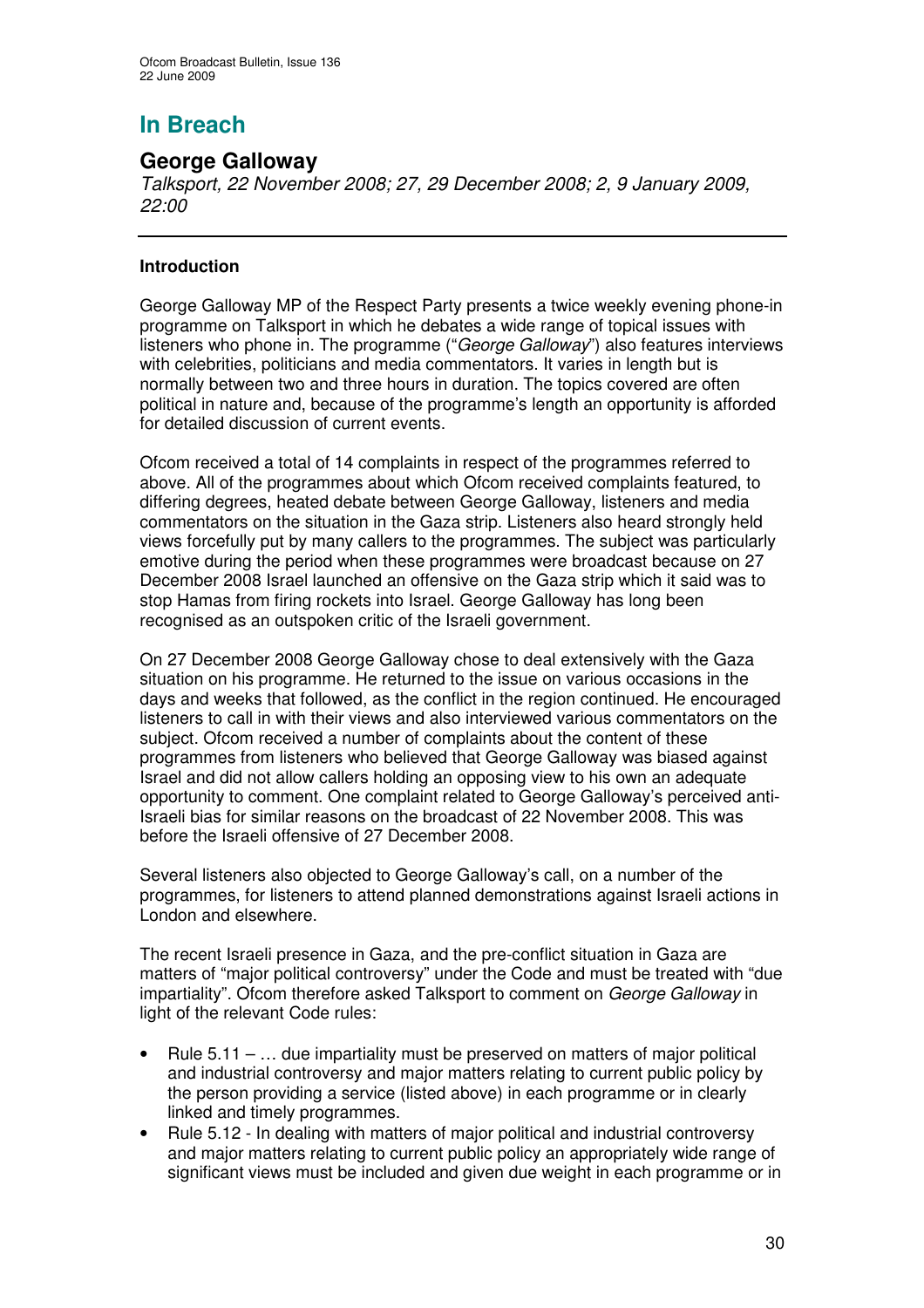## **George Galloway**

*Talksport, 22 November 2008; 27, 29 December 2008; 2, 9 January 2009, 22:00*

#### **Introduction**

George Galloway MP of the Respect Party presents a twice weekly evening phone-in programme on Talksport in which he debates a wide range of topical issues with listeners who phone in. The programme ("*George Galloway*") also features interviews with celebrities, politicians and media commentators. It varies in length but is normally between two and three hours in duration. The topics covered are often political in nature and, because of the programme's length an opportunity is afforded for detailed discussion of current events.

Ofcom received a total of 14 complaints in respect of the programmes referred to above. All of the programmes about which Ofcom received complaints featured, to differing degrees, heated debate between George Galloway, listeners and media commentators on the situation in the Gaza strip. Listeners also heard strongly held views forcefully put by many callers to the programmes. The subject was particularly emotive during the period when these programmes were broadcast because on 27 December 2008 Israel launched an offensive on the Gaza strip which it said was to stop Hamas from firing rockets into Israel. George Galloway has long been recognised as an outspoken critic of the Israeli government.

On 27 December 2008 George Galloway chose to deal extensively with the Gaza situation on his programme. He returned to the issue on various occasions in the days and weeks that followed, as the conflict in the region continued. He encouraged listeners to call in with their views and also interviewed various commentators on the subject. Ofcom received a number of complaints about the content of these programmes from listeners who believed that George Galloway was biased against Israel and did not allow callers holding an opposing view to his own an adequate opportunity to comment. One complaint related to George Galloway's perceived anti-Israeli bias for similar reasons on the broadcast of 22 November 2008. This was before the Israeli offensive of 27 December 2008.

Several listeners also objected to George Galloway's call, on a number of the programmes, for listeners to attend planned demonstrations against Israeli actions in London and elsewhere.

The recent Israeli presence in Gaza, and the pre-conflict situation in Gaza are matters of "major political controversy" under the Code and must be treated with "due impartiality". Ofcom therefore asked Talksport to comment on *George Galloway* in light of the relevant Code rules:

- Rule 5.11 ... due impartiality must be preserved on matters of major political and industrial controversy and major matters relating to current public policy by the person providing a service (listed above) in each programme or in clearly linked and timely programmes.
- Rule 5.12 In dealing with matters of major political and industrial controversy and major matters relating to current public policy an appropriately wide range of significant views must be included and given due weight in each programme or in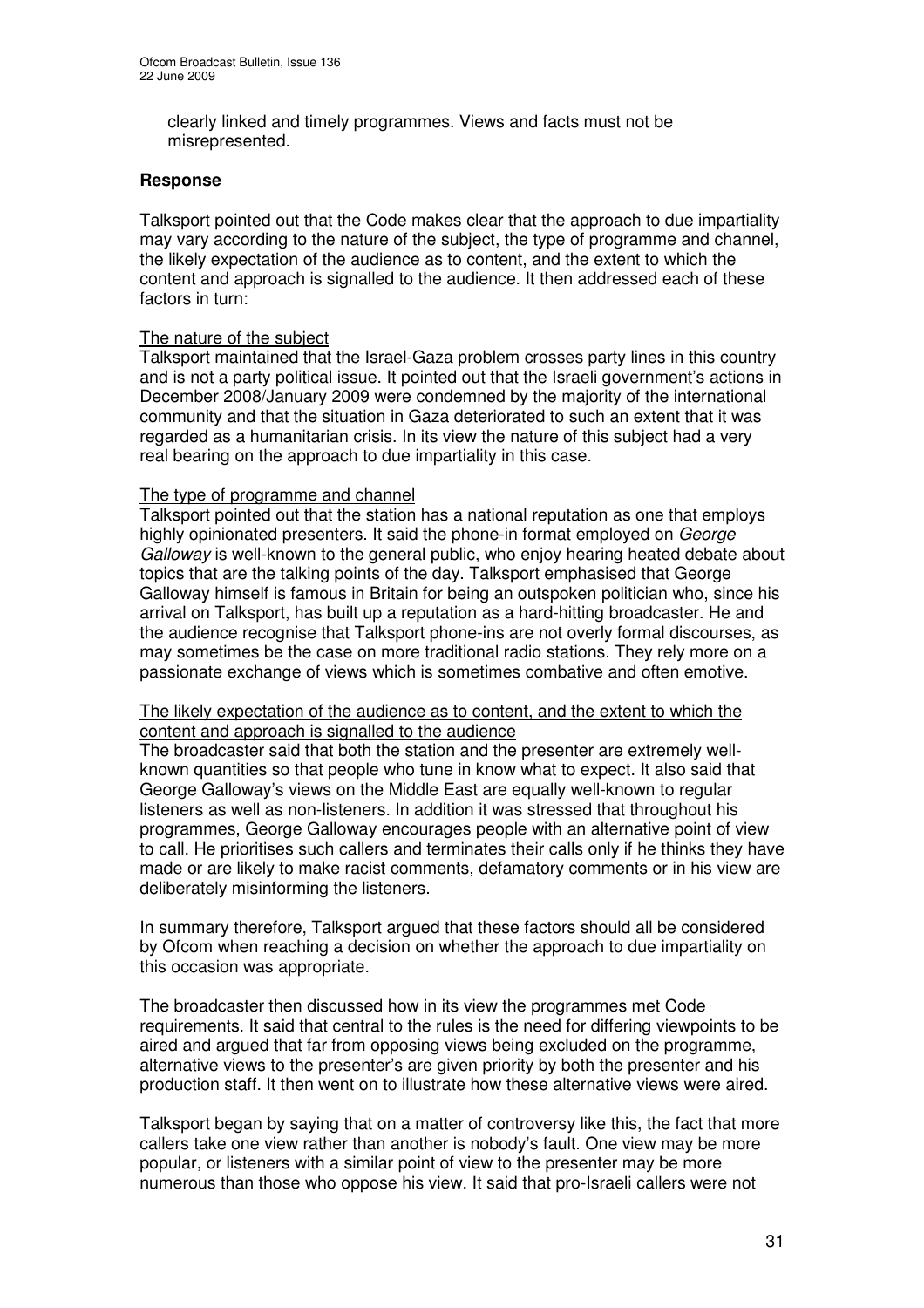clearly linked and timely programmes. Views and facts must not be misrepresented.

#### **Response**

Talksport pointed out that the Code makes clear that the approach to due impartiality may vary according to the nature of the subject, the type of programme and channel, the likely expectation of the audience as to content, and the extent to which the content and approach is signalled to the audience. It then addressed each of these factors in turn:

#### The nature of the subject

Talksport maintained that the Israel-Gaza problem crosses party lines in this country and is not a party political issue. It pointed out that the Israeli government's actions in December 2008/January 2009 were condemned by the majority of the international community and that the situation in Gaza deteriorated to such an extent that it was regarded as a humanitarian crisis. In its view the nature of this subject had a very real bearing on the approach to due impartiality in this case.

#### The type of programme and channel

Talksport pointed out that the station has a national reputation as one that employs highly opinionated presenters. It said the phone-in format employed on *George Galloway* is well-known to the general public, who enjoy hearing heated debate about topics that are the talking points of the day. Talksport emphasised that George Galloway himself is famous in Britain for being an outspoken politician who, since his arrival on Talksport, has built up a reputation as a hard-hitting broadcaster. He and the audience recognise that Talksport phone-ins are not overly formal discourses, as may sometimes be the case on more traditional radio stations. They rely more on a passionate exchange of views which is sometimes combative and often emotive.

#### The likely expectation of the audience as to content, and the extent to which the content and approach is signalled to the audience

The broadcaster said that both the station and the presenter are extremely wellknown quantities so that people who tune in know what to expect. It also said that George Galloway's views on the Middle East are equally well-known to regular listeners as well as non-listeners. In addition it was stressed that throughout his programmes, George Galloway encourages people with an alternative point of view to call. He prioritises such callers and terminates their calls only if he thinks they have made or are likely to make racist comments, defamatory comments or in his view are deliberately misinforming the listeners.

In summary therefore, Talksport argued that these factors should all be considered by Ofcom when reaching a decision on whether the approach to due impartiality on this occasion was appropriate.

The broadcaster then discussed how in its view the programmes met Code requirements. It said that central to the rules is the need for differing viewpoints to be aired and argued that far from opposing views being excluded on the programme, alternative views to the presenter's are given priority by both the presenter and his production staff. It then went on to illustrate how these alternative views were aired.

Talksport began by saying that on a matter of controversy like this, the fact that more callers take one view rather than another is nobody's fault. One view may be more popular, or listeners with a similar point of view to the presenter may be more numerous than those who oppose his view. It said that pro-Israeli callers were not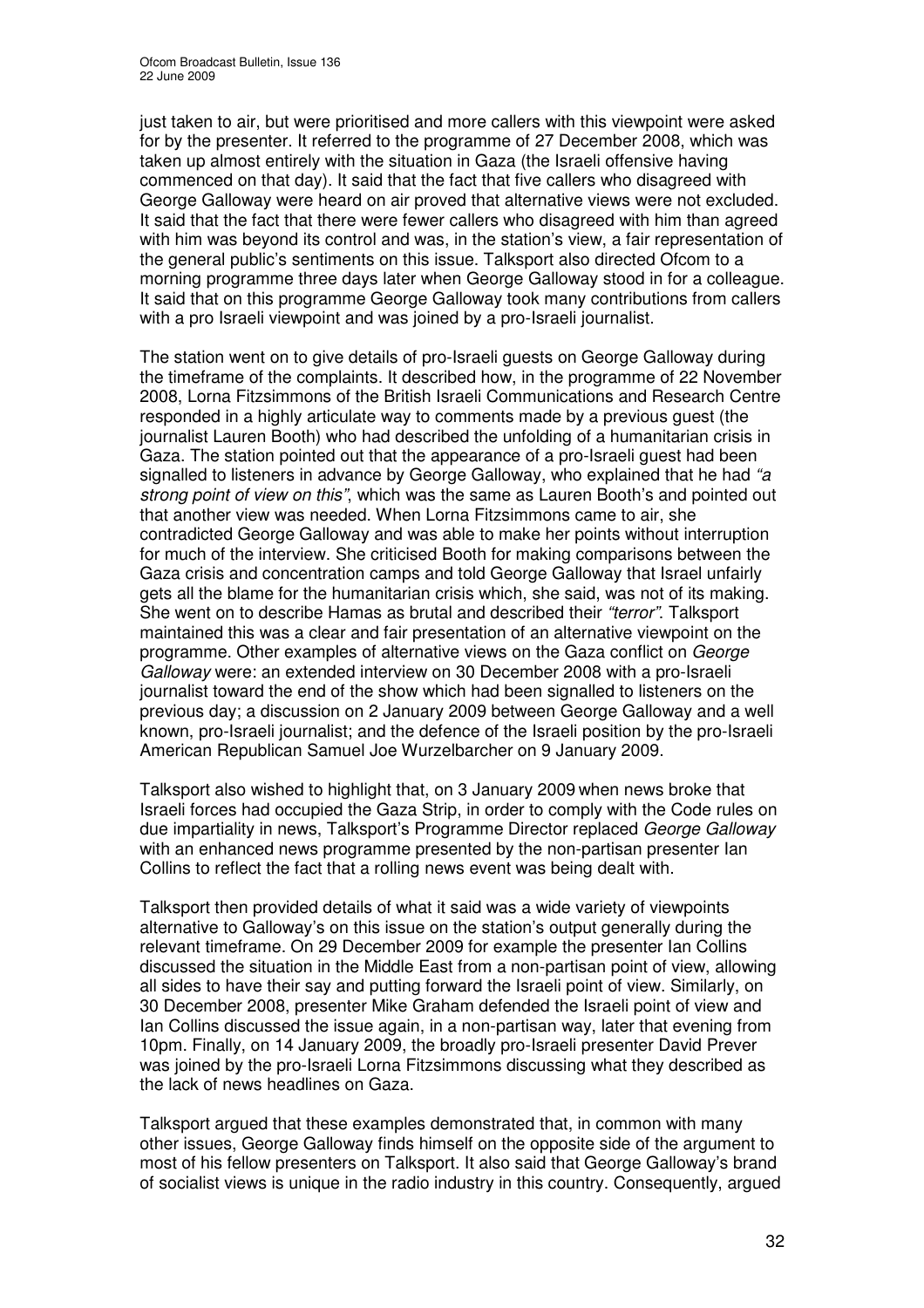just taken to air, but were prioritised and more callers with this viewpoint were asked for by the presenter. It referred to the programme of 27 December 2008, which was taken up almost entirely with the situation in Gaza (the Israeli offensive having commenced on that day). It said that the fact that five callers who disagreed with George Galloway were heard on air proved that alternative views were not excluded. It said that the fact that there were fewer callers who disagreed with him than agreed with him was beyond its control and was, in the station's view, a fair representation of the general public's sentiments on this issue. Talksport also directed Ofcom to a morning programme three days later when George Galloway stood in for a colleague. It said that on this programme George Galloway took many contributions from callers with a pro Israeli viewpoint and was joined by a pro-Israeli journalist.

The station went on to give details of pro-Israeli guests on George Galloway during the timeframe of the complaints. It described how, in the programme of 22 November 2008, Lorna Fitzsimmons of the British Israeli Communications and Research Centre responded in a highly articulate way to comments made by a previous guest (the journalist Lauren Booth) who had described the unfolding of a humanitarian crisis in Gaza. The station pointed out that the appearance of a pro-Israeli guest had been signalled to listeners in advance by George Galloway, who explained that he had *"a strong point of view on this"*, which was the same as Lauren Booth's and pointed out that another view was needed. When Lorna Fitzsimmons came to air, she contradicted George Galloway and was able to make her points without interruption for much of the interview. She criticised Booth for making comparisons between the Gaza crisis and concentration camps and told George Galloway that Israel unfairly gets all the blame for the humanitarian crisis which, she said, was not of its making. She went on to describe Hamas as brutal and described their *"terror"*. Talksport maintained this was a clear and fair presentation of an alternative viewpoint on the programme. Other examples of alternative views on the Gaza conflict on *George Galloway* were: an extended interview on 30 December 2008 with a pro-Israeli journalist toward the end of the show which had been signalled to listeners on the previous day; a discussion on 2 January 2009 between George Galloway and a well known, pro-Israeli journalist; and the defence of the Israeli position by the pro-Israeli American Republican Samuel Joe Wurzelbarcher on 9 January 2009.

Talksport also wished to highlight that, on 3 January 2009 when news broke that Israeli forces had occupied the Gaza Strip, in order to comply with the Code rules on due impartiality in news, Talksport's Programme Director replaced *George Galloway* with an enhanced news programme presented by the non-partisan presenter Ian Collins to reflect the fact that a rolling news event was being dealt with.

Talksport then provided details of what it said was a wide variety of viewpoints alternative to Galloway's on this issue on the station's output generally during the relevant timeframe. On 29 December 2009 for example the presenter Ian Collins discussed the situation in the Middle East from a non-partisan point of view, allowing all sides to have their say and putting forward the Israeli point of view. Similarly, on 30 December 2008, presenter Mike Graham defended the Israeli point of view and Ian Collins discussed the issue again, in a non-partisan way, later that evening from 10pm. Finally, on 14 January 2009, the broadly pro-Israeli presenter David Prever was joined by the pro-Israeli Lorna Fitzsimmons discussing what they described as the lack of news headlines on Gaza.

Talksport argued that these examples demonstrated that, in common with many other issues, George Galloway finds himself on the opposite side of the argument to most of his fellow presenters on Talksport. It also said that George Galloway's brand of socialist views is unique in the radio industry in this country. Consequently, argued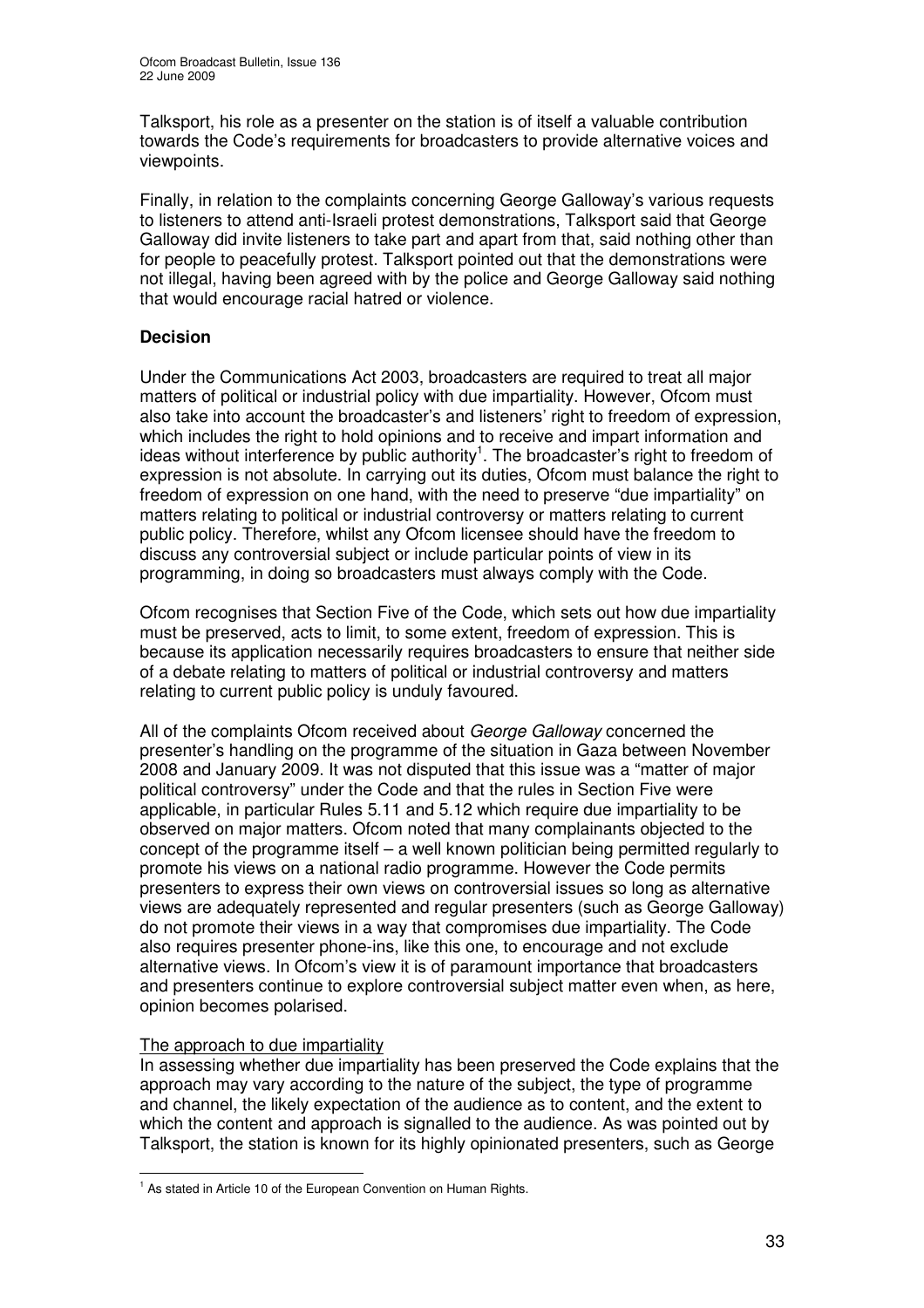Talksport, his role as a presenter on the station is of itself a valuable contribution towards the Code's requirements for broadcasters to provide alternative voices and viewpoints.

Finally, in relation to the complaints concerning George Galloway's various requests to listeners to attend anti-Israeli protest demonstrations, Talksport said that George Galloway did invite listeners to take part and apart from that, said nothing other than for people to peacefully protest. Talksport pointed out that the demonstrations were not illegal, having been agreed with by the police and George Galloway said nothing that would encourage racial hatred or violence.

#### **Decision**

Under the Communications Act 2003, broadcasters are required to treat all major matters of political or industrial policy with due impartiality. However, Ofcom must also take into account the broadcaster's and listeners' right to freedom of expression, which includes the right to hold opinions and to receive and impart information and ideas without interference by public authority<sup>1</sup>. The broadcaster's right to freedom of expression is not absolute. In carrying out its duties, Ofcom must balance the right to freedom of expression on one hand, with the need to preserve "due impartiality" on matters relating to political or industrial controversy or matters relating to current public policy. Therefore, whilst any Ofcom licensee should have the freedom to discuss any controversial subject or include particular points of view in its programming, in doing so broadcasters must always comply with the Code.

Ofcom recognises that Section Five of the Code, which sets out how due impartiality must be preserved, acts to limit, to some extent, freedom of expression. This is because its application necessarily requires broadcasters to ensure that neither side of a debate relating to matters of political or industrial controversy and matters relating to current public policy is unduly favoured.

All of the complaints Ofcom received about *George Galloway* concerned the presenter's handling on the programme of the situation in Gaza between November 2008 and January 2009. It was not disputed that this issue was a "matter of major political controversy" under the Code and that the rules in Section Five were applicable, in particular Rules 5.11 and 5.12 which require due impartiality to be observed on major matters. Ofcom noted that many complainants objected to the concept of the programme itself – a well known politician being permitted regularly to promote his views on a national radio programme. However the Code permits presenters to express their own views on controversial issues so long as alternative views are adequately represented and regular presenters (such as George Galloway) do not promote their views in a way that compromises due impartiality. The Code also requires presenter phone-ins, like this one, to encourage and not exclude alternative views. In Ofcom's view it is of paramount importance that broadcasters and presenters continue to explore controversial subject matter even when, as here, opinion becomes polarised.

#### The approach to due impartiality

In assessing whether due impartiality has been preserved the Code explains that the approach may vary according to the nature of the subject, the type of programme and channel, the likely expectation of the audience as to content, and the extent to which the content and approach is signalled to the audience. As was pointed out by Talksport, the station is known for its highly opinionated presenters, such as George

 $1$  As stated in Article 10 of the European Convention on Human Rights.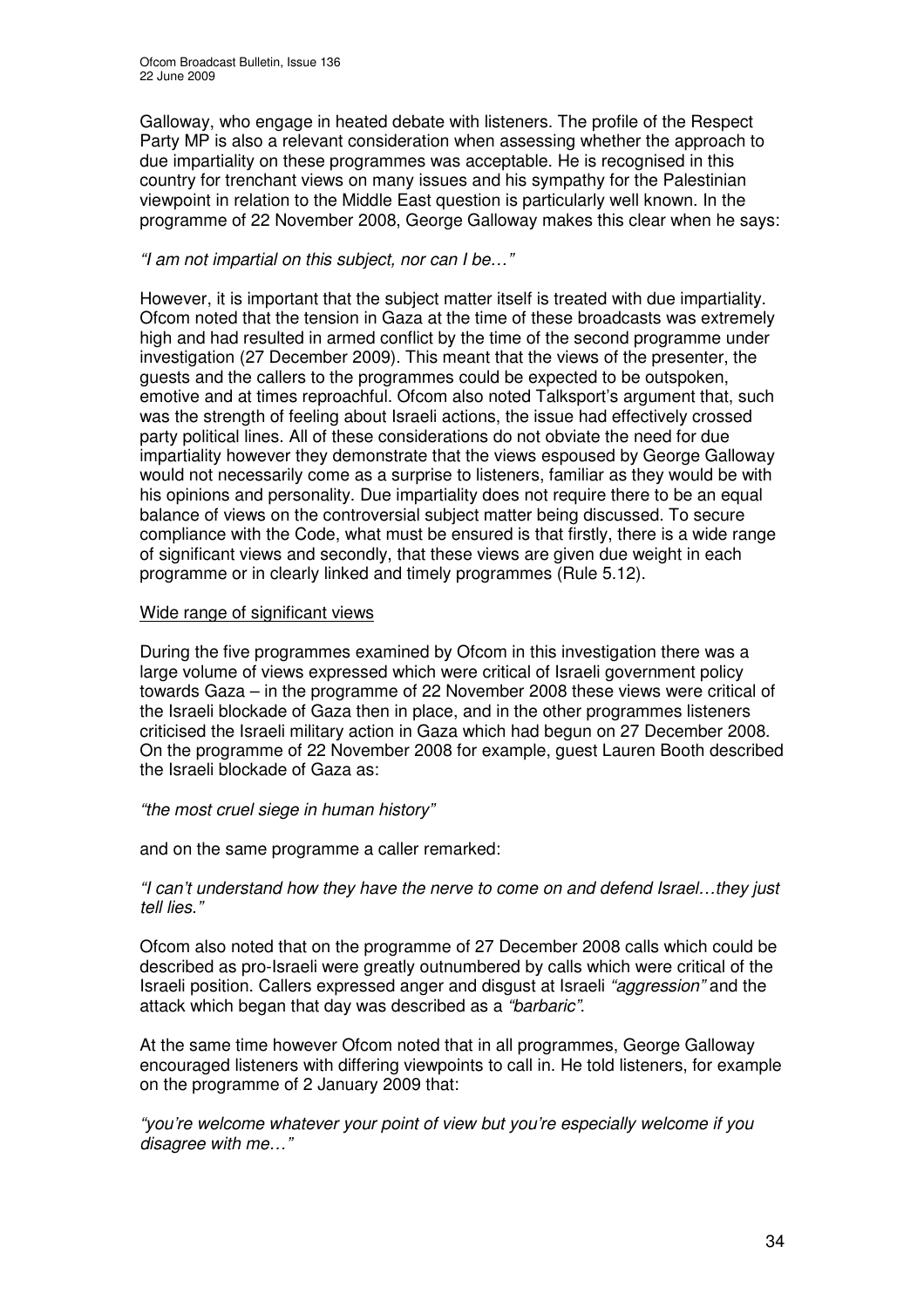Galloway, who engage in heated debate with listeners. The profile of the Respect Party MP is also a relevant consideration when assessing whether the approach to due impartiality on these programmes was acceptable. He is recognised in this country for trenchant views on many issues and his sympathy for the Palestinian viewpoint in relation to the Middle East question is particularly well known. In the programme of 22 November 2008, George Galloway makes this clear when he says:

#### *"I am not impartial on this subject, nor can I be…"*

However, it is important that the subject matter itself is treated with due impartiality. Ofcom noted that the tension in Gaza at the time of these broadcasts was extremely high and had resulted in armed conflict by the time of the second programme under investigation (27 December 2009). This meant that the views of the presenter, the guests and the callers to the programmes could be expected to be outspoken, emotive and at times reproachful. Ofcom also noted Talksport's argument that, such was the strength of feeling about Israeli actions, the issue had effectively crossed party political lines. All of these considerations do not obviate the need for due impartiality however they demonstrate that the views espoused by George Galloway would not necessarily come as a surprise to listeners, familiar as they would be with his opinions and personality. Due impartiality does not require there to be an equal balance of views on the controversial subject matter being discussed. To secure compliance with the Code, what must be ensured is that firstly, there is a wide range of significant views and secondly, that these views are given due weight in each programme or in clearly linked and timely programmes (Rule 5.12).

#### Wide range of significant views

During the five programmes examined by Ofcom in this investigation there was a large volume of views expressed which were critical of Israeli government policy towards Gaza – in the programme of 22 November 2008 these views were critical of the Israeli blockade of Gaza then in place, and in the other programmes listeners criticised the Israeli military action in Gaza which had begun on 27 December 2008. On the programme of 22 November 2008 for example, guest Lauren Booth described the Israeli blockade of Gaza as:

#### *"the most cruel siege in human history"*

and on the same programme a caller remarked:

#### *"I can't understand how they have the nerve to come on and defend Israel…they just tell lies."*

Ofcom also noted that on the programme of 27 December 2008 calls which could be described as pro-Israeli were greatly outnumbered by calls which were critical of the Israeli position. Callers expressed anger and disgust at Israeli *"aggression"* and the attack which began that day was described as a *"barbaric"*.

At the same time however Ofcom noted that in all programmes, George Galloway encouraged listeners with differing viewpoints to call in. He told listeners, for example on the programme of 2 January 2009 that:

*"you're welcome whatever your point of view but you're especially welcome if you disagree with me…"*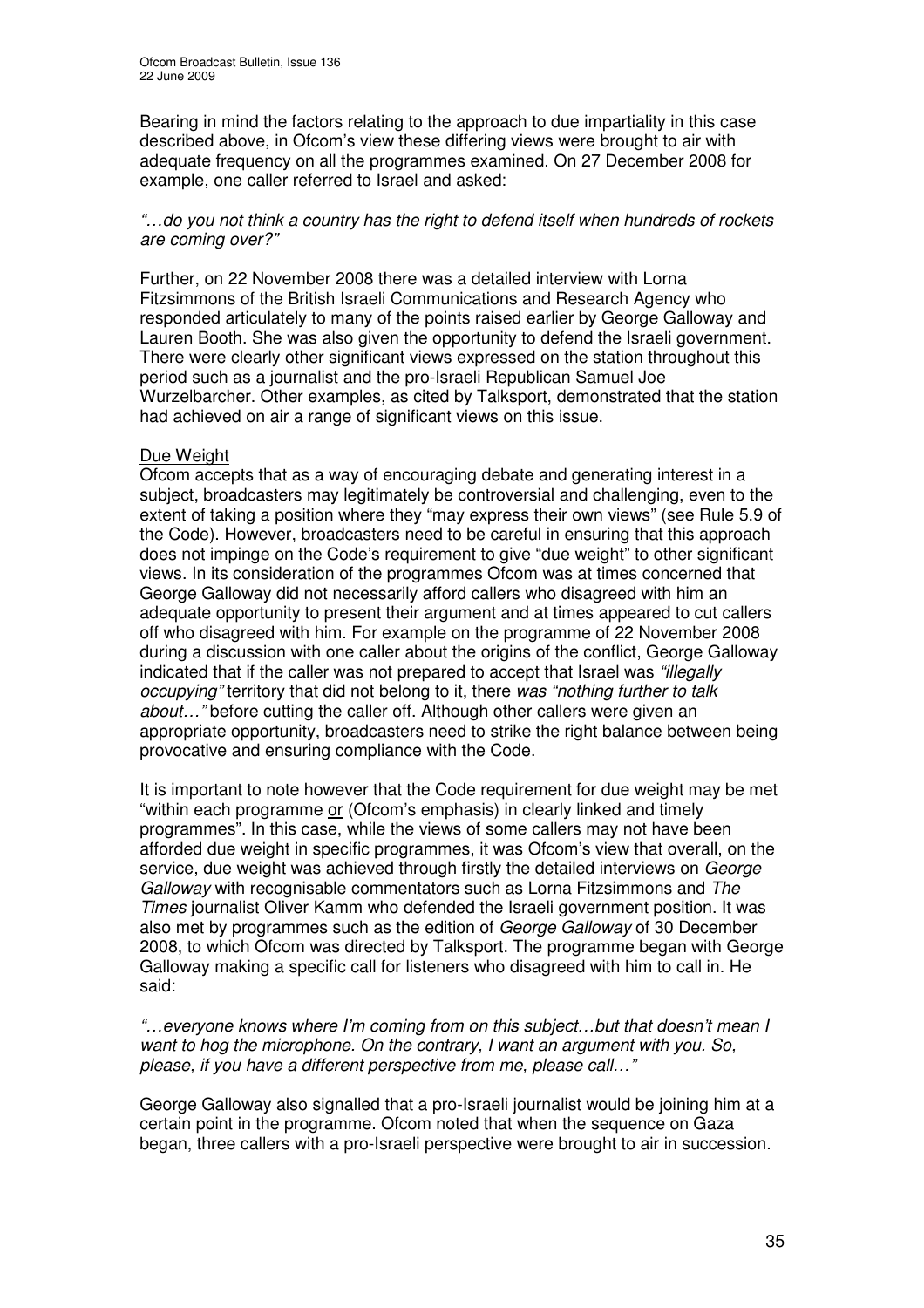Bearing in mind the factors relating to the approach to due impartiality in this case described above, in Ofcom's view these differing views were brought to air with adequate frequency on all the programmes examined. On 27 December 2008 for example, one caller referred to Israel and asked:

#### *"…do you not think a country has the right to defend itself when hundreds of rockets are coming over?"*

Further, on 22 November 2008 there was a detailed interview with Lorna Fitzsimmons of the British Israeli Communications and Research Agency who responded articulately to many of the points raised earlier by George Galloway and Lauren Booth. She was also given the opportunity to defend the Israeli government. There were clearly other significant views expressed on the station throughout this period such as a journalist and the pro-Israeli Republican Samuel Joe Wurzelbarcher. Other examples, as cited by Talksport, demonstrated that the station had achieved on air a range of significant views on this issue.

#### Due Weight

Ofcom accepts that as a way of encouraging debate and generating interest in a subject, broadcasters may legitimately be controversial and challenging, even to the extent of taking a position where they "may express their own views" (see Rule 5.9 of the Code). However, broadcasters need to be careful in ensuring that this approach does not impinge on the Code's requirement to give "due weight" to other significant views. In its consideration of the programmes Ofcom was at times concerned that George Galloway did not necessarily afford callers who disagreed with him an adequate opportunity to present their argument and at times appeared to cut callers off who disagreed with him. For example on the programme of 22 November 2008 during a discussion with one caller about the origins of the conflict, George Galloway indicated that if the caller was not prepared to accept that Israel was *"illegally occupying"* territory that did not belong to it, there *was "nothing further to talk about…"* before cutting the caller off. Although other callers were given an appropriate opportunity, broadcasters need to strike the right balance between being provocative and ensuring compliance with the Code.

It is important to note however that the Code requirement for due weight may be met "within each programme or (Ofcom's emphasis) in clearly linked and timely programmes". In this case, while the views of some callers may not have been afforded due weight in specific programmes, it was Ofcom's view that overall, on the service, due weight was achieved through firstly the detailed interviews on *George Galloway* with recognisable commentators such as Lorna Fitzsimmons and *The Times* journalist Oliver Kamm who defended the Israeli government position. It was also met by programmes such as the edition of *George Galloway* of 30 December 2008, to which Ofcom was directed by Talksport. The programme began with George Galloway making a specific call for listeners who disagreed with him to call in. He said:

*"…everyone knows where I'm coming from on this subject…but that doesn't mean I want to hog the microphone. On the contrary, I want an argument with you. So, please, if you have a different perspective from me, please call…"*

George Galloway also signalled that a pro-Israeli journalist would be joining him at a certain point in the programme. Ofcom noted that when the sequence on Gaza began, three callers with a pro-Israeli perspective were brought to air in succession.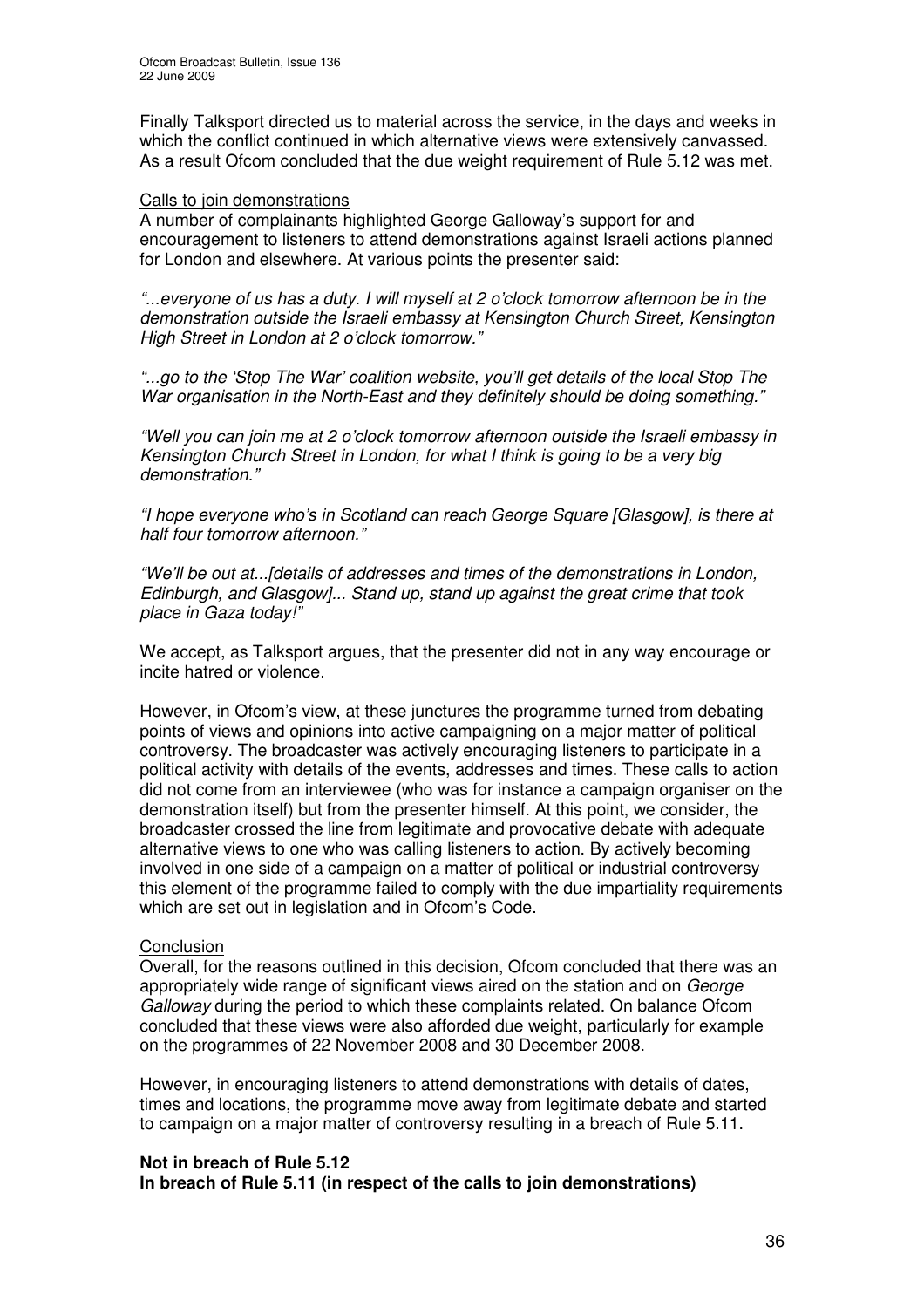Finally Talksport directed us to material across the service, in the days and weeks in which the conflict continued in which alternative views were extensively canvassed. As a result Ofcom concluded that the due weight requirement of Rule 5.12 was met.

#### Calls to join demonstrations

A number of complainants highlighted George Galloway's support for and encouragement to listeners to attend demonstrations against Israeli actions planned for London and elsewhere. At various points the presenter said:

*"...everyone of us has a duty. I will myself at 2 o'clock tomorrow afternoon be in the demonstration outside the Israeli embassy at Kensington Church Street, Kensington High Street in London at 2 o'clock tomorrow."*

*"...go to the 'Stop The War' coalition website, you'll get details of the local Stop The War organisation in the North-East and they definitely should be doing something."*

*"Well you can join me at 2 o'clock tomorrow afternoon outside the Israeli embassy in Kensington Church Street in London, for what I think is going to be a very big demonstration."*

*"I hope everyone who's in Scotland can reach George Square [Glasgow], is there at half four tomorrow afternoon."*

*"We'll be out at...[details of addresses and times of the demonstrations in London, Edinburgh, and Glasgow]... Stand up, stand up against the great crime that took place in Gaza today!"*

We accept, as Talksport argues, that the presenter did not in any way encourage or incite hatred or violence.

However, in Ofcom's view, at these junctures the programme turned from debating points of views and opinions into active campaigning on a major matter of political controversy. The broadcaster was actively encouraging listeners to participate in a political activity with details of the events, addresses and times. These calls to action did not come from an interviewee (who was for instance a campaign organiser on the demonstration itself) but from the presenter himself. At this point, we consider, the broadcaster crossed the line from legitimate and provocative debate with adequate alternative views to one who was calling listeners to action. By actively becoming involved in one side of a campaign on a matter of political or industrial controversy this element of the programme failed to comply with the due impartiality requirements which are set out in legislation and in Ofcom's Code.

#### Conclusion

Overall, for the reasons outlined in this decision, Ofcom concluded that there was an appropriately wide range of significant views aired on the station and on *George Galloway* during the period to which these complaints related. On balance Ofcom concluded that these views were also afforded due weight, particularly for example on the programmes of 22 November 2008 and 30 December 2008.

However, in encouraging listeners to attend demonstrations with details of dates, times and locations, the programme move away from legitimate debate and started to campaign on a major matter of controversy resulting in a breach of Rule 5.11.

#### **Not in breach of Rule 5.12 In breach of Rule 5.11 (in respect of the calls to join demonstrations)**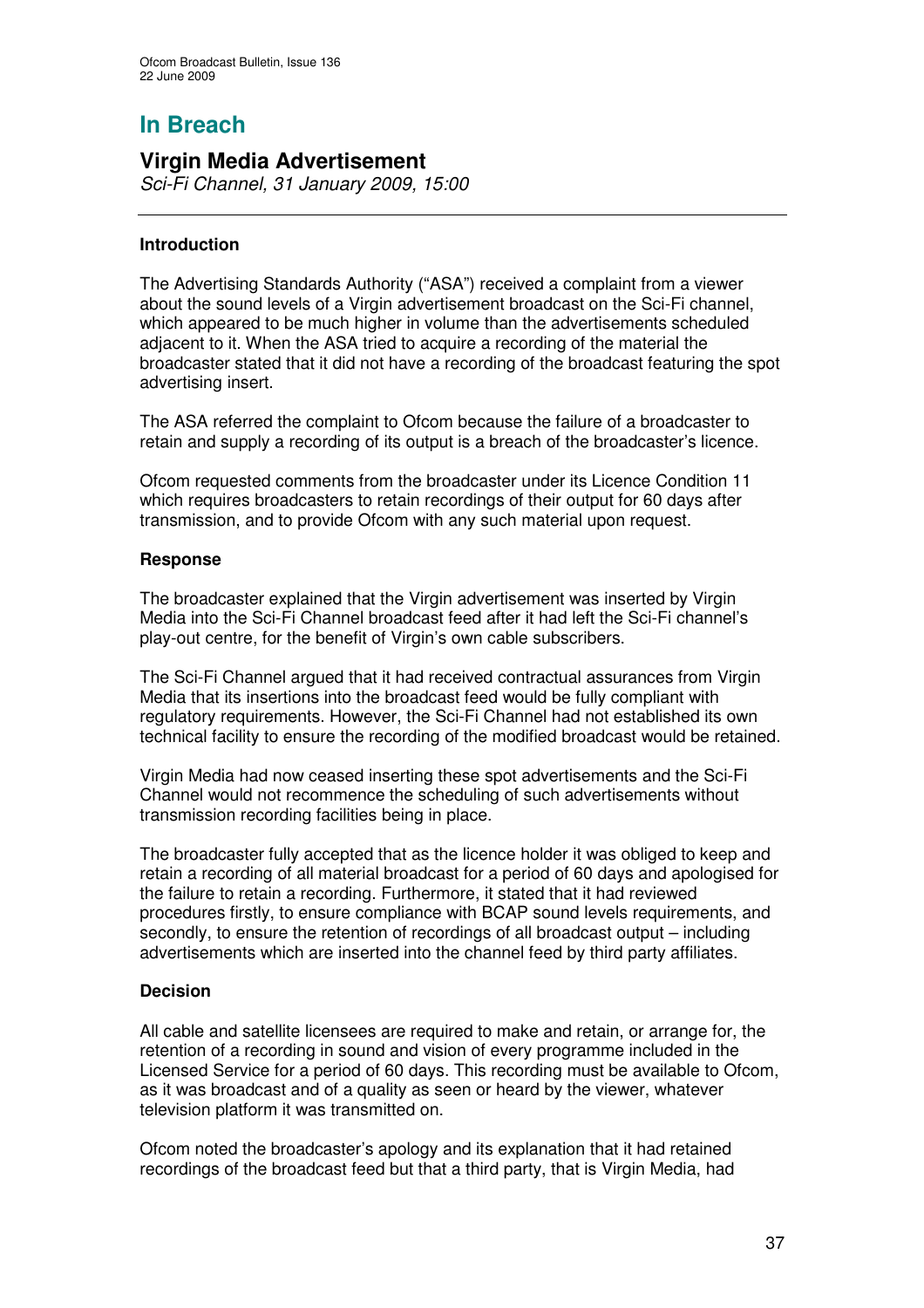# **In Breach**

# **Virgin Media Advertisement**

*Sci-Fi Channel, 31 January 2009, 15:00*

## **Introduction**

The Advertising Standards Authority ("ASA") received a complaint from a viewer about the sound levels of a Virgin advertisement broadcast on the Sci-Fi channel, which appeared to be much higher in volume than the advertisements scheduled adjacent to it. When the ASA tried to acquire a recording of the material the broadcaster stated that it did not have a recording of the broadcast featuring the spot advertising insert.

The ASA referred the complaint to Ofcom because the failure of a broadcaster to retain and supply a recording of its output is a breach of the broadcaster's licence.

Ofcom requested comments from the broadcaster under its Licence Condition 11 which requires broadcasters to retain recordings of their output for 60 days after transmission, and to provide Ofcom with any such material upon request.

## **Response**

The broadcaster explained that the Virgin advertisement was inserted by Virgin Media into the Sci-Fi Channel broadcast feed after it had left the Sci-Fi channel's play-out centre, for the benefit of Virgin's own cable subscribers.

The Sci-Fi Channel argued that it had received contractual assurances from Virgin Media that its insertions into the broadcast feed would be fully compliant with regulatory requirements. However, the Sci-Fi Channel had not established its own technical facility to ensure the recording of the modified broadcast would be retained.

Virgin Media had now ceased inserting these spot advertisements and the Sci-Fi Channel would not recommence the scheduling of such advertisements without transmission recording facilities being in place.

The broadcaster fully accepted that as the licence holder it was obliged to keep and retain a recording of all material broadcast for a period of 60 days and apologised for the failure to retain a recording. Furthermore, it stated that it had reviewed procedures firstly, to ensure compliance with BCAP sound levels requirements, and secondly, to ensure the retention of recordings of all broadcast output – including advertisements which are inserted into the channel feed by third party affiliates.

#### **Decision**

All cable and satellite licensees are required to make and retain, or arrange for, the retention of a recording in sound and vision of every programme included in the Licensed Service for a period of 60 days. This recording must be available to Ofcom, as it was broadcast and of a quality as seen or heard by the viewer, whatever television platform it was transmitted on.

Ofcom noted the broadcaster's apology and its explanation that it had retained recordings of the broadcast feed but that a third party, that is Virgin Media, had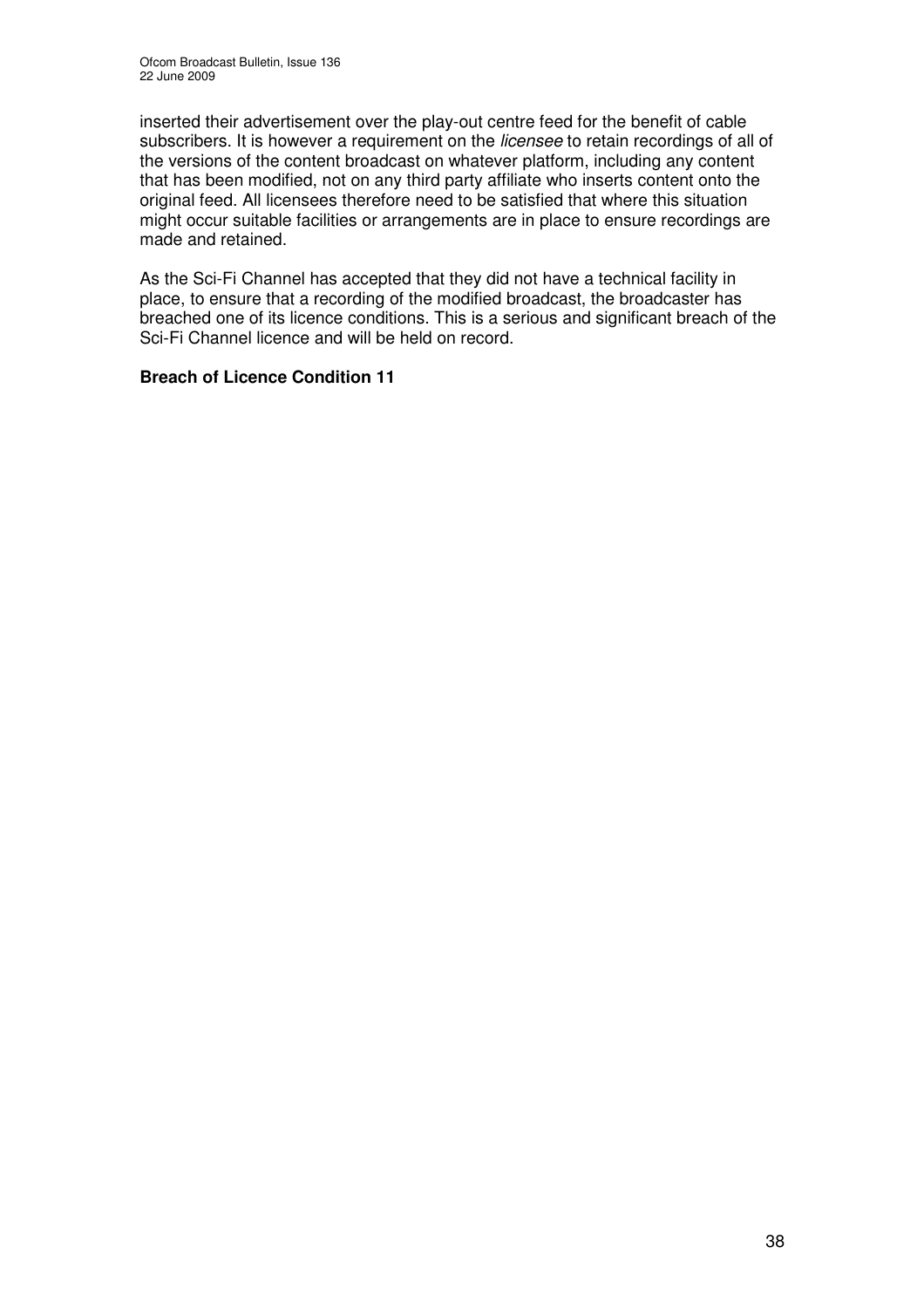inserted their advertisement over the play-out centre feed for the benefit of cable subscribers. It is however a requirement on the *licensee* to retain recordings of all of the versions of the content broadcast on whatever platform, including any content that has been modified, not on any third party affiliate who inserts content onto the original feed. All licensees therefore need to be satisfied that where this situation might occur suitable facilities or arrangements are in place to ensure recordings are made and retained.

As the Sci-Fi Channel has accepted that they did not have a technical facility in place, to ensure that a recording of the modified broadcast, the broadcaster has breached one of its licence conditions. This is a serious and significant breach of the Sci-Fi Channel licence and will be held on record.

## **Breach of Licence Condition 11**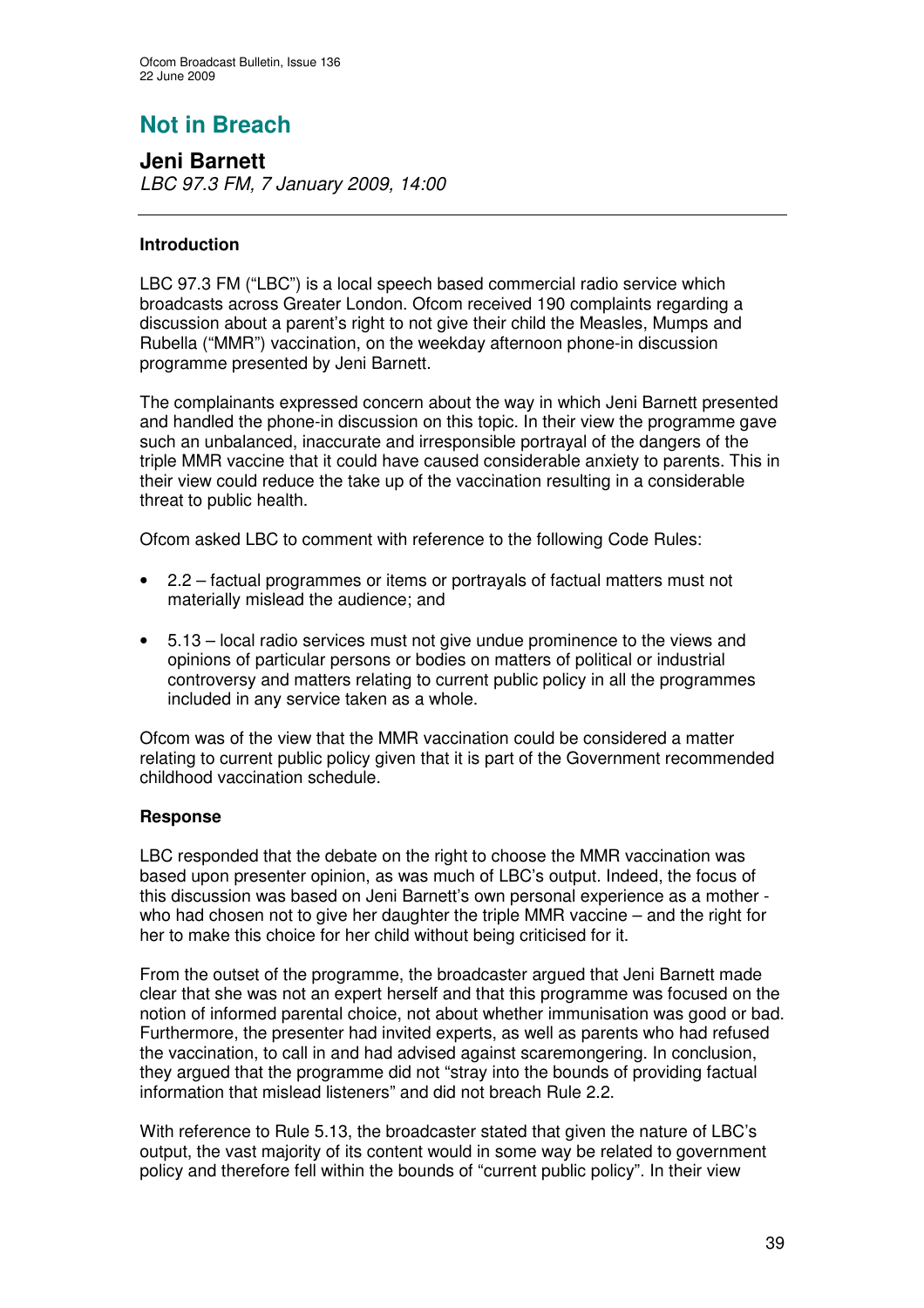# **Not in Breach**

**Jeni Barnett** *LBC 97.3 FM, 7 January 2009, 14:00*

## **Introduction**

LBC 97.3 FM ("LBC") is a local speech based commercial radio service which broadcasts across Greater London. Ofcom received 190 complaints regarding a discussion about a parent's right to not give their child the Measles, Mumps and Rubella ("MMR") vaccination, on the weekday afternoon phone-in discussion programme presented by Jeni Barnett.

The complainants expressed concern about the way in which Jeni Barnett presented and handled the phone-in discussion on this topic. In their view the programme gave such an unbalanced, inaccurate and irresponsible portrayal of the dangers of the triple MMR vaccine that it could have caused considerable anxiety to parents. This in their view could reduce the take up of the vaccination resulting in a considerable threat to public health.

Ofcom asked LBC to comment with reference to the following Code Rules:

- 2.2 factual programmes or items or portrayals of factual matters must not materially mislead the audience; and
- 5.13 local radio services must not give undue prominence to the views and opinions of particular persons or bodies on matters of political or industrial controversy and matters relating to current public policy in all the programmes included in any service taken as a whole.

Ofcom was of the view that the MMR vaccination could be considered a matter relating to current public policy given that it is part of the Government recommended childhood vaccination schedule.

#### **Response**

LBC responded that the debate on the right to choose the MMR vaccination was based upon presenter opinion, as was much of LBC's output. Indeed, the focus of this discussion was based on Jeni Barnett's own personal experience as a mother who had chosen not to give her daughter the triple MMR vaccine – and the right for her to make this choice for her child without being criticised for it.

From the outset of the programme, the broadcaster argued that Jeni Barnett made clear that she was not an expert herself and that this programme was focused on the notion of informed parental choice, not about whether immunisation was good or bad. Furthermore, the presenter had invited experts, as well as parents who had refused the vaccination, to call in and had advised against scaremongering. In conclusion, they argued that the programme did not "stray into the bounds of providing factual information that mislead listeners" and did not breach Rule 2.2.

With reference to Rule 5.13, the broadcaster stated that given the nature of LBC's output, the vast majority of its content would in some way be related to government policy and therefore fell within the bounds of "current public policy". In their view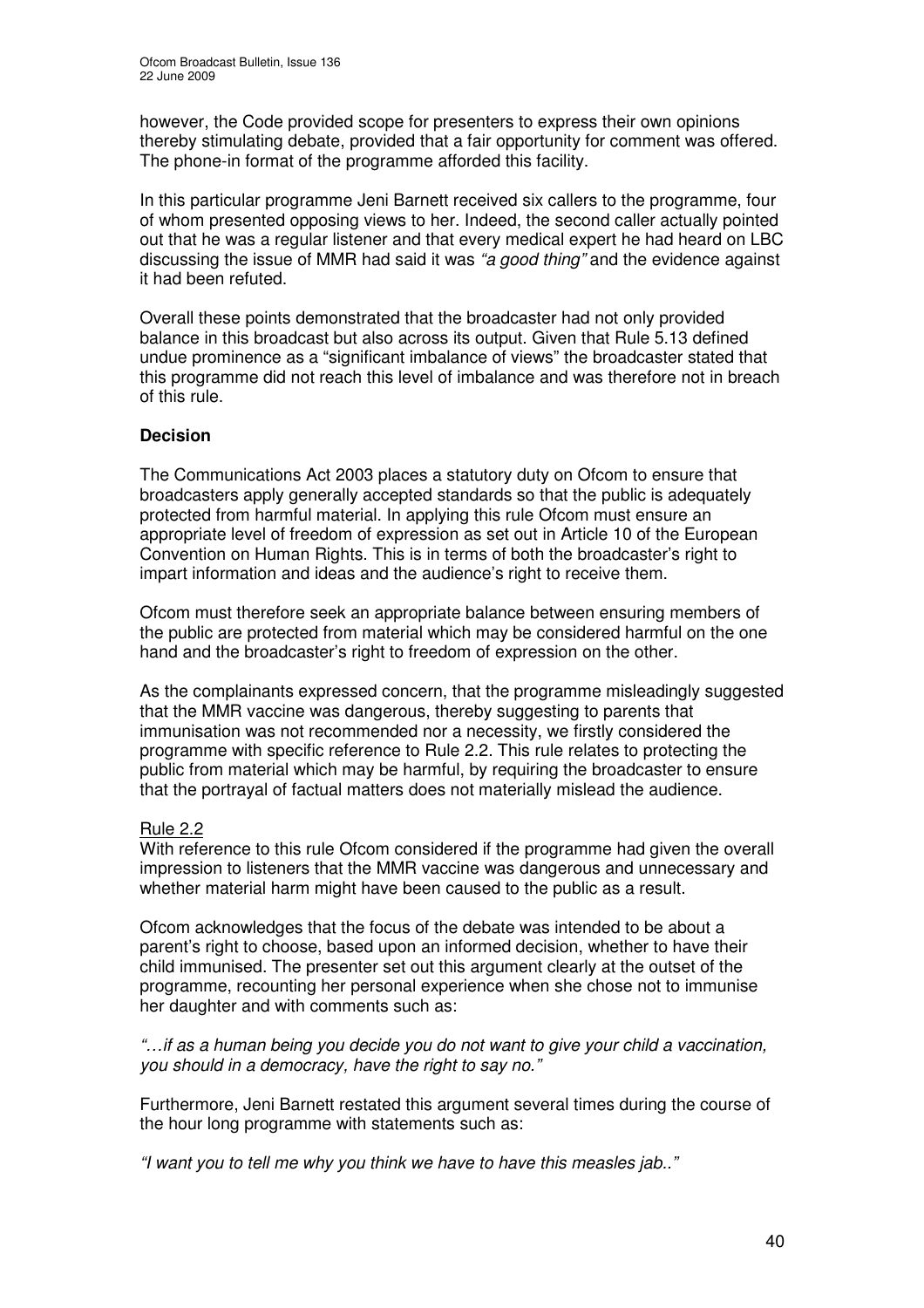however, the Code provided scope for presenters to express their own opinions thereby stimulating debate, provided that a fair opportunity for comment was offered. The phone-in format of the programme afforded this facility.

In this particular programme Jeni Barnett received six callers to the programme, four of whom presented opposing views to her. Indeed, the second caller actually pointed out that he was a regular listener and that every medical expert he had heard on LBC discussing the issue of MMR had said it was *"a good thing"* and the evidence against it had been refuted.

Overall these points demonstrated that the broadcaster had not only provided balance in this broadcast but also across its output. Given that Rule 5.13 defined undue prominence as a "significant imbalance of views" the broadcaster stated that this programme did not reach this level of imbalance and was therefore not in breach of this rule.

## **Decision**

The Communications Act 2003 places a statutory duty on Ofcom to ensure that broadcasters apply generally accepted standards so that the public is adequately protected from harmful material. In applying this rule Ofcom must ensure an appropriate level of freedom of expression as set out in Article 10 of the European Convention on Human Rights. This is in terms of both the broadcaster's right to impart information and ideas and the audience's right to receive them.

Ofcom must therefore seek an appropriate balance between ensuring members of the public are protected from material which may be considered harmful on the one hand and the broadcaster's right to freedom of expression on the other.

As the complainants expressed concern, that the programme misleadingly suggested that the MMR vaccine was dangerous, thereby suggesting to parents that immunisation was not recommended nor a necessity, we firstly considered the programme with specific reference to Rule 2.2. This rule relates to protecting the public from material which may be harmful, by requiring the broadcaster to ensure that the portrayal of factual matters does not materially mislead the audience.

#### Rule 2.2

With reference to this rule Ofcom considered if the programme had given the overall impression to listeners that the MMR vaccine was dangerous and unnecessary and whether material harm might have been caused to the public as a result.

Ofcom acknowledges that the focus of the debate was intended to be about a parent's right to choose, based upon an informed decision, whether to have their child immunised. The presenter set out this argument clearly at the outset of the programme, recounting her personal experience when she chose not to immunise her daughter and with comments such as:

*"…if as a human being you decide you do not want to give your child a vaccination, you should in a democracy, have the right to say no."*

Furthermore, Jeni Barnett restated this argument several times during the course of the hour long programme with statements such as:

*"I want you to tell me why you think we have to have this measles jab.."*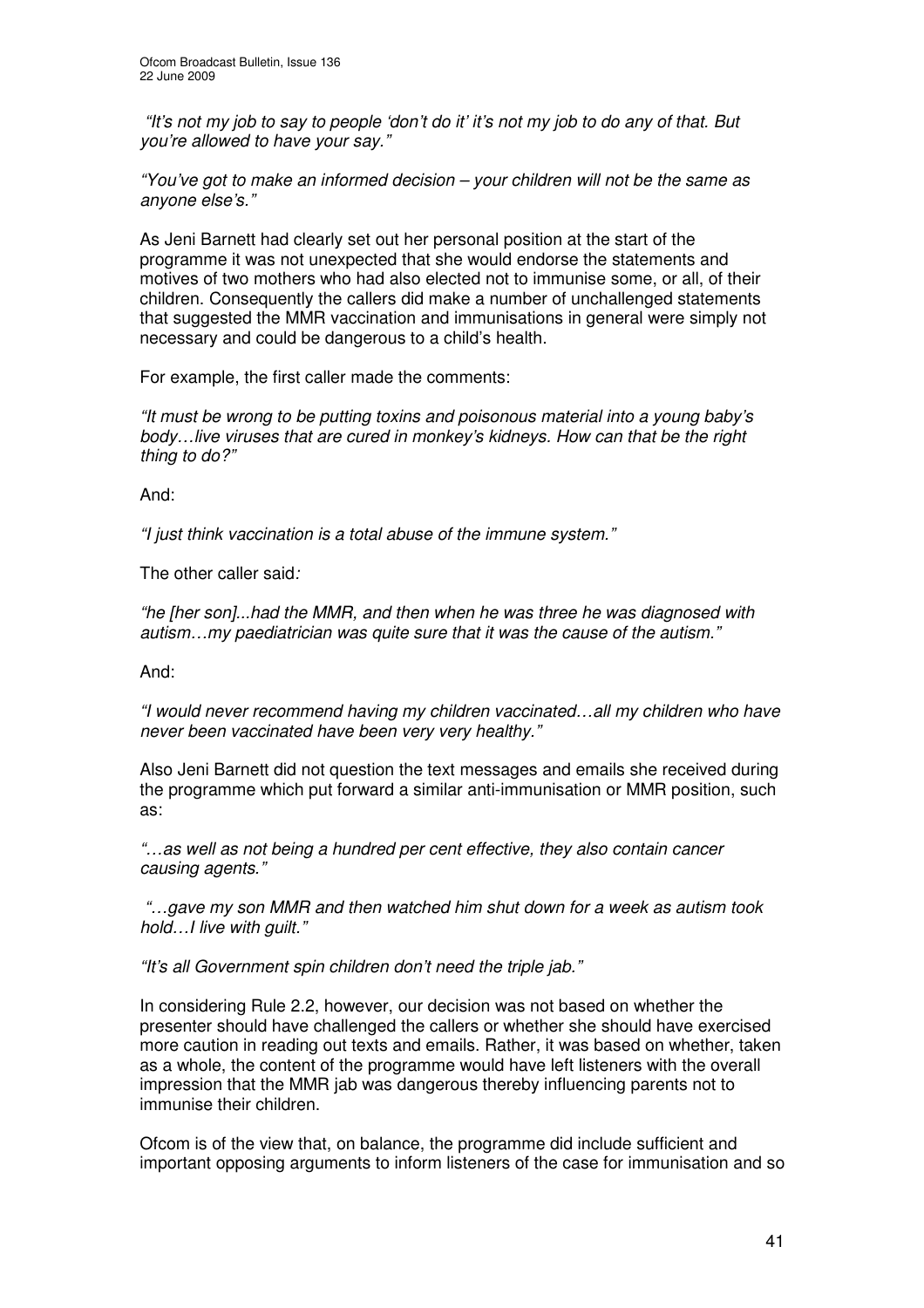"It's not my job to say to people 'don't do it' it's not my job to do any of that. But *you're allowed to have your say."*

*"You've got to make an informed decision – your children will not be the same as anyone else's."*

As Jeni Barnett had clearly set out her personal position at the start of the programme it was not unexpected that she would endorse the statements and motives of two mothers who had also elected not to immunise some, or all, of their children. Consequently the callers did make a number of unchallenged statements that suggested the MMR vaccination and immunisations in general were simply not necessary and could be dangerous to a child's health.

For example, the first caller made the comments:

*"It must be wrong to be putting toxins and poisonous material into a young baby's body…live viruses that are cured in monkey's kidneys. How can that be the right thing to do?"*

And:

*"I just think vaccination is a total abuse of the immune system."*

The other caller said*:*

*"he [her son]...had the MMR, and then when he was three he was diagnosed with autism…my paediatrician was quite sure that it was the cause of the autism."*

And:

*"I would never recommend having my children vaccinated…all my children who have never been vaccinated have been very very healthy."*

Also Jeni Barnett did not question the text messages and emails she received during the programme which put forward a similar anti-immunisation or MMR position, such as:

*"…as well as not being a hundred per cent effective, they also contain cancer causing agents."*

*"…gave my son MMR and then watched him shut down for a week as autism took hold…I live with guilt."*

*"It's all Government spin children don't need the triple jab."*

In considering Rule 2.2, however, our decision was not based on whether the presenter should have challenged the callers or whether she should have exercised more caution in reading out texts and emails. Rather, it was based on whether, taken as a whole, the content of the programme would have left listeners with the overall impression that the MMR jab was dangerous thereby influencing parents not to immunise their children.

Ofcom is of the view that, on balance, the programme did include sufficient and important opposing arguments to inform listeners of the case for immunisation and so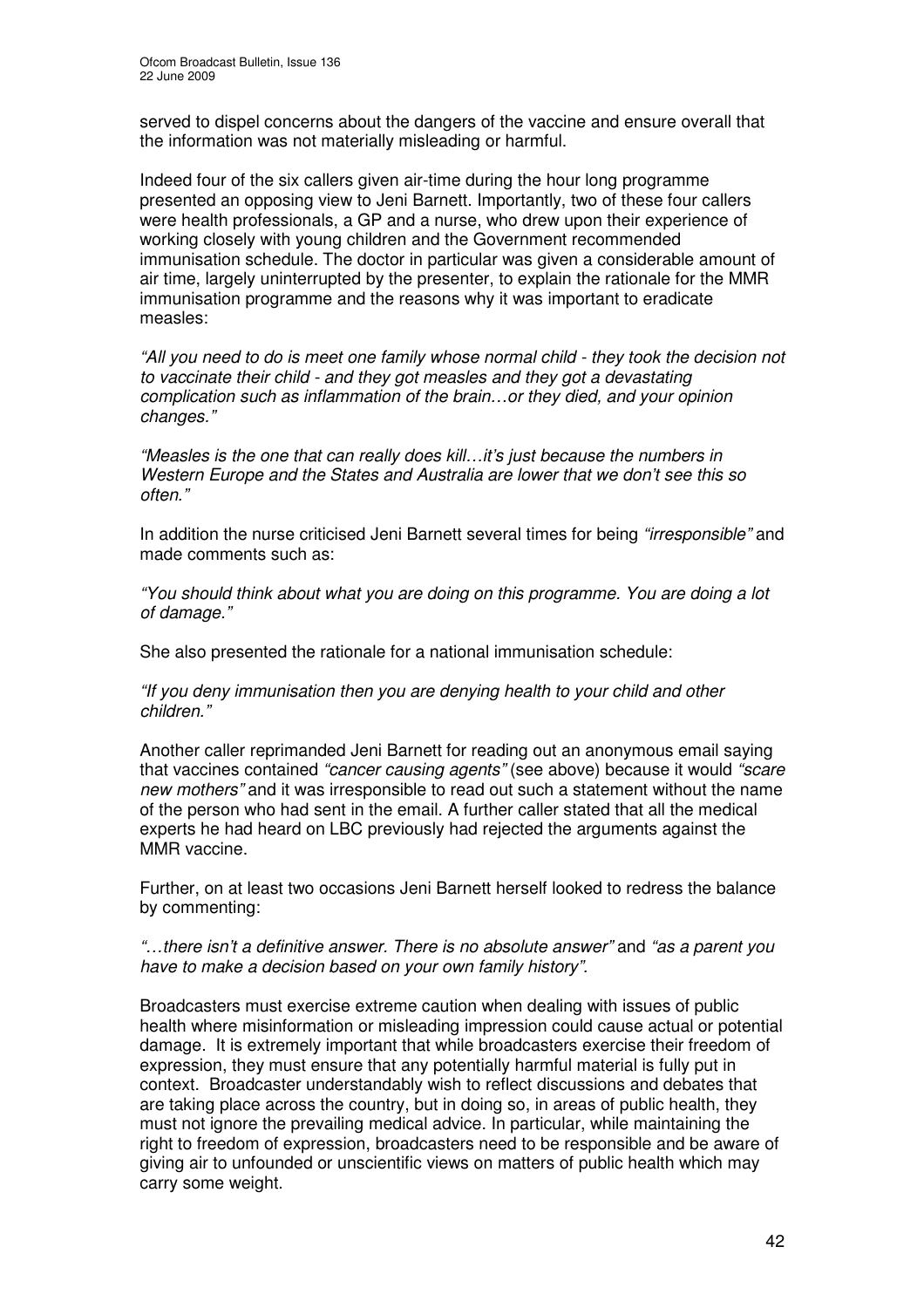served to dispel concerns about the dangers of the vaccine and ensure overall that the information was not materially misleading or harmful.

Indeed four of the six callers given air-time during the hour long programme presented an opposing view to Jeni Barnett. Importantly, two of these four callers were health professionals, a GP and a nurse, who drew upon their experience of working closely with young children and the Government recommended immunisation schedule. The doctor in particular was given a considerable amount of air time, largely uninterrupted by the presenter, to explain the rationale for the MMR immunisation programme and the reasons why it was important to eradicate measles:

*"All you need to do is meet one family whose normal child - they took the decision not to vaccinate their child - and they got measles and they got a devastating complication such as inflammation of the brain…or they died, and your opinion changes."*

*"Measles is the one that can really does kill…it's just because the numbers in Western Europe and the States and Australia are lower that we don't see this so often."*

In addition the nurse criticised Jeni Barnett several times for being *"irresponsible"* and made comments such as:

*"You should think about what you are doing on this programme. You are doing a lot of damage."*

She also presented the rationale for a national immunisation schedule:

*"If you deny immunisation then you are denying health to your child and other children."*

Another caller reprimanded Jeni Barnett for reading out an anonymous email saying that vaccines contained *"cancer causing agents"* (see above) because it would *"scare new mothers"* and it was irresponsible to read out such a statement without the name of the person who had sent in the email. A further caller stated that all the medical experts he had heard on LBC previously had rejected the arguments against the MMR vaccine.

Further, on at least two occasions Jeni Barnett herself looked to redress the balance by commenting:

*"…there isn't a definitive answer. There is no absolute answer"* and *"as a parent you have to make a decision based on your own family history".*

Broadcasters must exercise extreme caution when dealing with issues of public health where misinformation or misleading impression could cause actual or potential damage. It is extremely important that while broadcasters exercise their freedom of expression, they must ensure that any potentially harmful material is fully put in context. Broadcaster understandably wish to reflect discussions and debates that are taking place across the country, but in doing so, in areas of public health, they must not ignore the prevailing medical advice. In particular, while maintaining the right to freedom of expression, broadcasters need to be responsible and be aware of giving air to unfounded or unscientific views on matters of public health which may carry some weight.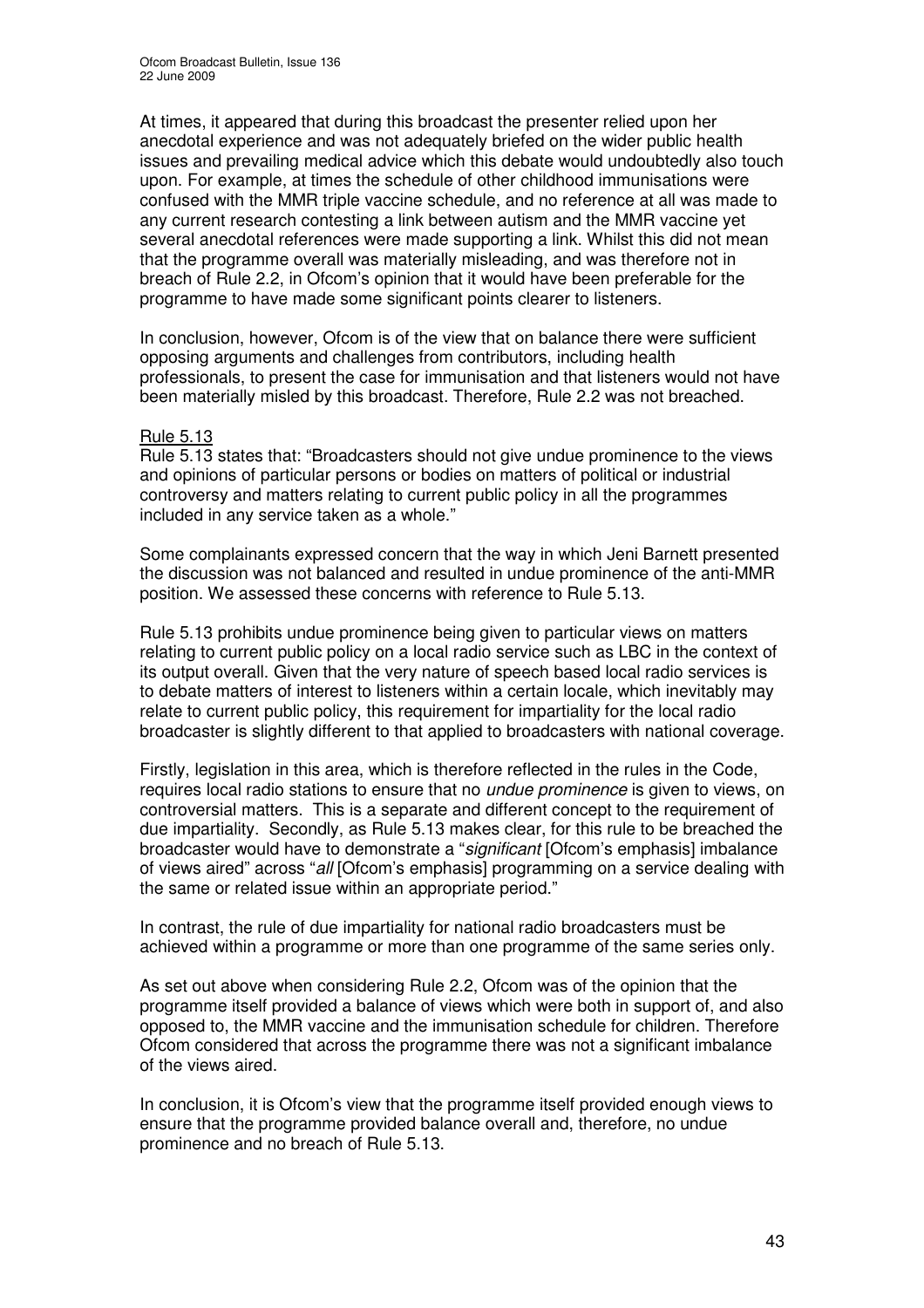At times, it appeared that during this broadcast the presenter relied upon her anecdotal experience and was not adequately briefed on the wider public health issues and prevailing medical advice which this debate would undoubtedly also touch upon. For example, at times the schedule of other childhood immunisations were confused with the MMR triple vaccine schedule, and no reference at all was made to any current research contesting a link between autism and the MMR vaccine yet several anecdotal references were made supporting a link. Whilst this did not mean that the programme overall was materially misleading, and was therefore not in breach of Rule 2.2, in Ofcom's opinion that it would have been preferable for the programme to have made some significant points clearer to listeners.

In conclusion, however, Ofcom is of the view that on balance there were sufficient opposing arguments and challenges from contributors, including health professionals, to present the case for immunisation and that listeners would not have been materially misled by this broadcast. Therefore, Rule 2.2 was not breached.

## Rule 5.13

Rule 5.13 states that: "Broadcasters should not give undue prominence to the views and opinions of particular persons or bodies on matters of political or industrial controversy and matters relating to current public policy in all the programmes included in any service taken as a whole."

Some complainants expressed concern that the way in which Jeni Barnett presented the discussion was not balanced and resulted in undue prominence of the anti-MMR position. We assessed these concerns with reference to Rule 5.13.

Rule 5.13 prohibits undue prominence being given to particular views on matters relating to current public policy on a local radio service such as LBC in the context of its output overall. Given that the very nature of speech based local radio services is to debate matters of interest to listeners within a certain locale, which inevitably may relate to current public policy, this requirement for impartiality for the local radio broadcaster is slightly different to that applied to broadcasters with national coverage.

Firstly, legislation in this area, which is therefore reflected in the rules in the Code, requires local radio stations to ensure that no *undue prominence* is given to views, on controversial matters. This is a separate and different concept to the requirement of due impartiality. Secondly, as Rule 5.13 makes clear, for this rule to be breached the broadcaster would have to demonstrate a "*significant* [Ofcom's emphasis] imbalance of views aired" across "*all* [Ofcom's emphasis] programming on a service dealing with the same or related issue within an appropriate period."

In contrast, the rule of due impartiality for national radio broadcasters must be achieved within a programme or more than one programme of the same series only.

As set out above when considering Rule 2.2, Ofcom was of the opinion that the programme itself provided a balance of views which were both in support of, and also opposed to, the MMR vaccine and the immunisation schedule for children. Therefore Ofcom considered that across the programme there was not a significant imbalance of the views aired.

In conclusion, it is Ofcom's view that the programme itself provided enough views to ensure that the programme provided balance overall and, therefore, no undue prominence and no breach of Rule 5.13.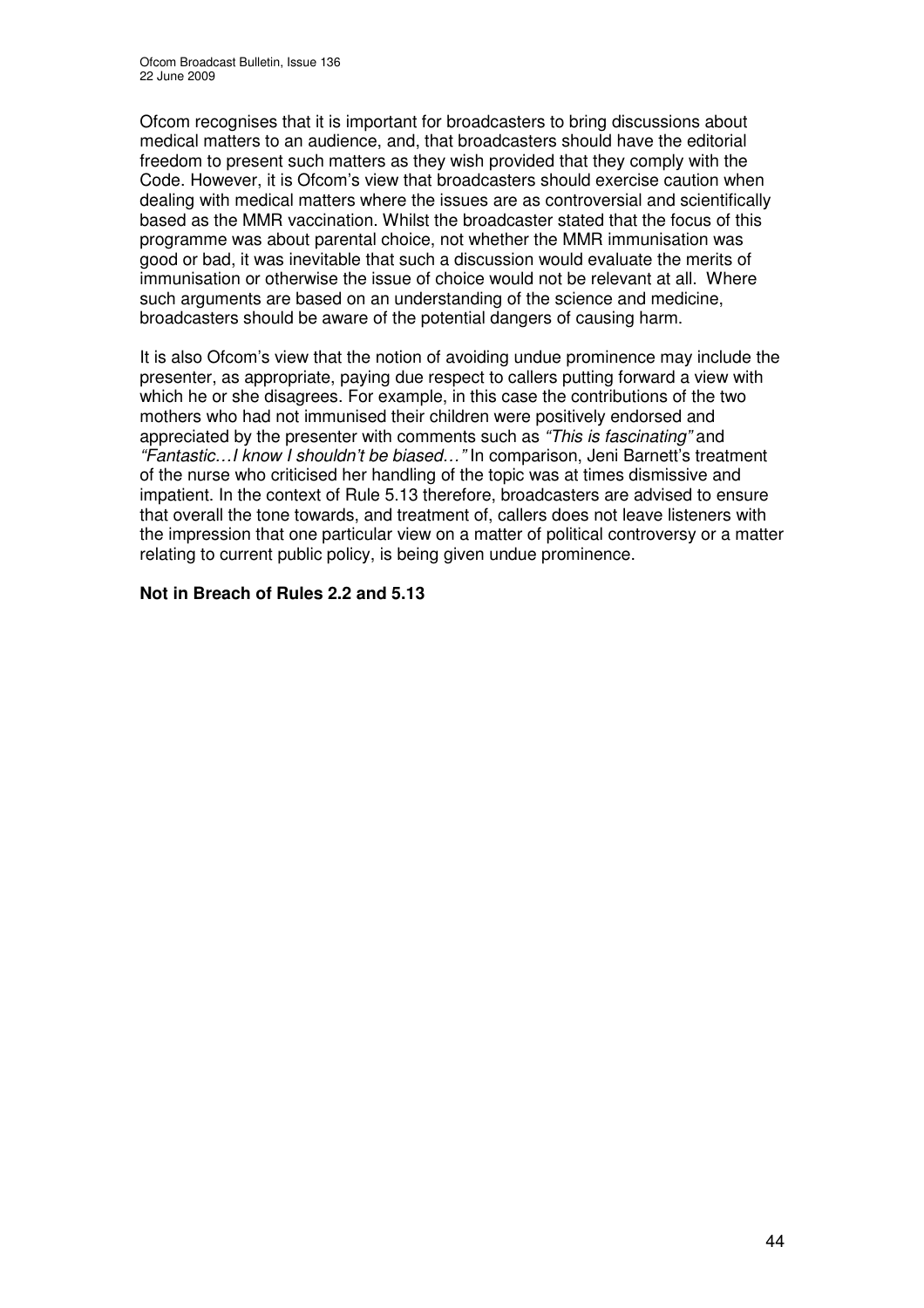Ofcom recognises that it is important for broadcasters to bring discussions about medical matters to an audience, and, that broadcasters should have the editorial freedom to present such matters as they wish provided that they comply with the Code. However, it is Ofcom's view that broadcasters should exercise caution when dealing with medical matters where the issues are as controversial and scientifically based as the MMR vaccination. Whilst the broadcaster stated that the focus of this programme was about parental choice, not whether the MMR immunisation was good or bad, it was inevitable that such a discussion would evaluate the merits of immunisation or otherwise the issue of choice would not be relevant at all. Where such arguments are based on an understanding of the science and medicine, broadcasters should be aware of the potential dangers of causing harm.

It is also Ofcom's view that the notion of avoiding undue prominence may include the presenter, as appropriate, paying due respect to callers putting forward a view with which he or she disagrees. For example, in this case the contributions of the two mothers who had not immunised their children were positively endorsed and appreciated by the presenter with comments such as *"This is fascinating"* and *"Fantastic…I know I shouldn't be biased…"* In comparison, Jeni Barnett's treatment of the nurse who criticised her handling of the topic was at times dismissive and impatient. In the context of Rule 5.13 therefore, broadcasters are advised to ensure that overall the tone towards, and treatment of, callers does not leave listeners with the impression that one particular view on a matter of political controversy or a matter relating to current public policy, is being given undue prominence.

#### **Not in Breach of Rules 2.2 and 5.13**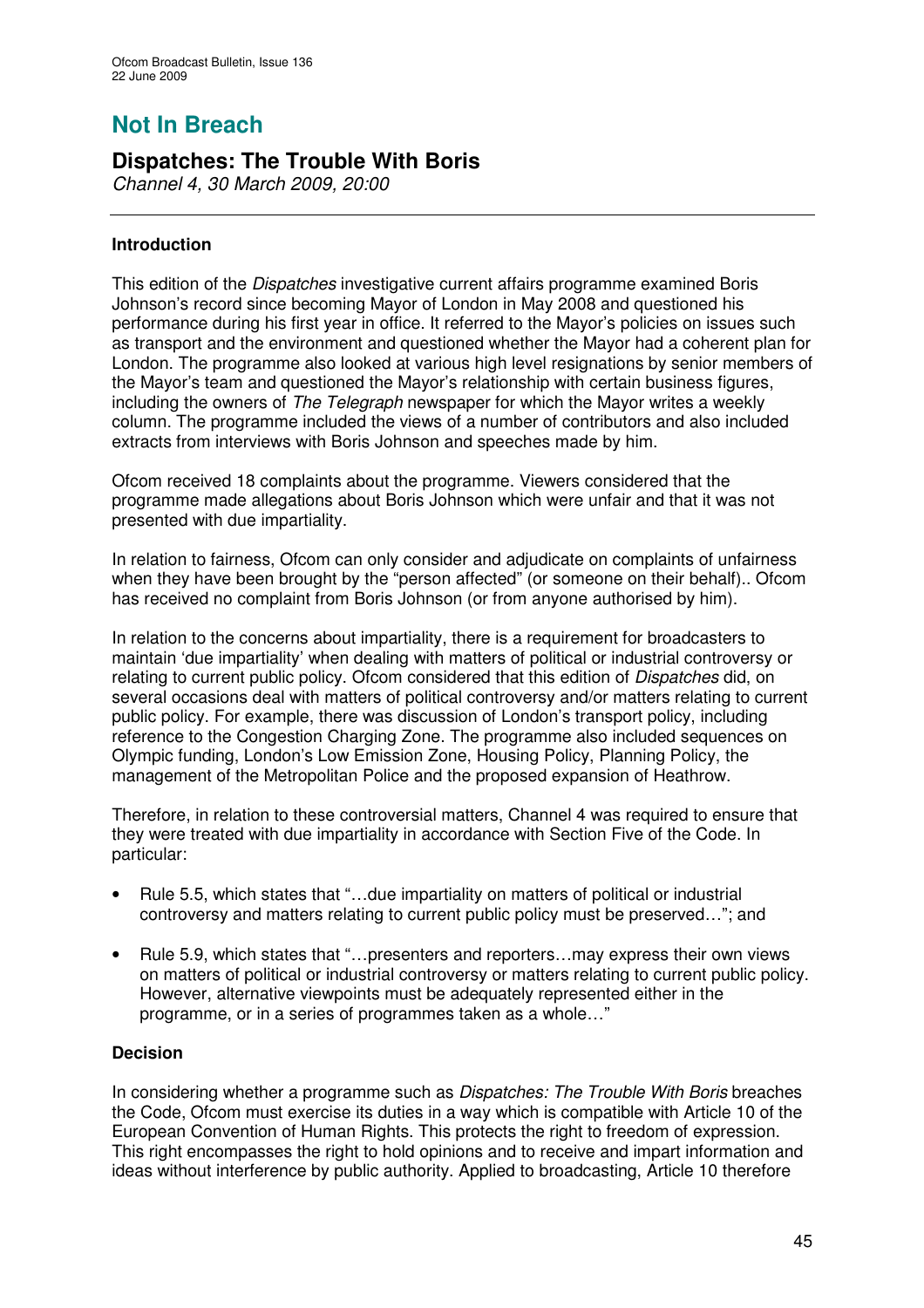# **Not In Breach**

# **Dispatches: The Trouble With Boris**

*Channel 4, 30 March 2009, 20:00*

## **Introduction**

This edition of the *Dispatches* investigative current affairs programme examined Boris Johnson's record since becoming Mayor of London in May 2008 and questioned his performance during his first year in office. It referred to the Mayor's policies on issues such as transport and the environment and questioned whether the Mayor had a coherent plan for London. The programme also looked at various high level resignations by senior members of the Mayor's team and questioned the Mayor's relationship with certain business figures, including the owners of *The Telegraph* newspaper for which the Mayor writes a weekly column. The programme included the views of a number of contributors and also included extracts from interviews with Boris Johnson and speeches made by him.

Ofcom received 18 complaints about the programme. Viewers considered that the programme made allegations about Boris Johnson which were unfair and that it was not presented with due impartiality.

In relation to fairness, Ofcom can only consider and adjudicate on complaints of unfairness when they have been brought by the "person affected" (or someone on their behalf).. Ofcom has received no complaint from Boris Johnson (or from anyone authorised by him).

In relation to the concerns about impartiality, there is a requirement for broadcasters to maintain 'due impartiality' when dealing with matters of political or industrial controversy or relating to current public policy. Ofcom considered that this edition of *Dispatches* did, on several occasions deal with matters of political controversy and/or matters relating to current public policy. For example, there was discussion of London's transport policy, including reference to the Congestion Charging Zone. The programme also included sequences on Olympic funding, London's Low Emission Zone, Housing Policy, Planning Policy, the management of the Metropolitan Police and the proposed expansion of Heathrow.

Therefore, in relation to these controversial matters, Channel 4 was required to ensure that they were treated with due impartiality in accordance with Section Five of the Code. In particular:

- Rule 5.5, which states that "…due impartiality on matters of political or industrial controversy and matters relating to current public policy must be preserved…"; and
- Rule 5.9, which states that "…presenters and reporters…may express their own views on matters of political or industrial controversy or matters relating to current public policy. However, alternative viewpoints must be adequately represented either in the programme, or in a series of programmes taken as a whole…"

## **Decision**

In considering whether a programme such as *Dispatches: The Trouble With Boris* breaches the Code, Ofcom must exercise its duties in a way which is compatible with Article 10 of the European Convention of Human Rights. This protects the right to freedom of expression. This right encompasses the right to hold opinions and to receive and impart information and ideas without interference by public authority. Applied to broadcasting, Article 10 therefore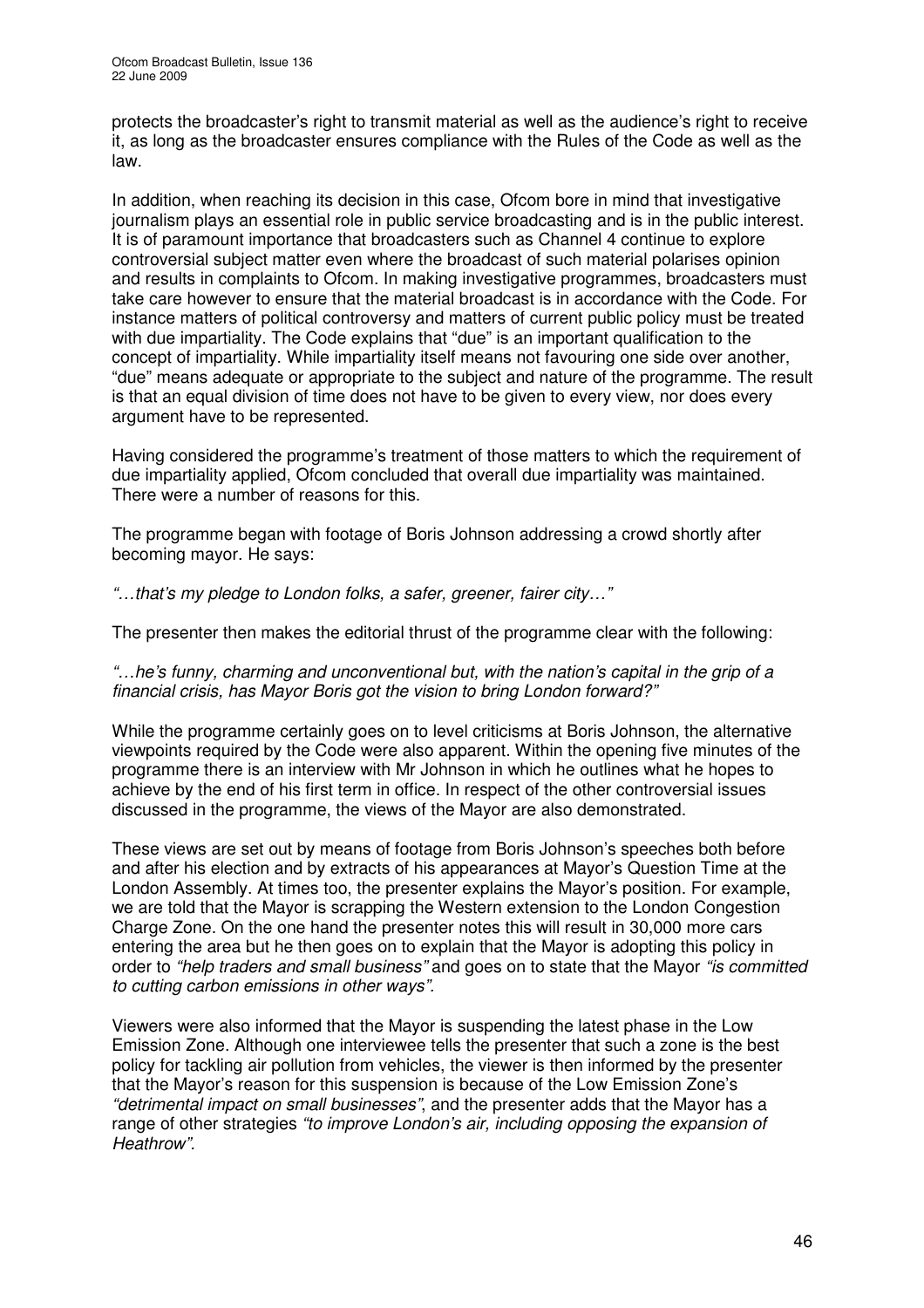protects the broadcaster's right to transmit material as well as the audience's right to receive it, as long as the broadcaster ensures compliance with the Rules of the Code as well as the law.

In addition, when reaching its decision in this case, Ofcom bore in mind that investigative journalism plays an essential role in public service broadcasting and is in the public interest. It is of paramount importance that broadcasters such as Channel 4 continue to explore controversial subject matter even where the broadcast of such material polarises opinion and results in complaints to Ofcom. In making investigative programmes, broadcasters must take care however to ensure that the material broadcast is in accordance with the Code. For instance matters of political controversy and matters of current public policy must be treated with due impartiality. The Code explains that "due" is an important qualification to the concept of impartiality. While impartiality itself means not favouring one side over another, "due" means adequate or appropriate to the subject and nature of the programme. The result is that an equal division of time does not have to be given to every view, nor does every argument have to be represented.

Having considered the programme's treatment of those matters to which the requirement of due impartiality applied, Ofcom concluded that overall due impartiality was maintained. There were a number of reasons for this.

The programme began with footage of Boris Johnson addressing a crowd shortly after becoming mayor. He says:

*"…that's my pledge to London folks, a safer, greener, fairer city…"*

The presenter then makes the editorial thrust of the programme clear with the following:

*"…he's funny, charming and unconventional but, with the nation's capital in the grip of a financial crisis, has Mayor Boris got the vision to bring London forward?"*

While the programme certainly goes on to level criticisms at Boris Johnson, the alternative viewpoints required by the Code were also apparent. Within the opening five minutes of the programme there is an interview with Mr Johnson in which he outlines what he hopes to achieve by the end of his first term in office. In respect of the other controversial issues discussed in the programme, the views of the Mayor are also demonstrated.

These views are set out by means of footage from Boris Johnson's speeches both before and after his election and by extracts of his appearances at Mayor's Question Time at the London Assembly. At times too, the presenter explains the Mayor's position. For example, we are told that the Mayor is scrapping the Western extension to the London Congestion Charge Zone. On the one hand the presenter notes this will result in 30,000 more cars entering the area but he then goes on to explain that the Mayor is adopting this policy in order to *"help traders and small business"* and goes on to state that the Mayor *"is committed to cutting carbon emissions in other ways".*

Viewers were also informed that the Mayor is suspending the latest phase in the Low Emission Zone. Although one interviewee tells the presenter that such a zone is the best policy for tackling air pollution from vehicles, the viewer is then informed by the presenter that the Mayor's reason for this suspension is because of the Low Emission Zone's *"detrimental impact on small businesses"*, and the presenter adds that the Mayor has a range of other strategies *"to improve London's air, including opposing the expansion of Heathrow".*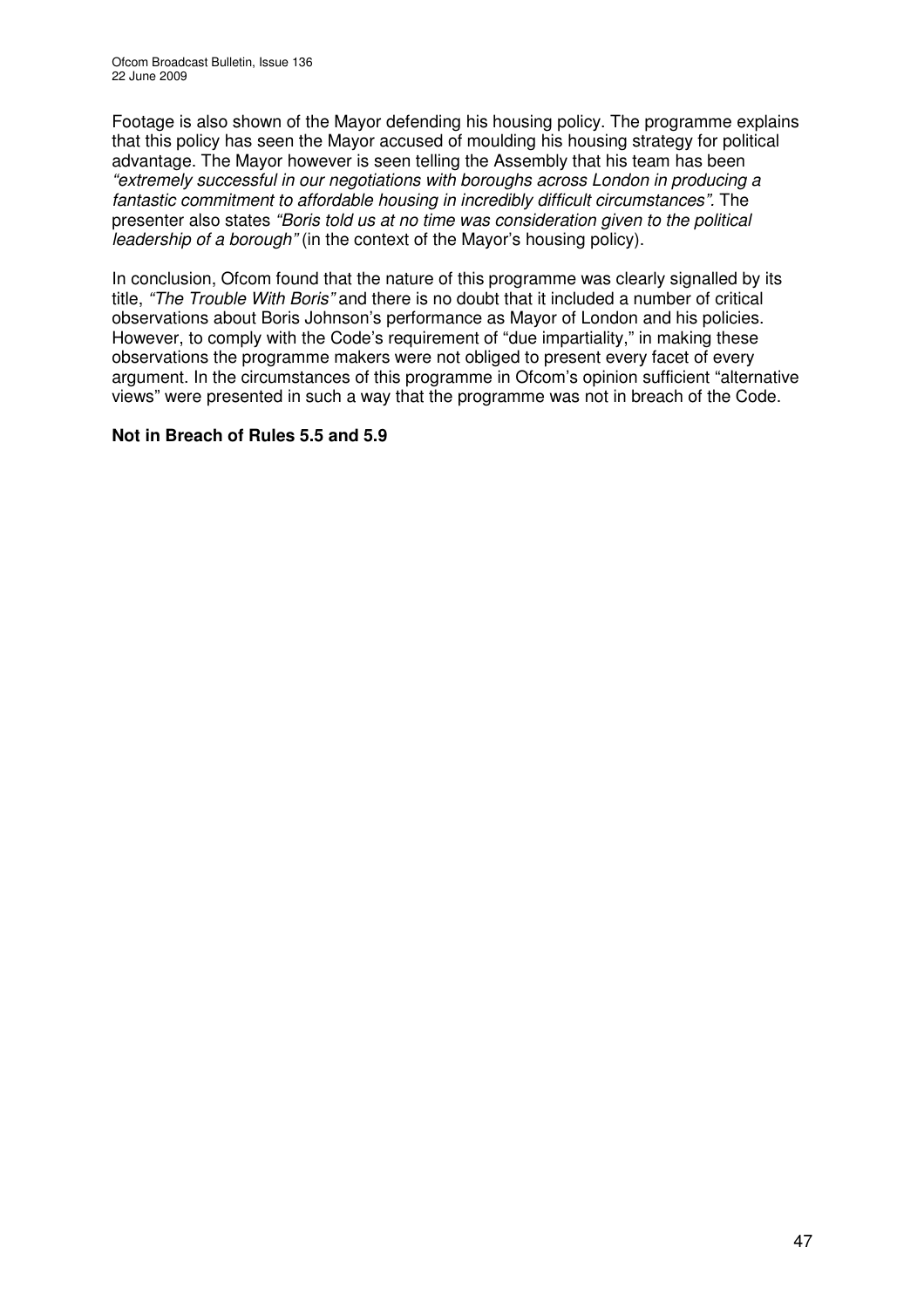Footage is also shown of the Mayor defending his housing policy. The programme explains that this policy has seen the Mayor accused of moulding his housing strategy for political advantage. The Mayor however is seen telling the Assembly that his team has been *"extremely successful in our negotiations with boroughs across London in producing a fantastic commitment to affordable housing in incredibly difficult circumstances".* The presenter also states *"Boris told us at no time was consideration given to the political leadership of a borough"* (in the context of the Mayor's housing policy).

In conclusion, Ofcom found that the nature of this programme was clearly signalled by its title, *"The Trouble With Boris"* and there is no doubt that it included a number of critical observations about Boris Johnson's performance as Mayor of London and his policies. However, to comply with the Code's requirement of "due impartiality," in making these observations the programme makers were not obliged to present every facet of every argument. In the circumstances of this programme in Ofcom's opinion sufficient "alternative views" were presented in such a way that the programme was not in breach of the Code.

#### **Not in Breach of Rules 5.5 and 5.9**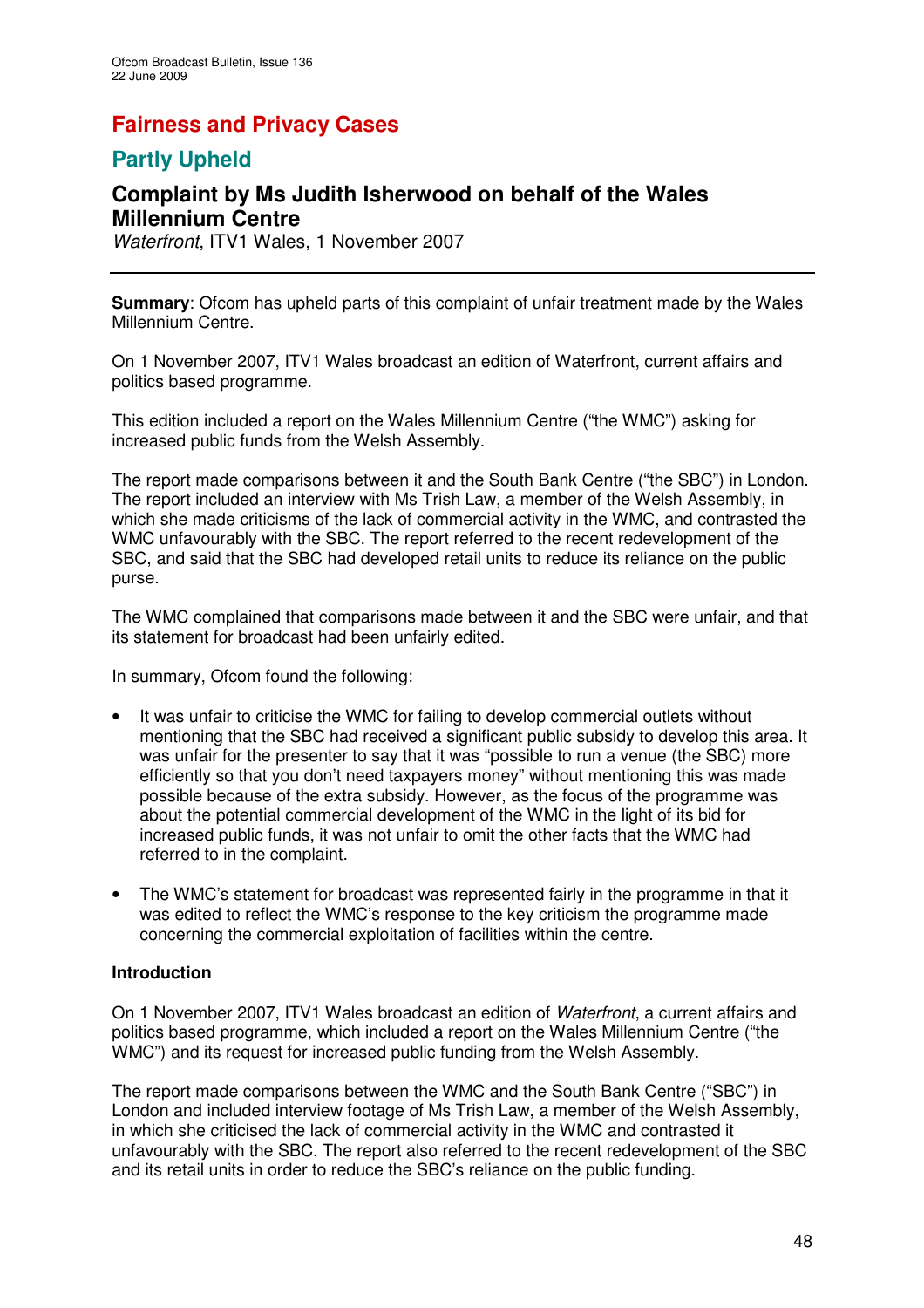# **Fairness and Privacy Cases**

# **Partly Upheld**

# **Complaint by Ms Judith Isherwood on behalf of the Wales Millennium Centre**

*Waterfront*, ITV1 Wales, 1 November 2007

**Summary**: Ofcom has upheld parts of this complaint of unfair treatment made by the Wales Millennium Centre.

On 1 November 2007, ITV1 Wales broadcast an edition of Waterfront, current affairs and politics based programme.

This edition included a report on the Wales Millennium Centre ("the WMC") asking for increased public funds from the Welsh Assembly.

The report made comparisons between it and the South Bank Centre ("the SBC") in London. The report included an interview with Ms Trish Law, a member of the Welsh Assembly, in which she made criticisms of the lack of commercial activity in the WMC, and contrasted the WMC unfavourably with the SBC. The report referred to the recent redevelopment of the SBC, and said that the SBC had developed retail units to reduce its reliance on the public purse.

The WMC complained that comparisons made between it and the SBC were unfair, and that its statement for broadcast had been unfairly edited.

In summary, Ofcom found the following:

- It was unfair to criticise the WMC for failing to develop commercial outlets without mentioning that the SBC had received a significant public subsidy to develop this area. It was unfair for the presenter to say that it was "possible to run a venue (the SBC) more efficiently so that you don't need taxpayers money" without mentioning this was made possible because of the extra subsidy. However, as the focus of the programme was about the potential commercial development of the WMC in the light of its bid for increased public funds, it was not unfair to omit the other facts that the WMC had referred to in the complaint.
- The WMC's statement for broadcast was represented fairly in the programme in that it was edited to reflect the WMC's response to the key criticism the programme made concerning the commercial exploitation of facilities within the centre.

#### **Introduction**

On 1 November 2007, ITV1 Wales broadcast an edition of *Waterfront*, a current affairs and politics based programme, which included a report on the Wales Millennium Centre ("the WMC") and its request for increased public funding from the Welsh Assembly.

The report made comparisons between the WMC and the South Bank Centre ("SBC") in London and included interview footage of Ms Trish Law, a member of the Welsh Assembly, in which she criticised the lack of commercial activity in the WMC and contrasted it unfavourably with the SBC. The report also referred to the recent redevelopment of the SBC and its retail units in order to reduce the SBC's reliance on the public funding.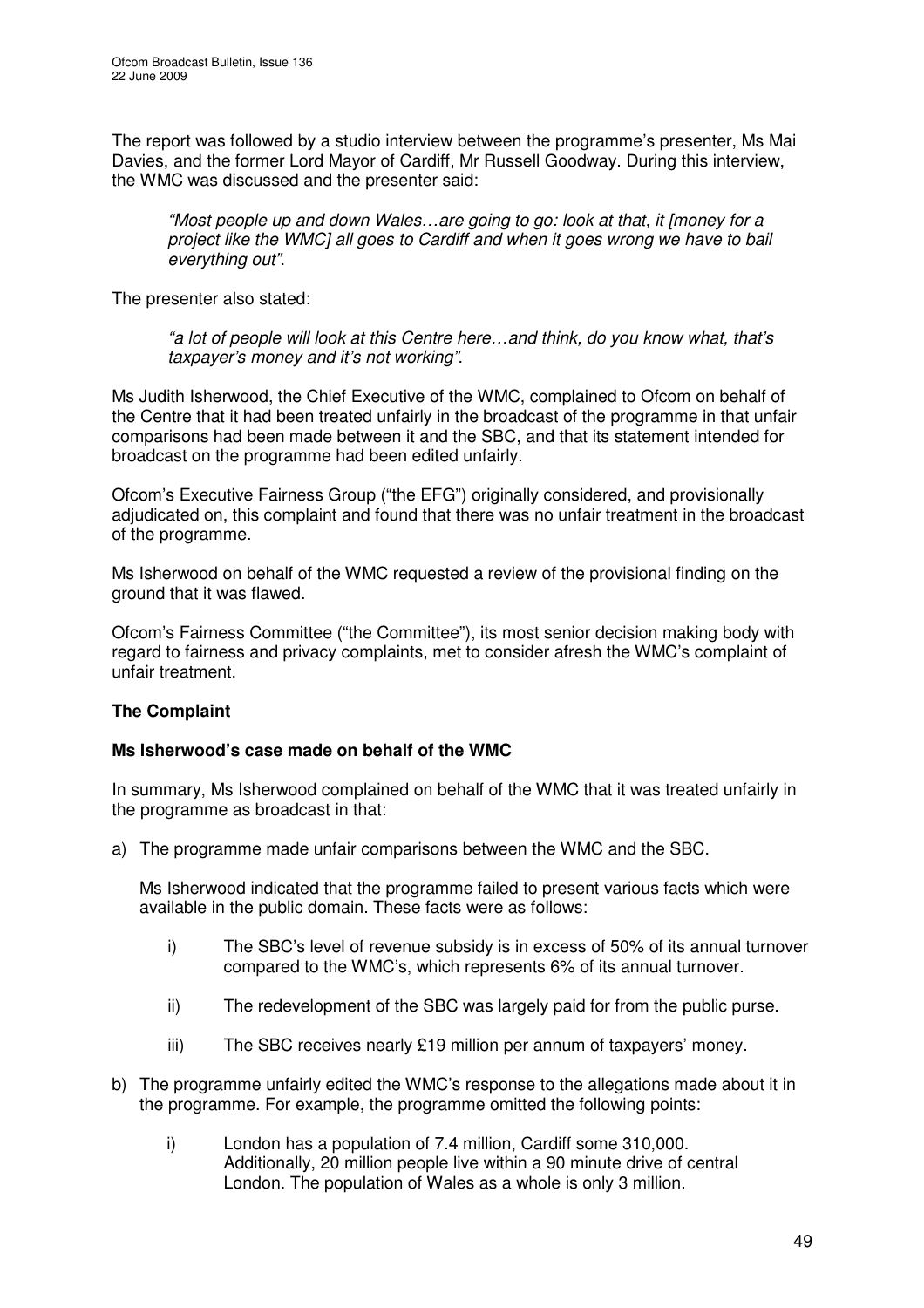The report was followed by a studio interview between the programme's presenter, Ms Mai Davies, and the former Lord Mayor of Cardiff, Mr Russell Goodway. During this interview, the WMC was discussed and the presenter said:

*"Most people up and down Wales…are going to go: look at that, it [money for a project like the WMC] all goes to Cardiff and when it goes wrong we have to bail everything out"*.

The presenter also stated:

*"a lot of people will look at this Centre here…and think, do you know what, that's taxpayer's money and it's not working"*.

Ms Judith Isherwood, the Chief Executive of the WMC, complained to Ofcom on behalf of the Centre that it had been treated unfairly in the broadcast of the programme in that unfair comparisons had been made between it and the SBC, and that its statement intended for broadcast on the programme had been edited unfairly.

Ofcom's Executive Fairness Group ("the EFG") originally considered, and provisionally adjudicated on, this complaint and found that there was no unfair treatment in the broadcast of the programme.

Ms Isherwood on behalf of the WMC requested a review of the provisional finding on the ground that it was flawed.

Ofcom's Fairness Committee ("the Committee"), its most senior decision making body with regard to fairness and privacy complaints, met to consider afresh the WMC's complaint of unfair treatment.

## **The Complaint**

## **Ms Isherwood's case made on behalf of the WMC**

In summary, Ms Isherwood complained on behalf of the WMC that it was treated unfairly in the programme as broadcast in that:

a) The programme made unfair comparisons between the WMC and the SBC.

Ms Isherwood indicated that the programme failed to present various facts which were available in the public domain. These facts were as follows:

- i) The SBC's level of revenue subsidy is in excess of 50% of its annual turnover compared to the WMC's, which represents 6% of its annual turnover.
- ii) The redevelopment of the SBC was largely paid for from the public purse.
- iii) The SBC receives nearly £19 million per annum of taxpayers' money.
- b) The programme unfairly edited the WMC's response to the allegations made about it in the programme. For example, the programme omitted the following points:
	- i) London has a population of 7.4 million, Cardiff some 310,000. Additionally, 20 million people live within a 90 minute drive of central London. The population of Wales as a whole is only 3 million.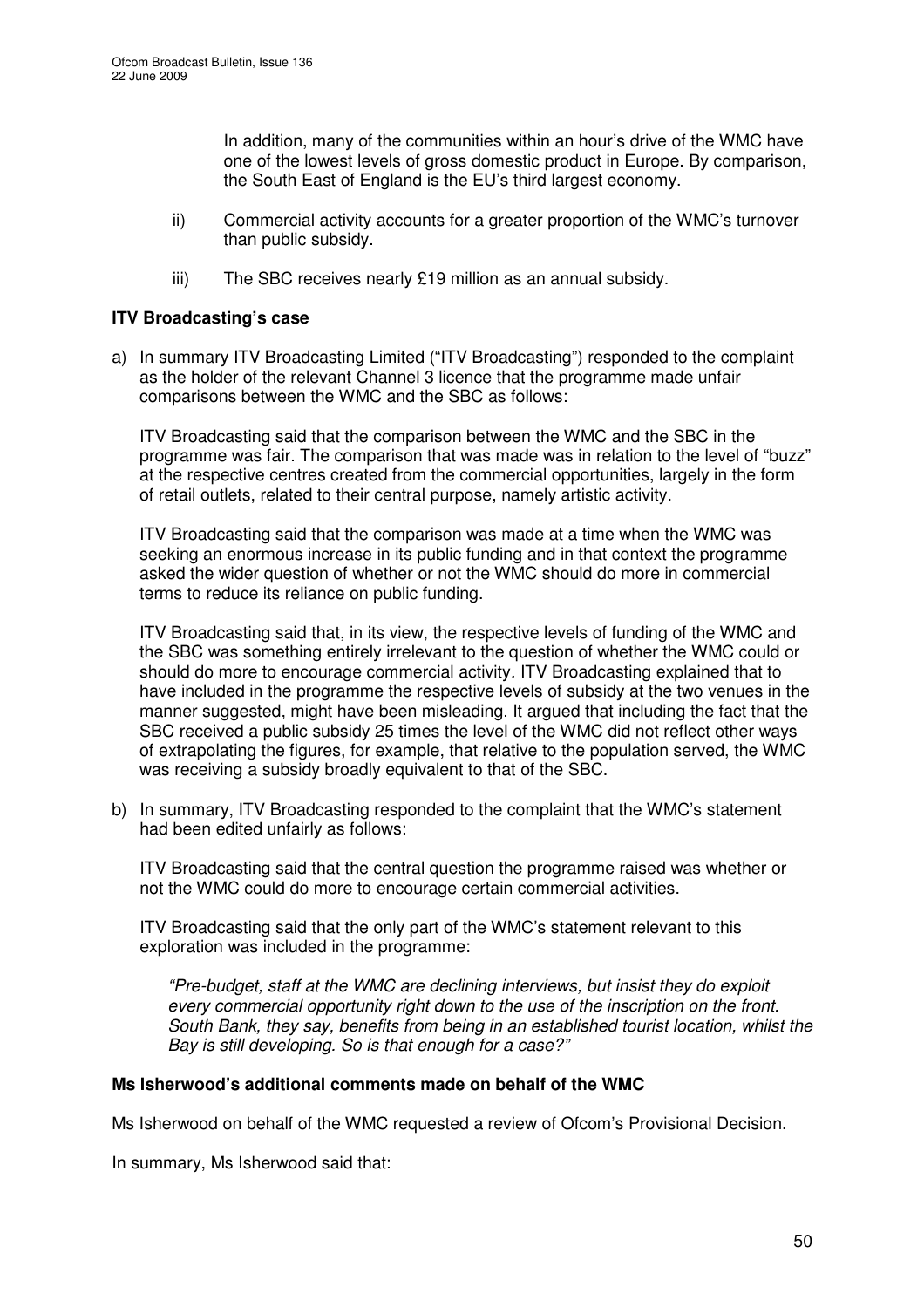In addition, many of the communities within an hour's drive of the WMC have one of the lowest levels of gross domestic product in Europe. By comparison, the South East of England is the EU's third largest economy.

- ii) Commercial activity accounts for a greater proportion of the WMC's turnover than public subsidy.
- iii) The SBC receives nearly £19 million as an annual subsidy.

#### **ITV Broadcasting's case**

a) In summary ITV Broadcasting Limited ("ITV Broadcasting") responded to the complaint as the holder of the relevant Channel 3 licence that the programme made unfair comparisons between the WMC and the SBC as follows:

ITV Broadcasting said that the comparison between the WMC and the SBC in the programme was fair. The comparison that was made was in relation to the level of "buzz" at the respective centres created from the commercial opportunities, largely in the form of retail outlets, related to their central purpose, namely artistic activity.

ITV Broadcasting said that the comparison was made at a time when the WMC was seeking an enormous increase in its public funding and in that context the programme asked the wider question of whether or not the WMC should do more in commercial terms to reduce its reliance on public funding.

ITV Broadcasting said that, in its view, the respective levels of funding of the WMC and the SBC was something entirely irrelevant to the question of whether the WMC could or should do more to encourage commercial activity*.* ITV Broadcasting explained that to have included in the programme the respective levels of subsidy at the two venues in the manner suggested, might have been misleading. It argued that including the fact that the SBC received a public subsidy 25 times the level of the WMC did not reflect other ways of extrapolating the figures, for example, that relative to the population served, the WMC was receiving a subsidy broadly equivalent to that of the SBC.

b) In summary, ITV Broadcasting responded to the complaint that the WMC's statement had been edited unfairly as follows:

ITV Broadcasting said that the central question the programme raised was whether or not the WMC could do more to encourage certain commercial activities.

ITV Broadcasting said that the only part of the WMC's statement relevant to this exploration was included in the programme:

*"Pre-budget, staff at the WMC are declining interviews, but insist they do exploit every commercial opportunity right down to the use of the inscription on the front. South Bank, they say, benefits from being in an established tourist location, whilst the Bay is still developing. So is that enough for a case?"*

#### **Ms Isherwood's additional comments made on behalf of the WMC**

Ms Isherwood on behalf of the WMC requested a review of Ofcom's Provisional Decision.

In summary, Ms Isherwood said that: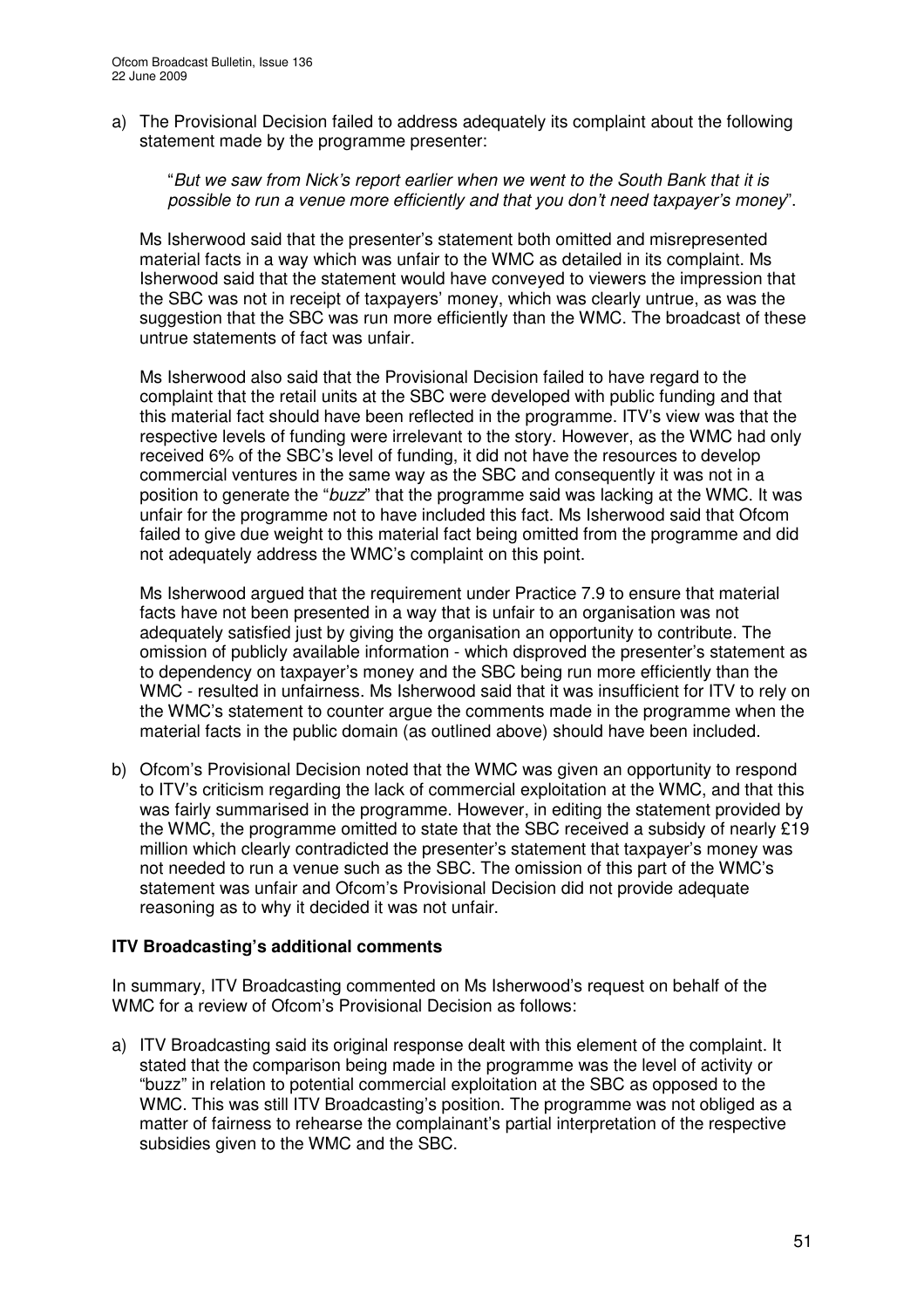a) The Provisional Decision failed to address adequately its complaint about the following statement made by the programme presenter:

"*But we saw from Nick's report earlier when we went to the South Bank that it is possible to run a venue more efficiently and that you don't need taxpayer's money*".

Ms Isherwood said that the presenter's statement both omitted and misrepresented material facts in a way which was unfair to the WMC as detailed in its complaint. Ms Isherwood said that the statement would have conveyed to viewers the impression that the SBC was not in receipt of taxpayers' money, which was clearly untrue, as was the suggestion that the SBC was run more efficiently than the WMC. The broadcast of these untrue statements of fact was unfair.

Ms Isherwood also said that the Provisional Decision failed to have regard to the complaint that the retail units at the SBC were developed with public funding and that this material fact should have been reflected in the programme. ITV's view was that the respective levels of funding were irrelevant to the story. However, as the WMC had only received 6% of the SBC's level of funding, it did not have the resources to develop commercial ventures in the same way as the SBC and consequently it was not in a position to generate the "*buzz*" that the programme said was lacking at the WMC. It was unfair for the programme not to have included this fact. Ms Isherwood said that Ofcom failed to give due weight to this material fact being omitted from the programme and did not adequately address the WMC's complaint on this point.

Ms Isherwood argued that the requirement under Practice 7.9 to ensure that material facts have not been presented in a way that is unfair to an organisation was not adequately satisfied just by giving the organisation an opportunity to contribute. The omission of publicly available information - which disproved the presenter's statement as to dependency on taxpayer's money and the SBC being run more efficiently than the WMC - resulted in unfairness. Ms Isherwood said that it was insufficient for ITV to rely on the WMC's statement to counter argue the comments made in the programme when the material facts in the public domain (as outlined above) should have been included.

b) Ofcom's Provisional Decision noted that the WMC was given an opportunity to respond to ITV's criticism regarding the lack of commercial exploitation at the WMC, and that this was fairly summarised in the programme. However, in editing the statement provided by the WMC, the programme omitted to state that the SBC received a subsidy of nearly £19 million which clearly contradicted the presenter's statement that taxpayer's money was not needed to run a venue such as the SBC. The omission of this part of the WMC's statement was unfair and Ofcom's Provisional Decision did not provide adequate reasoning as to why it decided it was not unfair.

#### **ITV Broadcasting's additional comments**

In summary, ITV Broadcasting commented on Ms Isherwood's request on behalf of the WMC for a review of Ofcom's Provisional Decision as follows:

a) ITV Broadcasting said its original response dealt with this element of the complaint. It stated that the comparison being made in the programme was the level of activity or "buzz" in relation to potential commercial exploitation at the SBC as opposed to the WMC. This was still ITV Broadcasting's position. The programme was not obliged as a matter of fairness to rehearse the complainant's partial interpretation of the respective subsidies given to the WMC and the SBC.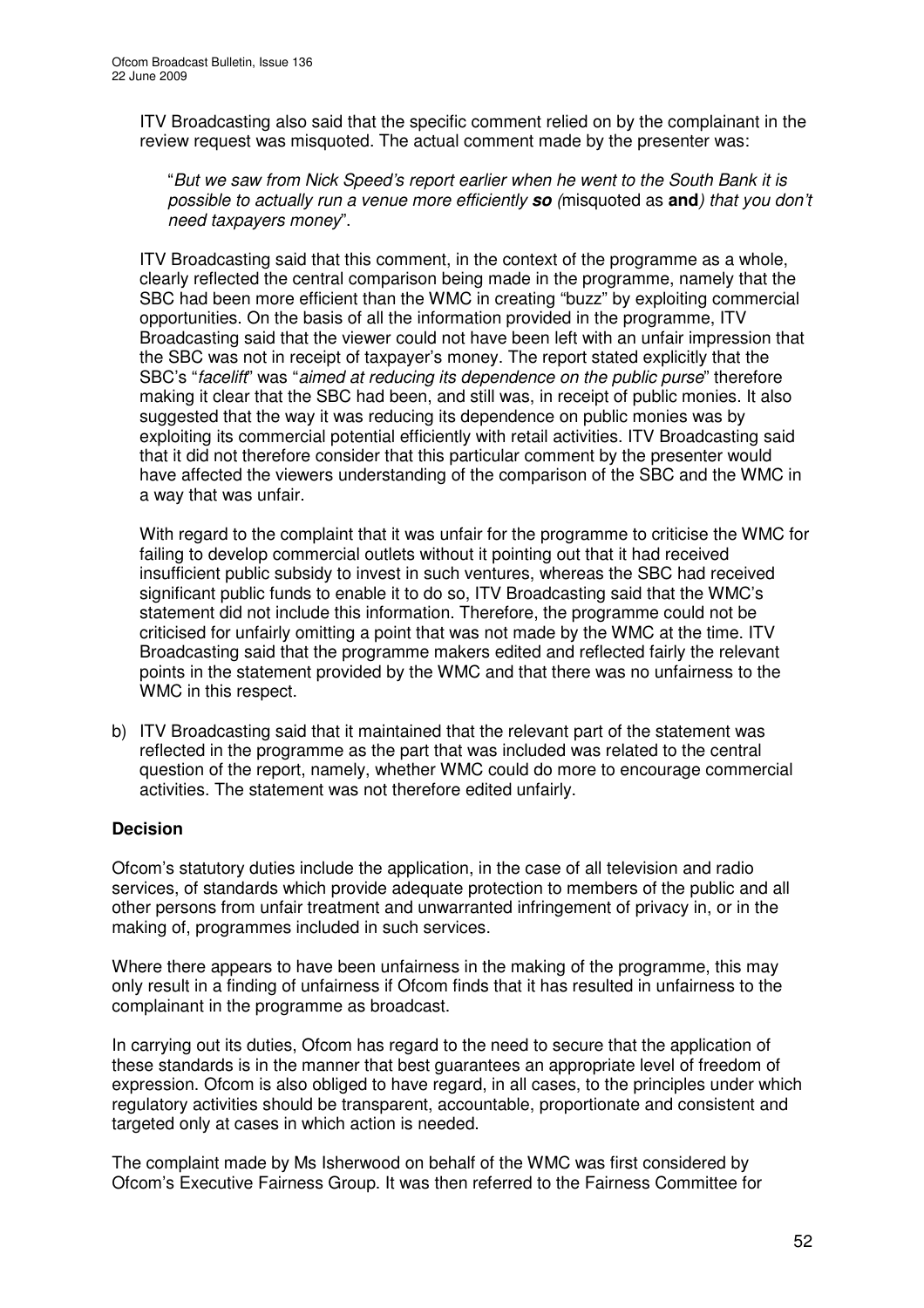ITV Broadcasting also said that the specific comment relied on by the complainant in the review request was misquoted. The actual comment made by the presenter was:

"*But we saw from Nick Speed's report earlier when he went to the South Bank it is possible to actually run a venue more efficiently so (*misquoted as **and***) that you don't need taxpayers money*".

ITV Broadcasting said that this comment, in the context of the programme as a whole, clearly reflected the central comparison being made in the programme, namely that the SBC had been more efficient than the WMC in creating "buzz" by exploiting commercial opportunities. On the basis of all the information provided in the programme, ITV Broadcasting said that the viewer could not have been left with an unfair impression that the SBC was not in receipt of taxpayer's money. The report stated explicitly that the SBC's "*facelift*" was "*aimed at reducing its dependence on the public purse*" therefore making it clear that the SBC had been, and still was, in receipt of public monies. It also suggested that the way it was reducing its dependence on public monies was by exploiting its commercial potential efficiently with retail activities. ITV Broadcasting said that it did not therefore consider that this particular comment by the presenter would have affected the viewers understanding of the comparison of the SBC and the WMC in a way that was unfair.

With regard to the complaint that it was unfair for the programme to criticise the WMC for failing to develop commercial outlets without it pointing out that it had received insufficient public subsidy to invest in such ventures, whereas the SBC had received significant public funds to enable it to do so, ITV Broadcasting said that the WMC's statement did not include this information. Therefore, the programme could not be criticised for unfairly omitting a point that was not made by the WMC at the time. ITV Broadcasting said that the programme makers edited and reflected fairly the relevant points in the statement provided by the WMC and that there was no unfairness to the WMC in this respect.

b) ITV Broadcasting said that it maintained that the relevant part of the statement was reflected in the programme as the part that was included was related to the central question of the report, namely, whether WMC could do more to encourage commercial activities. The statement was not therefore edited unfairly.

#### **Decision**

Ofcom's statutory duties include the application, in the case of all television and radio services, of standards which provide adequate protection to members of the public and all other persons from unfair treatment and unwarranted infringement of privacy in, or in the making of, programmes included in such services.

Where there appears to have been unfairness in the making of the programme, this may only result in a finding of unfairness if Ofcom finds that it has resulted in unfairness to the complainant in the programme as broadcast.

In carrying out its duties, Ofcom has regard to the need to secure that the application of these standards is in the manner that best guarantees an appropriate level of freedom of expression. Ofcom is also obliged to have regard, in all cases, to the principles under which regulatory activities should be transparent, accountable, proportionate and consistent and targeted only at cases in which action is needed.

The complaint made by Ms Isherwood on behalf of the WMC was first considered by Ofcom's Executive Fairness Group. It was then referred to the Fairness Committee for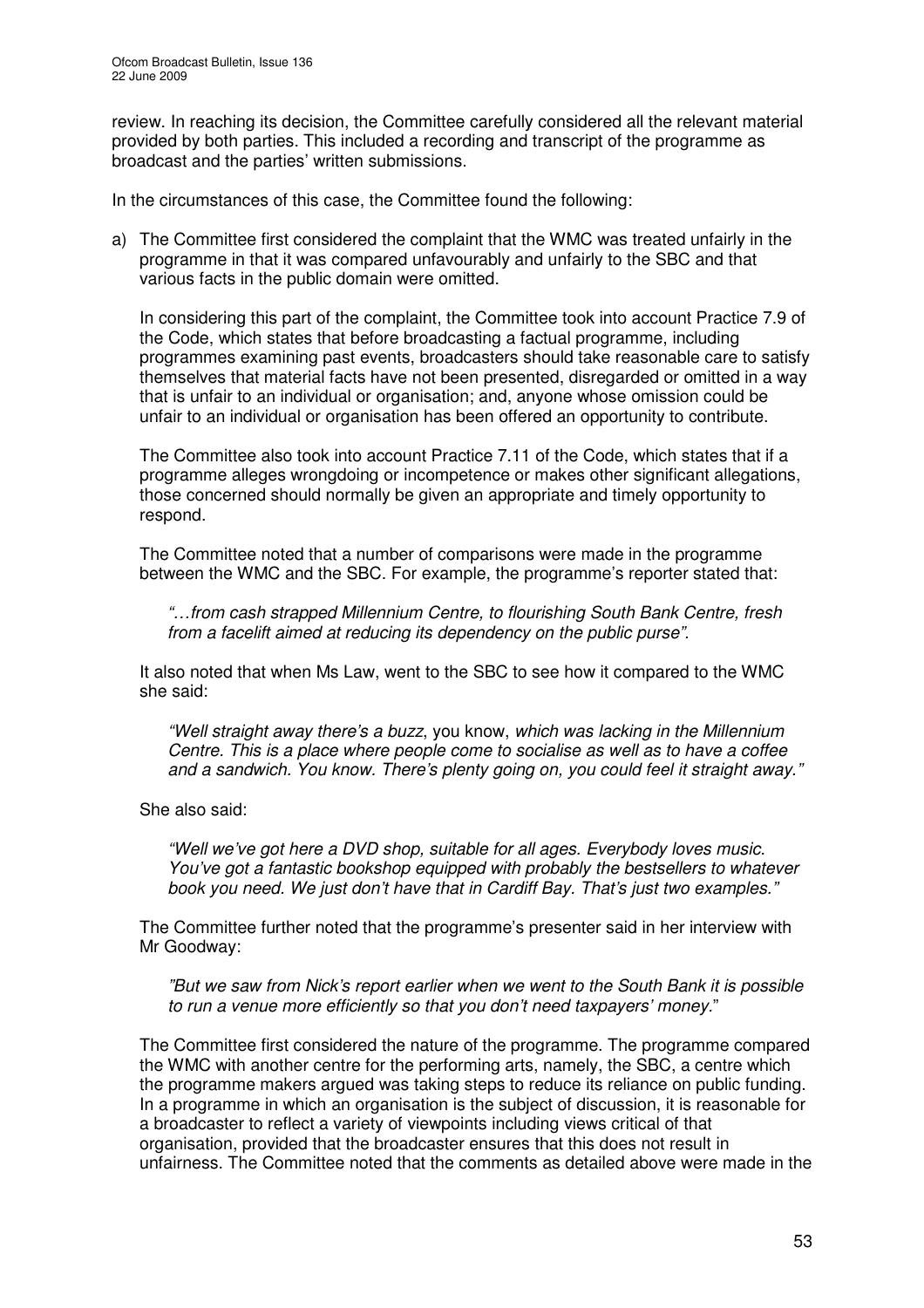review. In reaching its decision, the Committee carefully considered all the relevant material provided by both parties. This included a recording and transcript of the programme as broadcast and the parties' written submissions.

In the circumstances of this case, the Committee found the following:

a) The Committee first considered the complaint that the WMC was treated unfairly in the programme in that it was compared unfavourably and unfairly to the SBC and that various facts in the public domain were omitted.

In considering this part of the complaint, the Committee took into account Practice 7.9 of the Code, which states that before broadcasting a factual programme, including programmes examining past events, broadcasters should take reasonable care to satisfy themselves that material facts have not been presented, disregarded or omitted in a way that is unfair to an individual or organisation; and, anyone whose omission could be unfair to an individual or organisation has been offered an opportunity to contribute.

The Committee also took into account Practice 7.11 of the Code, which states that if a programme alleges wrongdoing or incompetence or makes other significant allegations, those concerned should normally be given an appropriate and timely opportunity to respond.

The Committee noted that a number of comparisons were made in the programme between the WMC and the SBC. For example, the programme's reporter stated that:

*"…from cash strapped Millennium Centre, to flourishing South Bank Centre, fresh from a facelift aimed at reducing its dependency on the public purse".*

It also noted that when Ms Law, went to the SBC to see how it compared to the WMC she said:

*"Well straight away there's a buzz*, you know, *which was lacking in the Millennium Centre. This is a place where people come to socialise as well as to have a coffee and a sandwich. You know. There's plenty going on, you could feel it straight away."*

She also said:

*"Well we've got here a DVD shop, suitable for all ages. Everybody loves music. You've got a fantastic bookshop equipped with probably the bestsellers to whatever book you need. We just don't have that in Cardiff Bay. That's just two examples."*

The Committee further noted that the programme's presenter said in her interview with Mr Goodway:

*"But we saw from Nick's report earlier when we went to the South Bank it is possible to run a venue more efficiently so that you don't need taxpayers' money.*"

The Committee first considered the nature of the programme. The programme compared the WMC with another centre for the performing arts, namely, the SBC, a centre which the programme makers argued was taking steps to reduce its reliance on public funding. In a programme in which an organisation is the subject of discussion, it is reasonable for a broadcaster to reflect a variety of viewpoints including views critical of that organisation, provided that the broadcaster ensures that this does not result in unfairness. The Committee noted that the comments as detailed above were made in the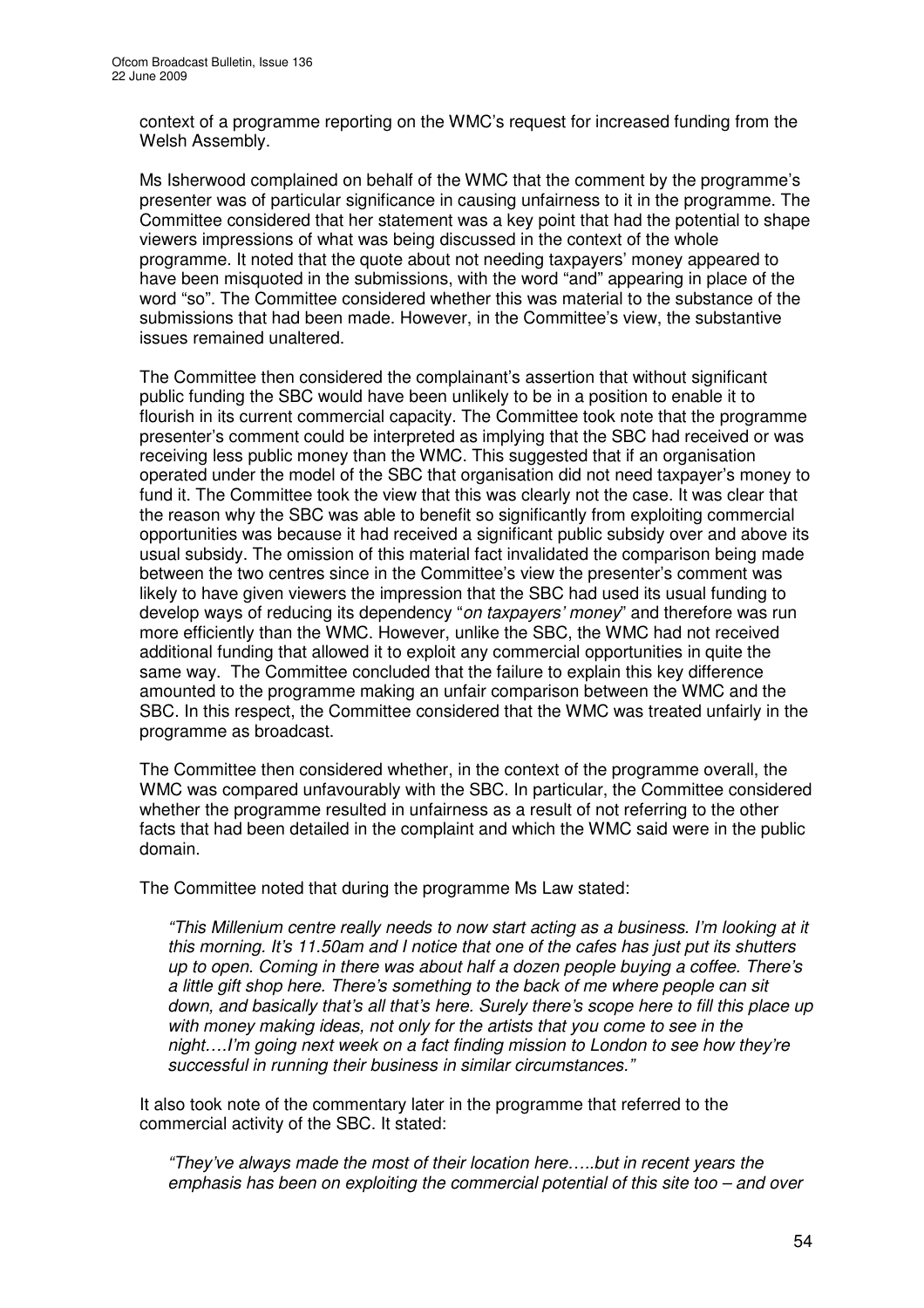context of a programme reporting on the WMC's request for increased funding from the Welsh Assembly.

Ms Isherwood complained on behalf of the WMC that the comment by the programme's presenter was of particular significance in causing unfairness to it in the programme. The Committee considered that her statement was a key point that had the potential to shape viewers impressions of what was being discussed in the context of the whole programme. It noted that the quote about not needing taxpayers' money appeared to have been misquoted in the submissions, with the word "and" appearing in place of the word "so". The Committee considered whether this was material to the substance of the submissions that had been made. However, in the Committee's view, the substantive issues remained unaltered.

The Committee then considered the complainant's assertion that without significant public funding the SBC would have been unlikely to be in a position to enable it to flourish in its current commercial capacity. The Committee took note that the programme presenter's comment could be interpreted as implying that the SBC had received or was receiving less public money than the WMC. This suggested that if an organisation operated under the model of the SBC that organisation did not need taxpayer's money to fund it. The Committee took the view that this was clearly not the case. It was clear that the reason why the SBC was able to benefit so significantly from exploiting commercial opportunities was because it had received a significant public subsidy over and above its usual subsidy. The omission of this material fact invalidated the comparison being made between the two centres since in the Committee's view the presenter's comment was likely to have given viewers the impression that the SBC had used its usual funding to develop ways of reducing its dependency "*on taxpayers' money*" and therefore was run more efficiently than the WMC. However, unlike the SBC, the WMC had not received additional funding that allowed it to exploit any commercial opportunities in quite the same way. The Committee concluded that the failure to explain this key difference amounted to the programme making an unfair comparison between the WMC and the SBC. In this respect, the Committee considered that the WMC was treated unfairly in the programme as broadcast.

The Committee then considered whether, in the context of the programme overall, the WMC was compared unfavourably with the SBC. In particular, the Committee considered whether the programme resulted in unfairness as a result of not referring to the other facts that had been detailed in the complaint and which the WMC said were in the public domain.

The Committee noted that during the programme Ms Law stated:

*"This Millenium centre really needs to now start acting as a business. I'm looking at it this morning. It's 11.50am and I notice that one of the cafes has just put its shutters up to open. Coming in there was about half a dozen people buying a coffee. There's a little gift shop here. There's something to the back of me where people can sit down, and basically that's all that's here. Surely there's scope here to fill this place up with money making ideas, not only for the artists that you come to see in the night….I'm going next week on a fact finding mission to London to see how they're successful in running their business in similar circumstances."*

It also took note of the commentary later in the programme that referred to the commercial activity of the SBC. It stated:

*"They've always made the most of their location here…..but in recent years the emphasis has been on exploiting the commercial potential of this site too – and over*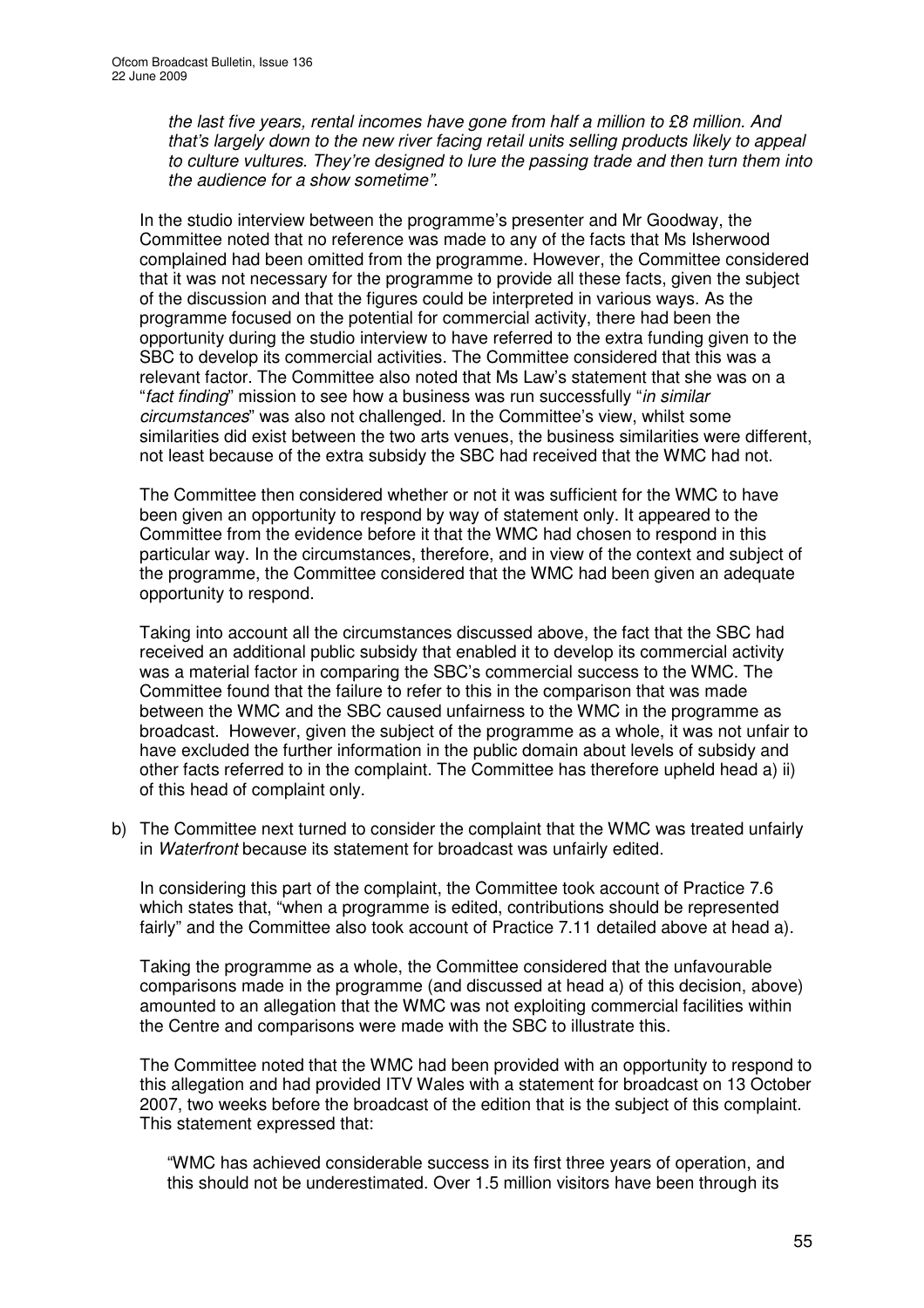*the last five years, rental incomes have gone from half a million to £8 million. And that's largely down to the new river facing retail units selling products likely to appeal to culture vultures. They're designed to lure the passing trade and then turn them into the audience for a show sometime".*

In the studio interview between the programme's presenter and Mr Goodway, the Committee noted that no reference was made to any of the facts that Ms Isherwood complained had been omitted from the programme. However, the Committee considered that it was not necessary for the programme to provide all these facts, given the subject of the discussion and that the figures could be interpreted in various ways. As the programme focused on the potential for commercial activity, there had been the opportunity during the studio interview to have referred to the extra funding given to the SBC to develop its commercial activities. The Committee considered that this was a relevant factor. The Committee also noted that Ms Law's statement that she was on a "*fact finding*" mission to see how a business was run successfully "*in similar circumstances*" was also not challenged. In the Committee's view, whilst some similarities did exist between the two arts venues, the business similarities were different. not least because of the extra subsidy the SBC had received that the WMC had not.

The Committee then considered whether or not it was sufficient for the WMC to have been given an opportunity to respond by way of statement only. It appeared to the Committee from the evidence before it that the WMC had chosen to respond in this particular way. In the circumstances, therefore, and in view of the context and subject of the programme, the Committee considered that the WMC had been given an adequate opportunity to respond.

Taking into account all the circumstances discussed above, the fact that the SBC had received an additional public subsidy that enabled it to develop its commercial activity was a material factor in comparing the SBC's commercial success to the WMC. The Committee found that the failure to refer to this in the comparison that was made between the WMC and the SBC caused unfairness to the WMC in the programme as broadcast. However, given the subject of the programme as a whole, it was not unfair to have excluded the further information in the public domain about levels of subsidy and other facts referred to in the complaint. The Committee has therefore upheld head a) ii) of this head of complaint only.

b) The Committee next turned to consider the complaint that the WMC was treated unfairly in *Waterfront* because its statement for broadcast was unfairly edited.

In considering this part of the complaint, the Committee took account of Practice 7.6 which states that, "when a programme is edited, contributions should be represented fairly" and the Committee also took account of Practice 7.11 detailed above at head a).

Taking the programme as a whole, the Committee considered that the unfavourable comparisons made in the programme (and discussed at head a) of this decision, above) amounted to an allegation that the WMC was not exploiting commercial facilities within the Centre and comparisons were made with the SBC to illustrate this.

The Committee noted that the WMC had been provided with an opportunity to respond to this allegation and had provided ITV Wales with a statement for broadcast on 13 October 2007, two weeks before the broadcast of the edition that is the subject of this complaint. This statement expressed that:

"WMC has achieved considerable success in its first three years of operation, and this should not be underestimated. Over 1.5 million visitors have been through its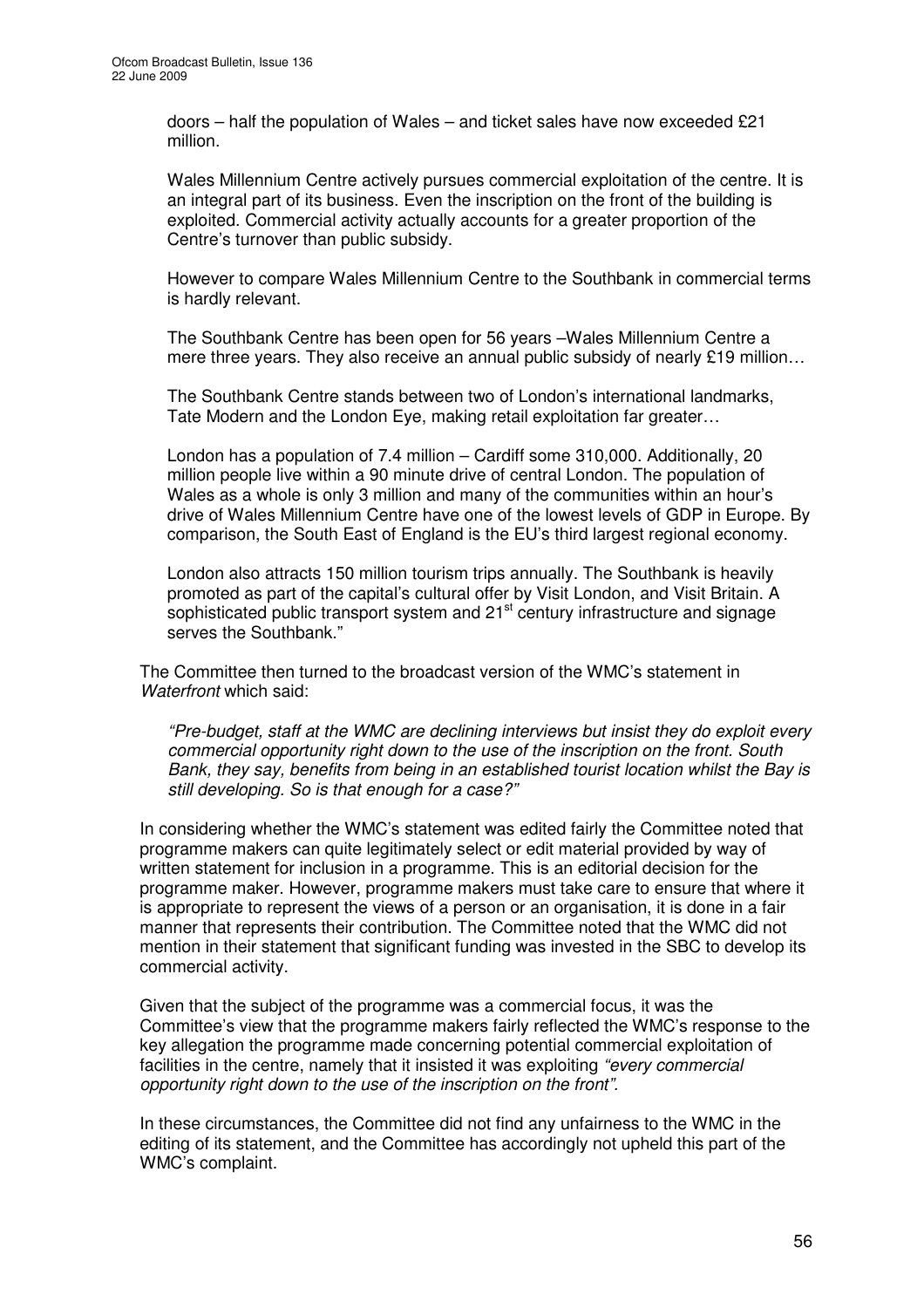doors – half the population of Wales – and ticket sales have now exceeded £21 million.

Wales Millennium Centre actively pursues commercial exploitation of the centre. It is an integral part of its business. Even the inscription on the front of the building is exploited. Commercial activity actually accounts for a greater proportion of the Centre's turnover than public subsidy.

However to compare Wales Millennium Centre to the Southbank in commercial terms is hardly relevant.

The Southbank Centre has been open for 56 years –Wales Millennium Centre a mere three years. They also receive an annual public subsidy of nearly £19 million...

The Southbank Centre stands between two of London's international landmarks, Tate Modern and the London Eye, making retail exploitation far greater…

London has a population of 7.4 million – Cardiff some 310,000. Additionally, 20 million people live within a 90 minute drive of central London. The population of Wales as a whole is only 3 million and many of the communities within an hour's drive of Wales Millennium Centre have one of the lowest levels of GDP in Europe. By comparison, the South East of England is the EU's third largest regional economy.

London also attracts 150 million tourism trips annually. The Southbank is heavily promoted as part of the capital's cultural offer by Visit London, and Visit Britain. A sophisticated public transport system and 21<sup>st</sup> century infrastructure and signage serves the Southbank."

The Committee then turned to the broadcast version of the WMC's statement in *Waterfront* which said:

*"Pre-budget, staff at the WMC are declining interviews but insist they do exploit every commercial opportunity right down to the use of the inscription on the front. South Bank, they say, benefits from being in an established tourist location whilst the Bay is still developing. So is that enough for a case?"*

In considering whether the WMC's statement was edited fairly the Committee noted that programme makers can quite legitimately select or edit material provided by way of written statement for inclusion in a programme. This is an editorial decision for the programme maker. However, programme makers must take care to ensure that where it is appropriate to represent the views of a person or an organisation, it is done in a fair manner that represents their contribution. The Committee noted that the WMC did not mention in their statement that significant funding was invested in the SBC to develop its commercial activity.

Given that the subject of the programme was a commercial focus, it was the Committee's view that the programme makers fairly reflected the WMC's response to the key allegation the programme made concerning potential commercial exploitation of facilities in the centre, namely that it insisted it was exploiting *"every commercial opportunity right down to the use of the inscription on the front".*

In these circumstances, the Committee did not find any unfairness to the WMC in the editing of its statement, and the Committee has accordingly not upheld this part of the WMC's complaint.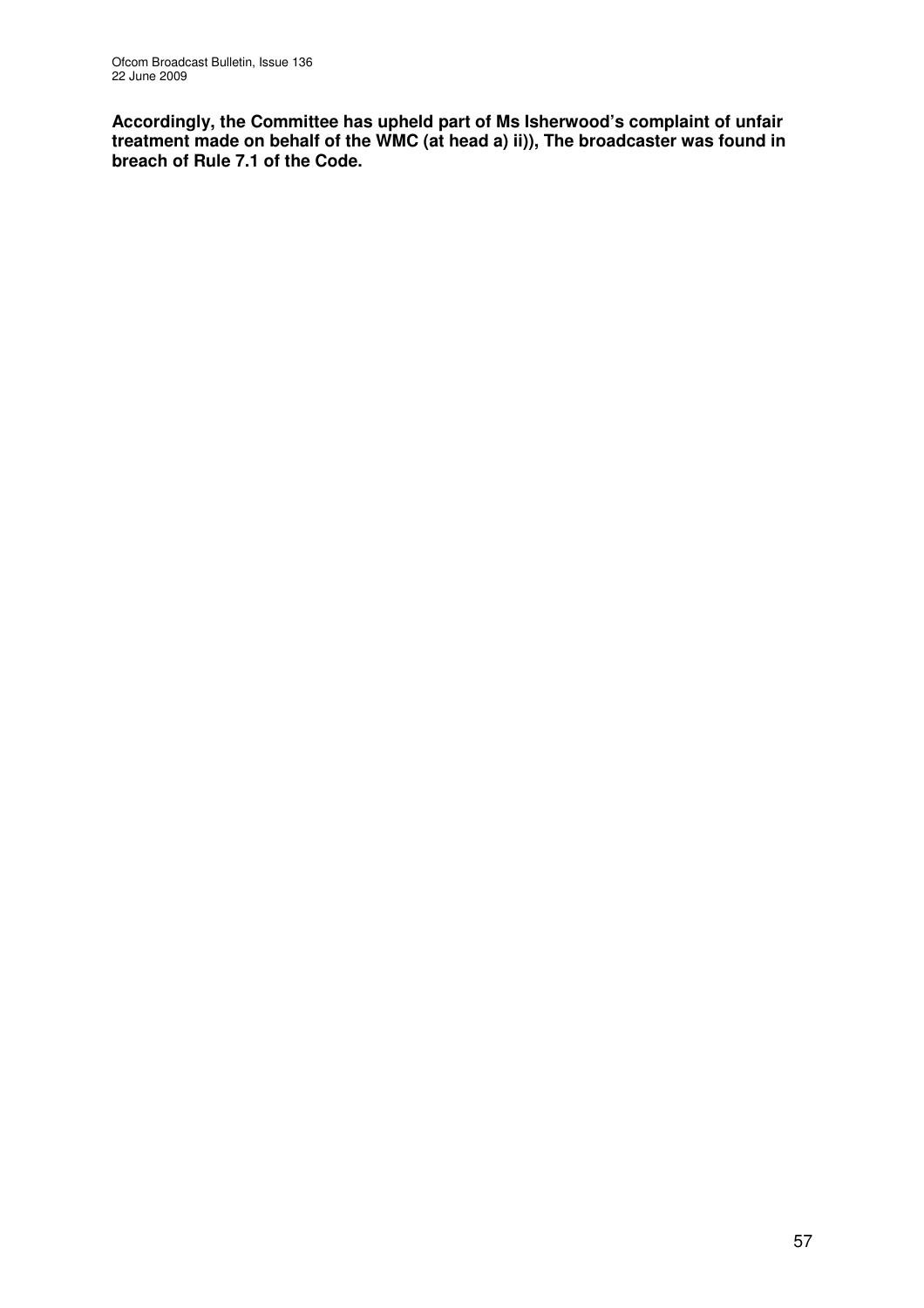**Accordingly, the Committee has upheld part of Ms Isherwood's complaint of unfair treatment made on behalf of the WMC (at head a) ii)), The broadcaster was found in breach of Rule 7.1 of the Code.**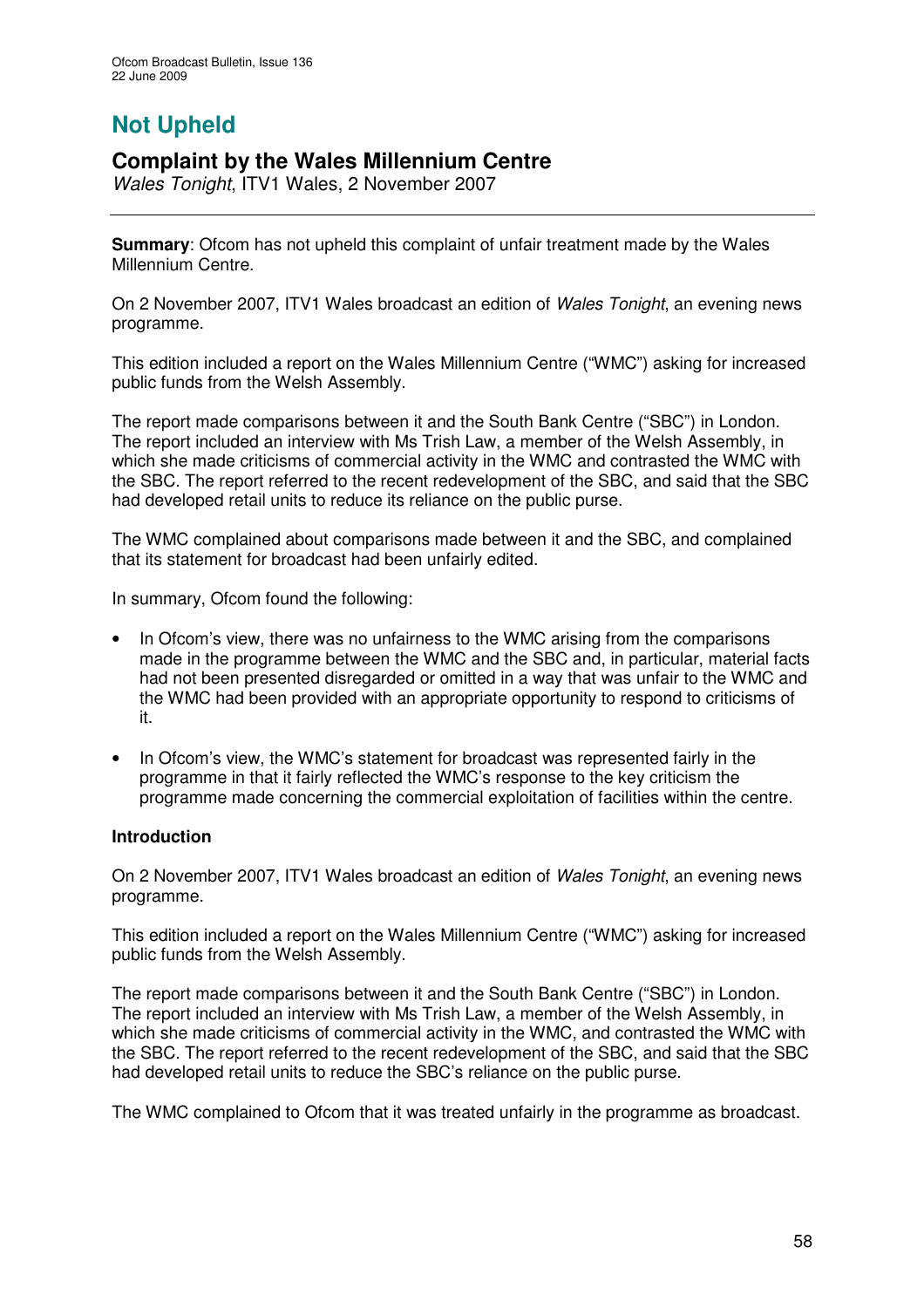# **Not Upheld**

# **Complaint by the Wales Millennium Centre**

*Wales Tonight*, ITV1 Wales, 2 November 2007

**Summary**: Ofcom has not upheld this complaint of unfair treatment made by the Wales Millennium Centre.

On 2 November 2007, ITV1 Wales broadcast an edition of *Wales Tonight*, an evening news programme.

This edition included a report on the Wales Millennium Centre ("WMC") asking for increased public funds from the Welsh Assembly.

The report made comparisons between it and the South Bank Centre ("SBC") in London. The report included an interview with Ms Trish Law, a member of the Welsh Assembly, in which she made criticisms of commercial activity in the WMC and contrasted the WMC with the SBC. The report referred to the recent redevelopment of the SBC, and said that the SBC had developed retail units to reduce its reliance on the public purse.

The WMC complained about comparisons made between it and the SBC, and complained that its statement for broadcast had been unfairly edited.

In summary, Ofcom found the following:

- In Ofcom's view, there was no unfairness to the WMC arising from the comparisons made in the programme between the WMC and the SBC and, in particular, material facts had not been presented disregarded or omitted in a way that was unfair to the WMC and the WMC had been provided with an appropriate opportunity to respond to criticisms of it.
- In Ofcom's view, the WMC's statement for broadcast was represented fairly in the programme in that it fairly reflected the WMC's response to the key criticism the programme made concerning the commercial exploitation of facilities within the centre.

#### **Introduction**

On 2 November 2007, ITV1 Wales broadcast an edition of *Wales Tonight*, an evening news programme.

This edition included a report on the Wales Millennium Centre ("WMC") asking for increased public funds from the Welsh Assembly.

The report made comparisons between it and the South Bank Centre ("SBC") in London. The report included an interview with Ms Trish Law, a member of the Welsh Assembly, in which she made criticisms of commercial activity in the WMC, and contrasted the WMC with the SBC. The report referred to the recent redevelopment of the SBC, and said that the SBC had developed retail units to reduce the SBC's reliance on the public purse.

The WMC complained to Ofcom that it was treated unfairly in the programme as broadcast.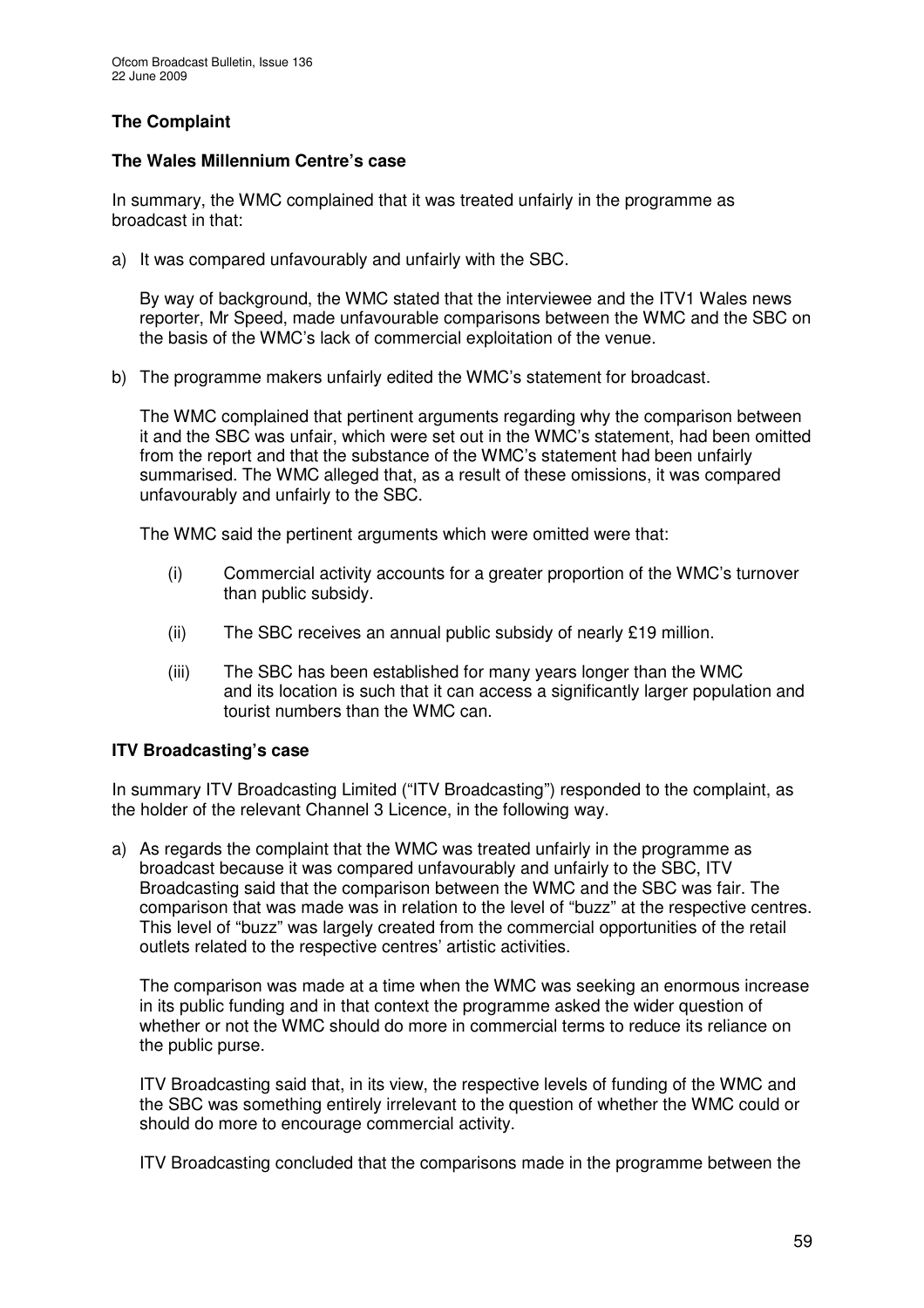## **The Complaint**

#### **The Wales Millennium Centre's case**

In summary, the WMC complained that it was treated unfairly in the programme as broadcast in that:

a) It was compared unfavourably and unfairly with the SBC.

By way of background, the WMC stated that the interviewee and the ITV1 Wales news reporter, Mr Speed, made unfavourable comparisons between the WMC and the SBC on the basis of the WMC's lack of commercial exploitation of the venue.

b) The programme makers unfairly edited the WMC's statement for broadcast.

The WMC complained that pertinent arguments regarding why the comparison between it and the SBC was unfair, which were set out in the WMC's statement, had been omitted from the report and that the substance of the WMC's statement had been unfairly summarised. The WMC alleged that, as a result of these omissions, it was compared unfavourably and unfairly to the SBC.

The WMC said the pertinent arguments which were omitted were that:

- (i) Commercial activity accounts for a greater proportion of the WMC's turnover than public subsidy.
- (ii) The SBC receives an annual public subsidy of nearly £19 million.
- (iii) The SBC has been established for many years longer than the WMC and its location is such that it can access a significantly larger population and tourist numbers than the WMC can.

#### **ITV Broadcasting's case**

In summary ITV Broadcasting Limited ("ITV Broadcasting") responded to the complaint, as the holder of the relevant Channel 3 Licence, in the following way.

a) As regards the complaint that the WMC was treated unfairly in the programme as broadcast because it was compared unfavourably and unfairly to the SBC, ITV Broadcasting said that the comparison between the WMC and the SBC was fair. The comparison that was made was in relation to the level of "buzz" at the respective centres. This level of "buzz" was largely created from the commercial opportunities of the retail outlets related to the respective centres' artistic activities.

The comparison was made at a time when the WMC was seeking an enormous increase in its public funding and in that context the programme asked the wider question of whether or not the WMC should do more in commercial terms to reduce its reliance on the public purse.

ITV Broadcasting said that, in its view, the respective levels of funding of the WMC and the SBC was something entirely irrelevant to the question of whether the WMC could or should do more to encourage commercial activity.

ITV Broadcasting concluded that the comparisons made in the programme between the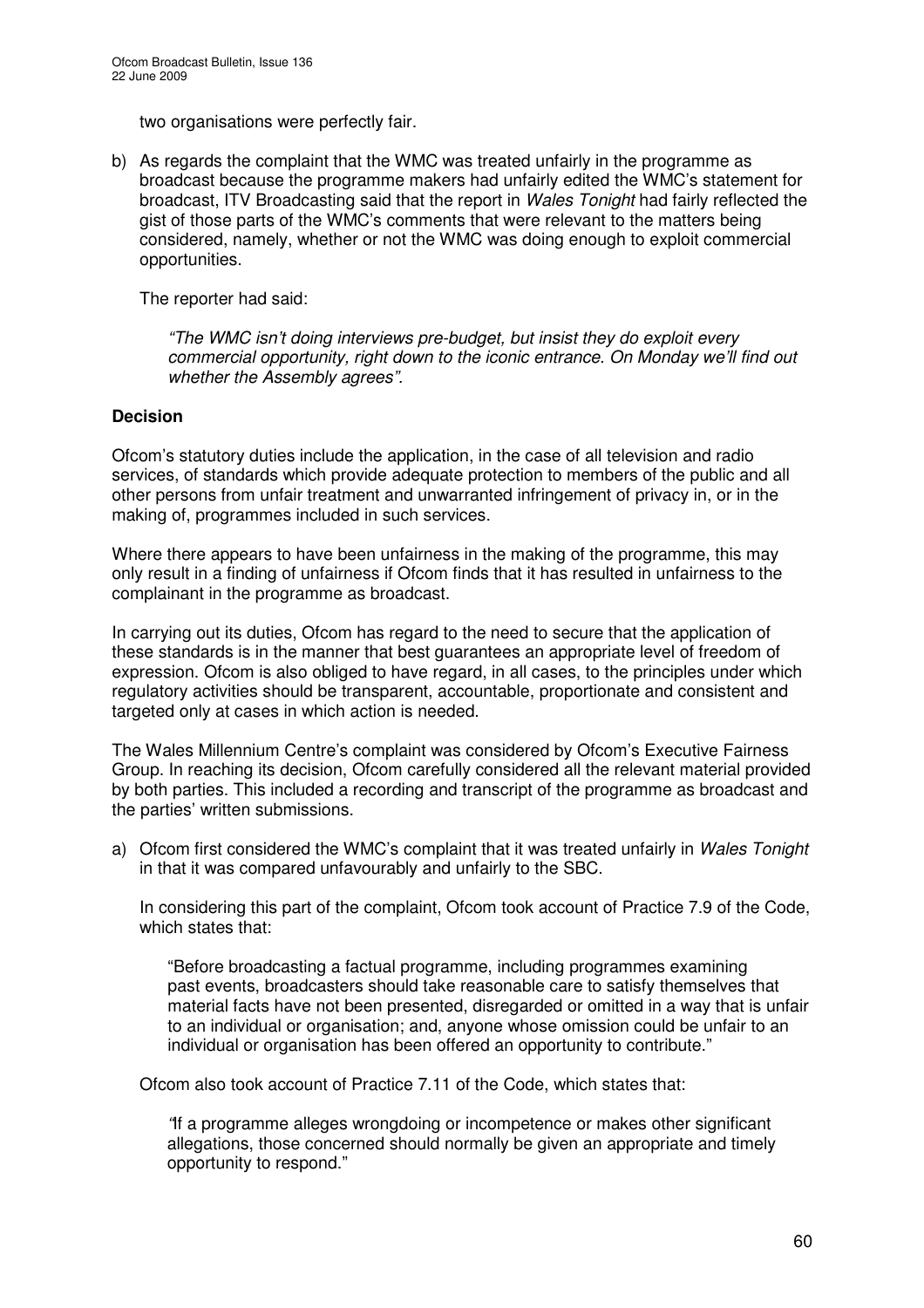two organisations were perfectly fair.

b) As regards the complaint that the WMC was treated unfairly in the programme as broadcast because the programme makers had unfairly edited the WMC's statement for broadcast, ITV Broadcasting said that the report in *Wales Tonight* had fairly reflected the gist of those parts of the WMC's comments that were relevant to the matters being considered, namely, whether or not the WMC was doing enough to exploit commercial opportunities.

The reporter had said:

*"The WMC isn't doing interviews pre-budget, but insist they do exploit every commercial opportunity, right down to the iconic entrance. On Monday we'll find out whether the Assembly agrees".*

#### **Decision**

Ofcom's statutory duties include the application, in the case of all television and radio services, of standards which provide adequate protection to members of the public and all other persons from unfair treatment and unwarranted infringement of privacy in, or in the making of, programmes included in such services.

Where there appears to have been unfairness in the making of the programme, this may only result in a finding of unfairness if Ofcom finds that it has resulted in unfairness to the complainant in the programme as broadcast.

In carrying out its duties, Ofcom has regard to the need to secure that the application of these standards is in the manner that best guarantees an appropriate level of freedom of expression. Ofcom is also obliged to have regard, in all cases, to the principles under which regulatory activities should be transparent, accountable, proportionate and consistent and targeted only at cases in which action is needed.

The Wales Millennium Centre's complaint was considered by Ofcom's Executive Fairness Group. In reaching its decision, Ofcom carefully considered all the relevant material provided by both parties. This included a recording and transcript of the programme as broadcast and the parties' written submissions.

a) Ofcom first considered the WMC's complaint that it was treated unfairly in *Wales Tonight* in that it was compared unfavourably and unfairly to the SBC.

In considering this part of the complaint, Ofcom took account of Practice 7.9 of the Code, which states that:

"Before broadcasting a factual programme, including programmes examining past events, broadcasters should take reasonable care to satisfy themselves that material facts have not been presented, disregarded or omitted in a way that is unfair to an individual or organisation; and, anyone whose omission could be unfair to an individual or organisation has been offered an opportunity to contribute."

Ofcom also took account of Practice 7.11 of the Code, which states that:

*"*If a programme alleges wrongdoing or incompetence or makes other significant allegations, those concerned should normally be given an appropriate and timely opportunity to respond."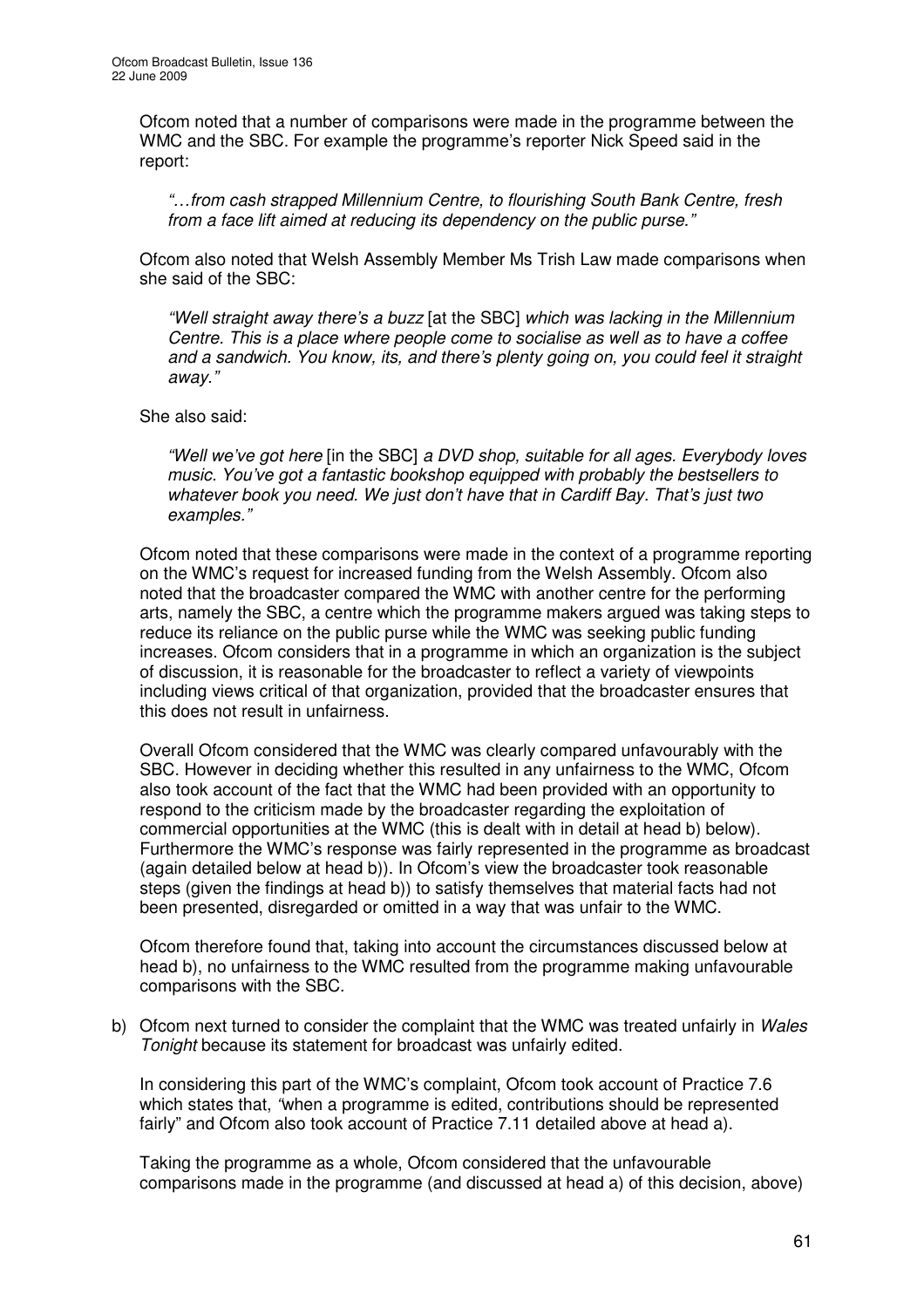Ofcom noted that a number of comparisons were made in the programme between the WMC and the SBC. For example the programme's reporter Nick Speed said in the report:

*"…from cash strapped Millennium Centre, to flourishing South Bank Centre, fresh from a face lift aimed at reducing its dependency on the public purse."*

Ofcom also noted that Welsh Assembly Member Ms Trish Law made comparisons when she said of the SBC:

*"Well straight away there's a buzz* [at the SBC] *which was lacking in the Millennium Centre. This is a place where people come to socialise as well as to have a coffee and a sandwich. You know, its, and there's plenty going on, you could feel it straight away."*

She also said:

*"Well we've got here* [in the SBC] *a DVD shop, suitable for all ages. Everybody loves music. You've got a fantastic bookshop equipped with probably the bestsellers to whatever book you need. We just don't have that in Cardiff Bay. That's just two examples."*

Ofcom noted that these comparisons were made in the context of a programme reporting on the WMC's request for increased funding from the Welsh Assembly. Ofcom also noted that the broadcaster compared the WMC with another centre for the performing arts, namely the SBC, a centre which the programme makers argued was taking steps to reduce its reliance on the public purse while the WMC was seeking public funding increases. Ofcom considers that in a programme in which an organization is the subject of discussion, it is reasonable for the broadcaster to reflect a variety of viewpoints including views critical of that organization, provided that the broadcaster ensures that this does not result in unfairness.

Overall Ofcom considered that the WMC was clearly compared unfavourably with the SBC. However in deciding whether this resulted in any unfairness to the WMC, Ofcom also took account of the fact that the WMC had been provided with an opportunity to respond to the criticism made by the broadcaster regarding the exploitation of commercial opportunities at the WMC (this is dealt with in detail at head b) below). Furthermore the WMC's response was fairly represented in the programme as broadcast (again detailed below at head b)). In Ofcom's view the broadcaster took reasonable steps (given the findings at head b)) to satisfy themselves that material facts had not been presented, disregarded or omitted in a way that was unfair to the WMC.

Ofcom therefore found that, taking into account the circumstances discussed below at head b), no unfairness to the WMC resulted from the programme making unfavourable comparisons with the SBC.

b) Ofcom next turned to consider the complaint that the WMC was treated unfairly in *Wales Tonight* because its statement for broadcast was unfairly edited.

In considering this part of the WMC's complaint, Ofcom took account of Practice 7.6 which states that, *"*when a programme is edited, contributions should be represented fairly" and Ofcom also took account of Practice 7.11 detailed above at head a).

Taking the programme as a whole, Ofcom considered that the unfavourable comparisons made in the programme (and discussed at head a) of this decision, above)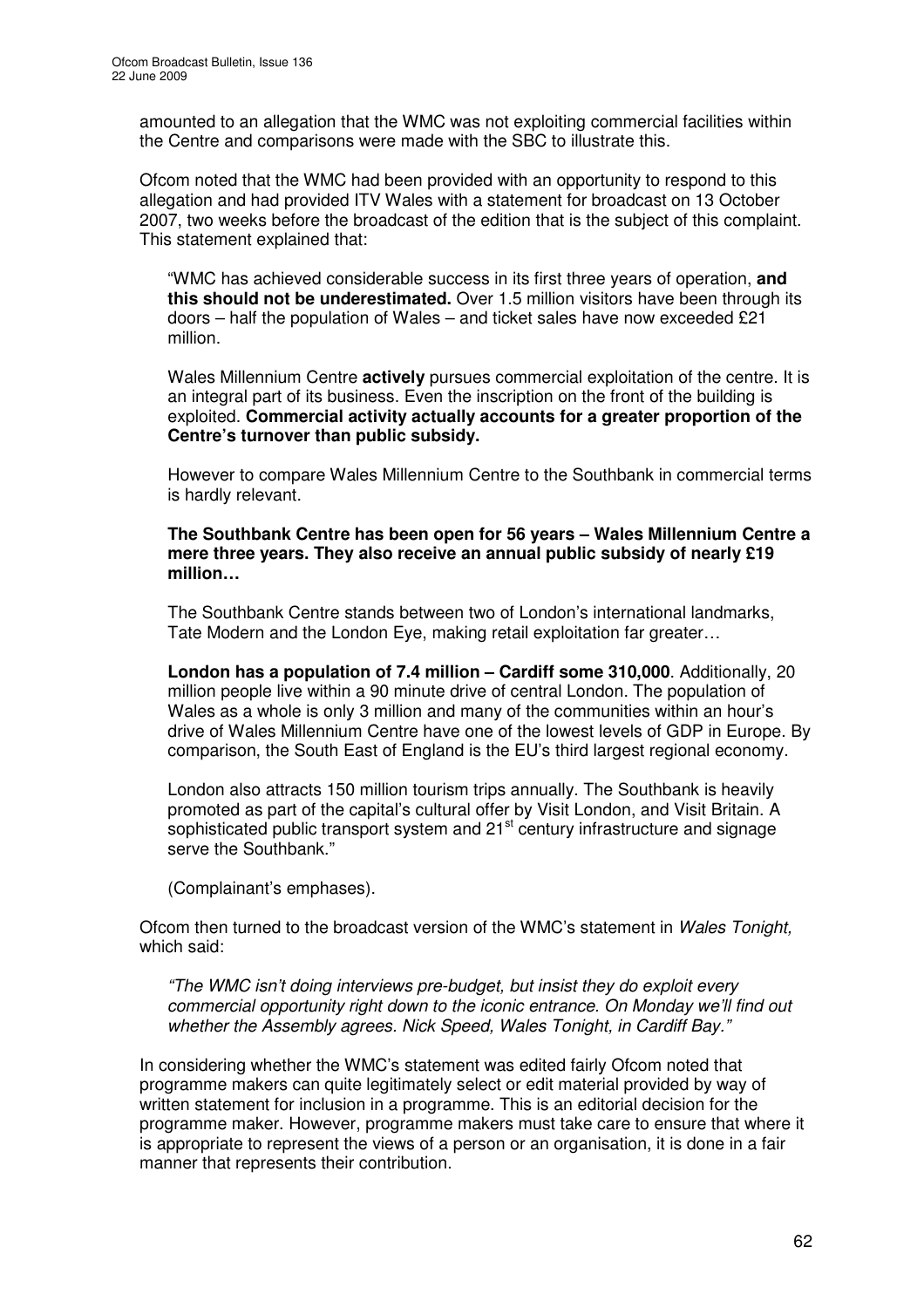amounted to an allegation that the WMC was not exploiting commercial facilities within the Centre and comparisons were made with the SBC to illustrate this.

Ofcom noted that the WMC had been provided with an opportunity to respond to this allegation and had provided ITV Wales with a statement for broadcast on 13 October 2007, two weeks before the broadcast of the edition that is the subject of this complaint. This statement explained that:

"WMC has achieved considerable success in its first three years of operation, **and this should not be underestimated.** Over 1.5 million visitors have been through its doors – half the population of Wales – and ticket sales have now exceeded £21 million.

Wales Millennium Centre **actively** pursues commercial exploitation of the centre. It is an integral part of its business. Even the inscription on the front of the building is exploited. **Commercial activity actually accounts for a greater proportion of the Centre's turnover than public subsidy.**

However to compare Wales Millennium Centre to the Southbank in commercial terms is hardly relevant.

**The Southbank Centre has been open for 56 years – Wales Millennium Centre a mere three years. They also receive an annual public subsidy of nearly £19 million…**

The Southbank Centre stands between two of London's international landmarks, Tate Modern and the London Eye, making retail exploitation far greater…

**London has a population of 7.4 million – Cardiff some 310,000**. Additionally, 20 million people live within a 90 minute drive of central London. The population of Wales as a whole is only 3 million and many of the communities within an hour's drive of Wales Millennium Centre have one of the lowest levels of GDP in Europe. By comparison, the South East of England is the EU's third largest regional economy.

London also attracts 150 million tourism trips annually. The Southbank is heavily promoted as part of the capital's cultural offer by Visit London, and Visit Britain. A sophisticated public transport system and 21<sup>st</sup> century infrastructure and signage serve the Southbank."

(Complainant's emphases).

Ofcom then turned to the broadcast version of the WMC's statement in *Wales Tonight,* which said:

*"The WMC isn't doing interviews pre-budget, but insist they do exploit every commercial opportunity right down to the iconic entrance. On Monday we'll find out whether the Assembly agrees. Nick Speed, Wales Tonight, in Cardiff Bay."*

In considering whether the WMC's statement was edited fairly Ofcom noted that programme makers can quite legitimately select or edit material provided by way of written statement for inclusion in a programme. This is an editorial decision for the programme maker. However, programme makers must take care to ensure that where it is appropriate to represent the views of a person or an organisation, it is done in a fair manner that represents their contribution.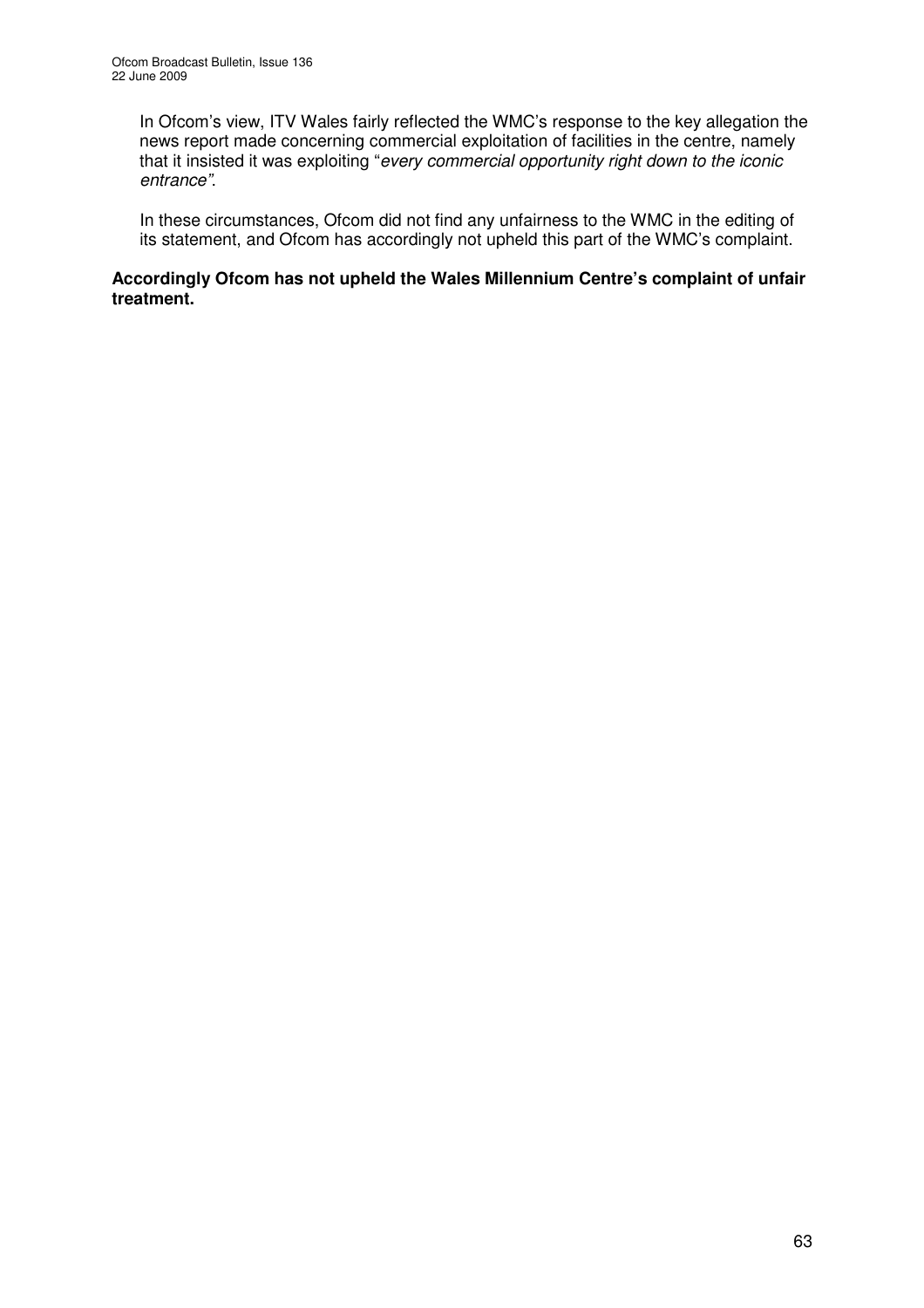In Ofcom's view, ITV Wales fairly reflected the WMC's response to the key allegation the news report made concerning commercial exploitation of facilities in the centre, namely that it insisted it was exploiting "*every commercial opportunity right down to the iconic entrance"*.

In these circumstances, Ofcom did not find any unfairness to the WMC in the editing of its statement, and Ofcom has accordingly not upheld this part of the WMC's complaint.

#### **Accordingly Ofcom has not upheld the Wales Millennium Centre's complaint of unfair treatment.**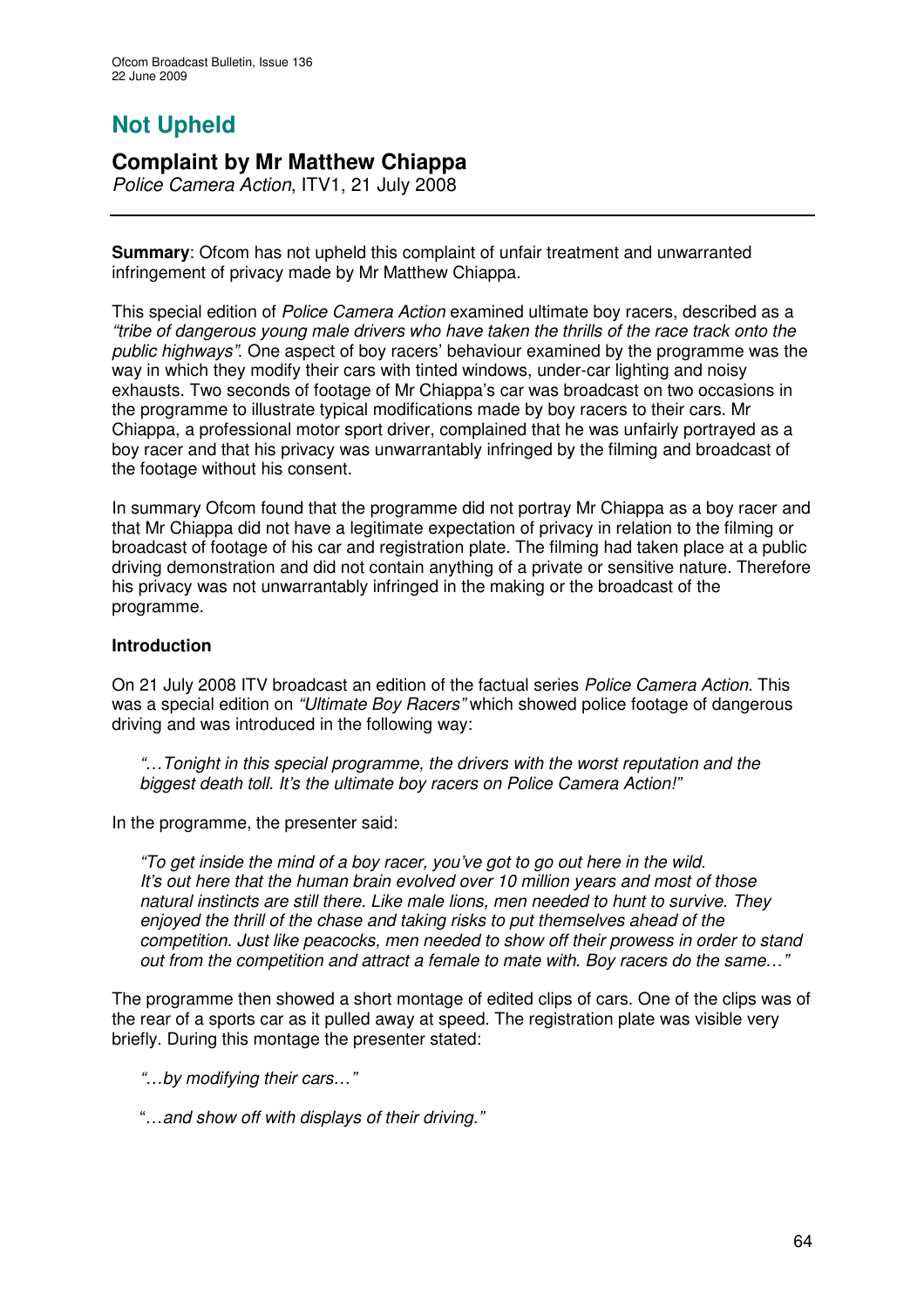# **Not Upheld**

# **Complaint by Mr Matthew Chiappa**

*Police Camera Action*, ITV1, 21 July 2008

**Summary:** Ofcom has not upheld this complaint of unfair treatment and unwarranted infringement of privacy made by Mr Matthew Chiappa.

This special edition of *Police Camera Action* examined ultimate boy racers, described as a *"tribe of dangerous young male drivers who have taken the thrills of the race track onto the public highways"*. One aspect of boy racers' behaviour examined by the programme was the way in which they modify their cars with tinted windows, under-car lighting and noisy exhausts. Two seconds of footage of Mr Chiappa's car was broadcast on two occasions in the programme to illustrate typical modifications made by boy racers to their cars. Mr Chiappa, a professional motor sport driver, complained that he was unfairly portrayed as a boy racer and that his privacy was unwarrantably infringed by the filming and broadcast of the footage without his consent.

In summary Ofcom found that the programme did not portray Mr Chiappa as a boy racer and that Mr Chiappa did not have a legitimate expectation of privacy in relation to the filming or broadcast of footage of his car and registration plate. The filming had taken place at a public driving demonstration and did not contain anything of a private or sensitive nature. Therefore his privacy was not unwarrantably infringed in the making or the broadcast of the programme.

## **Introduction**

On 21 July 2008 ITV broadcast an edition of the factual series *Police Camera Action*. This was a special edition on *"Ultimate Boy Racers"* which showed police footage of dangerous driving and was introduced in the following way:

*"…Tonight in this special programme, the drivers with the worst reputation and the biggest death toll. It's the ultimate boy racers on Police Camera Action!"*

In the programme, the presenter said:

*"To get inside the mind of a boy racer, you've got to go out here in the wild. It's out here that the human brain evolved over 10 million years and most of those natural instincts are still there. Like male lions, men needed to hunt to survive. They enjoyed the thrill of the chase and taking risks to put themselves ahead of the competition. Just like peacocks, men needed to show off their prowess in order to stand out from the competition and attract a female to mate with. Boy racers do the same…"*

The programme then showed a short montage of edited clips of cars. One of the clips was of the rear of a sports car as it pulled away at speed. The registration plate was visible very briefly. During this montage the presenter stated:

*"…by modifying their cars…"*

"…*and show off with displays of their driving."*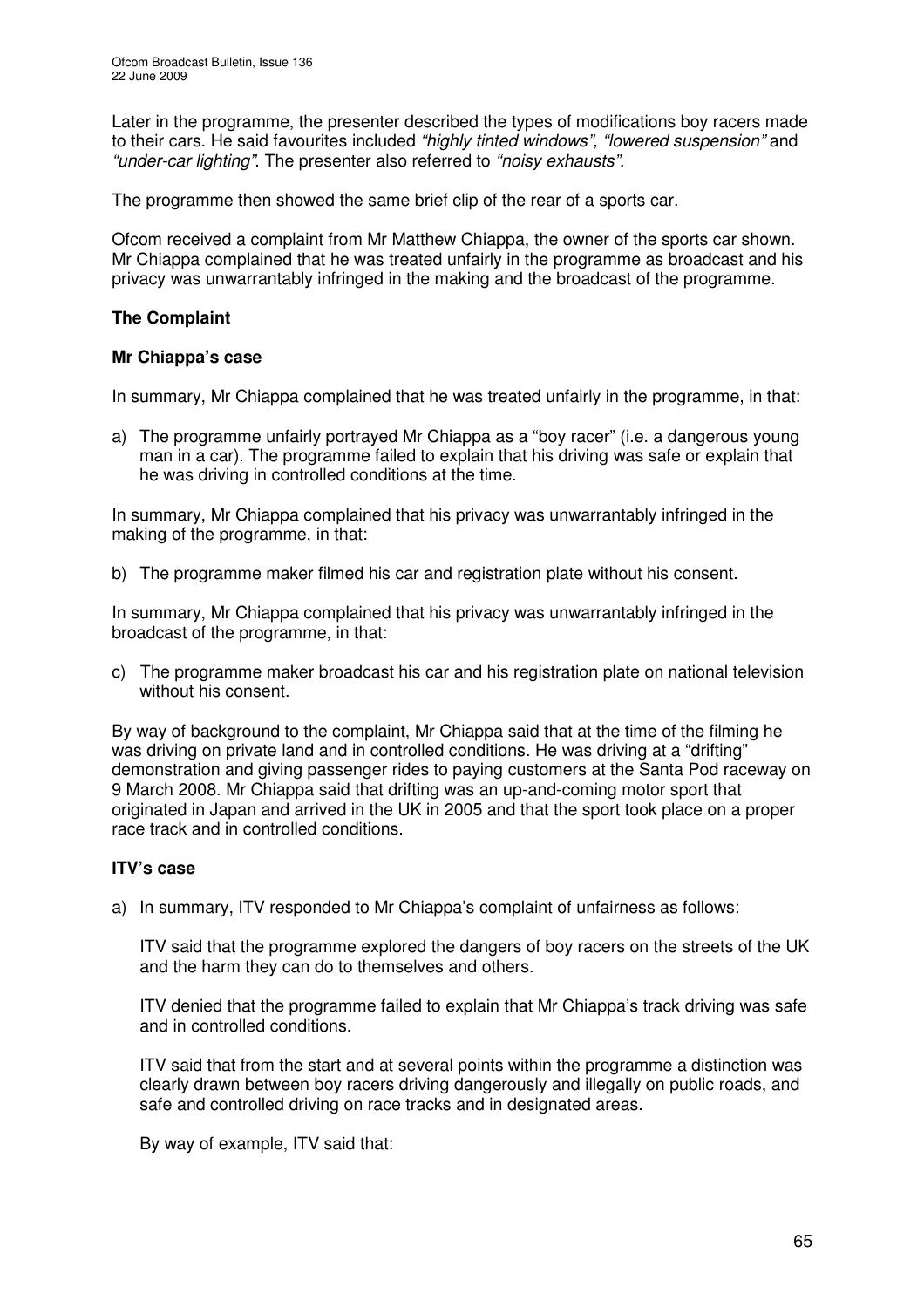Later in the programme, the presenter described the types of modifications boy racers made to their cars. He said favourites included *"highly tinted windows", "lowered suspension"* and *"under-car lighting"*. The presenter also referred to *"noisy exhausts".*

The programme then showed the same brief clip of the rear of a sports car.

Ofcom received a complaint from Mr Matthew Chiappa, the owner of the sports car shown. Mr Chiappa complained that he was treated unfairly in the programme as broadcast and his privacy was unwarrantably infringed in the making and the broadcast of the programme.

#### **The Complaint**

#### **Mr Chiappa's case**

In summary, Mr Chiappa complained that he was treated unfairly in the programme, in that:

a) The programme unfairly portrayed Mr Chiappa as a "boy racer" (i.e. a dangerous young man in a car). The programme failed to explain that his driving was safe or explain that he was driving in controlled conditions at the time.

In summary, Mr Chiappa complained that his privacy was unwarrantably infringed in the making of the programme, in that:

b) The programme maker filmed his car and registration plate without his consent.

In summary, Mr Chiappa complained that his privacy was unwarrantably infringed in the broadcast of the programme, in that:

c) The programme maker broadcast his car and his registration plate on national television without his consent.

By way of background to the complaint, Mr Chiappa said that at the time of the filming he was driving on private land and in controlled conditions. He was driving at a "drifting" demonstration and giving passenger rides to paying customers at the Santa Pod raceway on 9 March 2008. Mr Chiappa said that drifting was an up-and-coming motor sport that originated in Japan and arrived in the UK in 2005 and that the sport took place on a proper race track and in controlled conditions.

#### **ITV's case**

a) In summary, ITV responded to Mr Chiappa's complaint of unfairness as follows:

ITV said that the programme explored the dangers of boy racers on the streets of the UK and the harm they can do to themselves and others.

ITV denied that the programme failed to explain that Mr Chiappa's track driving was safe and in controlled conditions.

ITV said that from the start and at several points within the programme a distinction was clearly drawn between boy racers driving dangerously and illegally on public roads, and safe and controlled driving on race tracks and in designated areas.

By way of example, ITV said that: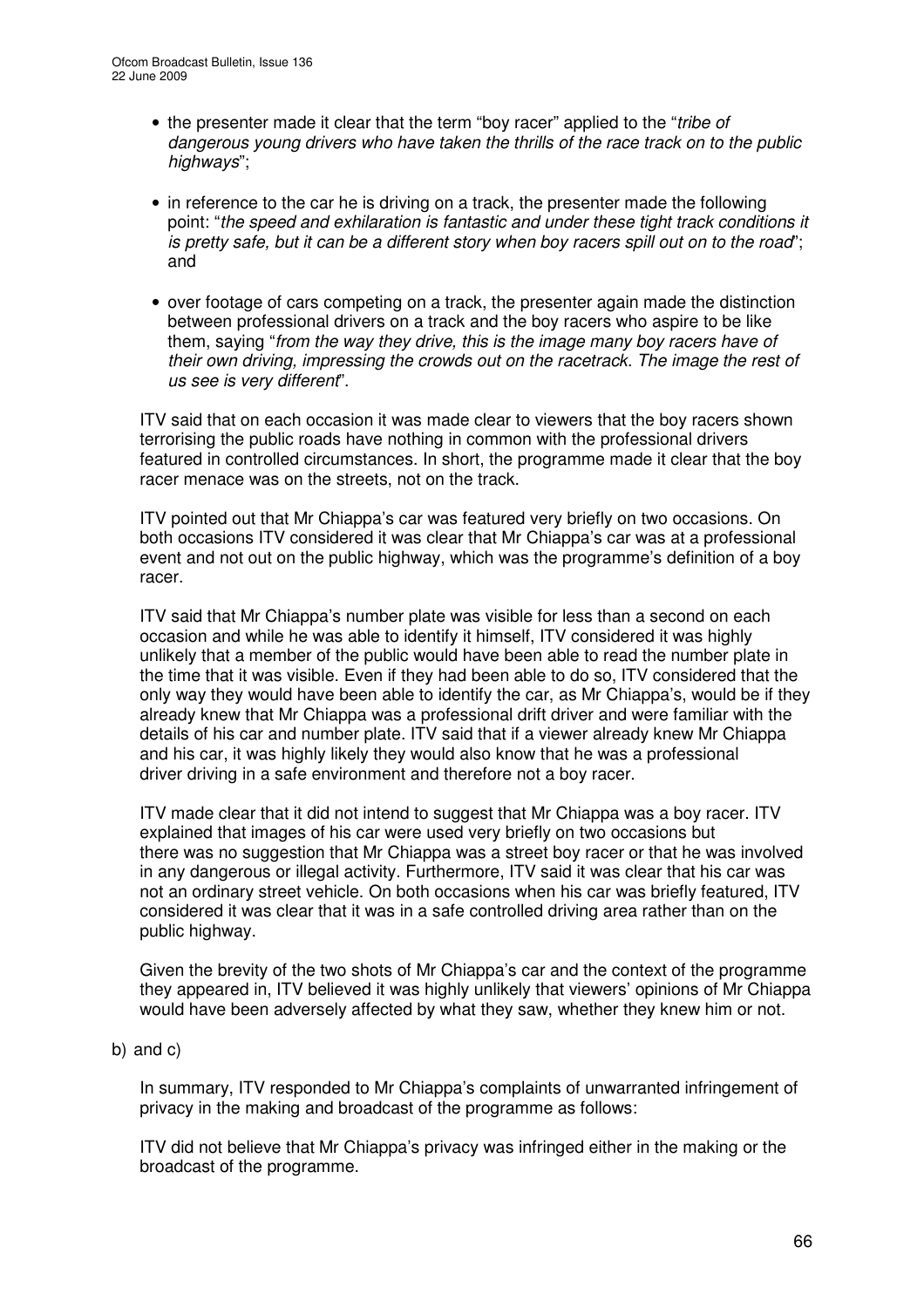- the presenter made it clear that the term "boy racer" applied to the "*tribe of dangerous young drivers who have taken the thrills of the race track on to the public highways*";
- in reference to the car he is driving on a track, the presenter made the following point: "*the speed and exhilaration is fantastic and under these tight track conditions it is pretty safe, but it can be a different story when boy racers spill out on to the road*"; and
- over footage of cars competing on a track, the presenter again made the distinction between professional drivers on a track and the boy racers who aspire to be like them, saying "*from the way they drive, this is the image many boy racers have of their own driving, impressing the crowds out on the racetrack. The image the rest of us see is very different*".

ITV said that on each occasion it was made clear to viewers that the boy racers shown terrorising the public roads have nothing in common with the professional drivers featured in controlled circumstances. In short, the programme made it clear that the boy racer menace was on the streets, not on the track.

ITV pointed out that Mr Chiappa's car was featured very briefly on two occasions. On both occasions ITV considered it was clear that Mr Chiappa's car was at a professional event and not out on the public highway, which was the programme's definition of a boy racer.

ITV said that Mr Chiappa's number plate was visible for less than a second on each occasion and while he was able to identify it himself, ITV considered it was highly unlikely that a member of the public would have been able to read the number plate in the time that it was visible. Even if they had been able to do so, ITV considered that the only way they would have been able to identify the car, as Mr Chiappa's, would be if they already knew that Mr Chiappa was a professional drift driver and were familiar with the details of his car and number plate. ITV said that if a viewer already knew Mr Chiappa and his car, it was highly likely they would also know that he was a professional driver driving in a safe environment and therefore not a boy racer.

ITV made clear that it did not intend to suggest that Mr Chiappa was a boy racer. ITV explained that images of his car were used very briefly on two occasions but there was no suggestion that Mr Chiappa was a street boy racer or that he was involved in any dangerous or illegal activity. Furthermore, ITV said it was clear that his car was not an ordinary street vehicle. On both occasions when his car was briefly featured, ITV considered it was clear that it was in a safe controlled driving area rather than on the public highway.

Given the brevity of the two shots of Mr Chiappa's car and the context of the programme they appeared in, ITV believed it was highly unlikely that viewers' opinions of Mr Chiappa would have been adversely affected by what they saw, whether they knew him or not.

#### b) and c)

In summary, ITV responded to Mr Chiappa's complaints of unwarranted infringement of privacy in the making and broadcast of the programme as follows:

ITV did not believe that Mr Chiappa's privacy was infringed either in the making or the broadcast of the programme.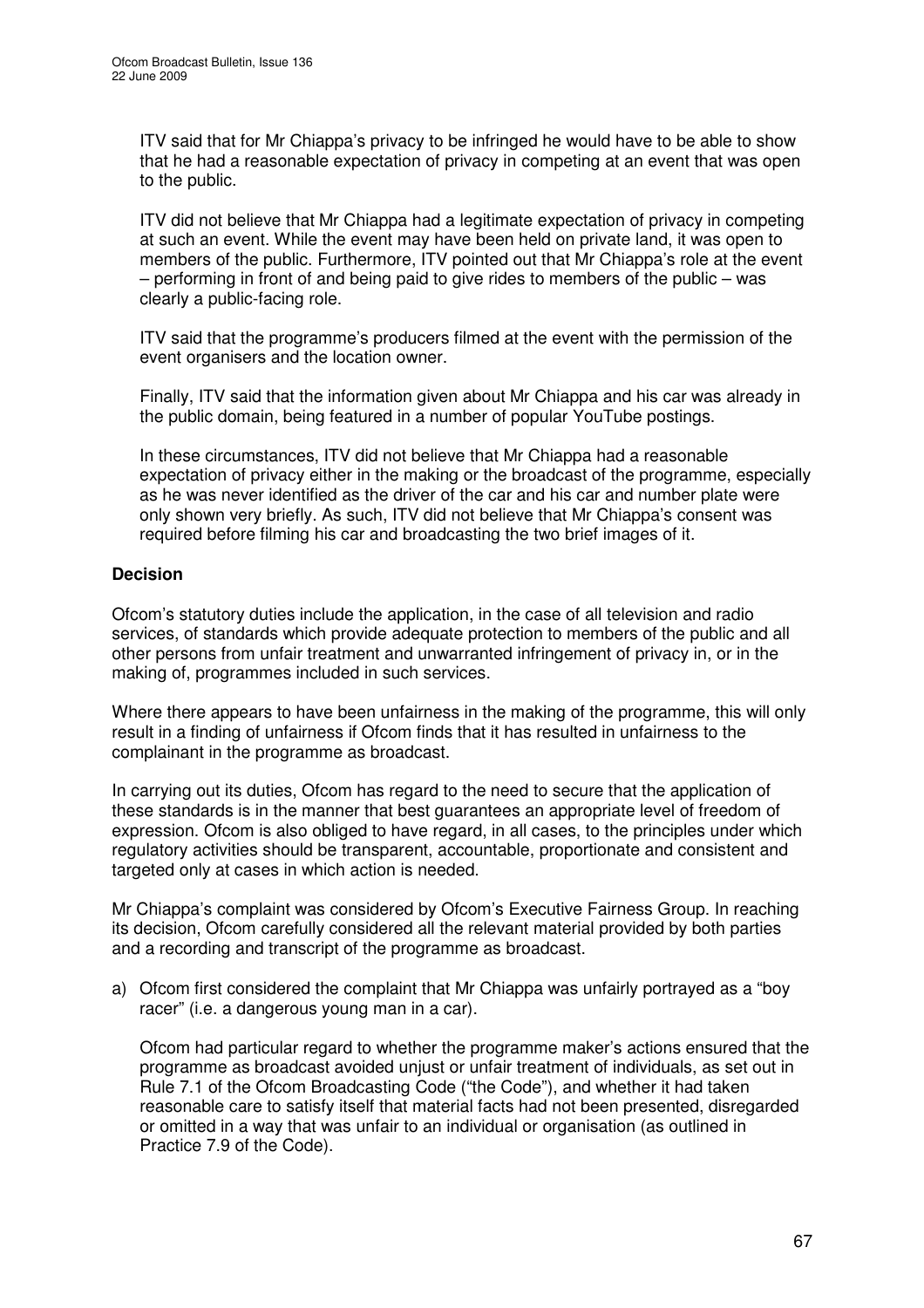ITV said that for Mr Chiappa's privacy to be infringed he would have to be able to show that he had a reasonable expectation of privacy in competing at an event that was open to the public.

ITV did not believe that Mr Chiappa had a legitimate expectation of privacy in competing at such an event. While the event may have been held on private land, it was open to members of the public. Furthermore, ITV pointed out that Mr Chiappa's role at the event – performing in front of and being paid to give rides to members of the public – was clearly a public-facing role.

ITV said that the programme's producers filmed at the event with the permission of the event organisers and the location owner.

Finally, ITV said that the information given about Mr Chiappa and his car was already in the public domain, being featured in a number of popular YouTube postings.

In these circumstances, ITV did not believe that Mr Chiappa had a reasonable expectation of privacy either in the making or the broadcast of the programme, especially as he was never identified as the driver of the car and his car and number plate were only shown very briefly. As such, ITV did not believe that Mr Chiappa's consent was required before filming his car and broadcasting the two brief images of it.

## **Decision**

Ofcom's statutory duties include the application, in the case of all television and radio services, of standards which provide adequate protection to members of the public and all other persons from unfair treatment and unwarranted infringement of privacy in, or in the making of, programmes included in such services.

Where there appears to have been unfairness in the making of the programme, this will only result in a finding of unfairness if Ofcom finds that it has resulted in unfairness to the complainant in the programme as broadcast.

In carrying out its duties, Ofcom has regard to the need to secure that the application of these standards is in the manner that best guarantees an appropriate level of freedom of expression. Ofcom is also obliged to have regard, in all cases, to the principles under which regulatory activities should be transparent, accountable, proportionate and consistent and targeted only at cases in which action is needed.

Mr Chiappa's complaint was considered by Ofcom's Executive Fairness Group. In reaching its decision, Ofcom carefully considered all the relevant material provided by both parties and a recording and transcript of the programme as broadcast.

a) Ofcom first considered the complaint that Mr Chiappa was unfairly portrayed as a "boy racer" (i.e. a dangerous young man in a car).

Ofcom had particular regard to whether the programme maker's actions ensured that the programme as broadcast avoided unjust or unfair treatment of individuals, as set out in Rule 7.1 of the Ofcom Broadcasting Code ("the Code"), and whether it had taken reasonable care to satisfy itself that material facts had not been presented, disregarded or omitted in a way that was unfair to an individual or organisation (as outlined in Practice 7.9 of the Code).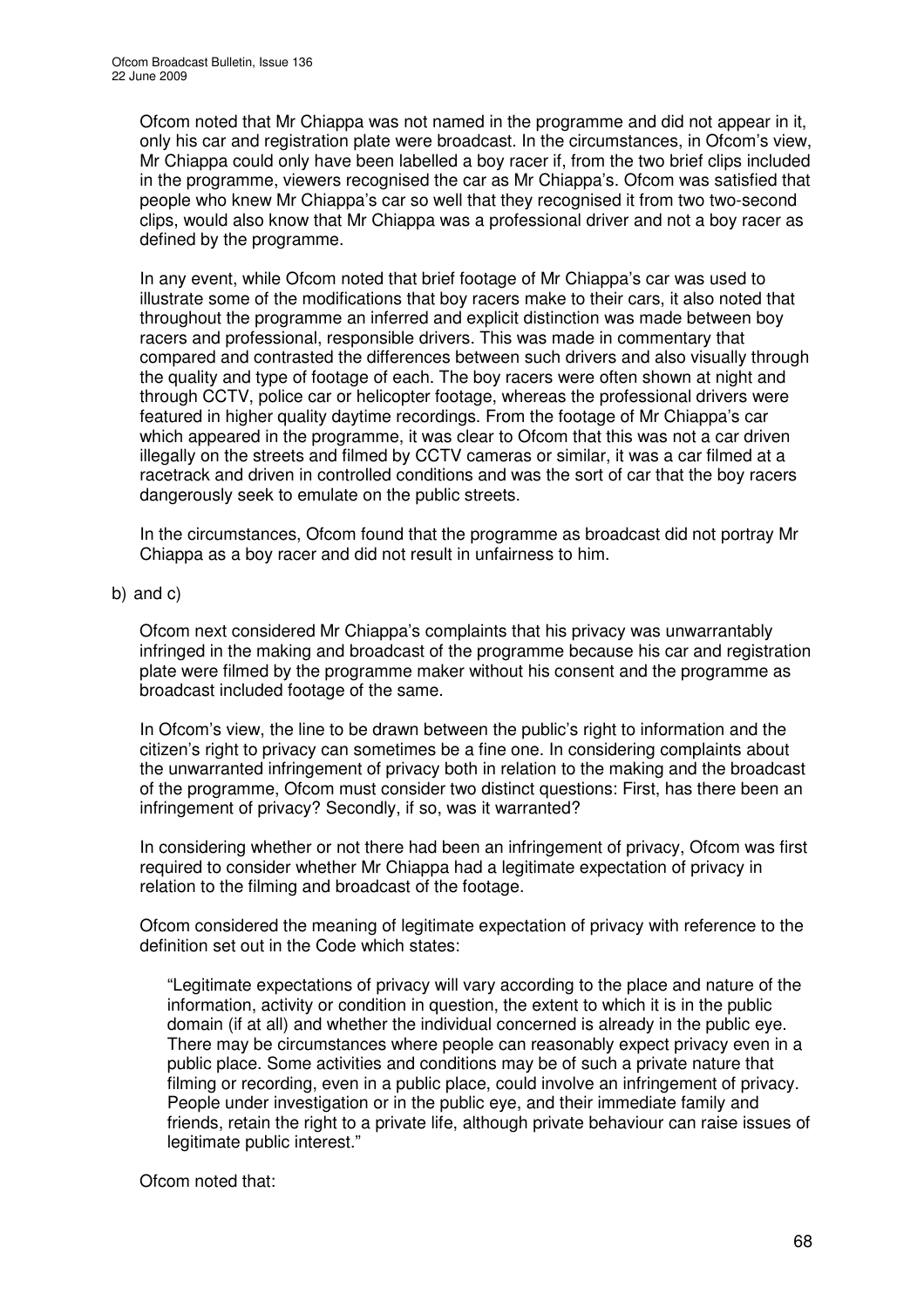Ofcom noted that Mr Chiappa was not named in the programme and did not appear in it, only his car and registration plate were broadcast. In the circumstances, in Ofcom's view, Mr Chiappa could only have been labelled a boy racer if, from the two brief clips included in the programme, viewers recognised the car as Mr Chiappa's. Ofcom was satisfied that people who knew Mr Chiappa's car so well that they recognised it from two two-second clips, would also know that Mr Chiappa was a professional driver and not a boy racer as defined by the programme.

In any event, while Ofcom noted that brief footage of Mr Chiappa's car was used to illustrate some of the modifications that boy racers make to their cars, it also noted that throughout the programme an inferred and explicit distinction was made between boy racers and professional, responsible drivers. This was made in commentary that compared and contrasted the differences between such drivers and also visually through the quality and type of footage of each. The boy racers were often shown at night and through CCTV, police car or helicopter footage, whereas the professional drivers were featured in higher quality daytime recordings. From the footage of Mr Chiappa's car which appeared in the programme, it was clear to Ofcom that this was not a car driven illegally on the streets and filmed by CCTV cameras or similar, it was a car filmed at a racetrack and driven in controlled conditions and was the sort of car that the boy racers dangerously seek to emulate on the public streets.

In the circumstances, Ofcom found that the programme as broadcast did not portray Mr Chiappa as a boy racer and did not result in unfairness to him.

#### b) and c)

Ofcom next considered Mr Chiappa's complaints that his privacy was unwarrantably infringed in the making and broadcast of the programme because his car and registration plate were filmed by the programme maker without his consent and the programme as broadcast included footage of the same.

In Ofcom's view, the line to be drawn between the public's right to information and the citizen's right to privacy can sometimes be a fine one. In considering complaints about the unwarranted infringement of privacy both in relation to the making and the broadcast of the programme, Ofcom must consider two distinct questions: First, has there been an infringement of privacy? Secondly, if so, was it warranted?

In considering whether or not there had been an infringement of privacy, Ofcom was first required to consider whether Mr Chiappa had a legitimate expectation of privacy in relation to the filming and broadcast of the footage.

Ofcom considered the meaning of legitimate expectation of privacy with reference to the definition set out in the Code which states:

"Legitimate expectations of privacy will vary according to the place and nature of the information, activity or condition in question, the extent to which it is in the public domain (if at all) and whether the individual concerned is already in the public eye. There may be circumstances where people can reasonably expect privacy even in a public place. Some activities and conditions may be of such a private nature that filming or recording, even in a public place, could involve an infringement of privacy. People under investigation or in the public eye, and their immediate family and friends, retain the right to a private life, although private behaviour can raise issues of legitimate public interest."

Ofcom noted that: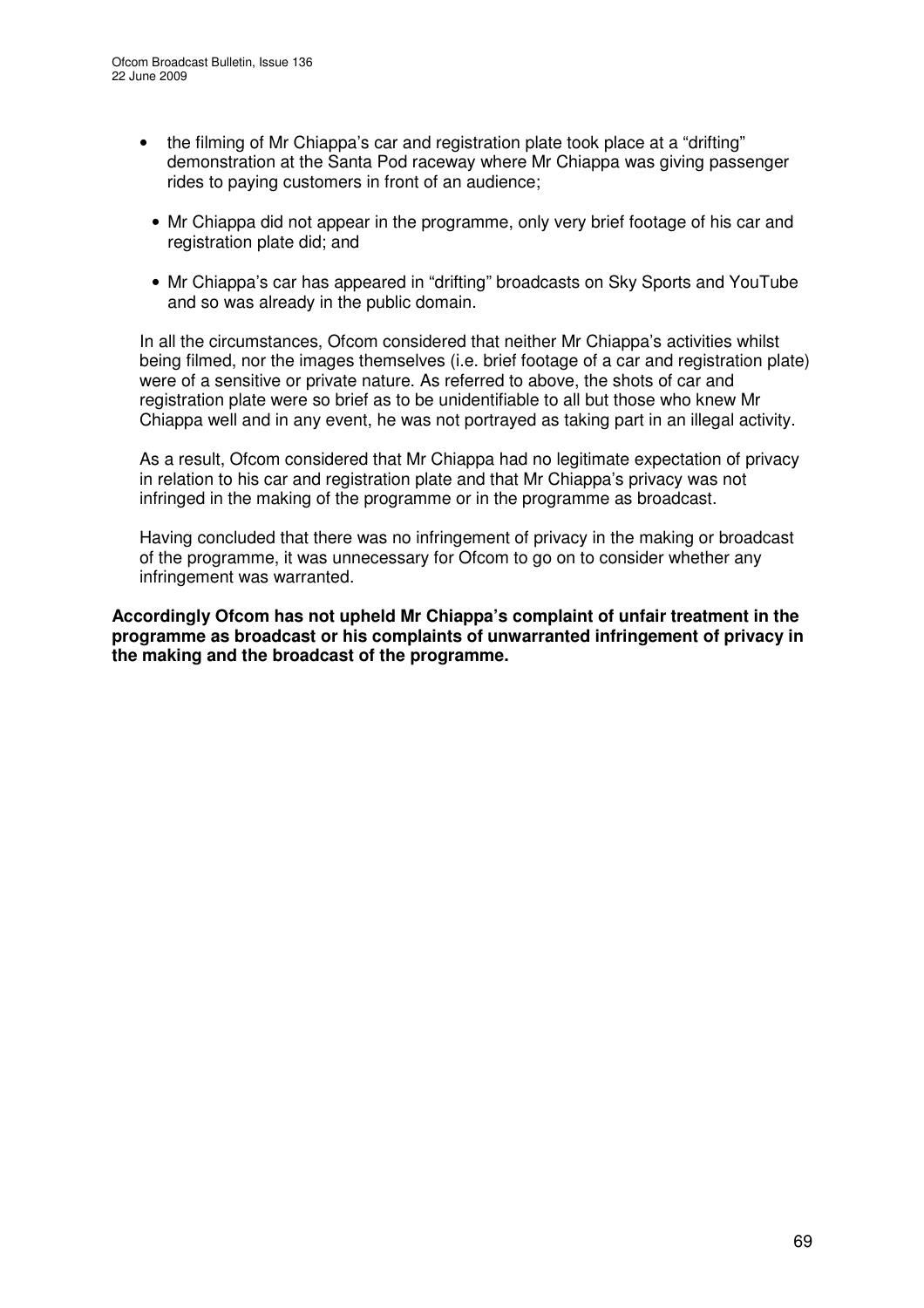- the filming of Mr Chiappa's car and registration plate took place at a "drifting" demonstration at the Santa Pod raceway where Mr Chiappa was giving passenger rides to paying customers in front of an audience;
	- Mr Chiappa did not appear in the programme, only very brief footage of his car and registration plate did; and
	- Mr Chiappa's car has appeared in "drifting" broadcasts on Sky Sports and YouTube and so was already in the public domain.

In all the circumstances, Ofcom considered that neither Mr Chiappa's activities whilst being filmed, nor the images themselves (i.e. brief footage of a car and registration plate) were of a sensitive or private nature. As referred to above, the shots of car and registration plate were so brief as to be unidentifiable to all but those who knew Mr Chiappa well and in any event, he was not portrayed as taking part in an illegal activity.

As a result, Ofcom considered that Mr Chiappa had no legitimate expectation of privacy in relation to his car and registration plate and that Mr Chiappa's privacy was not infringed in the making of the programme or in the programme as broadcast.

Having concluded that there was no infringement of privacy in the making or broadcast of the programme, it was unnecessary for Ofcom to go on to consider whether any infringement was warranted.

**Accordingly Ofcom has not upheld Mr Chiappa's complaint of unfair treatment in the programme as broadcast or his complaints of unwarranted infringement of privacy in the making and the broadcast of the programme.**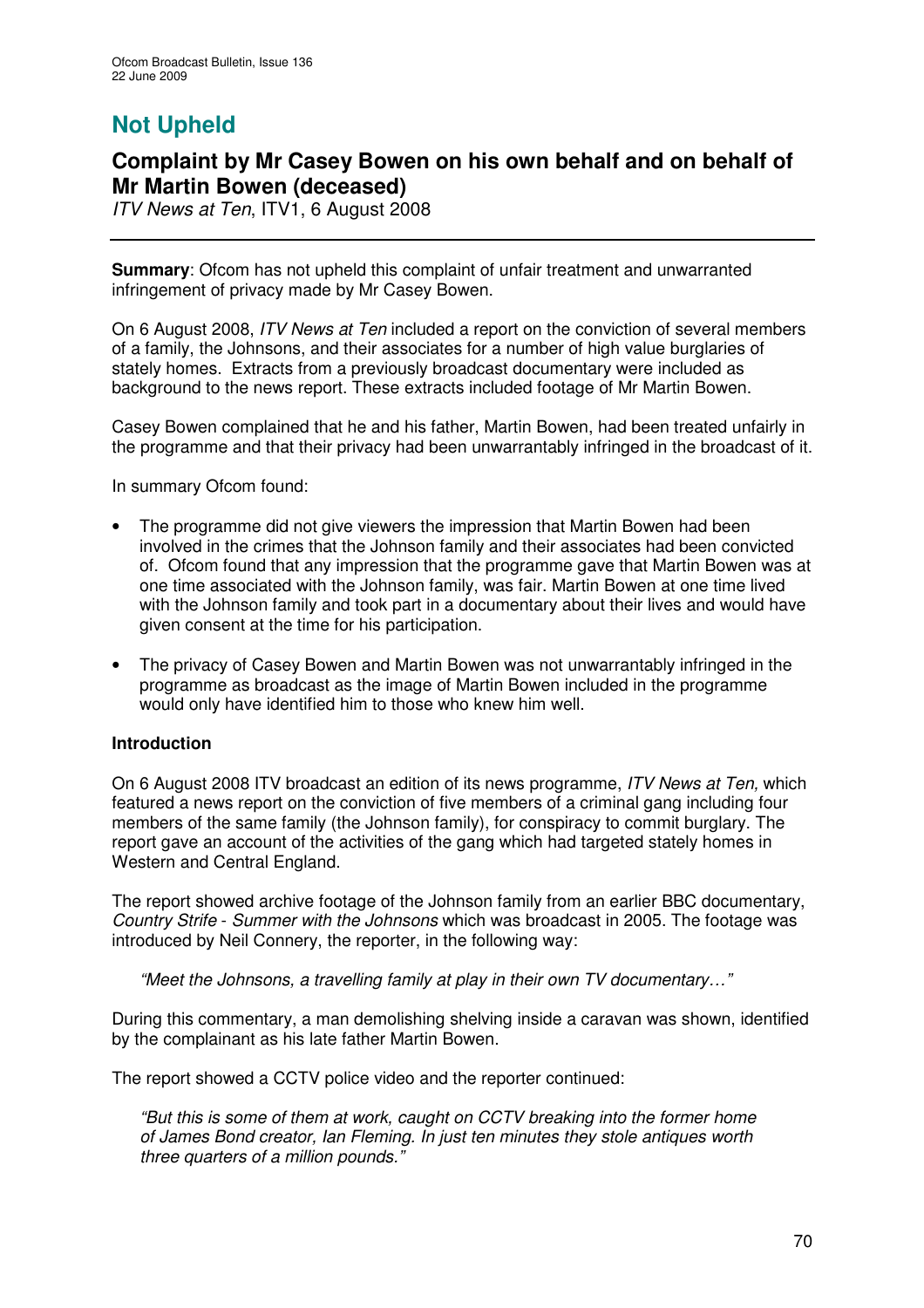# **Not Upheld**

# **Complaint by Mr Casey Bowen on his own behalf and on behalf of Mr Martin Bowen (deceased)**

*ITV News at Ten*, ITV1, 6 August 2008

**Summary**: Ofcom has not upheld this complaint of unfair treatment and unwarranted infringement of privacy made by Mr Casey Bowen.

On 6 August 2008, *ITV News at Ten* included a report on the conviction of several members of a family, the Johnsons, and their associates for a number of high value burglaries of stately homes. Extracts from a previously broadcast documentary were included as background to the news report. These extracts included footage of Mr Martin Bowen.

Casey Bowen complained that he and his father, Martin Bowen, had been treated unfairly in the programme and that their privacy had been unwarrantably infringed in the broadcast of it.

In summary Ofcom found:

- The programme did not give viewers the impression that Martin Bowen had been involved in the crimes that the Johnson family and their associates had been convicted of. Ofcom found that any impression that the programme gave that Martin Bowen was at one time associated with the Johnson family, was fair. Martin Bowen at one time lived with the Johnson family and took part in a documentary about their lives and would have given consent at the time for his participation.
- The privacy of Casey Bowen and Martin Bowen was not unwarrantably infringed in the programme as broadcast as the image of Martin Bowen included in the programme would only have identified him to those who knew him well.

#### **Introduction**

On 6 August 2008 ITV broadcast an edition of its news programme, *ITV News at Ten,* which featured a news report on the conviction of five members of a criminal gang including four members of the same family (the Johnson family), for conspiracy to commit burglary. The report gave an account of the activities of the gang which had targeted stately homes in Western and Central England.

The report showed archive footage of the Johnson family from an earlier BBC documentary, *Country Strife* - *Summer with the Johnsons* which was broadcast in 2005. The footage was introduced by Neil Connery, the reporter, in the following way:

*"Meet the Johnsons, a travelling family at play in their own TV documentary…"*

During this commentary, a man demolishing shelving inside a caravan was shown, identified by the complainant as his late father Martin Bowen.

The report showed a CCTV police video and the reporter continued:

*"But this is some of them at work, caught on CCTV breaking into the former home of James Bond creator, Ian Fleming. In just ten minutes they stole antiques worth three quarters of a million pounds."*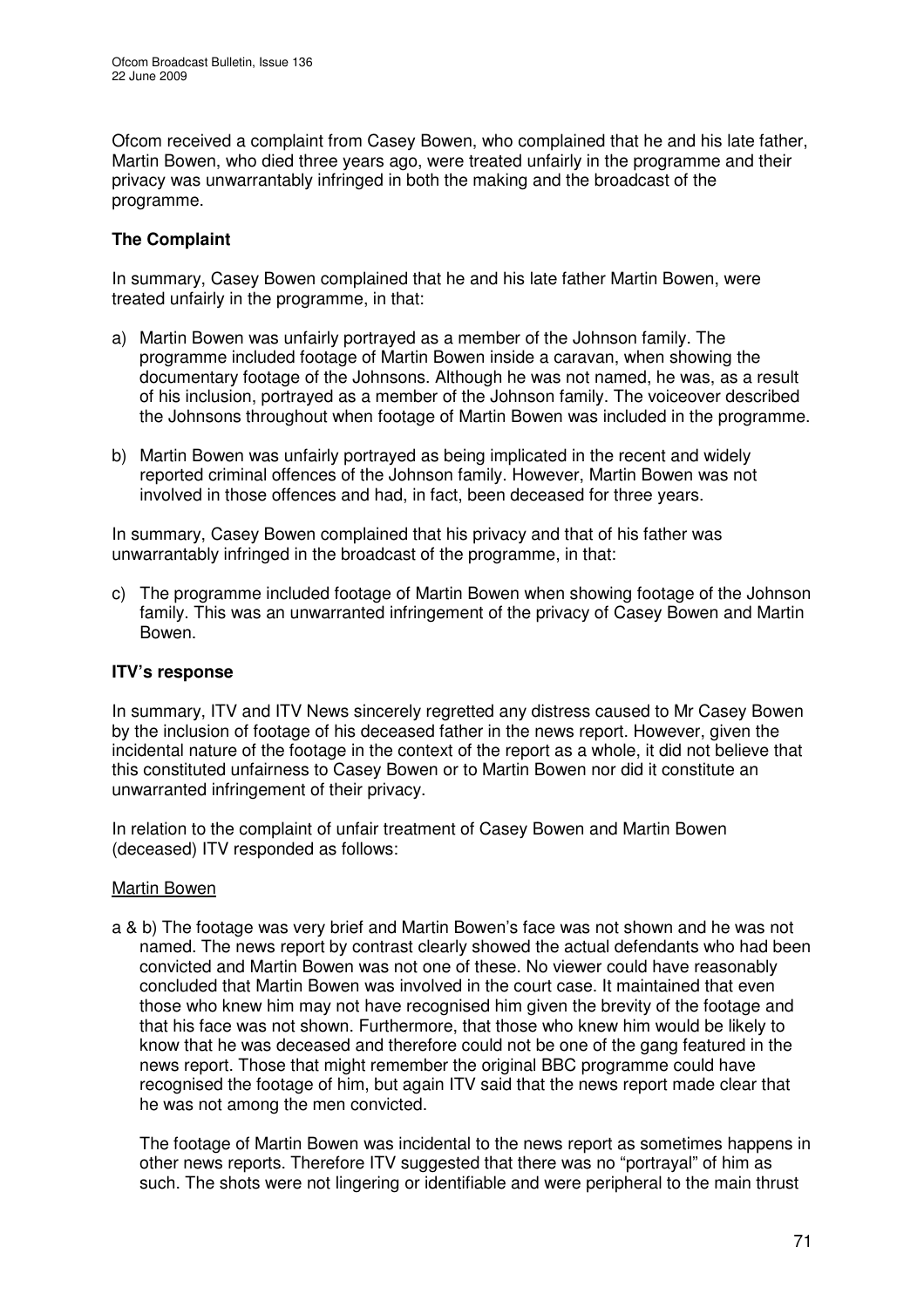Ofcom received a complaint from Casey Bowen, who complained that he and his late father, Martin Bowen, who died three years ago, were treated unfairly in the programme and their privacy was unwarrantably infringed in both the making and the broadcast of the programme.

## **The Complaint**

In summary, Casey Bowen complained that he and his late father Martin Bowen, were treated unfairly in the programme, in that:

- a) Martin Bowen was unfairly portrayed as a member of the Johnson family. The programme included footage of Martin Bowen inside a caravan, when showing the documentary footage of the Johnsons. Although he was not named, he was, as a result of his inclusion, portrayed as a member of the Johnson family. The voiceover described the Johnsons throughout when footage of Martin Bowen was included in the programme.
- b) Martin Bowen was unfairly portrayed as being implicated in the recent and widely reported criminal offences of the Johnson family. However, Martin Bowen was not involved in those offences and had, in fact, been deceased for three years.

In summary, Casey Bowen complained that his privacy and that of his father was unwarrantably infringed in the broadcast of the programme, in that:

c) The programme included footage of Martin Bowen when showing footage of the Johnson family. This was an unwarranted infringement of the privacy of Casey Bowen and Martin Bowen.

#### **ITV's response**

In summary, ITV and ITV News sincerely regretted any distress caused to Mr Casey Bowen by the inclusion of footage of his deceased father in the news report. However, given the incidental nature of the footage in the context of the report as a whole, it did not believe that this constituted unfairness to Casey Bowen or to Martin Bowen nor did it constitute an unwarranted infringement of their privacy.

In relation to the complaint of unfair treatment of Casey Bowen and Martin Bowen (deceased) ITV responded as follows:

#### Martin Bowen

a & b) The footage was very brief and Martin Bowen's face was not shown and he was not named. The news report by contrast clearly showed the actual defendants who had been convicted and Martin Bowen was not one of these. No viewer could have reasonably concluded that Martin Bowen was involved in the court case. It maintained that even those who knew him may not have recognised him given the brevity of the footage and that his face was not shown. Furthermore, that those who knew him would be likely to know that he was deceased and therefore could not be one of the gang featured in the news report. Those that might remember the original BBC programme could have recognised the footage of him, but again ITV said that the news report made clear that he was not among the men convicted.

The footage of Martin Bowen was incidental to the news report as sometimes happens in other news reports. Therefore ITV suggested that there was no "portrayal" of him as such. The shots were not lingering or identifiable and were peripheral to the main thrust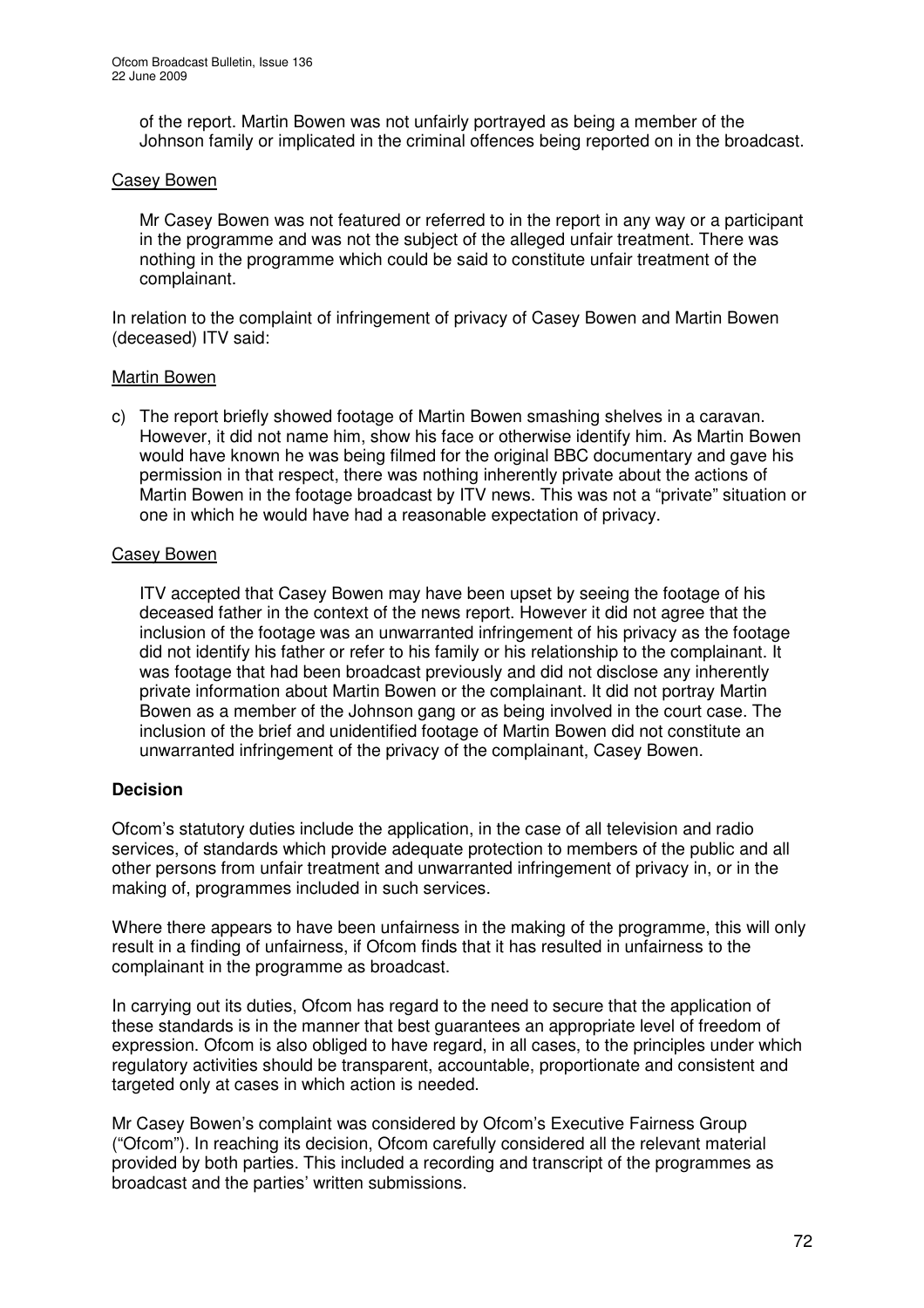of the report. Martin Bowen was not unfairly portrayed as being a member of the Johnson family or implicated in the criminal offences being reported on in the broadcast.

#### Casey Bowen

Mr Casey Bowen was not featured or referred to in the report in any way or a participant in the programme and was not the subject of the alleged unfair treatment. There was nothing in the programme which could be said to constitute unfair treatment of the complainant.

In relation to the complaint of infringement of privacy of Casey Bowen and Martin Bowen (deceased) ITV said:

#### Martin Bowen

c) The report briefly showed footage of Martin Bowen smashing shelves in a caravan. However, it did not name him, show his face or otherwise identify him. As Martin Bowen would have known he was being filmed for the original BBC documentary and gave his permission in that respect, there was nothing inherently private about the actions of Martin Bowen in the footage broadcast by ITV news. This was not a "private" situation or one in which he would have had a reasonable expectation of privacy.

#### Casey Bowen

ITV accepted that Casey Bowen may have been upset by seeing the footage of his deceased father in the context of the news report. However it did not agree that the inclusion of the footage was an unwarranted infringement of his privacy as the footage did not identify his father or refer to his family or his relationship to the complainant. It was footage that had been broadcast previously and did not disclose any inherently private information about Martin Bowen or the complainant. It did not portray Martin Bowen as a member of the Johnson gang or as being involved in the court case. The inclusion of the brief and unidentified footage of Martin Bowen did not constitute an unwarranted infringement of the privacy of the complainant, Casey Bowen.

#### **Decision**

Ofcom's statutory duties include the application, in the case of all television and radio services, of standards which provide adequate protection to members of the public and all other persons from unfair treatment and unwarranted infringement of privacy in, or in the making of, programmes included in such services.

Where there appears to have been unfairness in the making of the programme, this will only result in a finding of unfairness, if Ofcom finds that it has resulted in unfairness to the complainant in the programme as broadcast.

In carrying out its duties, Ofcom has regard to the need to secure that the application of these standards is in the manner that best guarantees an appropriate level of freedom of expression. Ofcom is also obliged to have regard, in all cases, to the principles under which regulatory activities should be transparent, accountable, proportionate and consistent and targeted only at cases in which action is needed.

Mr Casey Bowen's complaint was considered by Ofcom's Executive Fairness Group ("Ofcom"). In reaching its decision, Ofcom carefully considered all the relevant material provided by both parties. This included a recording and transcript of the programmes as broadcast and the parties' written submissions.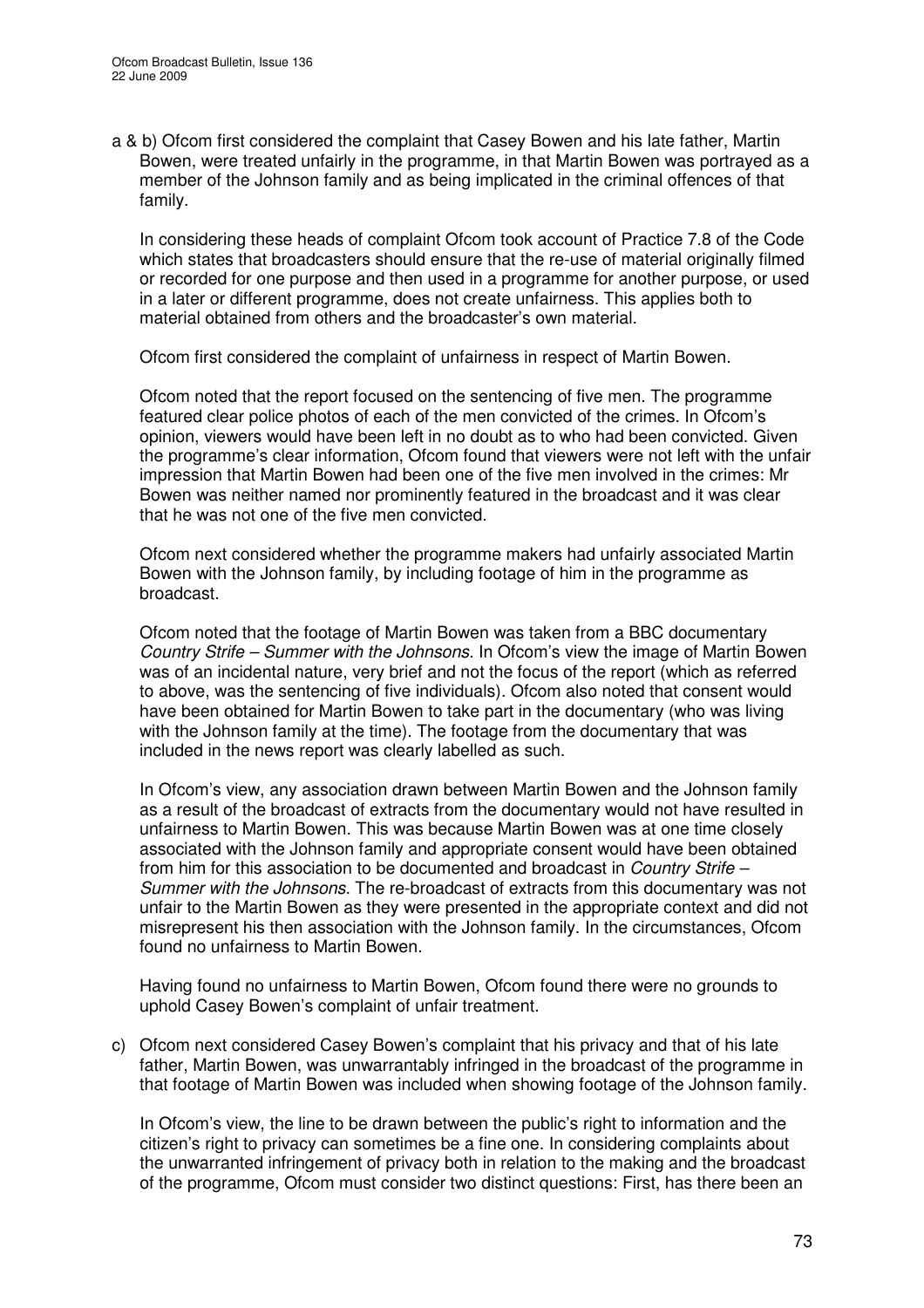a & b) Ofcom first considered the complaint that Casey Bowen and his late father, Martin Bowen, were treated unfairly in the programme, in that Martin Bowen was portrayed as a member of the Johnson family and as being implicated in the criminal offences of that family.

In considering these heads of complaint Ofcom took account of Practice 7.8 of the Code which states that broadcasters should ensure that the re-use of material originally filmed or recorded for one purpose and then used in a programme for another purpose, or used in a later or different programme, does not create unfairness. This applies both to material obtained from others and the broadcaster's own material.

Ofcom first considered the complaint of unfairness in respect of Martin Bowen.

Ofcom noted that the report focused on the sentencing of five men. The programme featured clear police photos of each of the men convicted of the crimes. In Ofcom's opinion, viewers would have been left in no doubt as to who had been convicted. Given the programme's clear information, Ofcom found that viewers were not left with the unfair impression that Martin Bowen had been one of the five men involved in the crimes: Mr Bowen was neither named nor prominently featured in the broadcast and it was clear that he was not one of the five men convicted.

Ofcom next considered whether the programme makers had unfairly associated Martin Bowen with the Johnson family, by including footage of him in the programme as broadcast.

Ofcom noted that the footage of Martin Bowen was taken from a BBC documentary *Country Strife – Summer with the Johnsons*. In Ofcom's view the image of Martin Bowen was of an incidental nature, very brief and not the focus of the report (which as referred to above, was the sentencing of five individuals). Ofcom also noted that consent would have been obtained for Martin Bowen to take part in the documentary (who was living with the Johnson family at the time). The footage from the documentary that was included in the news report was clearly labelled as such.

In Ofcom's view, any association drawn between Martin Bowen and the Johnson family as a result of the broadcast of extracts from the documentary would not have resulted in unfairness to Martin Bowen. This was because Martin Bowen was at one time closely associated with the Johnson family and appropriate consent would have been obtained from him for this association to be documented and broadcast in *Country Strife – Summer with the Johnsons*. The re-broadcast of extracts from this documentary was not unfair to the Martin Bowen as they were presented in the appropriate context and did not misrepresent his then association with the Johnson family. In the circumstances, Ofcom found no unfairness to Martin Bowen.

Having found no unfairness to Martin Bowen, Ofcom found there were no grounds to uphold Casey Bowen's complaint of unfair treatment.

c) Ofcom next considered Casey Bowen's complaint that his privacy and that of his late father, Martin Bowen, was unwarrantably infringed in the broadcast of the programme in that footage of Martin Bowen was included when showing footage of the Johnson family.

In Ofcom's view, the line to be drawn between the public's right to information and the citizen's right to privacy can sometimes be a fine one. In considering complaints about the unwarranted infringement of privacy both in relation to the making and the broadcast of the programme, Ofcom must consider two distinct questions: First, has there been an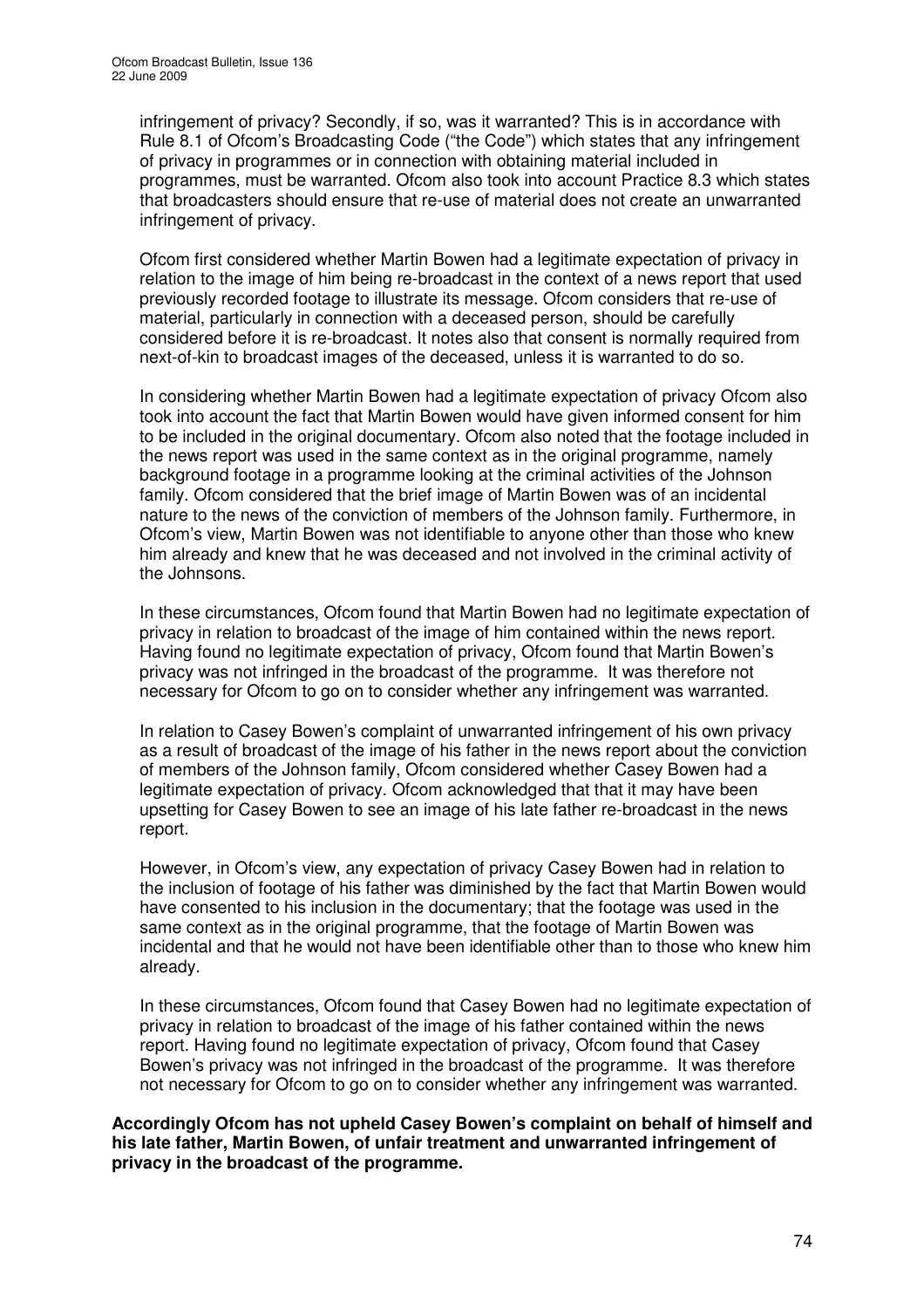infringement of privacy? Secondly, if so, was it warranted? This is in accordance with Rule 8.1 of Ofcom's Broadcasting Code ("the Code") which states that any infringement of privacy in programmes or in connection with obtaining material included in programmes, must be warranted. Ofcom also took into account Practice 8.3 which states that broadcasters should ensure that re-use of material does not create an unwarranted infringement of privacy.

Ofcom first considered whether Martin Bowen had a legitimate expectation of privacy in relation to the image of him being re-broadcast in the context of a news report that used previously recorded footage to illustrate its message. Ofcom considers that re-use of material, particularly in connection with a deceased person, should be carefully considered before it is re-broadcast. It notes also that consent is normally required from next-of-kin to broadcast images of the deceased, unless it is warranted to do so.

In considering whether Martin Bowen had a legitimate expectation of privacy Ofcom also took into account the fact that Martin Bowen would have given informed consent for him to be included in the original documentary. Ofcom also noted that the footage included in the news report was used in the same context as in the original programme, namely background footage in a programme looking at the criminal activities of the Johnson family. Ofcom considered that the brief image of Martin Bowen was of an incidental nature to the news of the conviction of members of the Johnson family. Furthermore, in Ofcom's view, Martin Bowen was not identifiable to anyone other than those who knew him already and knew that he was deceased and not involved in the criminal activity of the Johnsons.

In these circumstances, Ofcom found that Martin Bowen had no legitimate expectation of privacy in relation to broadcast of the image of him contained within the news report. Having found no legitimate expectation of privacy, Ofcom found that Martin Bowen's privacy was not infringed in the broadcast of the programme. It was therefore not necessary for Ofcom to go on to consider whether any infringement was warranted.

In relation to Casey Bowen's complaint of unwarranted infringement of his own privacy as a result of broadcast of the image of his father in the news report about the conviction of members of the Johnson family, Ofcom considered whether Casey Bowen had a legitimate expectation of privacy. Ofcom acknowledged that that it may have been upsetting for Casey Bowen to see an image of his late father re-broadcast in the news report.

However, in Ofcom's view, any expectation of privacy Casey Bowen had in relation to the inclusion of footage of his father was diminished by the fact that Martin Bowen would have consented to his inclusion in the documentary; that the footage was used in the same context as in the original programme, that the footage of Martin Bowen was incidental and that he would not have been identifiable other than to those who knew him already.

In these circumstances, Ofcom found that Casey Bowen had no legitimate expectation of privacy in relation to broadcast of the image of his father contained within the news report. Having found no legitimate expectation of privacy, Ofcom found that Casey Bowen's privacy was not infringed in the broadcast of the programme. It was therefore not necessary for Ofcom to go on to consider whether any infringement was warranted.

**Accordingly Ofcom has not upheld Casey Bowen's complaint on behalf of himself and his late father, Martin Bowen, of unfair treatment and unwarranted infringement of privacy in the broadcast of the programme.**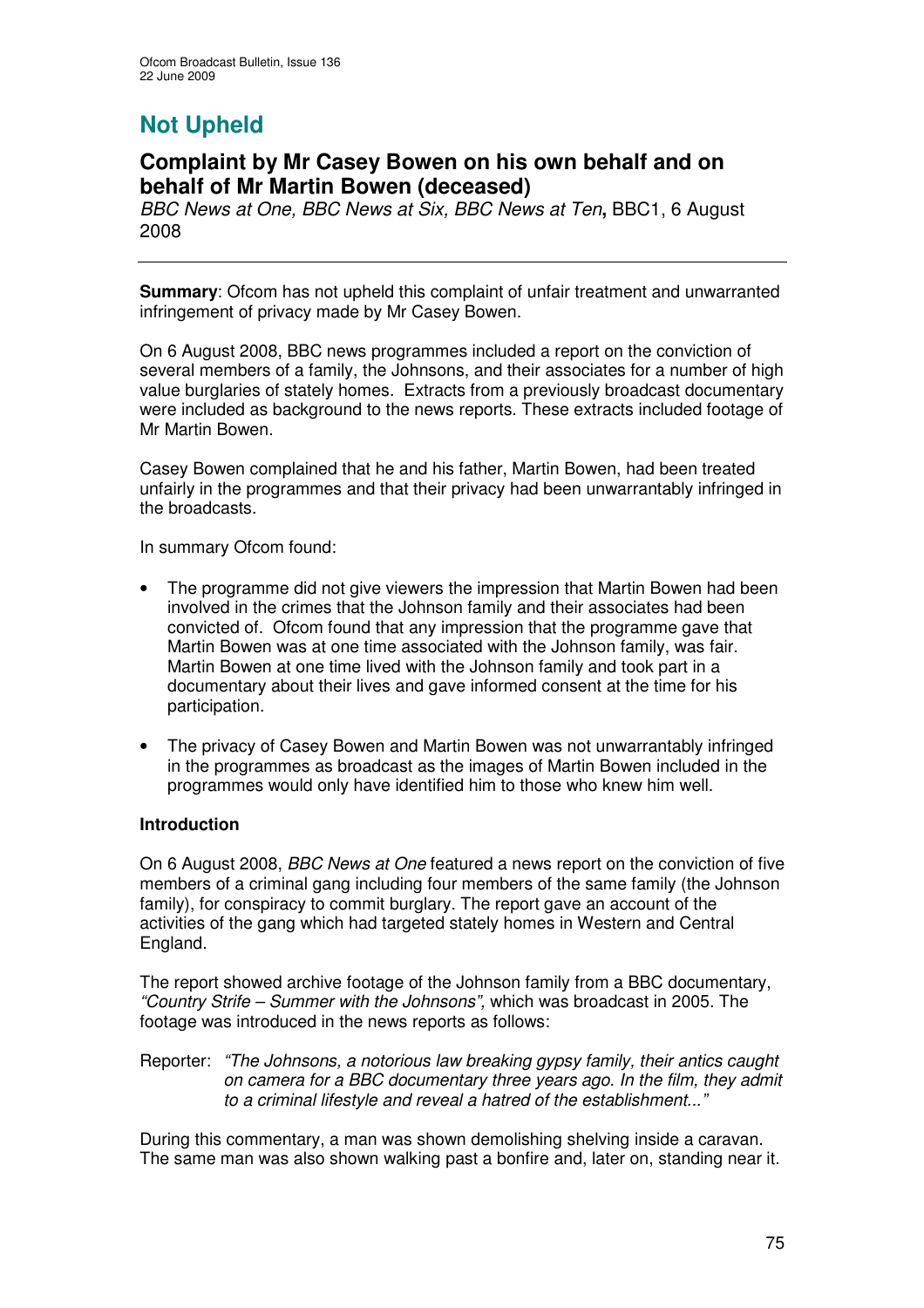## **Not Upheld**

### **Complaint by Mr Casey Bowen on his own behalf and on behalf of Mr Martin Bowen (deceased)**

*BBC News at One, BBC News at Six, BBC News at Ten***,** BBC1, 6 August 2008

**Summary**: Ofcom has not upheld this complaint of unfair treatment and unwarranted infringement of privacy made by Mr Casey Bowen.

On 6 August 2008, BBC news programmes included a report on the conviction of several members of a family, the Johnsons, and their associates for a number of high value burglaries of stately homes. Extracts from a previously broadcast documentary were included as background to the news reports. These extracts included footage of Mr Martin Bowen.

Casey Bowen complained that he and his father, Martin Bowen, had been treated unfairly in the programmes and that their privacy had been unwarrantably infringed in the broadcasts.

In summary Ofcom found:

- The programme did not give viewers the impression that Martin Bowen had been involved in the crimes that the Johnson family and their associates had been convicted of. Ofcom found that any impression that the programme gave that Martin Bowen was at one time associated with the Johnson family, was fair. Martin Bowen at one time lived with the Johnson family and took part in a documentary about their lives and gave informed consent at the time for his participation.
- The privacy of Casey Bowen and Martin Bowen was not unwarrantably infringed in the programmes as broadcast as the images of Martin Bowen included in the programmes would only have identified him to those who knew him well.

#### **Introduction**

On 6 August 2008, *BBC News at One* featured a news report on the conviction of five members of a criminal gang including four members of the same family (the Johnson family), for conspiracy to commit burglary. The report gave an account of the activities of the gang which had targeted stately homes in Western and Central England.

The report showed archive footage of the Johnson family from a BBC documentary, *"Country Strife – Summer with the Johnsons",* which was broadcast in 2005. The footage was introduced in the news reports as follows:

Reporter: *"The Johnsons, a notorious law breaking gypsy family, their antics caught on camera for a BBC documentary three years ago. In the film, they admit to a criminal lifestyle and reveal a hatred of the establishment..."*

During this commentary, a man was shown demolishing shelving inside a caravan. The same man was also shown walking past a bonfire and, later on, standing near it.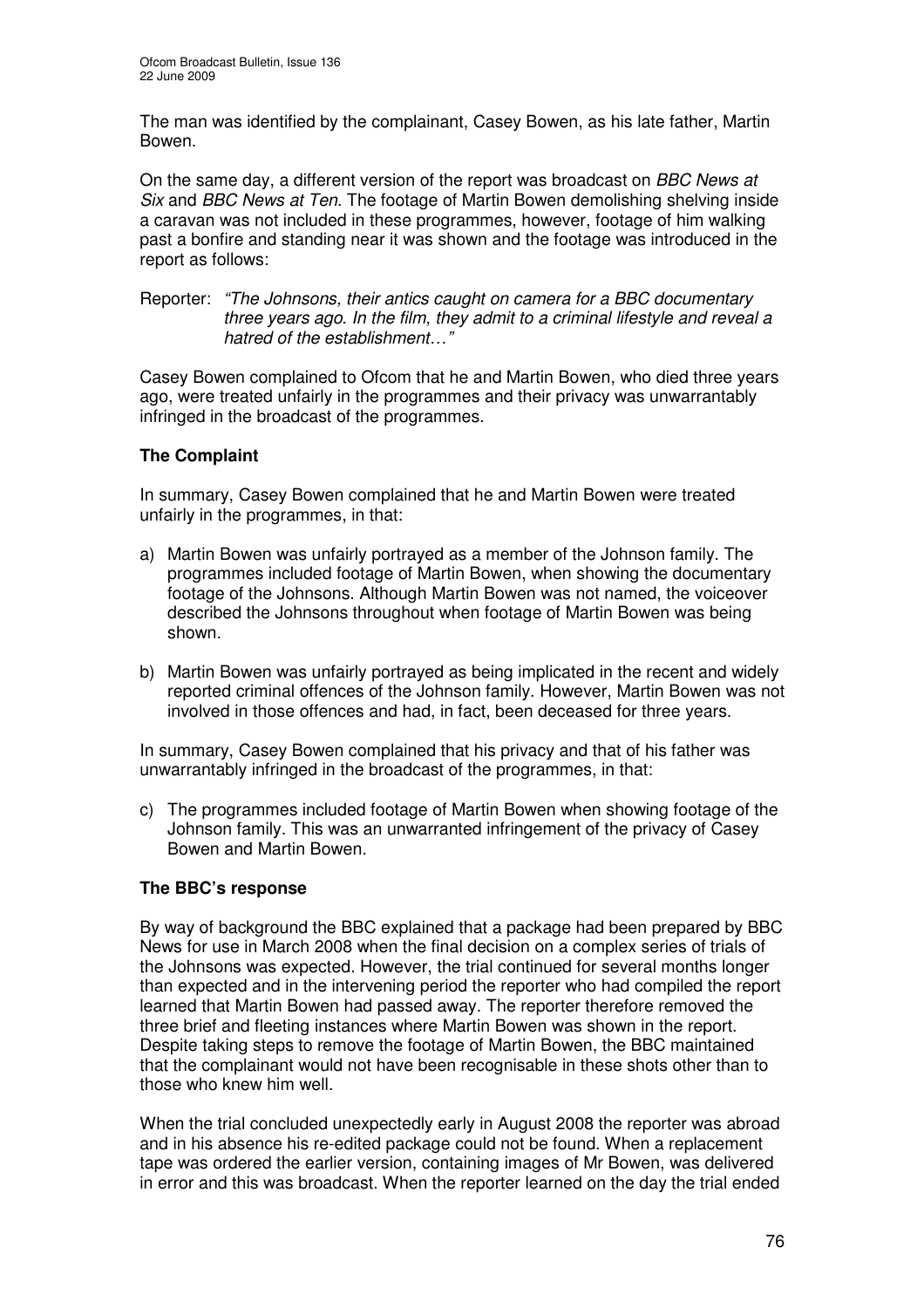The man was identified by the complainant, Casey Bowen, as his late father, Martin Bowen.

On the same day, a different version of the report was broadcast on *BBC News at Six* and *BBC News at Ten.* The footage of Martin Bowen demolishing shelving inside a caravan was not included in these programmes, however, footage of him walking past a bonfire and standing near it was shown and the footage was introduced in the report as follows:

Reporter: *"The Johnsons, their antics caught on camera for a BBC documentary three years ago. In the film, they admit to a criminal lifestyle and reveal a hatred of the establishment…"*

Casey Bowen complained to Ofcom that he and Martin Bowen, who died three years ago, were treated unfairly in the programmes and their privacy was unwarrantably infringed in the broadcast of the programmes.

#### **The Complaint**

In summary, Casey Bowen complained that he and Martin Bowen were treated unfairly in the programmes, in that:

- a) Martin Bowen was unfairly portrayed as a member of the Johnson family. The programmes included footage of Martin Bowen, when showing the documentary footage of the Johnsons. Although Martin Bowen was not named, the voiceover described the Johnsons throughout when footage of Martin Bowen was being shown.
- b) Martin Bowen was unfairly portrayed as being implicated in the recent and widely reported criminal offences of the Johnson family. However, Martin Bowen was not involved in those offences and had, in fact, been deceased for three years.

In summary, Casey Bowen complained that his privacy and that of his father was unwarrantably infringed in the broadcast of the programmes, in that:

c) The programmes included footage of Martin Bowen when showing footage of the Johnson family. This was an unwarranted infringement of the privacy of Casey Bowen and Martin Bowen.

#### **The BBC's response**

By way of background the BBC explained that a package had been prepared by BBC News for use in March 2008 when the final decision on a complex series of trials of the Johnsons was expected. However, the trial continued for several months longer than expected and in the intervening period the reporter who had compiled the report learned that Martin Bowen had passed away. The reporter therefore removed the three brief and fleeting instances where Martin Bowen was shown in the report. Despite taking steps to remove the footage of Martin Bowen, the BBC maintained that the complainant would not have been recognisable in these shots other than to those who knew him well.

When the trial concluded unexpectedly early in August 2008 the reporter was abroad and in his absence his re-edited package could not be found. When a replacement tape was ordered the earlier version, containing images of Mr Bowen, was delivered in error and this was broadcast. When the reporter learned on the day the trial ended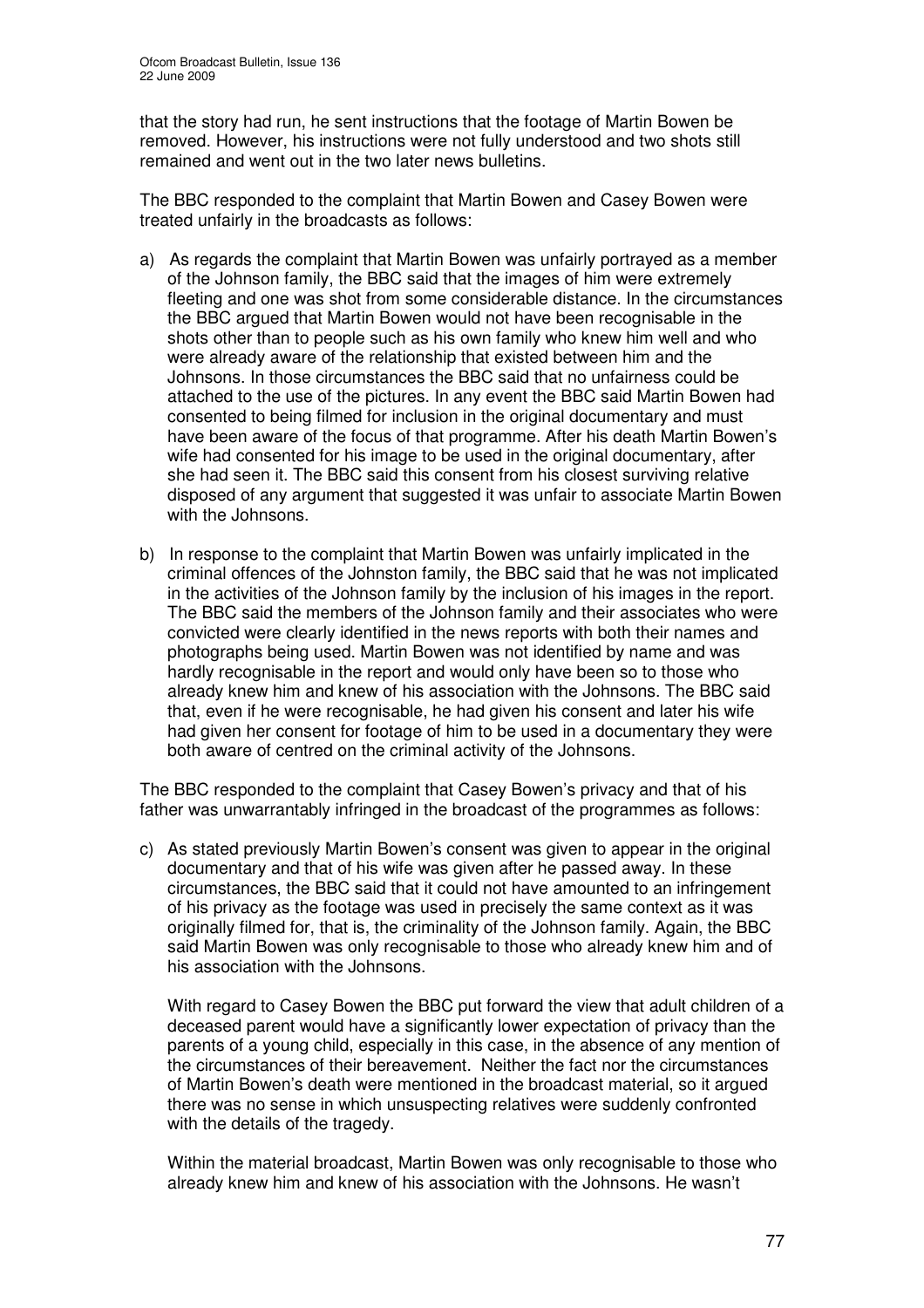that the story had run, he sent instructions that the footage of Martin Bowen be removed. However, his instructions were not fully understood and two shots still remained and went out in the two later news bulletins.

The BBC responded to the complaint that Martin Bowen and Casey Bowen were treated unfairly in the broadcasts as follows:

- a) As regards the complaint that Martin Bowen was unfairly portrayed as a member of the Johnson family, the BBC said that the images of him were extremely fleeting and one was shot from some considerable distance. In the circumstances the BBC argued that Martin Bowen would not have been recognisable in the shots other than to people such as his own family who knew him well and who were already aware of the relationship that existed between him and the Johnsons. In those circumstances the BBC said that no unfairness could be attached to the use of the pictures. In any event the BBC said Martin Bowen had consented to being filmed for inclusion in the original documentary and must have been aware of the focus of that programme. After his death Martin Bowen's wife had consented for his image to be used in the original documentary, after she had seen it. The BBC said this consent from his closest surviving relative disposed of any argument that suggested it was unfair to associate Martin Bowen with the Johnsons.
- b) In response to the complaint that Martin Bowen was unfairly implicated in the criminal offences of the Johnston family, the BBC said that he was not implicated in the activities of the Johnson family by the inclusion of his images in the report. The BBC said the members of the Johnson family and their associates who were convicted were clearly identified in the news reports with both their names and photographs being used. Martin Bowen was not identified by name and was hardly recognisable in the report and would only have been so to those who already knew him and knew of his association with the Johnsons. The BBC said that, even if he were recognisable, he had given his consent and later his wife had given her consent for footage of him to be used in a documentary they were both aware of centred on the criminal activity of the Johnsons.

The BBC responded to the complaint that Casey Bowen's privacy and that of his father was unwarrantably infringed in the broadcast of the programmes as follows:

c) As stated previously Martin Bowen's consent was given to appear in the original documentary and that of his wife was given after he passed away. In these circumstances, the BBC said that it could not have amounted to an infringement of his privacy as the footage was used in precisely the same context as it was originally filmed for, that is, the criminality of the Johnson family. Again, the BBC said Martin Bowen was only recognisable to those who already knew him and of his association with the Johnsons.

With regard to Casey Bowen the BBC put forward the view that adult children of a deceased parent would have a significantly lower expectation of privacy than the parents of a young child, especially in this case, in the absence of any mention of the circumstances of their bereavement. Neither the fact nor the circumstances of Martin Bowen's death were mentioned in the broadcast material, so it argued there was no sense in which unsuspecting relatives were suddenly confronted with the details of the tragedy.

Within the material broadcast, Martin Bowen was only recognisable to those who already knew him and knew of his association with the Johnsons. He wasn't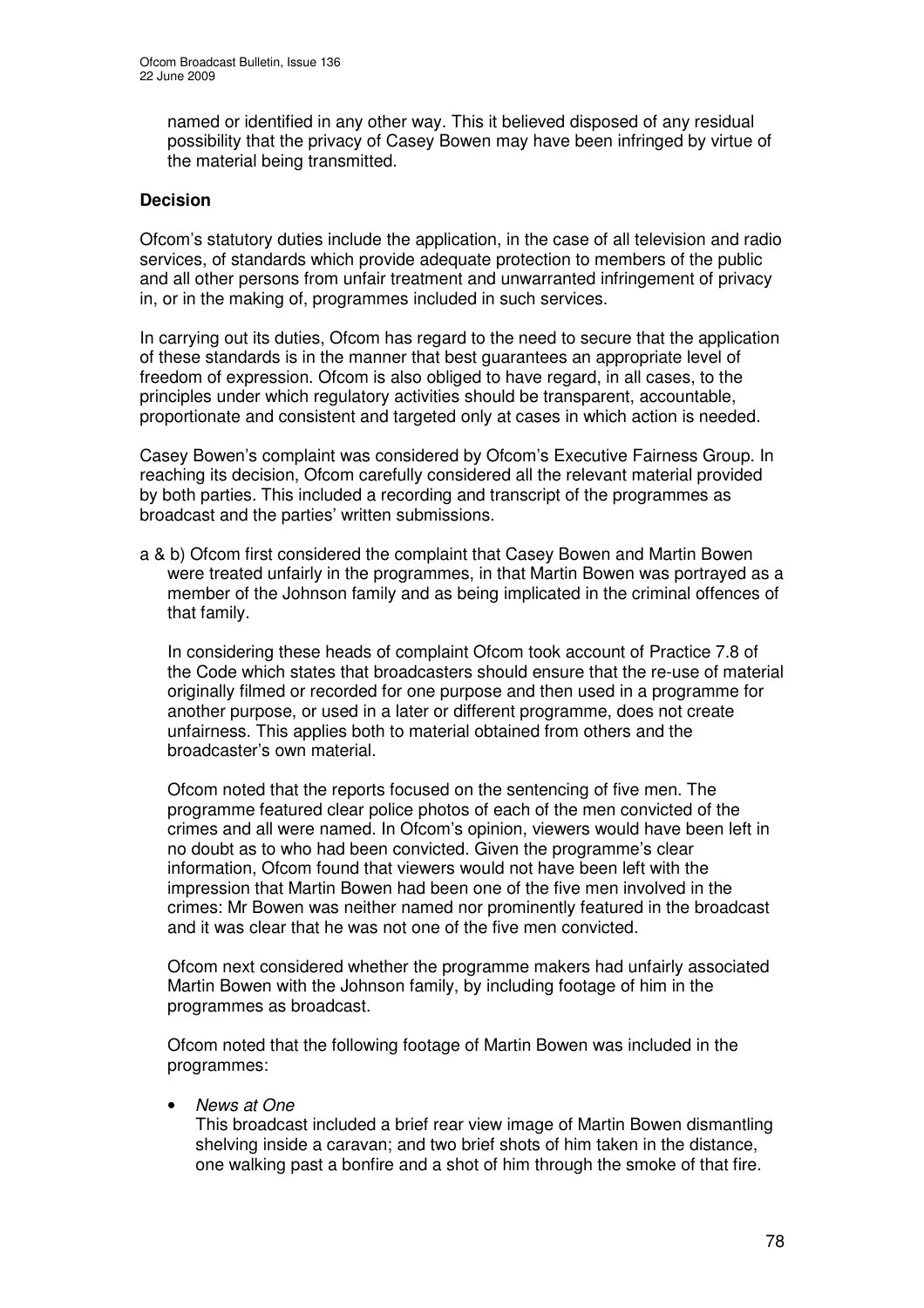named or identified in any other way. This it believed disposed of any residual possibility that the privacy of Casey Bowen may have been infringed by virtue of the material being transmitted.

#### **Decision**

Ofcom's statutory duties include the application, in the case of all television and radio services, of standards which provide adequate protection to members of the public and all other persons from unfair treatment and unwarranted infringement of privacy in, or in the making of, programmes included in such services.

In carrying out its duties, Ofcom has regard to the need to secure that the application of these standards is in the manner that best guarantees an appropriate level of freedom of expression. Ofcom is also obliged to have regard, in all cases, to the principles under which regulatory activities should be transparent, accountable, proportionate and consistent and targeted only at cases in which action is needed.

Casey Bowen's complaint was considered by Ofcom's Executive Fairness Group. In reaching its decision, Ofcom carefully considered all the relevant material provided by both parties. This included a recording and transcript of the programmes as broadcast and the parties' written submissions.

a & b) Ofcom first considered the complaint that Casey Bowen and Martin Bowen were treated unfairly in the programmes, in that Martin Bowen was portrayed as a member of the Johnson family and as being implicated in the criminal offences of that family.

In considering these heads of complaint Ofcom took account of Practice 7.8 of the Code which states that broadcasters should ensure that the re-use of material originally filmed or recorded for one purpose and then used in a programme for another purpose, or used in a later or different programme, does not create unfairness. This applies both to material obtained from others and the broadcaster's own material.

Ofcom noted that the reports focused on the sentencing of five men. The programme featured clear police photos of each of the men convicted of the crimes and all were named. In Ofcom's opinion, viewers would have been left in no doubt as to who had been convicted. Given the programme's clear information, Ofcom found that viewers would not have been left with the impression that Martin Bowen had been one of the five men involved in the crimes: Mr Bowen was neither named nor prominently featured in the broadcast and it was clear that he was not one of the five men convicted.

Ofcom next considered whether the programme makers had unfairly associated Martin Bowen with the Johnson family, by including footage of him in the programmes as broadcast.

Ofcom noted that the following footage of Martin Bowen was included in the programmes:

• *News at One*

This broadcast included a brief rear view image of Martin Bowen dismantling shelving inside a caravan; and two brief shots of him taken in the distance, one walking past a bonfire and a shot of him through the smoke of that fire.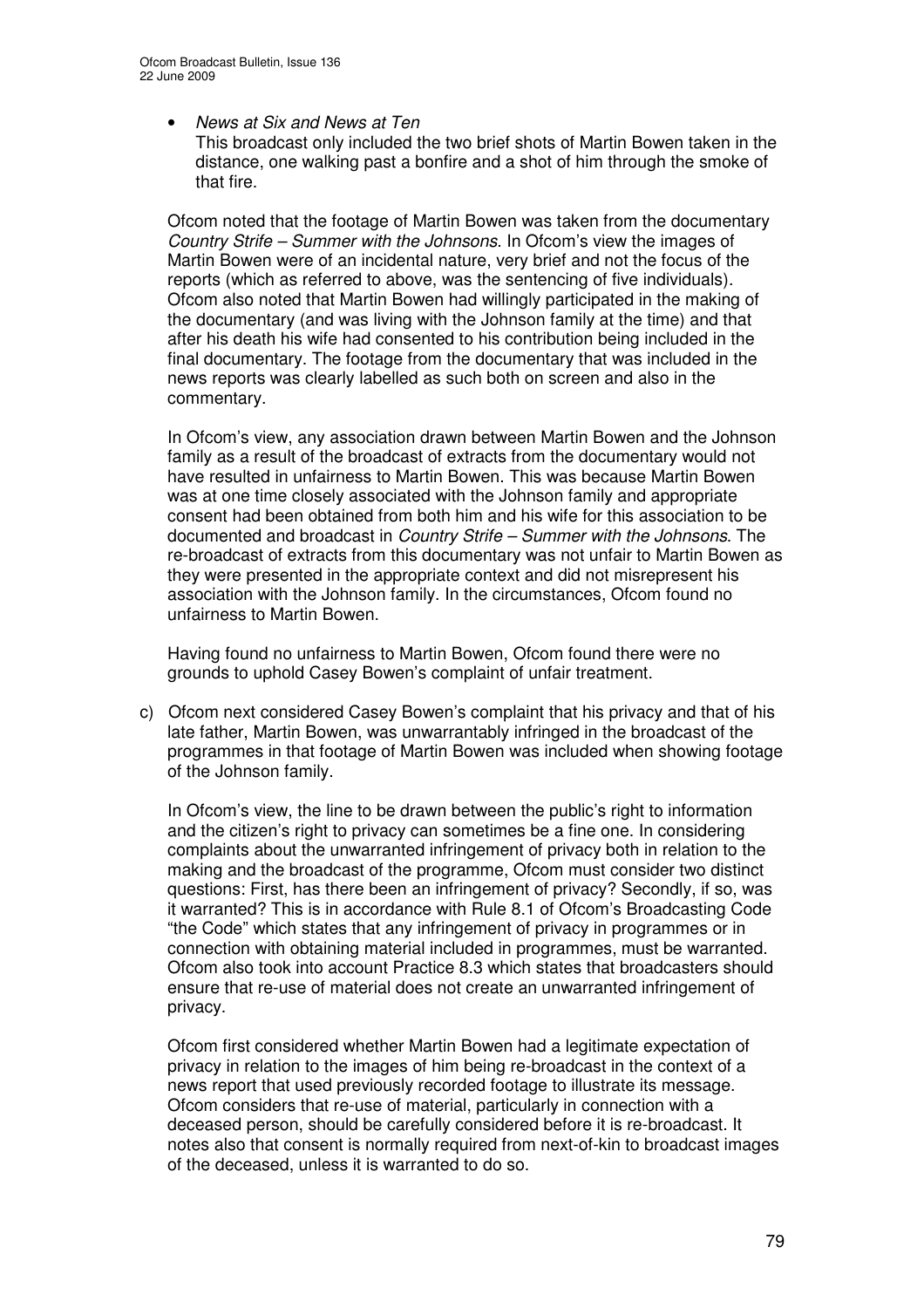• *News at Six and News at Ten*

This broadcast only included the two brief shots of Martin Bowen taken in the distance, one walking past a bonfire and a shot of him through the smoke of that fire.

Ofcom noted that the footage of Martin Bowen was taken from the documentary *Country Strife – Summer with the Johnsons*. In Ofcom's view the images of Martin Bowen were of an incidental nature, very brief and not the focus of the reports (which as referred to above, was the sentencing of five individuals). Ofcom also noted that Martin Bowen had willingly participated in the making of the documentary (and was living with the Johnson family at the time) and that after his death his wife had consented to his contribution being included in the final documentary. The footage from the documentary that was included in the news reports was clearly labelled as such both on screen and also in the commentary.

In Ofcom's view, any association drawn between Martin Bowen and the Johnson family as a result of the broadcast of extracts from the documentary would not have resulted in unfairness to Martin Bowen. This was because Martin Bowen was at one time closely associated with the Johnson family and appropriate consent had been obtained from both him and his wife for this association to be documented and broadcast in *Country Strife – Summer with the Johnsons*. The re-broadcast of extracts from this documentary was not unfair to Martin Bowen as they were presented in the appropriate context and did not misrepresent his association with the Johnson family. In the circumstances, Ofcom found no unfairness to Martin Bowen.

Having found no unfairness to Martin Bowen, Ofcom found there were no grounds to uphold Casey Bowen's complaint of unfair treatment.

c) Ofcom next considered Casey Bowen's complaint that his privacy and that of his late father, Martin Bowen, was unwarrantably infringed in the broadcast of the programmes in that footage of Martin Bowen was included when showing footage of the Johnson family.

In Ofcom's view, the line to be drawn between the public's right to information and the citizen's right to privacy can sometimes be a fine one. In considering complaints about the unwarranted infringement of privacy both in relation to the making and the broadcast of the programme, Ofcom must consider two distinct questions: First, has there been an infringement of privacy? Secondly, if so, was it warranted? This is in accordance with Rule 8.1 of Ofcom's Broadcasting Code "the Code" which states that any infringement of privacy in programmes or in connection with obtaining material included in programmes, must be warranted. Ofcom also took into account Practice 8.3 which states that broadcasters should ensure that re-use of material does not create an unwarranted infringement of privacy.

Ofcom first considered whether Martin Bowen had a legitimate expectation of privacy in relation to the images of him being re-broadcast in the context of a news report that used previously recorded footage to illustrate its message. Ofcom considers that re-use of material, particularly in connection with a deceased person, should be carefully considered before it is re-broadcast. It notes also that consent is normally required from next-of-kin to broadcast images of the deceased, unless it is warranted to do so.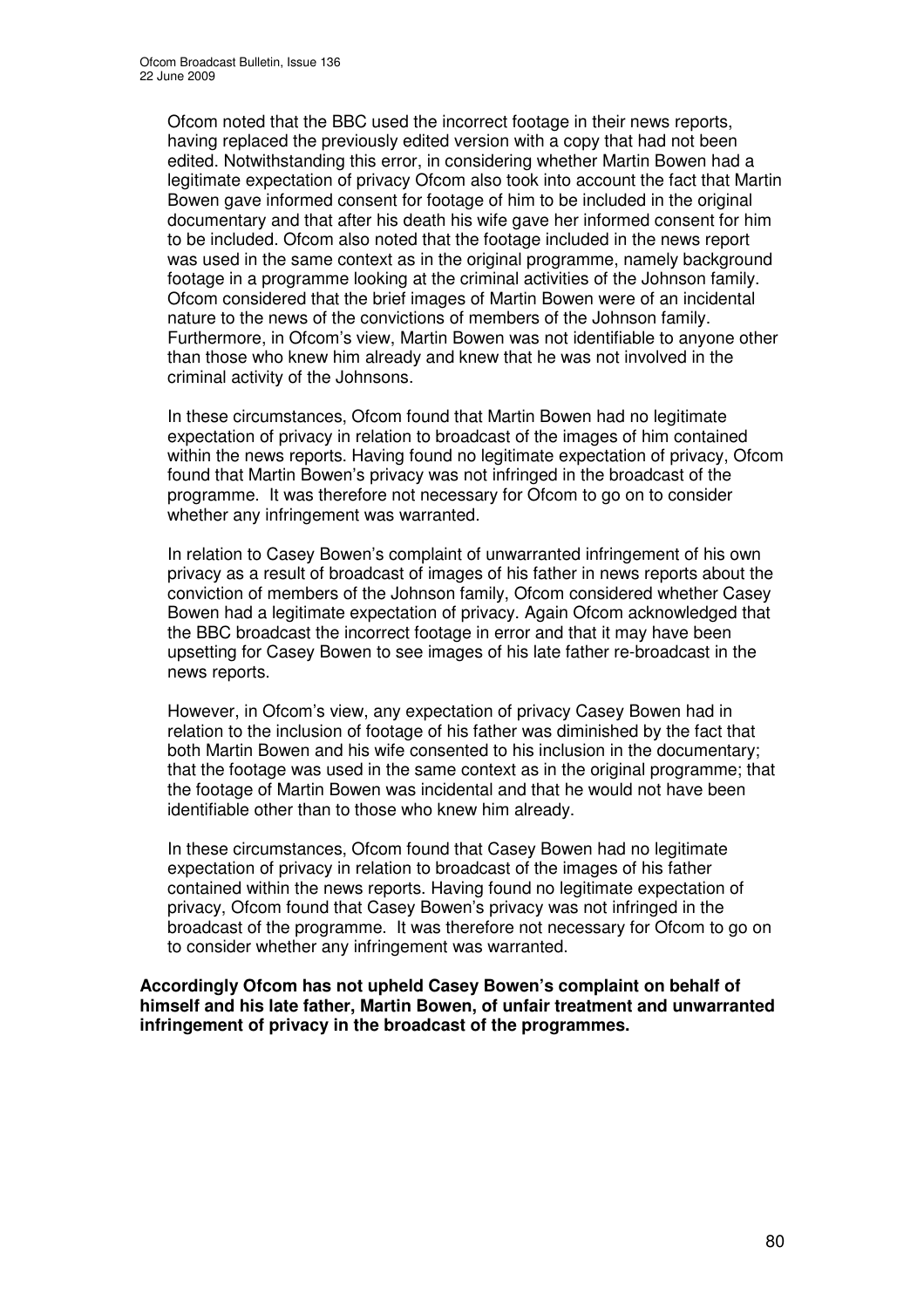Ofcom noted that the BBC used the incorrect footage in their news reports, having replaced the previously edited version with a copy that had not been edited. Notwithstanding this error, in considering whether Martin Bowen had a legitimate expectation of privacy Ofcom also took into account the fact that Martin Bowen gave informed consent for footage of him to be included in the original documentary and that after his death his wife gave her informed consent for him to be included. Ofcom also noted that the footage included in the news report was used in the same context as in the original programme, namely background footage in a programme looking at the criminal activities of the Johnson family. Ofcom considered that the brief images of Martin Bowen were of an incidental nature to the news of the convictions of members of the Johnson family. Furthermore, in Ofcom's view, Martin Bowen was not identifiable to anyone other than those who knew him already and knew that he was not involved in the criminal activity of the Johnsons.

In these circumstances, Ofcom found that Martin Bowen had no legitimate expectation of privacy in relation to broadcast of the images of him contained within the news reports. Having found no legitimate expectation of privacy, Ofcom found that Martin Bowen's privacy was not infringed in the broadcast of the programme. It was therefore not necessary for Ofcom to go on to consider whether any infringement was warranted.

In relation to Casey Bowen's complaint of unwarranted infringement of his own privacy as a result of broadcast of images of his father in news reports about the conviction of members of the Johnson family, Ofcom considered whether Casey Bowen had a legitimate expectation of privacy. Again Ofcom acknowledged that the BBC broadcast the incorrect footage in error and that it may have been upsetting for Casey Bowen to see images of his late father re-broadcast in the news reports.

However, in Ofcom's view, any expectation of privacy Casey Bowen had in relation to the inclusion of footage of his father was diminished by the fact that both Martin Bowen and his wife consented to his inclusion in the documentary; that the footage was used in the same context as in the original programme; that the footage of Martin Bowen was incidental and that he would not have been identifiable other than to those who knew him already.

In these circumstances, Ofcom found that Casey Bowen had no legitimate expectation of privacy in relation to broadcast of the images of his father contained within the news reports. Having found no legitimate expectation of privacy, Ofcom found that Casey Bowen's privacy was not infringed in the broadcast of the programme. It was therefore not necessary for Ofcom to go on to consider whether any infringement was warranted.

**Accordingly Ofcom has not upheld Casey Bowen's complaint on behalf of himself and his late father, Martin Bowen, of unfair treatment and unwarranted infringement of privacy in the broadcast of the programmes.**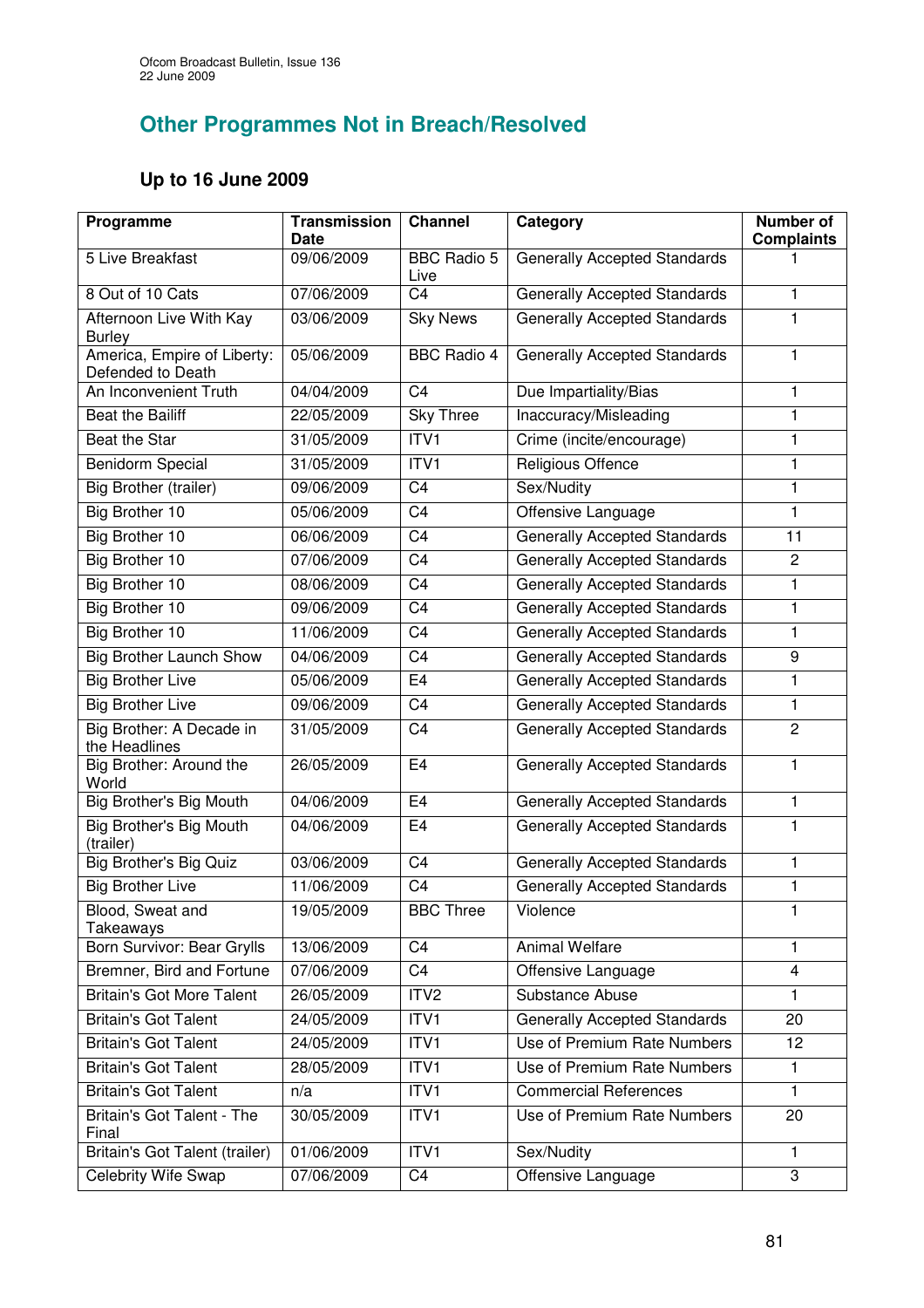# **Other Programmes Not in Breach/Resolved**

## **Up to 16 June 2009**

| Programme                                        | <b>Transmission</b><br><b>Date</b> | <b>Channel</b>             | Category                            | <b>Number of</b><br><b>Complaints</b> |
|--------------------------------------------------|------------------------------------|----------------------------|-------------------------------------|---------------------------------------|
| 5 Live Breakfast                                 | 09/06/2009                         | <b>BBC Radio 5</b><br>Live | <b>Generally Accepted Standards</b> |                                       |
| 8 Out of 10 Cats                                 | 07/06/2009                         | C <sub>4</sub>             | <b>Generally Accepted Standards</b> | 1                                     |
| Afternoon Live With Kay<br><b>Burley</b>         | 03/06/2009                         | <b>Sky News</b>            | <b>Generally Accepted Standards</b> | 1                                     |
| America, Empire of Liberty:<br>Defended to Death | 05/06/2009                         | <b>BBC Radio 4</b>         | <b>Generally Accepted Standards</b> | 1                                     |
| An Inconvenient Truth                            | 04/04/2009                         | C <sub>4</sub>             | Due Impartiality/Bias               | 1                                     |
| Beat the Bailiff                                 | 22/05/2009                         | <b>Sky Three</b>           | Inaccuracy/Misleading               | 1                                     |
| Beat the Star                                    | 31/05/2009                         | ITV1                       | Crime (incite/encourage)            | 1                                     |
| <b>Benidorm Special</b>                          | 31/05/2009                         | ITV1                       | Religious Offence                   | 1                                     |
| Big Brother (trailer)                            | 09/06/2009                         | C <sub>4</sub>             | Sex/Nudity                          | 1                                     |
| Big Brother 10                                   | 05/06/2009                         | C <sub>4</sub>             | Offensive Language                  | 1                                     |
| Big Brother 10                                   | 06/06/2009                         | C <sub>4</sub>             | <b>Generally Accepted Standards</b> | 11                                    |
| <b>Big Brother 10</b>                            | 07/06/2009                         | $\overline{C4}$            | <b>Generally Accepted Standards</b> | $\overline{c}$                        |
| Big Brother 10                                   | 08/06/2009                         | C <sub>4</sub>             | <b>Generally Accepted Standards</b> | 1                                     |
| Big Brother 10                                   | 09/06/2009                         | C <sub>4</sub>             | <b>Generally Accepted Standards</b> | 1                                     |
| <b>Big Brother 10</b>                            | 11/06/2009                         | C <sub>4</sub>             | <b>Generally Accepted Standards</b> | 1                                     |
| <b>Big Brother Launch Show</b>                   | 04/06/2009                         | C <sub>4</sub>             | <b>Generally Accepted Standards</b> | 9                                     |
| <b>Big Brother Live</b>                          | 05/06/2009                         | E4                         | <b>Generally Accepted Standards</b> | 1                                     |
| <b>Big Brother Live</b>                          | 09/06/2009                         | C <sub>4</sub>             | <b>Generally Accepted Standards</b> | 1                                     |
| Big Brother: A Decade in<br>the Headlines        | 31/05/2009                         | C <sub>4</sub>             | <b>Generally Accepted Standards</b> | $\overline{c}$                        |
| Big Brother: Around the<br>World                 | 26/05/2009                         | E4                         | <b>Generally Accepted Standards</b> | 1                                     |
| Big Brother's Big Mouth                          | 04/06/2009                         | E4                         | <b>Generally Accepted Standards</b> | 1                                     |
| Big Brother's Big Mouth<br>(trailer)             | 04/06/2009                         | E <sub>4</sub>             | <b>Generally Accepted Standards</b> | 1                                     |
| Big Brother's Big Quiz                           | 03/06/2009                         | C <sub>4</sub>             | <b>Generally Accepted Standards</b> | 1                                     |
| <b>Big Brother Live</b>                          | 11/06/2009                         | $\overline{C4}$            | <b>Generally Accepted Standards</b> | 1                                     |
| Blood, Sweat and<br>Takeaways                    | 19/05/2009                         | <b>BBC Three</b>           | Violence                            | 1                                     |
| <b>Born Survivor: Bear Grylls</b>                | 13/06/2009                         | C <sub>4</sub>             | Animal Welfare                      | 1                                     |
| Bremner, Bird and Fortune                        | 07/06/2009                         | C <sub>4</sub>             | Offensive Language                  | 4                                     |
| <b>Britain's Got More Talent</b>                 | 26/05/2009                         | ITV <sub>2</sub>           | Substance Abuse                     | 1.                                    |
| <b>Britain's Got Talent</b>                      | 24/05/2009                         | ITV1                       | <b>Generally Accepted Standards</b> | 20                                    |
| <b>Britain's Got Talent</b>                      | 24/05/2009                         | ITV <sub>1</sub>           | Use of Premium Rate Numbers         | 12                                    |
| <b>Britain's Got Talent</b>                      | 28/05/2009                         | ITV1                       | Use of Premium Rate Numbers         | 1                                     |
| <b>Britain's Got Talent</b>                      | n/a                                | ITV <sub>1</sub>           | <b>Commercial References</b>        | 1                                     |
| Britain's Got Talent - The<br>Final              | 30/05/2009                         | ITV1                       | Use of Premium Rate Numbers         | 20                                    |
| Britain's Got Talent (trailer)                   | 01/06/2009                         | ITV <sub>1</sub>           | Sex/Nudity                          | $\mathbf{1}$                          |
| Celebrity Wife Swap                              | 07/06/2009                         | C <sub>4</sub>             | Offensive Language                  | 3                                     |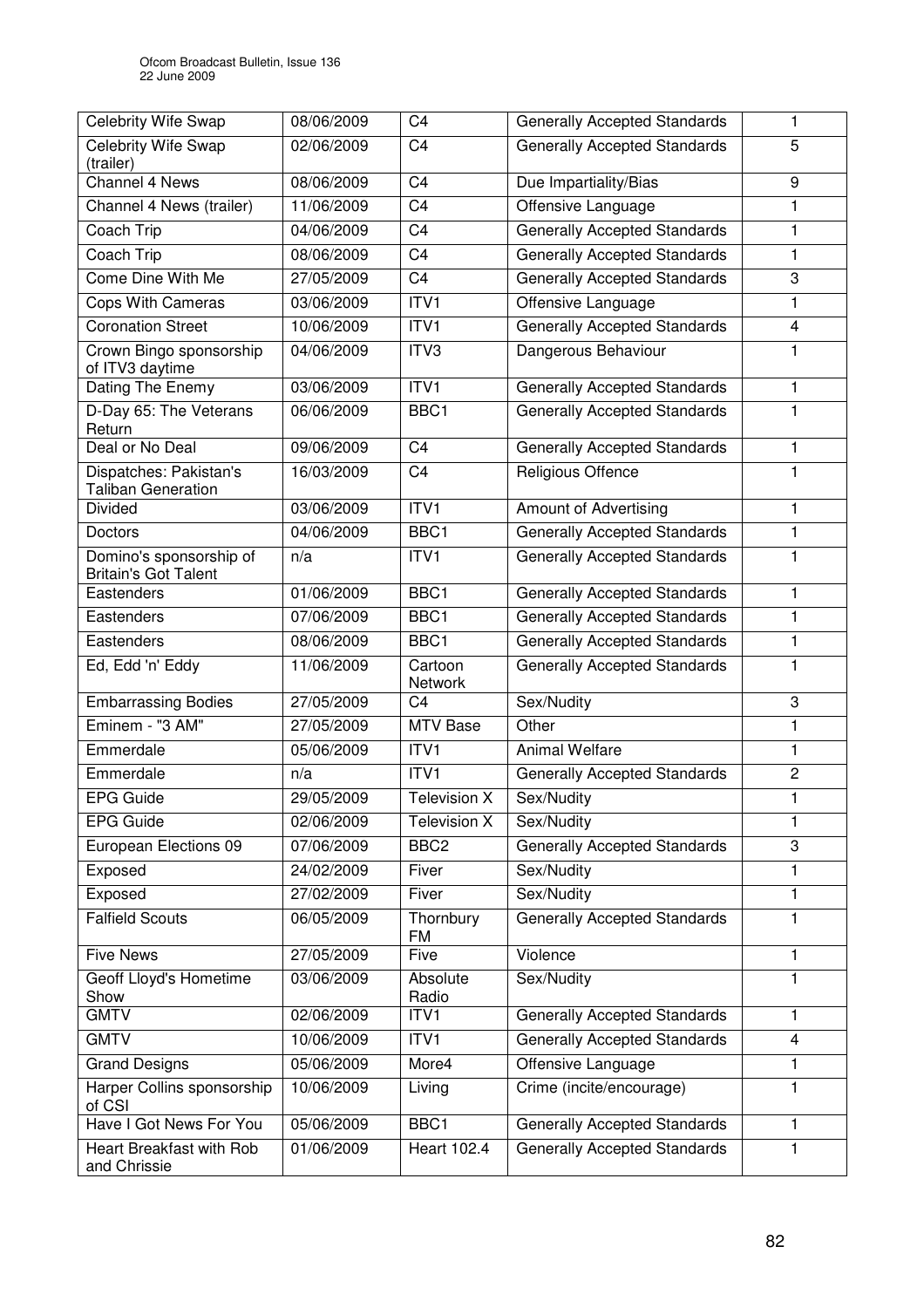| Celebrity Wife Swap                                    | 08/06/2009 | C <sub>4</sub>      | Generally Accepted Standards        | 1                       |
|--------------------------------------------------------|------------|---------------------|-------------------------------------|-------------------------|
| <b>Celebrity Wife Swap</b><br>(trailer)                | 02/06/2009 | C <sub>4</sub>      | <b>Generally Accepted Standards</b> | $\overline{5}$          |
| Channel 4 News                                         | 08/06/2009 | C <sub>4</sub>      | Due Impartiality/Bias               | 9                       |
| Channel 4 News (trailer)                               | 11/06/2009 | C <sub>4</sub>      | Offensive Language                  | 1                       |
| Coach Trip                                             | 04/06/2009 | C <sub>4</sub>      | <b>Generally Accepted Standards</b> | 1                       |
| Coach Trip                                             | 08/06/2009 | C <sub>4</sub>      | <b>Generally Accepted Standards</b> | 1                       |
| Come Dine With Me                                      | 27/05/2009 | C <sub>4</sub>      | Generally Accepted Standards        | 3                       |
| <b>Cops With Cameras</b>                               | 03/06/2009 | ITVI                | Offensive Language                  | $\mathbf{1}$            |
| <b>Coronation Street</b>                               | 10/06/2009 | ITV1                | <b>Generally Accepted Standards</b> | $\overline{\mathbf{4}}$ |
| Crown Bingo sponsorship<br>of ITV3 daytime             | 04/06/2009 | ITV3                | Dangerous Behaviour                 | 1                       |
| Dating The Enemy                                       | 03/06/2009 | ITVI                | Generally Accepted Standards        | 1                       |
| D-Day 65: The Veterans<br>Return                       | 06/06/2009 | BBC1                | <b>Generally Accepted Standards</b> | 1                       |
| Deal or No Deal                                        | 09/06/2009 | C <sub>4</sub>      | Generally Accepted Standards        | 1                       |
| Dispatches: Pakistan's<br><b>Taliban Generation</b>    | 16/03/2009 | C <sub>4</sub>      | Religious Offence                   | 1                       |
| <b>Divided</b>                                         | 03/06/2009 | ITVI                | <b>Amount of Advertising</b>        | 1                       |
| Doctors                                                | 04/06/2009 | BBC1                | <b>Generally Accepted Standards</b> | 1                       |
| Domino's sponsorship of<br><b>Britain's Got Talent</b> | n/a        | ITV1                | <b>Generally Accepted Standards</b> | 1                       |
| Eastenders                                             | 01/06/2009 | BBC1                | <b>Generally Accepted Standards</b> | 1                       |
| Eastenders                                             | 07/06/2009 | BBC1                | <b>Generally Accepted Standards</b> | $\mathbf{1}$            |
| Eastenders                                             | 08/06/2009 | BBC1                | <b>Generally Accepted Standards</b> | 1                       |
| Ed, Edd 'n' Eddy                                       | 11/06/2009 | Cartoon<br>Network  | <b>Generally Accepted Standards</b> | $\mathbf{1}$            |
| <b>Embarrassing Bodies</b>                             | 27/05/2009 | C <sub>4</sub>      | Sex/Nudity                          | 3                       |
| Eminem - "3 AM"                                        | 27/05/2009 | MTV Base            | Other                               | 1                       |
| Emmerdale                                              | 05/06/2009 | ITVI                | <b>Animal Welfare</b>               | 1                       |
| Emmerdale                                              | n/a        | ITV1                | <b>Generally Accepted Standards</b> | $\mathbf 2$             |
| <b>EPG Guide</b>                                       | 29/05/2009 | <b>Television X</b> | Sex/Nudity                          | $\mathbf{1}$            |
| <b>EPG Guide</b>                                       | 02/06/2009 | <b>Television X</b> | Sex/Nudity                          | 1                       |
| European Elections 09                                  | 07/06/2009 | BBC <sub>2</sub>    | Generally Accepted Standards        | 3                       |
| Exposed                                                | 24/02/2009 | Fiver               | Sex/Nudity                          | $\mathbf{1}$            |
| Exposed                                                | 27/02/2009 | Fiver               | Sex/Nudity                          | 1                       |
| <b>Falfield Scouts</b>                                 | 06/05/2009 | Thornbury<br>FM     | <b>Generally Accepted Standards</b> | 1                       |
| <b>Five News</b>                                       | 27/05/2009 | Five                | Violence                            | 1                       |
| Geoff Lloyd's Hometime<br>Show                         | 03/06/2009 | Absolute<br>Radio   | Sex/Nudity                          | 1                       |
| <b>GMTV</b>                                            | 02/06/2009 | ITV1                | Generally Accepted Standards        | 1                       |
| <b>GMTV</b>                                            | 10/06/2009 | ITV1                | <b>Generally Accepted Standards</b> | 4                       |
| <b>Grand Designs</b>                                   | 05/06/2009 | More4               | Offensive Language                  | 1                       |
| Harper Collins sponsorship<br>of CSI                   | 10/06/2009 | Living              | Crime (incite/encourage)            | 1                       |
| Have I Got News For You                                | 05/06/2009 | BBC1                | <b>Generally Accepted Standards</b> | 1                       |
| Heart Breakfast with Rob<br>and Chrissie               | 01/06/2009 | Heart 102.4         | <b>Generally Accepted Standards</b> | 1                       |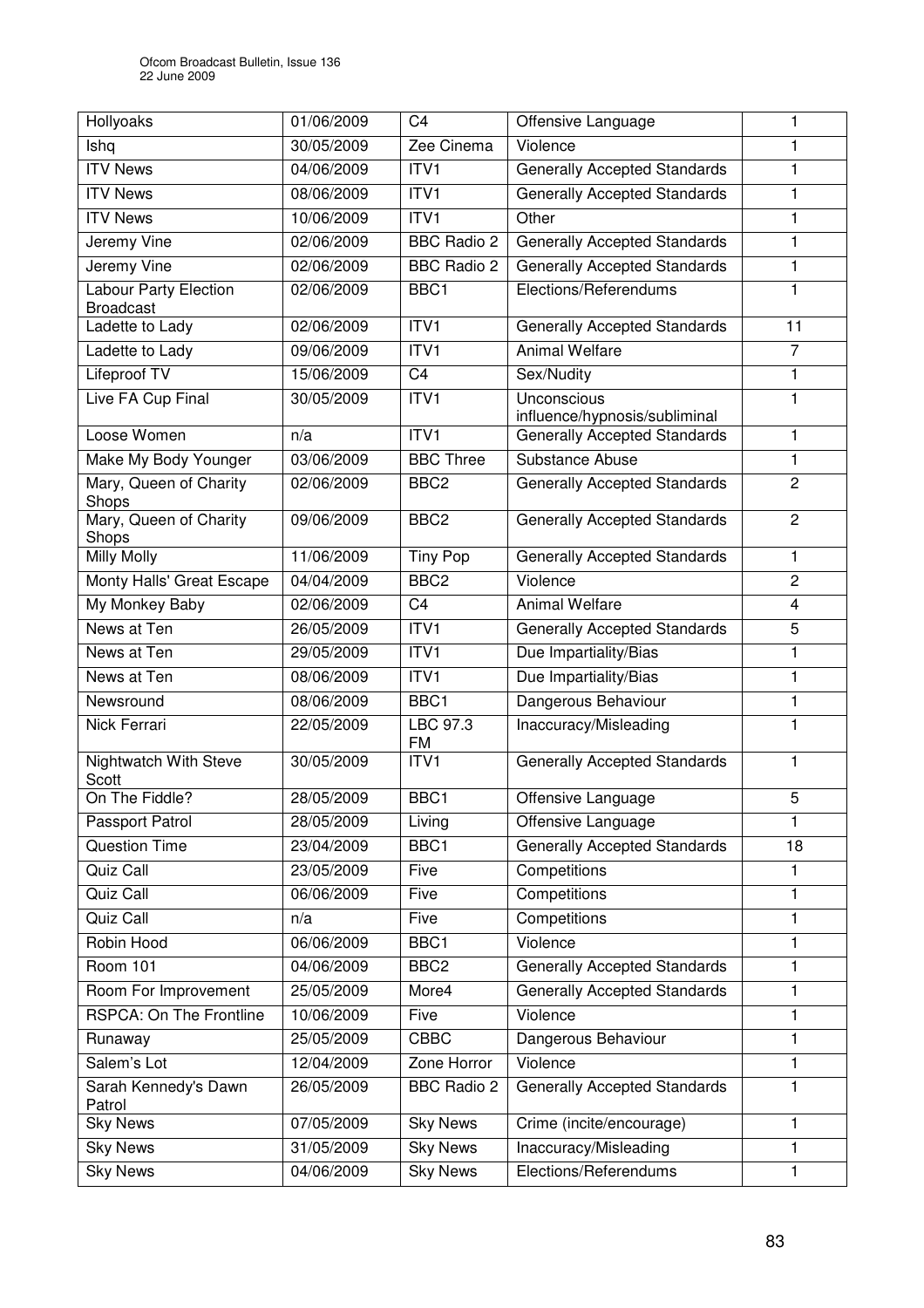| Hollyoaks                                 | 01/06/2009 | C <sub>4</sub>        | Offensive Language                           | 1              |
|-------------------------------------------|------------|-----------------------|----------------------------------------------|----------------|
| Ishq                                      | 30/05/2009 | Zee Cinema            | Violence                                     | 1              |
| <b>ITV News</b>                           | 04/06/2009 | ITV1                  | <b>Generally Accepted Standards</b>          | $\mathbf{1}$   |
| <b>ITV News</b>                           | 08/06/2009 | ITVI                  | Generally Accepted Standards                 | 1              |
| <b>ITV News</b>                           | 10/06/2009 | ITV1                  | Other                                        | 1              |
| Jeremy Vine                               | 02/06/2009 | <b>BBC Radio 2</b>    | <b>Generally Accepted Standards</b>          | 1              |
| <b>Jeremy Vine</b>                        | 02/06/2009 | <b>BBC Radio 2</b>    | Generally Accepted Standards                 | 1              |
| Labour Party Election<br><b>Broadcast</b> | 02/06/2009 | BBC1                  | Elections/Referendums                        | 1              |
| Ladette to Lady                           | 02/06/2009 | ITVI                  | <b>Generally Accepted Standards</b>          | 11             |
| Ladette to Lady                           | 09/06/2009 | ITVI                  | <b>Animal Welfare</b>                        | $\overline{7}$ |
| Lifeproof TV                              | 15/06/2009 | C <sub>4</sub>        | Sex/Nudity                                   | $\mathbf{1}$   |
| Live FA Cup Final                         | 30/05/2009 | ITVI                  | Unconscious<br>influence/hypnosis/subliminal | 1              |
| Loose Women                               | n/a        | ITV1                  | <b>Generally Accepted Standards</b>          | $\mathbf{1}$   |
| Make My Body Younger                      | 03/06/2009 | <b>BBC Three</b>      | Substance Abuse                              | 1              |
| Mary, Queen of Charity<br>Shops           | 02/06/2009 | BBC <sub>2</sub>      | <b>Generally Accepted Standards</b>          | $\overline{c}$ |
| Mary, Queen of Charity<br>Shops           | 09/06/2009 | BBC <sub>2</sub>      | <b>Generally Accepted Standards</b>          | $\overline{2}$ |
| Milly Molly                               | 11/06/2009 | Tiny Pop              | <b>Generally Accepted Standards</b>          | $\mathbf{1}$   |
| Monty Halls' Great Escape                 | 04/04/2009 | BBC <sub>2</sub>      | Violence                                     | $\overline{c}$ |
| My Monkey Baby                            | 02/06/2009 | C <sub>4</sub>        | <b>Animal Welfare</b>                        | 4              |
| News at Ten                               | 26/05/2009 | ITV <sub>1</sub>      | <b>Generally Accepted Standards</b>          | $\overline{5}$ |
| News at Ten                               | 29/05/2009 | ITV1                  | Due Impartiality/Bias                        | 1              |
| News at Ten                               | 08/06/2009 | ITV1                  | Due Impartiality/Bias                        | 1              |
| Newsround                                 | 08/06/2009 | BBC1                  | Dangerous Behaviour                          | 1              |
| Nick Ferrari                              | 22/05/2009 | LBC 97.3<br><b>FM</b> | Inaccuracy/Misleading                        | 1              |
| Nightwatch With Steve<br>Scott            | 30/05/2009 | ITVI                  | <b>Generally Accepted Standards</b>          | 1              |
| On The Fiddle?                            | 28/05/2009 | BBC1                  | Offensive Language                           | 5              |
| Passport Patrol                           | 28/05/2009 | Living                | Offensive Language                           | 1              |
| <b>Question Time</b>                      | 23/04/2009 | BBC1                  | <b>Generally Accepted Standards</b>          | 18             |
| Quiz Call                                 | 23/05/2009 | Five                  | Competitions                                 | 1              |
| Quiz Call                                 | 06/06/2009 | Five                  | Competitions                                 | 1              |
| Quiz Call                                 | n/a        | Five                  | Competitions                                 | 1              |
| Robin Hood                                | 06/06/2009 | BBC1                  | Violence                                     | 1              |
| Room 101                                  | 04/06/2009 | BBC <sub>2</sub>      | Generally Accepted Standards                 | 1              |
| Room For Improvement                      | 25/05/2009 | More4                 | <b>Generally Accepted Standards</b>          | 1              |
| RSPCA: On The Frontline                   | 10/06/2009 | Five                  | Violence                                     | 1              |
| Runaway                                   | 25/05/2009 | <b>CBBC</b>           | Dangerous Behaviour                          | 1              |
| Salem's Lot                               | 12/04/2009 | Zone Horror           | Violence                                     | 1              |
| Sarah Kennedy's Dawn<br>Patrol            | 26/05/2009 | <b>BBC Radio 2</b>    | Generally Accepted Standards                 | 1              |
| <b>Sky News</b>                           | 07/05/2009 | <b>Sky News</b>       | Crime (incite/encourage)                     | 1              |
| Sky News                                  | 31/05/2009 | <b>Sky News</b>       | Inaccuracy/Misleading                        | 1              |
| <b>Sky News</b>                           | 04/06/2009 | <b>Sky News</b>       | Elections/Referendums                        | 1              |